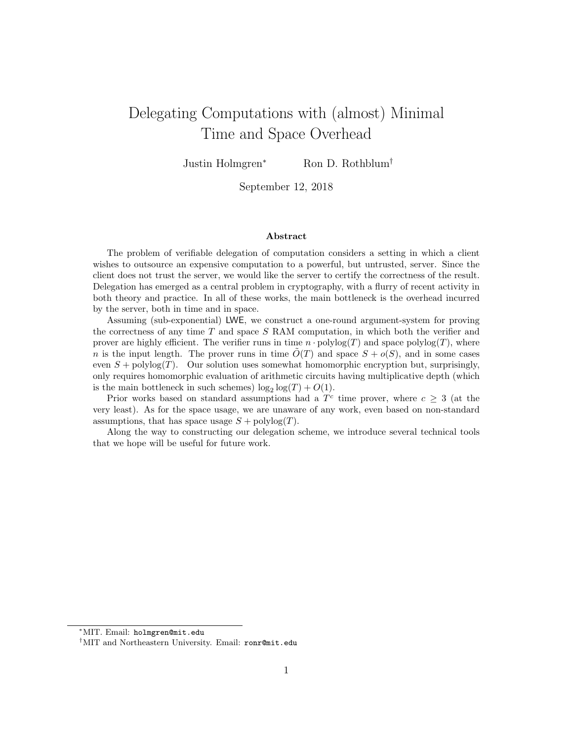# Delegating Computations with (almost) Minimal Time and Space Overhead

Justin Holmgren<sup>∗</sup> Ron D. Rothblum†

September 12, 2018

#### Abstract

The problem of verifiable delegation of computation considers a setting in which a client wishes to outsource an expensive computation to a powerful, but untrusted, server. Since the client does not trust the server, we would like the server to certify the correctness of the result. Delegation has emerged as a central problem in cryptography, with a flurry of recent activity in both theory and practice. In all of these works, the main bottleneck is the overhead incurred by the server, both in time and in space.

Assuming (sub-exponential) LWE, we construct a one-round argument-system for proving the correctness of any time  $T$  and space  $S$  RAM computation, in which both the verifier and prover are highly efficient. The verifier runs in time  $n \cdot \text{polylog}(T)$  and space polylog(T), where n is the input length. The prover runs in time  $\tilde{O}(T)$  and space  $S + o(S)$ , and in some cases even  $S$  + polylog $(T)$ . Our solution uses somewhat homomorphic encryption but, surprisingly, only requires homomorphic evaluation of arithmetic circuits having multiplicative depth (which is the main bottleneck in such schemes)  $\log_2 \log(T) + O(1)$ .

Prior works based on standard assumptions had a  $T<sup>c</sup>$  time prover, where  $c \geq 3$  (at the very least). As for the space usage, we are unaware of any work, even based on non-standard assumptions, that has space usage  $S + \text{polylog}(T)$ .

Along the way to constructing our delegation scheme, we introduce several technical tools that we hope will be useful for future work.

<sup>∗</sup>MIT. Email: holmgren@mit.edu

<sup>†</sup>MIT and Northeastern University. Email: ronr@mit.edu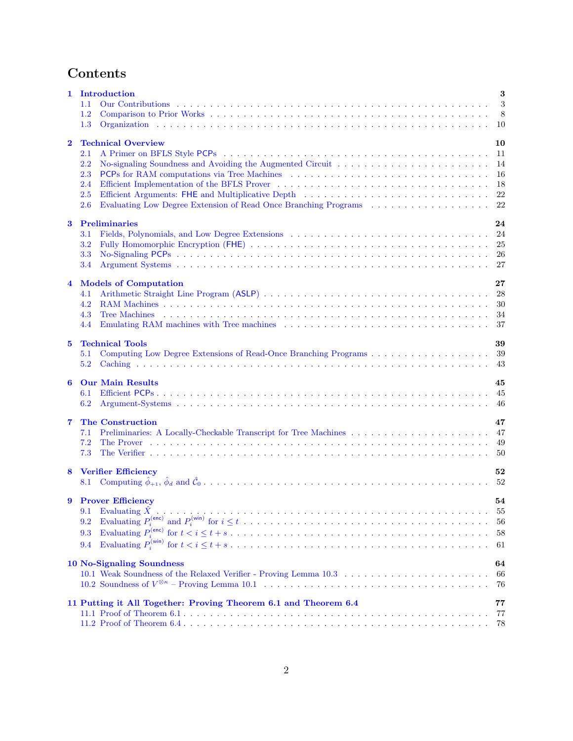# Contents

| 1              | Introduction<br>1.1                                                    | $\boldsymbol{3}$<br>3 |
|----------------|------------------------------------------------------------------------|-----------------------|
|                | 1.2                                                                    | 8                     |
|                | 1.3                                                                    | 10                    |
| $\bf{2}$       | <b>Technical Overview</b>                                              | 10                    |
|                | 2.1                                                                    | 11                    |
|                | 2.2<br>2.3                                                             | 14                    |
|                | <b>PCPs</b> for RAM computations via Tree Machines<br>2.4              | 16<br>18              |
|                | Efficient Arguments: FHE and Multiplicative Depth<br>2.5               | 22                    |
|                | Evaluating Low Degree Extension of Read Once Branching Programs<br>2.6 | 22                    |
| 3              | <b>Preliminaries</b>                                                   | 24                    |
|                | 3.1                                                                    | 24                    |
|                | 3.2                                                                    | 25                    |
|                | 3.3                                                                    | 26                    |
|                | 3.4                                                                    | 27                    |
|                |                                                                        |                       |
| $\overline{4}$ | <b>Models of Computation</b>                                           | 27                    |
|                | 4.1                                                                    | 28                    |
|                | 4.2                                                                    | 30                    |
|                | 4.3<br><b>Tree Machines</b>                                            | 34                    |
|                | 4.4                                                                    | 37                    |
| $5^{\circ}$    | <b>Technical Tools</b>                                                 | 39                    |
|                | 5.1                                                                    | 39                    |
|                | 5.2                                                                    | 43                    |
| 6              | <b>Our Main Results</b>                                                | 45                    |
|                | 6.1                                                                    | 45                    |
|                | 6.2                                                                    | 46                    |
|                |                                                                        |                       |
| 7              | <b>The Construction</b>                                                | 47                    |
|                | 7.1                                                                    | 47                    |
|                | 7.2<br>The Prover                                                      | 49                    |
|                | 7.3                                                                    | 50                    |
| 8              | <b>Verifier Efficiency</b>                                             | 52                    |
|                | 8.1                                                                    | 52                    |
|                |                                                                        |                       |
|                | 9 Prover Efficiency                                                    | 54                    |
|                | 9.1                                                                    | 55                    |
|                | 9.2                                                                    | 56                    |
|                | 9.3                                                                    | 58                    |
|                | 9.4                                                                    | 61                    |
|                |                                                                        |                       |
|                | <b>10 No-Signaling Soundness</b>                                       | 64<br>66              |
|                |                                                                        | 76                    |
|                |                                                                        |                       |
|                | 11 Putting it All Together: Proving Theorem 6.1 and Theorem 6.4        | 77                    |
|                |                                                                        | 77                    |
|                |                                                                        | 78                    |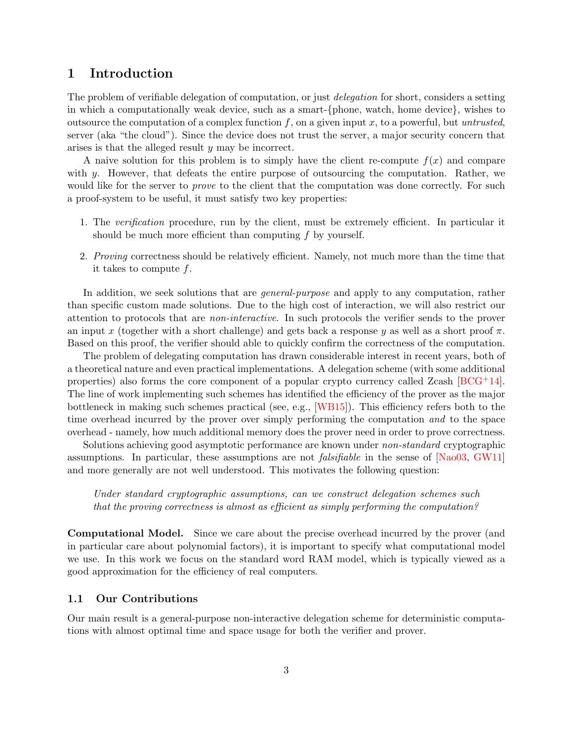# <span id="page-2-0"></span>1 Introduction

The problem of verifiable delegation of computation, or just *delegation* for short, considers a setting in which a computationally weak device, such as a smart-{phone, watch, home device}, wishes to outsource the computation of a complex function  $f$ , on a given input  $x$ , to a powerful, but untrusted, server (aka "the cloud"). Since the device does not trust the server, a major security concern that arises is that the alleged result y may be incorrect.

A naive solution for this problem is to simply have the client re-compute  $f(x)$  and compare with y. However, that defeats the entire purpose of outsourcing the computation. Rather, we would like for the server to *prove* to the client that the computation was done correctly. For such a proof-system to be useful, it must satisfy two key properties:

- 1. The verification procedure, run by the client, must be extremely efficient. In particular it should be much more efficient than computing  $f$  by yourself.
- 2. Proving correctness should be relatively efficient. Namely, not much more than the time that it takes to compute f.

In addition, we seek solutions that are *general-purpose* and apply to any computation, rather than specific custom made solutions. Due to the high cost of interaction, we will also restrict our attention to protocols that are non-interactive. In such protocols the verifier sends to the prover an input x (together with a short challenge) and gets back a response y as well as a short proof  $\pi$ . Based on this proof, the verifier should able to quickly confirm the correctness of the computation.

The problem of delegating computation has drawn considerable interest in recent years, both of a theoretical nature and even practical implementations. A delegation scheme (with some additional properties) also forms the core component of a popular crypto currency called Zcash [\[BCG](#page-78-0)+14]. The line of work implementing such schemes has identified the efficiency of the prover as the major bottleneck in making such schemes practical (see, e.g., [\[WB15\]](#page-83-0)). This efficiency refers both to the time overhead incurred by the prover over simply performing the computation and to the space overhead - namely, how much additional memory does the prover need in order to prove correctness.

Solutions achieving good asymptotic performance are known under non-standard cryptographic assumptions. In particular, these assumptions are not *falsifiable* in the sense of [\[Nao03,](#page-82-0) [GW11\]](#page-81-0) and more generally are not well understood. This motivates the following question:

Under standard cryptographic assumptions, can we construct delegation schemes such that the proving correctness is almost as efficient as simply performing the computation?

Computational Model. Since we care about the precise overhead incurred by the prover (and in particular care about polynomial factors), it is important to specify what computational model we use. In this work we focus on the standard word RAM model, which is typically viewed as a good approximation for the efficiency of real computers.

### <span id="page-2-1"></span>1.1 Our Contributions

<span id="page-2-2"></span>Our main result is a general-purpose non-interactive delegation scheme for deterministic computations with almost optimal time and space usage for both the verifier and prover.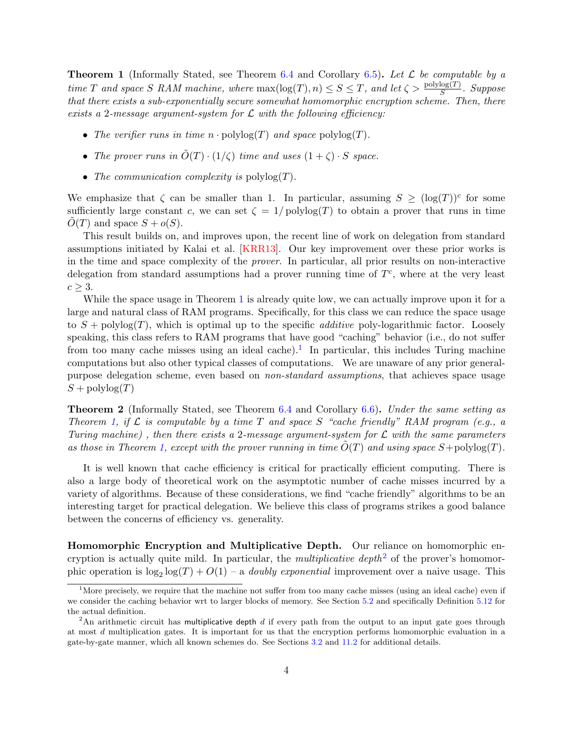**Theorem 1** (Informally Stated, see Theorem [6.4](#page-45-1) and Corollary [6.5\)](#page-46-2). Let  $\mathcal{L}$  be computable by a time T and space S RAM machine, where  $\max(\log(T), n) \leq S \leq T$ , and let  $\zeta > \frac{\text{polylog}(T)}{S}$ . Suppose that there exists a sub-exponentially secure somewhat homomorphic encryption scheme. Then, there exists a 2-message argument-system for  $\mathcal L$  with the following efficiency:

- The verifier runs in time  $n \cdot \text{polylog}(T)$  and space  $\text{polylog}(T)$ .
- The prover runs in  $\tilde{O}(T) \cdot (1/\zeta)$  time and uses  $(1+\zeta) \cdot S$  space.
- The communication complexity is  $\text{polylog}(T)$ .

We emphasize that  $\zeta$  can be smaller than 1. In particular, assuming  $S \geq (\log(T))^c$  for some sufficiently large constant c, we can set  $\zeta = 1/\text{polylog}(T)$  to obtain a prover that runs in time  $O(T)$  and space  $S + o(S)$ .

This result builds on, and improves upon, the recent line of work on delegation from standard assumptions initiated by Kalai et al. [\[KRR13\]](#page-82-1). Our key improvement over these prior works is in the time and space complexity of the prover. In particular, all prior results on non-interactive delegation from standard assumptions had a prover running time of  $T<sup>c</sup>$ , where at the very least  $c \geq 3$ .

While the space usage in Theorem [1](#page-2-2) is already quite low, we can actually improve upon it for a large and natural class of RAM programs. Specifically, for this class we can reduce the space usage to  $S$  + polylog(T), which is optimal up to the specific *additive* poly-logarithmic factor. Loosely speaking, this class refers to RAM programs that have good "caching" behavior (i.e., do not suffer from too many cache misses using an ideal cache).<sup>[1](#page-3-0)</sup> In particular, this includes Turing machine computations but also other typical classes of computations. We are unaware of any prior generalpurpose delegation scheme, even based on non-standard assumptions, that achieves space usage  $S$  + polylog $(T)$ 

<span id="page-3-2"></span>Theorem 2 (Informally Stated, see Theorem [6.4](#page-45-1) and Corollary [6.6\)](#page-46-3). Under the same setting as Theorem [1,](#page-2-2) if  $\mathcal L$  is computable by a time T and space S "cache friendly" RAM program (e.g., a Turing machine), then there exists a 2-message argument-system for  $\mathcal L$  with the same parameters as those in Theorem [1,](#page-2-2) except with the prover running in time  $O(T)$  and using space  $S+$ polylog $(T)$ .

It is well known that cache efficiency is critical for practically efficient computing. There is also a large body of theoretical work on the asymptotic number of cache misses incurred by a variety of algorithms. Because of these considerations, we find "cache friendly" algorithms to be an interesting target for practical delegation. We believe this class of programs strikes a good balance between the concerns of efficiency vs. generality.

Homomorphic Encryption and Multiplicative Depth. Our reliance on homomorphic encryption is actually quite mild. In particular, the *multiplicative depth*<sup>[2](#page-3-1)</sup> of the prover's homomorphic operation is  $\log_2 \log(T) + O(1)$  – a *doubly exponential* improvement over a naive usage. This

<span id="page-3-0"></span><sup>&</sup>lt;sup>1</sup>More precisely, we require that the machine not suffer from too many cache misses (using an ideal cache) even if we consider the caching behavior wrt to larger blocks of memory. See Section [5.2](#page-42-0) and specifically Definition [5.12](#page-44-3) for the actual definition.

<span id="page-3-1"></span> ${}^{2}$ An arithmetic circuit has multiplicative depth  $d$  if every path from the output to an input gate goes through at most d multiplication gates. It is important for us that the encryption performs homomorphic evaluation in a gate-by-gate manner, which all known schemes do. See Sections [3.2](#page-24-0) and [11.2](#page-77-0) for additional details.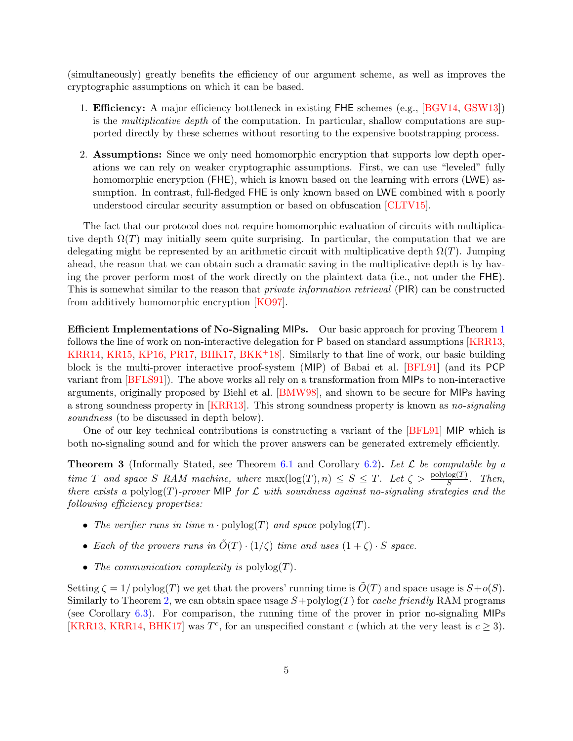(simultaneously) greatly benefits the efficiency of our argument scheme, as well as improves the cryptographic assumptions on which it can be based.

- 1. Efficiency: A major efficiency bottleneck in existing FHE schemes (e.g., [\[BGV14,](#page-79-0) [GSW13\]](#page-81-1)) is the multiplicative depth of the computation. In particular, shallow computations are supported directly by these schemes without resorting to the expensive bootstrapping process.
- 2. Assumptions: Since we only need homomorphic encryption that supports low depth operations we can rely on weaker cryptographic assumptions. First, we can use "leveled" fully homomorphic encryption (FHE), which is known based on the learning with errors (LWE) assumption. In contrast, full-fledged FHE is only known based on LWE combined with a poorly understood circular security assumption or based on obfuscation [\[CLTV15\]](#page-80-0).

The fact that our protocol does not require homomorphic evaluation of circuits with multiplicative depth  $\Omega(T)$  may initially seem quite surprising. In particular, the computation that we are delegating might be represented by an arithmetic circuit with multiplicative depth  $\Omega(T)$ . Jumping ahead, the reason that we can obtain such a dramatic saving in the multiplicative depth is by having the prover perform most of the work directly on the plaintext data (i.e., not under the FHE). This is somewhat similar to the reason that private information retrieval (PIR) can be constructed from additively homomorphic encryption [\[KO97\]](#page-81-2).

Efficient Implementations of No-Signaling MIPs. Our basic approach for proving Theorem [1](#page-2-2) follows the line of work on non-interactive delegation for P based on standard assumptions [\[KRR13,](#page-82-1) [KRR14,](#page-82-2) [KR15,](#page-82-3) [KP16,](#page-81-3) [PR17,](#page-82-4) [BHK17,](#page-79-1) [BKK](#page-79-2)+18]. Similarly to that line of work, our basic building block is the multi-prover interactive proof-system (MIP) of Babai et al. [\[BFL91\]](#page-79-3) (and its PCP variant from [\[BFLS91\]](#page-79-4)). The above works all rely on a transformation from MIPs to non-interactive arguments, originally proposed by Biehl et al. [\[BMW98\]](#page-79-5), and shown to be secure for MIPs having a strong soundness property in [\[KRR13\]](#page-82-1). This strong soundness property is known as no-signaling soundness (to be discussed in depth below).

One of our key technical contributions is constructing a variant of the [\[BFL91\]](#page-79-3) MIP which is both no-signaling sound and for which the prover answers can be generated extremely efficiently.

<span id="page-4-0"></span>**Theorem 3** (Informally Stated, see Theorem [6.1](#page-44-2) and Corollary [6.2\)](#page-45-2). Let  $\mathcal{L}$  be computable by a time T and space S RAM machine, where  $\max(\log(T), n) \leq S \leq T$ . Let  $\zeta > \frac{\text{polylog}(T)}{S}$ . Then, there exists a polylog(T)-prover MIP for  $\mathcal L$  with soundness against no-signaling strategies and the following efficiency properties:

- The verifier runs in time  $n \cdot \text{polylog}(T)$  and space  $\text{polylog}(T)$ .
- Each of the provers runs in  $\tilde{O}(T) \cdot (1/\zeta)$  time and uses  $(1 + \zeta) \cdot S$  space.
- The communication complexity is  $\text{polylog}(T)$ .

Setting  $\zeta = 1/\text{polylog}(T)$  we get that the provers' running time is  $O(T)$  and space usage is  $S+o(S)$ . Similarly to Theorem [2,](#page-3-2) we can obtain space usage  $S+polylog(T)$  for *cache friendly* RAM programs (see Corollary [6.3\)](#page-45-3). For comparison, the running time of the prover in prior no-signaling MIPs [\[KRR13,](#page-82-1) [KRR14,](#page-82-2) [BHK17\]](#page-79-1) was  $T<sup>c</sup>$ , for an unspecified constant c (which at the very least is  $c \ge 3$ ).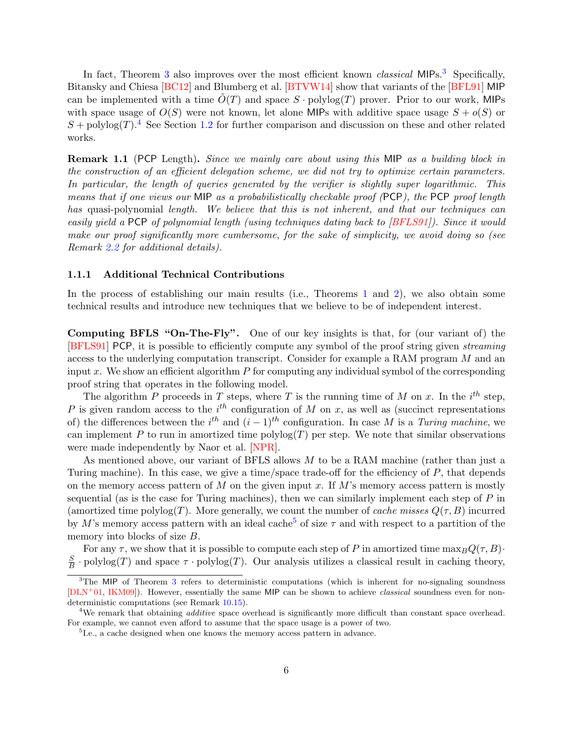In fact, Theorem [3](#page-5-0) also improves over the most efficient known *classical* MIPs.<sup>3</sup> Specifically, Bitansky and Chiesa [\[BC12\]](#page-78-1) and Blumberg et al. [\[BTVW14\]](#page-79-6) show that variants of the [\[BFL91\]](#page-79-3) MIP can be implemented with a time  $O(T)$  and space  $S \cdot \text{polylog}(T)$  prover. Prior to our work, MIPs with space usage of  $O(S)$  were not known, let alone MIPs with additive space usage  $S + o(S)$  or  $S$  + polylog(T).<sup>[4](#page-5-1)</sup> See Section [1.2](#page-7-0) for further comparison and discussion on these and other related works.

Remark 1.1 (PCP Length). Since we mainly care about using this MIP as a building block in the construction of an efficient delegation scheme, we did not try to optimize certain parameters. In particular, the length of queries generated by the verifier is slightly super logarithmic. This means that if one views our MIP as a probabilistically checkable proof (PCP), the PCP proof length has quasi-polynomial length. We believe that this is not inherent, and that our techniques can easily yield a PCP of polynomial length (using techniques dating back to [\[BFLS91\]](#page-79-4)). Since it would make our proof significantly more cumbersome, for the sake of simplicity, we avoid doing so (see Remark [2.2](#page-10-1) for additional details).

#### 1.1.1 Additional Technical Contributions

In the process of establishing our main results (i.e., Theorems [1](#page-2-2) and [2\)](#page-3-2), we also obtain some technical results and introduce new techniques that we believe to be of independent interest.

Computing BFLS "On-The-Fly". One of our key insights is that, for (our variant of) the [\[BFLS91\]](#page-79-4) PCP, it is possible to efficiently compute any symbol of the proof string given streaming access to the underlying computation transcript. Consider for example a RAM program M and an input x. We show an efficient algorithm  $P$  for computing any individual symbol of the corresponding proof string that operates in the following model.

The algorithm P proceeds in T steps, where T is the running time of M on x. In the  $i^{th}$  step, P is given random access to the  $i^{th}$  configuration of M on x, as well as (succinct representations of) the differences between the  $i^{th}$  and  $(i-1)^{th}$  configuration. In case M is a Turing machine, we can implement P to run in amortized time polylog $(T)$  per step. We note that similar observations were made independently by Naor et al. [\[NPR\]](#page-82-5).

As mentioned above, our variant of BFLS allows  $M$  to be a RAM machine (rather than just a Turing machine). In this case, we give a time/space trade-off for the efficiency of P, that depends on the memory access pattern of M on the given input x. If M's memory access pattern is mostly sequential (as is the case for Turing machines), then we can similarly implement each step of  $P$  in (amortized time polylog(T). More generally, we count the number of cache misses  $Q(\tau, B)$  incurred by M's memory access pattern with an ideal cache<sup>[5](#page-5-2)</sup> of size  $\tau$  and with respect to a partition of the memory into blocks of size  $B$ .

For any  $\tau$ , we show that it is possible to compute each step of P in amortized time  $\max_B Q(\tau, B)$ · S  $\frac{S}{B}$  · polylog(T) and space  $\tau$  · polylog(T). Our analysis utilizes a classical result in caching theory,

<span id="page-5-0"></span> $3$ The MIP of Theorem 3 refers to deterministic computations (which is inherent for no-signaling soundness  $[DLN<sup>+</sup>01, IKM09]$  $[DLN<sup>+</sup>01, IKM09]$  $[DLN<sup>+</sup>01, IKM09]$ . However, essentially the same MIP can be shown to achieve *classical* soundness even for nondeterministic computations (see Remark [10.15\)](#page-76-2).

<span id="page-5-1"></span><sup>&</sup>lt;sup>4</sup>We remark that obtaining *additive* space overhead is significantly more difficult than constant space overhead. For example, we cannot even afford to assume that the space usage is a power of two.

<span id="page-5-2"></span><sup>&</sup>lt;sup>5</sup>I.e., a cache designed when one knows the memory access pattern in advance.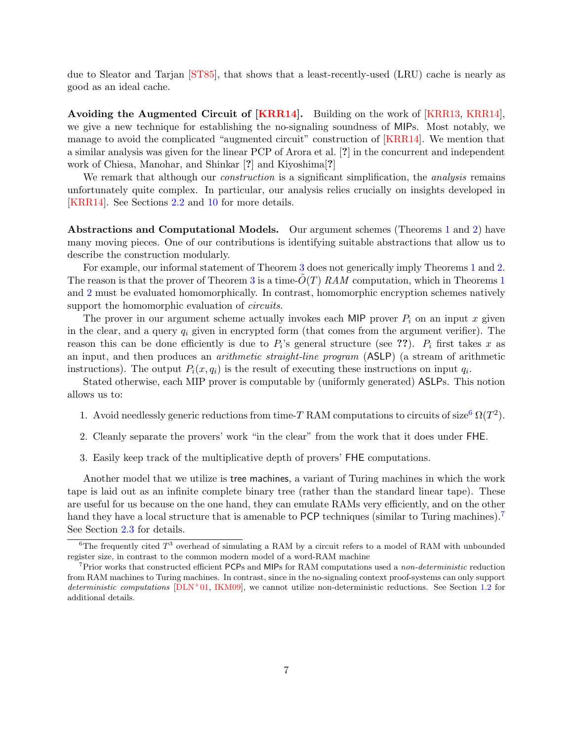due to Sleator and Tarjan [\[ST85\]](#page-83-1), that shows that a least-recently-used (LRU) cache is nearly as good as an ideal cache.

Avoiding the Augmented Circuit of [\[KRR14\]](#page-82-2). Building on the work of [\[KRR13,](#page-82-1) [KRR14\]](#page-82-2), we give a new technique for establishing the no-signaling soundness of MIPs. Most notably, we manage to avoid the complicated "augmented circuit" construction of [\[KRR14\]](#page-82-2). We mention that a similar analysis was given for the linear PCP of Arora et al. [?] in the concurrent and independent work of Chiesa, Manohar, and Shinkar [?] and Kiyoshima[?]

We remark that although our *construction* is a significant simplification, the *analysis* remains unfortunately quite complex. In particular, our analysis relies crucially on insights developed in [\[KRR14\]](#page-82-2). See Sections [2.2](#page-13-0) and [10](#page-63-0) for more details.

Abstractions and Computational Models. Our argument schemes (Theorems [1](#page-2-2) and [2\)](#page-3-2) have many moving pieces. One of our contributions is identifying suitable abstractions that allow us to describe the construction modularly.

For example, our informal statement of Theorem [3](#page-4-0) does not generically imply Theorems [1](#page-2-2) and [2.](#page-3-2) The reason is that the prover of Theorem [3](#page-4-0) is a time- $O(T)$  RAM computation, which in Theorems [1](#page-2-2) and [2](#page-3-2) must be evaluated homomorphically. In contrast, homomorphic encryption schemes natively support the homomorphic evaluation of *circuits*.

The prover in our argument scheme actually invokes each MIP prover  $P_i$  on an input x given in the clear, and a query  $q_i$  given in encrypted form (that comes from the argument verifier). The reason this can be done efficiently is due to  $P_i$ 's general structure (see ??).  $P_i$  first takes x as an input, and then produces an arithmetic straight-line program (ASLP) (a stream of arithmetic instructions). The output  $P_i(x, q_i)$  is the result of executing these instructions on input  $q_i$ .

Stated otherwise, each MIP prover is computable by (uniformly generated) ASLPs. This notion allows us to:

- 1. Avoid needlessly generic reductions from time-T RAM computations to circuits of size<sup>[6](#page-6-0)</sup>  $\Omega(T^2)$ .
- 2. Cleanly separate the provers' work "in the clear" from the work that it does under FHE.
- 3. Easily keep track of the multiplicative depth of provers' FHE computations.

Another model that we utilize is tree machines, a variant of Turing machines in which the work tape is laid out as an infinite complete binary tree (rather than the standard linear tape). These are useful for us because on the one hand, they can emulate RAMs very efficiently, and on the other hand they have a local structure that is amenable to PCP techniques (similar to Turing machines).<sup>[7](#page-6-1)</sup> See Section [2.3](#page-15-0) for details.

<span id="page-6-0"></span> ${}^{6}$ The frequently cited  $T<sup>3</sup>$  overhead of simulating a RAM by a circuit refers to a model of RAM with unbounded register size, in contrast to the common modern model of a word-RAM machine

<span id="page-6-1"></span><sup>&</sup>lt;sup>7</sup>Prior works that constructed efficient PCPs and MIPs for RAM computations used a non-deterministic reduction from RAM machines to Turing machines. In contrast, since in the no-signaling context proof-systems can only support deterministic computations  $[DLN+01, IKM09]$  $[DLN+01, IKM09]$  $[DLN+01, IKM09]$ , we cannot utilize non-deterministic reductions. See Section [1.2](#page-7-0) for additional details.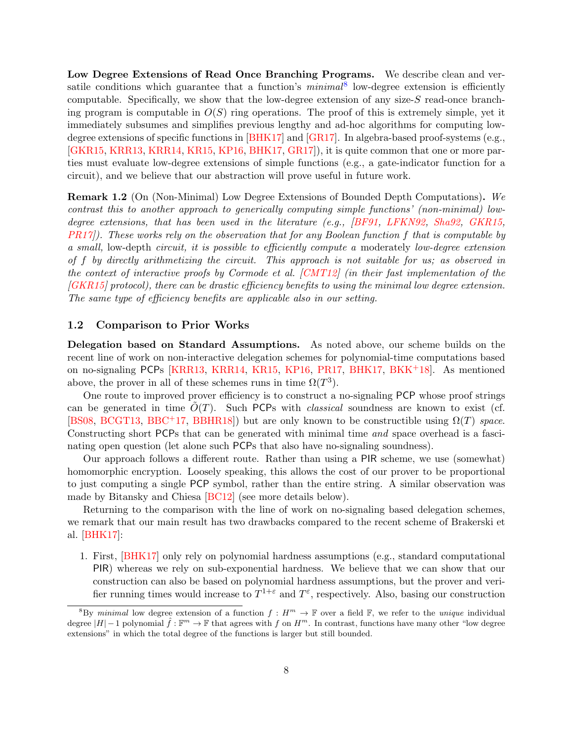Low Degree Extensions of Read Once Branching Programs. We describe clean and versatile conditions which guarantee that a function's  $minimal^8$  $minimal^8$  low-degree extension is efficiently computable. Specifically, we show that the low-degree extension of any size-S read-once branching program is computable in  $O(S)$  ring operations. The proof of this is extremely simple, yet it immediately subsumes and simplifies previous lengthy and ad-hoc algorithms for computing lowdegree extensions of specific functions in [\[BHK17\]](#page-79-1) and [\[GR17\]](#page-81-5). In algebra-based proof-systems (e.g., [\[GKR15,](#page-80-2) [KRR13,](#page-82-1) [KRR14,](#page-82-2) [KR15,](#page-82-3) [KP16,](#page-81-3) [BHK17,](#page-79-1) [GR17\]](#page-81-5)), it is quite common that one or more parties must evaluate low-degree extensions of simple functions (e.g., a gate-indicator function for a circuit), and we believe that our abstraction will prove useful in future work.

Remark 1.2 (On (Non-Minimal) Low Degree Extensions of Bounded Depth Computations). We contrast this to another approach to generically computing simple functions' (non-minimal) low-degree extensions, that has been used in the literature (e.g., [\[BF91,](#page-79-7) [LFKN92,](#page-82-6) [Sha92,](#page-82-7) [GKR15,](#page-80-2)  $PR17$ ). These works rely on the observation that for any Boolean function f that is computable by a small, low-depth circuit, it is possible to efficiently compute a moderately low-degree extension of f by directly arithmetizing the circuit. This approach is not suitable for us; as observed in the context of interactive proofs by Cormode et al. [\[CMT12\]](#page-80-3) (in their fast implementation of the [\[GKR15\]](#page-80-2) protocol), there can be drastic efficiency benefits to using the minimal low degree extension. The same type of efficiency benefits are applicable also in our setting.

### <span id="page-7-0"></span>1.2 Comparison to Prior Works

Delegation based on Standard Assumptions. As noted above, our scheme builds on the recent line of work on non-interactive delegation schemes for polynomial-time computations based on no-signaling PCPs [\[KRR13,](#page-82-1) [KRR14,](#page-82-2) [KR15,](#page-82-3) [KP16,](#page-81-3) [PR17,](#page-82-4) [BHK17,](#page-79-1) [BKK](#page-79-2)+18]. As mentioned above, the prover in all of these schemes runs in time  $\Omega(T^3)$ .

One route to improved prover efficiency is to construct a no-signaling PCP whose proof strings can be generated in time  $O(T)$ . Such PCPs with *classical* soundness are known to exist (cf. [\[BS08,](#page-79-8) [BCGT13,](#page-78-2) [BBC](#page-78-3)<sup>+</sup>17, [BBHR18\]](#page-78-4)) but are only known to be constructible using  $\Omega(T)$  space. Constructing short PCPs that can be generated with minimal time and space overhead is a fascinating open question (let alone such PCPs that also have no-signaling soundness).

Our approach follows a different route. Rather than using a PIR scheme, we use (somewhat) homomorphic encryption. Loosely speaking, this allows the cost of our prover to be proportional to just computing a single PCP symbol, rather than the entire string. A similar observation was made by Bitansky and Chiesa [\[BC12\]](#page-78-1) (see more details below).

Returning to the comparison with the line of work on no-signaling based delegation schemes, we remark that our main result has two drawbacks compared to the recent scheme of Brakerski et al. [\[BHK17\]](#page-79-1):

1. First, [\[BHK17\]](#page-79-1) only rely on polynomial hardness assumptions (e.g., standard computational PIR) whereas we rely on sub-exponential hardness. We believe that we can show that our construction can also be based on polynomial hardness assumptions, but the prover and verifier running times would increase to  $T^{1+\varepsilon}$  and  $T^{\varepsilon}$ , respectively. Also, basing our construction

<span id="page-7-1"></span><sup>&</sup>lt;sup>8</sup>By minimal low degree extension of a function  $f : H^m \to \mathbb{F}$  over a field  $\mathbb{F}$ , we refer to the *unique* individual degree  $|H|-1$  polynomial  $\hat{f}: \mathbb{F}^m \to \mathbb{F}$  that agrees with f on  $H^m$ . In contrast, functions have many other "low degree extensions" in which the total degree of the functions is larger but still bounded.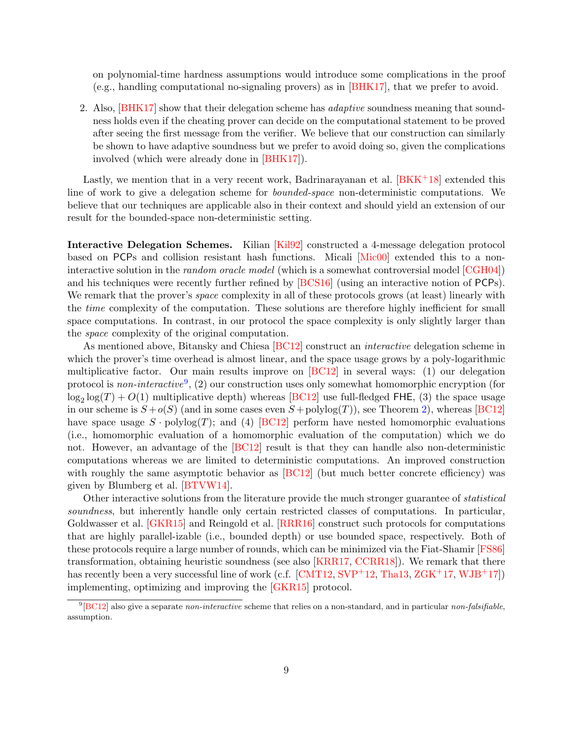on polynomial-time hardness assumptions would introduce some complications in the proof (e.g., handling computational no-signaling provers) as in [\[BHK17\]](#page-79-1), that we prefer to avoid.

2. Also, [\[BHK17\]](#page-79-1) show that their delegation scheme has *adaptive* soundness meaning that soundness holds even if the cheating prover can decide on the computational statement to be proved after seeing the first message from the verifier. We believe that our construction can similarly be shown to have adaptive soundness but we prefer to avoid doing so, given the complications involved (which were already done in [\[BHK17\]](#page-79-1)).

Lastly, we mention that in a very recent work, Badrinarayanan et al.  $[BKK^+18]$  extended this line of work to give a delegation scheme for bounded-space non-deterministic computations. We believe that our techniques are applicable also in their context and should yield an extension of our result for the bounded-space non-deterministic setting.

Interactive Delegation Schemes. Kilian [\[Kil92\]](#page-81-6) constructed a 4-message delegation protocol based on PCPs and collision resistant hash functions. Micali [\[Mic00\]](#page-82-8) extended this to a noninteractive solution in the random oracle model (which is a somewhat controversial model [\[CGH04\]](#page-80-4)) and his techniques were recently further refined by [\[BCS16\]](#page-79-9) (using an interactive notion of PCPs). We remark that the prover's *space* complexity in all of these protocols grows (at least) linearly with the *time* complexity of the computation. These solutions are therefore highly inefficient for small space computations. In contrast, in our protocol the space complexity is only slightly larger than the space complexity of the original computation.

As mentioned above, Bitansky and Chiesa [\[BC12\]](#page-78-1) construct an *interactive* delegation scheme in which the prover's time overhead is almost linear, and the space usage grows by a poly-logarithmic multiplicative factor. Our main results improve on [\[BC12\]](#page-78-1) in several ways: (1) our delegation protocol is *non-interactive*<sup>[9](#page-8-0)</sup>, (2) our construction uses only somewhat homomorphic encryption (for  $\log_2 \log(T) + O(1)$  multiplicative depth) whereas [\[BC12\]](#page-78-1) use full-fledged FHE, (3) the space usage in our scheme is  $S + o(S)$  (and in some cases even  $S + \text{polylog}(T)$ ), see Theorem [2\)](#page-3-2), whereas [\[BC12\]](#page-78-1) have space usage  $S \cdot \text{polylog}(T)$ ; and (4) [\[BC12\]](#page-78-1) perform have nested homomorphic evaluations (i.e., homomorphic evaluation of a homomorphic evaluation of the computation) which we do not. However, an advantage of the [\[BC12\]](#page-78-1) result is that they can handle also non-deterministic computations whereas we are limited to deterministic computations. An improved construction with roughly the same asymptotic behavior as  $[BC12]$  (but much better concrete efficiency) was given by Blumberg et al. [\[BTVW14\]](#page-79-6).

Other interactive solutions from the literature provide the much stronger guarantee of *statistical* soundness, but inherently handle only certain restricted classes of computations. In particular, Goldwasser et al. [\[GKR15\]](#page-80-2) and Reingold et al. [\[RRR16\]](#page-82-9) construct such protocols for computations that are highly parallel-izable (i.e., bounded depth) or use bounded space, respectively. Both of these protocols require a large number of rounds, which can be minimized via the Fiat-Shamir [\[FS86\]](#page-80-5) transformation, obtaining heuristic soundness (see also [\[KRR17,](#page-82-10) [CCRR18\]](#page-79-10)). We remark that there has recently been a very successful line of work (c.f.  $[CMT12, SVP<sup>+</sup>12, Tha13, ZGK<sup>+</sup>17, WJB<sup>+</sup>17]$  $[CMT12, SVP<sup>+</sup>12, Tha13, ZGK<sup>+</sup>17, WJB<sup>+</sup>17]$  $[CMT12, SVP<sup>+</sup>12, Tha13, ZGK<sup>+</sup>17, WJB<sup>+</sup>17]$  $[CMT12, SVP<sup>+</sup>12, Tha13, ZGK<sup>+</sup>17, WJB<sup>+</sup>17]$  $[CMT12, SVP<sup>+</sup>12, Tha13, ZGK<sup>+</sup>17, WJB<sup>+</sup>17]$  $[CMT12, SVP<sup>+</sup>12, Tha13, ZGK<sup>+</sup>17, WJB<sup>+</sup>17]$  $[CMT12, SVP<sup>+</sup>12, Tha13, ZGK<sup>+</sup>17, WJB<sup>+</sup>17]$  $[CMT12, SVP<sup>+</sup>12, Tha13, ZGK<sup>+</sup>17, WJB<sup>+</sup>17]$  $[CMT12, SVP<sup>+</sup>12, Tha13, ZGK<sup>+</sup>17, WJB<sup>+</sup>17]$ ) implementing, optimizing and improving the [\[GKR15\]](#page-80-2) protocol.

<span id="page-8-0"></span> $^{9}$ [\[BC12\]](#page-78-1) also give a separate non-interactive scheme that relies on a non-standard, and in particular non-falsifiable, assumption.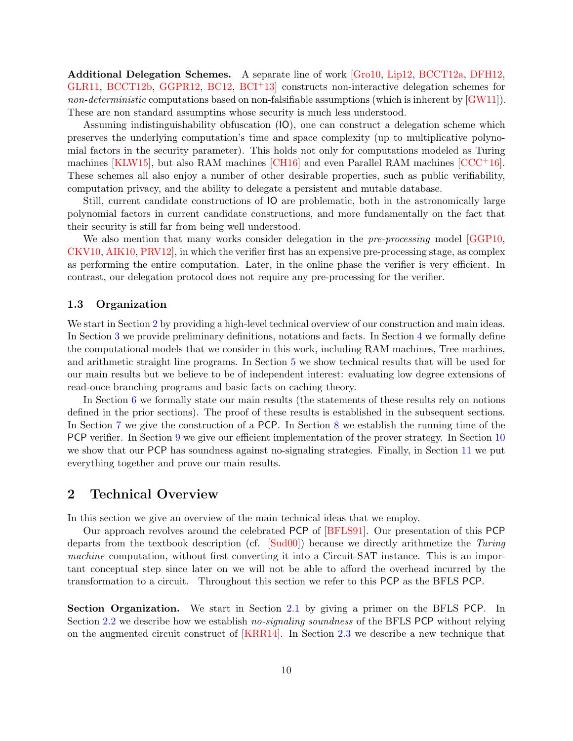Additional Delegation Schemes. A separate line of work [\[Gro10,](#page-81-7) [Lip12,](#page-82-11) [BCCT12a,](#page-78-5) [DFH12,](#page-80-6) [GLR11,](#page-81-8) [BCCT12b,](#page-78-6) [GGPR12,](#page-80-7) [BC12,](#page-78-1) [BCI](#page-79-11)<sup>+</sup>13<sup>]</sup> constructs non-interactive delegation schemes for non-deterministic computations based on non-falsifiable assumptions (which is inherent by  $(GW11)$ ). These are non standard assumptins whose security is much less understood.

Assuming indistinguishability obfuscation (IO), one can construct a delegation scheme which preserves the underlying computation's time and space complexity (up to multiplicative polynomial factors in the security parameter). This holds not only for computations modeled as Turing machines [\[KLW15\]](#page-81-9), but also RAM machines  $[CH16]$  and even Parallel RAM machines  $[CCC+16]$ . These schemes all also enjoy a number of other desirable properties, such as public verifiability, computation privacy, and the ability to delegate a persistent and mutable database.

Still, current candidate constructions of IO are problematic, both in the astronomically large polynomial factors in current candidate constructions, and more fundamentally on the fact that their security is still far from being well understood.

We also mention that many works consider delegation in the *pre-processing* model GGP10, [CKV10,](#page-80-10) [AIK10,](#page-78-7) [PRV12\]](#page-82-12), in which the verifier first has an expensive pre-processing stage, as complex as performing the entire computation. Later, in the online phase the verifier is very efficient. In contrast, our delegation protocol does not require any pre-processing for the verifier.

### <span id="page-9-0"></span>1.3 Organization

We start in Section [2](#page-9-1) by providing a high-level technical overview of our construction and main ideas. In Section [3](#page-23-0) we provide preliminary definitions, notations and facts. In Section [4](#page-26-1) we formally define the computational models that we consider in this work, including RAM machines, Tree machines, and arithmetic straight line programs. In Section [5](#page-38-0) we show technical results that will be used for our main results but we believe to be of independent interest: evaluating low degree extensions of read-once branching programs and basic facts on caching theory.

In Section [6](#page-44-0) we formally state our main results (the statements of these results rely on notions defined in the prior sections). The proof of these results is established in the subsequent sections. In Section [7](#page-46-0) we give the construction of a PCP. In Section [8](#page-51-0) we establish the running time of the PCP verifier. In Section [9](#page-53-0) we give our efficient implementation of the prover strategy. In Section [10](#page-63-0) we show that our PCP has soundness against no-signaling strategies. Finally, in Section [11](#page-76-0) we put everything together and prove our main results.

# <span id="page-9-1"></span>2 Technical Overview

In this section we give an overview of the main technical ideas that we employ.

Our approach revolves around the celebrated PCP of [\[BFLS91\]](#page-79-4). Our presentation of this PCP departs from the textbook description (cf. [\[Sud00\]](#page-83-6)) because we directly arithmetize the Turing machine computation, without first converting it into a Circuit-SAT instance. This is an important conceptual step since later on we will not be able to afford the overhead incurred by the transformation to a circuit. Throughout this section we refer to this PCP as the BFLS PCP.

Section Organization. We start in Section [2.1](#page-10-0) by giving a primer on the BFLS PCP. In Section [2.2](#page-13-0) we describe how we establish no-signaling soundness of the BFLS PCP without relying on the augmented circuit construct of [\[KRR14\]](#page-82-2). In Section [2.3](#page-15-0) we describe a new technique that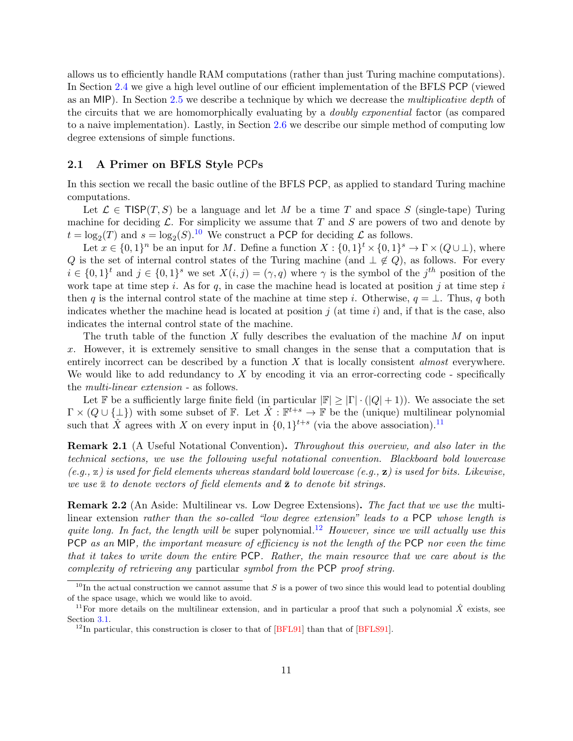allows us to efficiently handle RAM computations (rather than just Turing machine computations). In Section [2.4](#page-17-0) we give a high level outline of our efficient implementation of the BFLS PCP (viewed as an MIP). In Section [2.5](#page-21-0) we describe a technique by which we decrease the multiplicative depth of the circuits that we are homomorphically evaluating by a doubly exponential factor (as compared to a naive implementation). Lastly, in Section [2.6](#page-21-1) we describe our simple method of computing low degree extensions of simple functions.

### <span id="page-10-0"></span>2.1 A Primer on BFLS Style PCPs

In this section we recall the basic outline of the BFLS PCP, as applied to standard Turing machine computations.

Let  $\mathcal{L} \in \mathsf{TISP}(T, S)$  be a language and let M be a time T and space S (single-tape) Turing machine for deciding  $\mathcal{L}$ . For simplicity we assume that T and S are powers of two and denote by  $t = \log_2(T)$  and  $s = \log_2(S)$ .<sup>[10](#page-10-2)</sup> We construct a PCP for deciding  $\mathcal L$  as follows.

Let  $x \in \{0,1\}^n$  be an input for M. Define a function  $X: \{0,1\}^t \times \{0,1\}^s \to \Gamma \times (Q \cup \bot)$ , where Q is the set of internal control states of the Turing machine (and  $\perp \notin Q$ ), as follows. For every  $i \in \{0,1\}^t$  and  $j \in \{0,1\}^s$  we set  $X(i,j) = (\gamma, q)$  where  $\gamma$  is the symbol of the  $j^{th}$  position of the work tape at time step i. As for q, in case the machine head is located at position j at time step i then q is the internal control state of the machine at time step i. Otherwise,  $q = \perp$ . Thus, q both indicates whether the machine head is located at position  $j$  (at time i) and, if that is the case, also indicates the internal control state of the machine.

The truth table of the function X fully describes the evaluation of the machine  $M$  on input x. However, it is extremely sensitive to small changes in the sense that a computation that is entirely incorrect can be described by a function  $X$  that is locally consistent *almost* everywhere. We would like to add redundancy to  $X$  by encoding it via an error-correcting code - specifically the multi-linear extension - as follows.

Let F be a sufficiently large finite field (in particular  $|\mathbb{F}| \geq |\Gamma| \cdot (|Q| + 1)$ ). We associate the set  $\Gamma \times (Q \cup \{\perp\})$  with some subset of  $\mathbb{F}$ . Let  $\hat{X} : \mathbb{F}^{t+s} \to \mathbb{F}$  be the (unique) multilinear polynomial such that  $\hat{X}$  agrees with X on every input in  $\{0,1\}^{t+s}$  (via the above association).<sup>[11](#page-10-3)</sup>

Remark 2.1 (A Useful Notational Convention). Throughout this overview, and also later in the technical sections, we use the following useful notational convention. Blackboard bold lowercase  $(e.g., \mathbf{z})$  is used for field elements whereas standard bold lowercase  $(e.g., \mathbf{z})$  is used for bits. Likewise, we use  $\bar{z}$  to denote vectors of field elements and  $\bar{z}$  to denote bit strings.

<span id="page-10-1"></span>**Remark 2.2** (An Aside: Multilinear vs. Low Degree Extensions). The fact that we use the multilinear extension rather than the so-called "low degree extension" leads to a PCP whose length is quite long. In fact, the length will be super polynomial.<sup>[12](#page-10-4)</sup> However, since we will actually use this PCP as an MIP, the important measure of efficiency is not the length of the PCP nor even the time that it takes to write down the entire PCP. Rather, the main resource that we care about is the complexity of retrieving any particular symbol from the PCP proof string.

<span id="page-10-2"></span> $10$ In the actual construction we cannot assume that S is a power of two since this would lead to potential doubling of the space usage, which we would like to avoid.

<span id="page-10-3"></span><sup>&</sup>lt;sup>11</sup>For more details on the multilinear extension, and in particular a proof that such a polynomial  $\hat{X}$  exists, see Section [3.1.](#page-23-1)

<span id="page-10-4"></span><sup>&</sup>lt;sup>12</sup>In particular, this construction is closer to that of  $BFL91$  than that of  $BFL91$ .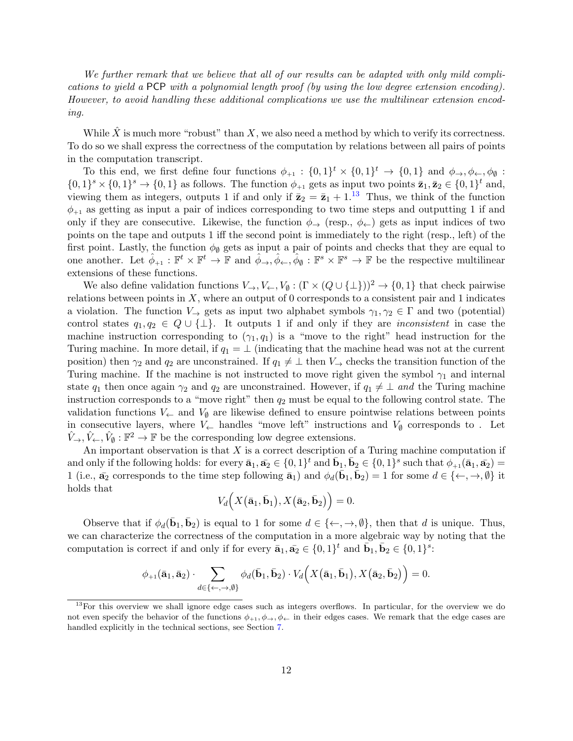We further remark that we believe that all of our results can be adapted with only mild complications to yield a PCP with a polynomial length proof (by using the low degree extension encoding). However, to avoid handling these additional complications we use the multilinear extension encoding.

While  $\hat{X}$  is much more "robust" than X, we also need a method by which to verify its correctness. To do so we shall express the correctness of the computation by relations between all pairs of points in the computation transcript.

To this end, we first define four functions  $\phi_{+1} : \{0,1\}^t \times \{0,1\}^t \to \{0,1\}$  and  $\phi_{\to}, \phi_{\leftarrow}, \phi_{\emptyset}$ :  $\{0,1\}^s \times \{0,1\}^s \to \{0,1\}$  as follows. The function  $\phi_{+1}$  gets as input two points  $\bar{\mathbf{z}}_1, \bar{\mathbf{z}}_2 \in \{0,1\}^t$  and, viewing them as integers, outputs 1 if and only if  $\bar{\mathbf{z}}_2 = \bar{\mathbf{z}}_1 + 1^{13}$  $\bar{\mathbf{z}}_2 = \bar{\mathbf{z}}_1 + 1^{13}$  $\bar{\mathbf{z}}_2 = \bar{\mathbf{z}}_1 + 1^{13}$  Thus, we think of the function  $\phi_{+1}$  as getting as input a pair of indices corresponding to two time steps and outputting 1 if and only if they are consecutive. Likewise, the function  $\phi_{\rightarrow}$  (resp.,  $\phi_{\leftarrow}$ ) gets as input indices of two points on the tape and outputs 1 iff the second point is immediately to the right (resp., left) of the first point. Lastly, the function  $\phi_{\emptyset}$  gets as input a pair of points and checks that they are equal to one another. Let  $\hat{\phi}_{+1} : \mathbb{F}^t \times \mathbb{F}^t \to \mathbb{F}$  and  $\hat{\phi}_{\to}, \hat{\phi}_{\leftarrow}, \hat{\phi}_{\emptyset} : \mathbb{F}^s \times \mathbb{F}^s \to \mathbb{F}$  be the respective multilinear extensions of these functions.

We also define validation functions  $V_{\rightarrow}$ ,  $V_{\leftarrow}$ ,  $V_{\emptyset}$  :  $(\Gamma \times (Q \cup \{\bot\}))^2 \rightarrow \{0,1\}$  that check pairwise relations between points in  $X$ , where an output of 0 corresponds to a consistent pair and 1 indicates a violation. The function  $V_{\rightarrow}$  gets as input two alphabet symbols  $\gamma_1, \gamma_2 \in \Gamma$  and two (potential) control states  $q_1, q_2 \in Q \cup \{\perp\}$ . It outputs 1 if and only if they are *inconsistent* in case the machine instruction corresponding to  $(\gamma_1, q_1)$  is a "move to the right" head instruction for the Turing machine. In more detail, if  $q_1 = \perp$  (indicating that the machine head was not at the current position) then  $\gamma_2$  and  $q_2$  are unconstrained. If  $q_1 \neq \perp$  then  $V_{\rightarrow}$  checks the transition function of the Turing machine. If the machine is not instructed to move right given the symbol  $\gamma_1$  and internal state  $q_1$  then once again  $\gamma_2$  and  $q_2$  are unconstrained. However, if  $q_1 \neq \bot$  and the Turing machine instruction corresponds to a "move right" then  $q_2$  must be equal to the following control state. The validation functions  $V_{\leftarrow}$  and  $V_{\emptyset}$  are likewise defined to ensure pointwise relations between points in consecutive layers, where  $V_{\leftarrow}$  handles "move left" instructions and  $V_{\emptyset}$  corresponds to . Let  $\hat{V}_\rightarrow, \hat{V}_\leftarrow, \hat{V}_\emptyset : \mathbb{F}^2 \to \mathbb{F}$  be the corresponding low degree extensions.

An important observation is that  $X$  is a correct description of a Turing machine computation if and only if the following holds: for every  $\bar{a}_1, \bar{a}_2 \in \{0, 1\}^t$  and  $\bar{b}_1, \bar{b}_2 \in \{0, 1\}^s$  such that  $\phi_{+1}(\bar{a}_1, \bar{a}_2)$ 1 (i.e.,  $\bar{\mathbf{a}}_2$  corresponds to the time step following  $\bar{\mathbf{a}}_1$ ) and  $\phi_d(\bar{\mathbf{b}}_1, \bar{\mathbf{b}}_2) = 1$  for some  $d \in \{\leftarrow, \rightarrow, \emptyset\}$  it holds that

$$
V_d\Big(X\big(\bar{\mathbf{a}}_1,\bar{\mathbf{b}}_1\big),X\big(\bar{\mathbf{a}}_2,\bar{\mathbf{b}}_2\big)\Big)=0.
$$

Observe that if  $\phi_d(\bar{\mathbf{b}}_1, \bar{\mathbf{b}}_2)$  is equal to 1 for some  $d \in \{\leftarrow, \rightarrow, \emptyset\}$ , then that d is unique. Thus, we can characterize the correctness of the computation in a more algebraic way by noting that the computation is correct if and only if for every  $\bar{\mathbf{a}}_1, \bar{\mathbf{a}}_2 \in \{0, 1\}^t$  and  $\bar{\mathbf{b}}_1, \bar{\mathbf{b}}_2 \in \{0, 1\}^s$ :

$$
\phi_{+1}(\bar{\mathbf{a}}_1, \bar{\mathbf{a}}_2) \cdot \sum_{d \in \{\leftarrow, \rightarrow, \emptyset\}} \phi_d(\bar{\mathbf{b}}_1, \bar{\mathbf{b}}_2) \cdot V_d\Big(X(\bar{\mathbf{a}}_1, \bar{\mathbf{b}}_1), X(\bar{\mathbf{a}}_2, \bar{\mathbf{b}}_2)\Big) = 0.
$$

<span id="page-11-0"></span><sup>&</sup>lt;sup>13</sup>For this overview we shall ignore edge cases such as integers overflows. In particular, for the overview we do not even specify the behavior of the functions  $\phi_{+1}, \phi_{+}, \phi_{+}$  in their edges cases. We remark that the edge cases are handled explicitly in the technical sections, see Section [7.](#page-46-0)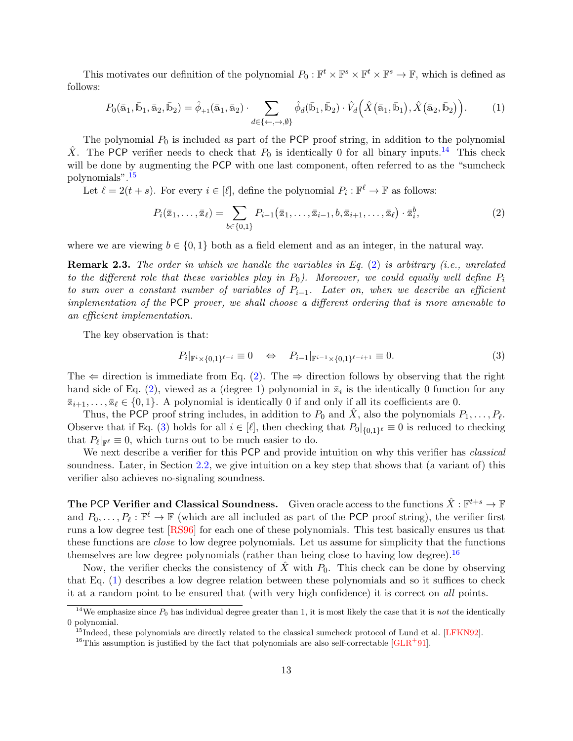This motivates our definition of the polynomial  $P_0: \mathbb{F}^t \times \mathbb{F}^s \times \mathbb{F}^t \times \mathbb{F}^s \to \mathbb{F}$ , which is defined as follows:

$$
P_0(\bar{a}_1, \bar{b}_1, \bar{a}_2, \bar{b}_2) = \hat{\phi}_{+1}(\bar{a}_1, \bar{a}_2) \cdot \sum_{d \in \{\leftarrow, \rightarrow, \emptyset\}} \hat{\phi}_d(\bar{b}_1, \bar{b}_2) \cdot \hat{V}_d\left(\hat{X}(\bar{a}_1, \bar{b}_1), \hat{X}(\bar{a}_2, \bar{b}_2)\right). \tag{1}
$$

The polynomial  $P_0$  is included as part of the PCP proof string, in addition to the polynomial  $\hat{X}$ . The PCP verifier needs to check that  $P_0$  is identically 0 for all binary inputs.<sup>[14](#page-12-0)</sup> This check will be done by augmenting the PCP with one last component, often referred to as the "sumcheck" polynomials".[15](#page-12-1)

Let  $\ell = 2(t + s)$ . For every  $i \in [\ell]$ , define the polynomial  $P_i : \mathbb{F}^{\ell} \to \mathbb{F}$  as follows:

<span id="page-12-5"></span><span id="page-12-2"></span>
$$
P_i(\bar{x}_1,\ldots,\bar{x}_\ell) = \sum_{b \in \{0,1\}} P_{i-1}(\bar{x}_1,\ldots,\bar{x}_{i-1},b,\bar{x}_{i+1},\ldots,\bar{x}_\ell) \cdot \bar{x}_i^b, \tag{2}
$$

where we are viewing  $b \in \{0, 1\}$  both as a field element and as an integer, in the natural way.

<span id="page-12-6"></span>Remark 2.3. The order in which we handle the variables in Eq. [\(2\)](#page-12-2) is arbitrary (i.e., unrelated to the different role that these variables play in  $P_0$ ). Moreover, we could equally well define  $P_i$ to sum over a constant number of variables of  $P_{i-1}$ . Later on, when we describe an efficient implementation of the PCP prover, we shall choose a different ordering that is more amenable to an efficient implementation.

The key observation is that:

<span id="page-12-3"></span>
$$
P_i|_{\mathbb{F}^i \times \{0,1\}^{\ell-i}} \equiv 0 \quad \Leftrightarrow \quad P_{i-1}|_{\mathbb{F}^{i-1} \times \{0,1\}^{\ell-i+1}} \equiv 0. \tag{3}
$$

The  $\Leftarrow$  direction is immediate from Eq. [\(2\)](#page-12-2). The  $\Rightarrow$  direction follows by observing that the right hand side of Eq. [\(2\)](#page-12-2), viewed as a (degree 1) polynomial in  $\overline{z}_i$  is the identically 0 function for any  $\overline{\mathbf{z}}_{i+1}, \ldots, \overline{\mathbf{z}}_{\ell} \in \{0, 1\}.$  A polynomial is identically 0 if and only if all its coefficients are 0.

Thus, the PCP proof string includes, in addition to  $P_0$  and  $\hat{X}$ , also the polynomials  $P_1, \ldots, P_\ell$ . Observe that if Eq. [\(3\)](#page-12-3) holds for all  $i \in [\ell]$ , then checking that  $P_0|_{\{0,1\}^{\ell}} \equiv 0$  is reduced to checking that  $P_{\ell} |_{\mathbb{F}^{\ell}} \equiv 0$ , which turns out to be much easier to do.

We next describe a verifier for this PCP and provide intuition on why this verifier has *classical* soundness. Later, in Section [2.2,](#page-13-0) we give intuition on a key step that shows that (a variant of) this verifier also achieves no-signaling soundness.

The PCP Verifier and Classical Soundness. Given oracle access to the functions  $\hat{X}: \mathbb{F}^{t+s} \to \mathbb{F}$ and  $P_0, \ldots, P_\ell : \mathbb{F}^\ell \to \mathbb{F}$  (which are all included as part of the PCP proof string), the verifier first runs a low degree test [\[RS96\]](#page-82-13) for each one of these polynomials. This test basically ensures us that these functions are close to low degree polynomials. Let us assume for simplicity that the functions themselves are low degree polynomials (rather than being close to having low degree).<sup>[16](#page-12-4)</sup>

Now, the verifier checks the consistency of  $\ddot{X}$  with  $P_0$ . This check can be done by observing that Eq. [\(1\)](#page-12-5) describes a low degree relation between these polynomials and so it suffices to check it at a random point to be ensured that (with very high confidence) it is correct on all points.

<span id="page-12-0"></span><sup>&</sup>lt;sup>14</sup>We emphasize since  $P_0$  has individual degree greater than 1, it is most likely the case that it is not the identically 0 polynomial.

<span id="page-12-1"></span><sup>&</sup>lt;sup>15</sup>Indeed, these polynomials are directly related to the classical sumcheck protocol of Lund et al. [\[LFKN92\]](#page-82-6).

<span id="page-12-4"></span><sup>&</sup>lt;sup>16</sup>This assumption is justified by the fact that polynomials are also self-correctable [\[GLR](#page-81-10)<sup>+91]</sup>.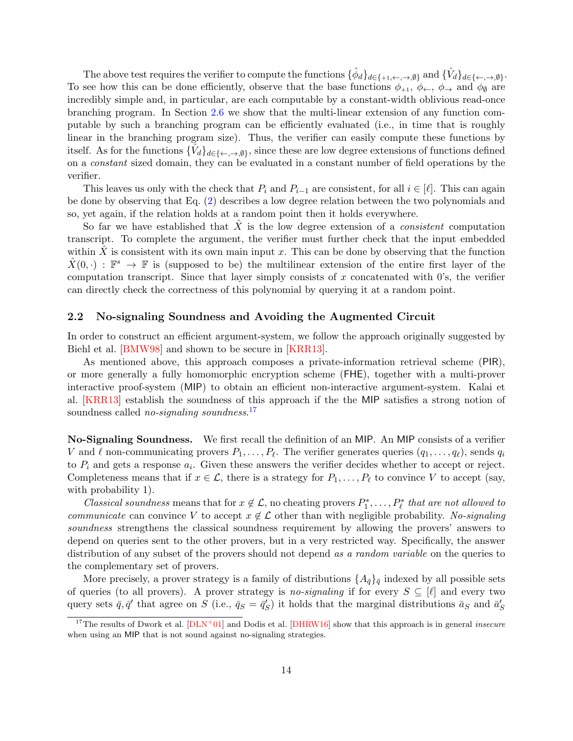The above test requires the verifier to compute the functions  $\{\hat{\phi}_d\}_{d\in\{+1,\leftarrow, \rightarrow, \emptyset\}}$  and  $\{\hat{V}_d\}_{d\in\{\leftarrow, \rightarrow, \emptyset\}}$ . To see how this can be done efficiently, observe that the base functions  $\phi_{+1}, \phi_{\leftarrow}, \phi_{\rightarrow}$  and  $\phi_{\emptyset}$  are incredibly simple and, in particular, are each computable by a constant-width oblivious read-once branching program. In Section [2.6](#page-21-1) we show that the multi-linear extension of any function computable by such a branching program can be efficiently evaluated (i.e., in time that is roughly linear in the branching program size). Thus, the verifier can easily compute these functions by itself. As for the functions  $\{\hat{V}_d\}_{d\in\{\leftarrow, \rightarrow, \emptyset\}}$ , since these are low degree extensions of functions defined on a constant sized domain, they can be evaluated in a constant number of field operations by the verifier.

This leaves us only with the check that  $P_i$  and  $P_{i-1}$  are consistent, for all  $i \in [\ell]$ . This can again be done by observing that Eq. [\(2\)](#page-12-2) describes a low degree relation between the two polynomials and so, yet again, if the relation holds at a random point then it holds everywhere.

So far we have established that  $\hat{X}$  is the low degree extension of a *consistent* computation transcript. To complete the argument, the verifier must further check that the input embedded within X is consistent with its own main input x. This can be done by observing that the function  $\hat{X}(0, \cdot) : \mathbb{F}^s \to \mathbb{F}$  is (supposed to be) the multilinear extension of the entire first layer of the computation transcript. Since that layer simply consists of  $x$  concatenated with  $0$ 's, the verifier can directly check the correctness of this polynomial by querying it at a random point.

### <span id="page-13-0"></span>2.2 No-signaling Soundness and Avoiding the Augmented Circuit

In order to construct an efficient argument-system, we follow the approach originally suggested by Biehl et al. [\[BMW98\]](#page-79-5) and shown to be secure in [\[KRR13\]](#page-82-1).

As mentioned above, this approach composes a private-information retrieval scheme (PIR), or more generally a fully homomorphic encryption scheme (FHE), together with a multi-prover interactive proof-system (MIP) to obtain an efficient non-interactive argument-system. Kalai et al. [\[KRR13\]](#page-82-1) establish the soundness of this approach if the the MIP satisfies a strong notion of soundness called *no-signaling soundness*.<sup>[17](#page-13-1)</sup>

No-Signaling Soundness. We first recall the definition of an MIP. An MIP consists of a verifier V and  $\ell$  non-communicating provers  $P_1, \ldots, P_\ell$ . The verifier generates queries  $(q_1, \ldots, q_\ell)$ , sends  $q_i$ to  $P_i$  and gets a response  $a_i$ . Given these answers the verifier decides whether to accept or reject. Completeness means that if  $x \in \mathcal{L}$ , there is a strategy for  $P_1, \ldots, P_\ell$  to convince V to accept (say, with probability 1).

Classical soundness means that for  $x \notin \mathcal{L}$ , no cheating provers  $P_1^*, \ldots, P_\ell^*$  that are not allowed to communicate can convince V to accept  $x \notin \mathcal{L}$  other than with negligible probability. No-signaling soundness strengthens the classical soundness requirement by allowing the provers' answers to depend on queries sent to the other provers, but in a very restricted way. Specifically, the answer distribution of any subset of the provers should not depend as a random variable on the queries to the complementary set of provers.

More precisely, a prover strategy is a family of distributions  $\{A_{\vec{q}}\}_{\vec{q}}$  indexed by all possible sets of queries (to all provers). A prover strategy is no-signaling if for every  $S \subseteq [\ell]$  and every two query sets  $\bar{q}, \bar{q}'$  that agree on S (i.e.,  $\bar{q}_S = \bar{q}'_S$ ) it holds that the marginal distributions  $\bar{a}_S$  and  $\bar{a}'_S$ 

<span id="page-13-1"></span><sup>&</sup>lt;sup>17</sup>The results of Dwork et al.  $[DLN+01]$  and Dodis et al.  $[DHRW16]$  show that this approach is in general *insecure* when using an MIP that is not sound against no-signaling strategies.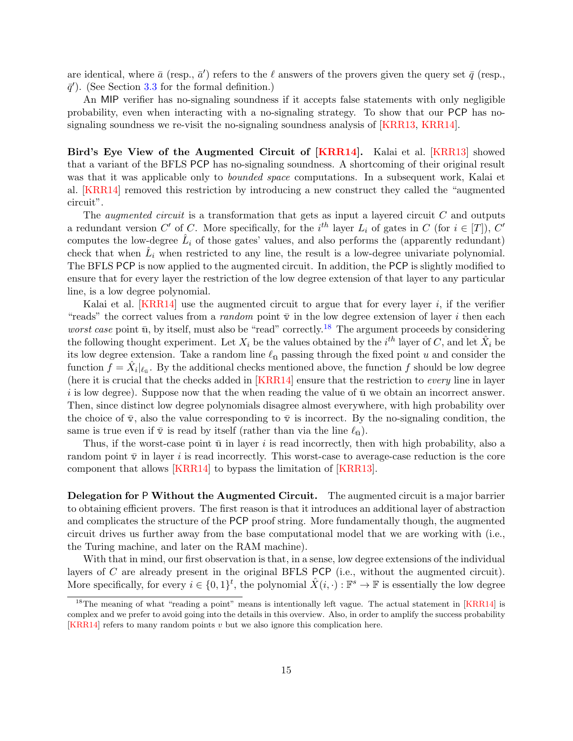are identical, where  $\bar{a}$  (resp.,  $\bar{a}'$ ) refers to the  $\ell$  answers of the provers given the query set  $\bar{q}$  (resp.,  $\bar{q}'$ ). (See Section [3.3](#page-25-0) for the formal definition.)

An MIP verifier has no-signaling soundness if it accepts false statements with only negligible probability, even when interacting with a no-signaling strategy. To show that our PCP has nosignaling soundness we re-visit the no-signaling soundness analysis of [\[KRR13,](#page-82-1) [KRR14\]](#page-82-2).

Bird's Eye View of the Augmented Circuit of [\[KRR14\]](#page-82-2). Kalai et al. [\[KRR13\]](#page-82-1) showed that a variant of the BFLS PCP has no-signaling soundness. A shortcoming of their original result was that it was applicable only to *bounded space* computations. In a subsequent work, Kalai et al. [\[KRR14\]](#page-82-2) removed this restriction by introducing a new construct they called the "augmented circuit".

The *augmented circuit* is a transformation that gets as input a layered circuit  $C$  and outputs a redundant version C' of C. More specifically, for the  $i^{th}$  layer  $L_i$  of gates in C (for  $i \in [T]$ ), C' computes the low-degree  $\hat{L}_i$  of those gates' values, and also performs the (apparently redundant) check that when  $\hat{L}_i$  when restricted to any line, the result is a low-degree univariate polynomial. The BFLS PCP is now applied to the augmented circuit. In addition, the PCP is slightly modified to ensure that for every layer the restriction of the low degree extension of that layer to any particular line, is a low degree polynomial.

Kalai et al.  $[KRR14]$  use the augmented circuit to argue that for every layer i, if the verifier "reads" the correct values from a *random* point  $\overline{v}$  in the low degree extension of layer *i* then each worst case point  $\bar{u}$ , by itself, must also be "read" correctly.<sup>[18](#page-14-0)</sup> The argument proceeds by considering the following thought experiment. Let  $X_i$  be the values obtained by the  $i^{th}$  layer of C, and let  $\hat{X}_i$  be its low degree extension. Take a random line  $\ell_{\bar{u}}$  passing through the fixed point u and consider the function  $\tilde{f} = \hat{X}_i|_{\ell_{\bar{\mathfrak{u}}}}$ . By the additional checks mentioned above, the function f should be low degree (here it is crucial that the checks added in [\[KRR14\]](#page-82-2) ensure that the restriction to every line in layer i is low degree). Suppose now that the when reading the value of  $\bar{u}$  we obtain an incorrect answer. Then, since distinct low degree polynomials disagree almost everywhere, with high probability over the choice of  $\bar{v}$ , also the value corresponding to  $\bar{v}$  is incorrect. By the no-signaling condition, the same is true even if  $\bar{v}$  is read by itself (rather than via the line  $\ell_{\bar{u}}$ ).

Thus, if the worst-case point  $\bar{u}$  in layer i is read incorrectly, then with high probability, also a random point  $\bar{\mathbf{v}}$  in layer i is read incorrectly. This worst-case to average-case reduction is the core component that allows [\[KRR14\]](#page-82-2) to bypass the limitation of [\[KRR13\]](#page-82-1).

Delegation for P Without the Augmented Circuit. The augmented circuit is a major barrier to obtaining efficient provers. The first reason is that it introduces an additional layer of abstraction and complicates the structure of the PCP proof string. More fundamentally though, the augmented circuit drives us further away from the base computational model that we are working with (i.e., the Turing machine, and later on the RAM machine).

With that in mind, our first observation is that, in a sense, low degree extensions of the individual layers of C are already present in the original BFLS PCP (i.e., without the augmented circuit). More specifically, for every  $i \in \{0,1\}^t$ , the polynomial  $\hat{X}(i, \cdot) : \mathbb{F}^s \to \mathbb{F}$  is essentially the low degree

<span id="page-14-0"></span><sup>&</sup>lt;sup>18</sup>The meaning of what "reading a point" means is intentionally left vague. The actual statement in [\[KRR14\]](#page-82-2) is complex and we prefer to avoid going into the details in this overview. Also, in order to amplify the success probability [\[KRR14\]](#page-82-2) refers to many random points  $v$  but we also ignore this complication here.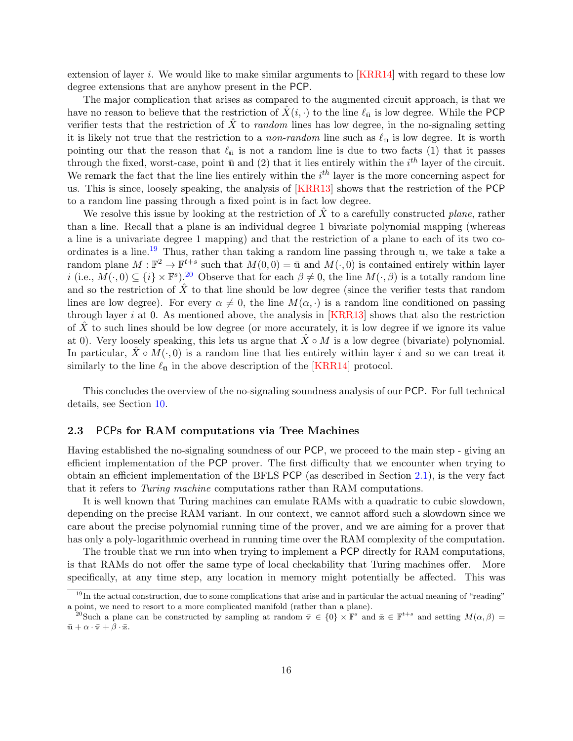extension of layer i. We would like to make similar arguments to  $[KRR14]$  with regard to these low degree extensions that are anyhow present in the PCP.

The major complication that arises as compared to the augmented circuit approach, is that we have no reason to believe that the restriction of  $X(i, \cdot)$  to the line  $\ell_{\bar{u}}$  is low degree. While the PCP verifier tests that the restriction of  $X$  to *random* lines has low degree, in the no-signaling setting it is likely not true that the restriction to a *non-random* line such as  $\ell_{\bar{u}}$  is low degree. It is worth pointing our that the reason that  $\ell_{\bar{u}}$  is not a random line is due to two facts (1) that it passes through the fixed, worst-case, point  $\bar{u}$  and (2) that it lies entirely within the  $i^{th}$  layer of the circuit. We remark the fact that the line lies entirely within the  $i<sup>th</sup>$  layer is the more concerning aspect for us. This is since, loosely speaking, the analysis of [\[KRR13\]](#page-82-1) shows that the restriction of the PCP to a random line passing through a fixed point is in fact low degree.

We resolve this issue by looking at the restriction of X to a carefully constructed plane, rather than a line. Recall that a plane is an individual degree 1 bivariate polynomial mapping (whereas a line is a univariate degree 1 mapping) and that the restriction of a plane to each of its two coordinates is a line.[19](#page-15-1) Thus, rather than taking a random line passing through u, we take a take a random plane  $M : \mathbb{F}^2 \to \mathbb{F}^{t+s}$  such that  $M(0,0) = \bar{u}$  and  $M(\cdot, 0)$  is contained entirely within layer i (i.e.,  $M(\cdot,0) \subseteq \{i\} \times \mathbb{F}^s$ ).<sup>[20](#page-15-2)</sup> Observe that for each  $\beta \neq 0$ , the line  $M(\cdot,\beta)$  is a totally random line and so the restriction of  $\tilde{X}$  to that line should be low degree (since the verifier tests that random lines are low degree). For every  $\alpha \neq 0$ , the line  $M(\alpha, \cdot)$  is a random line conditioned on passing through layer i at 0. As mentioned above, the analysis in  $[KRR13]$  shows that also the restriction of X to such lines should be low degree (or more accurately, it is low degree if we ignore its value at 0). Very loosely speaking, this lets us argue that  $\hat{X} \circ M$  is a low degree (bivariate) polynomial. In particular,  $\ddot{X} \circ M(\cdot, 0)$  is a random line that lies entirely within layer i and so we can treat it similarly to the line  $\ell_{\bar{\mathfrak{y}}}$  in the above description of the [\[KRR14\]](#page-82-2) protocol.

This concludes the overview of the no-signaling soundness analysis of our PCP. For full technical details, see Section [10.](#page-63-0)

### <span id="page-15-0"></span>2.3 PCPs for RAM computations via Tree Machines

Having established the no-signaling soundness of our PCP, we proceed to the main step - giving an efficient implementation of the PCP prover. The first difficulty that we encounter when trying to obtain an efficient implementation of the BFLS PCP (as described in Section [2.1\)](#page-10-0), is the very fact that it refers to Turing machine computations rather than RAM computations.

It is well known that Turing machines can emulate RAMs with a quadratic to cubic slowdown, depending on the precise RAM variant. In our context, we cannot afford such a slowdown since we care about the precise polynomial running time of the prover, and we are aiming for a prover that has only a poly-logarithmic overhead in running time over the RAM complexity of the computation.

The trouble that we run into when trying to implement a PCP directly for RAM computations, is that RAMs do not offer the same type of local checkability that Turing machines offer. More specifically, at any time step, any location in memory might potentially be affected. This was

<span id="page-15-1"></span> $19$ In the actual construction, due to some complications that arise and in particular the actual meaning of "reading" a point, we need to resort to a more complicated manifold (rather than a plane).

<span id="page-15-2"></span><sup>&</sup>lt;sup>20</sup>Such a plane can be constructed by sampling at random  $\overline{v} \in \{0\} \times \mathbb{F}^s$  and  $\overline{z} \in \mathbb{F}^{t+s}$  and setting  $M(\alpha, \beta) =$  $\bar{\mathbf{u}} + \alpha \cdot \bar{\mathbf{v}} + \beta \cdot \bar{\mathbf{z}}.$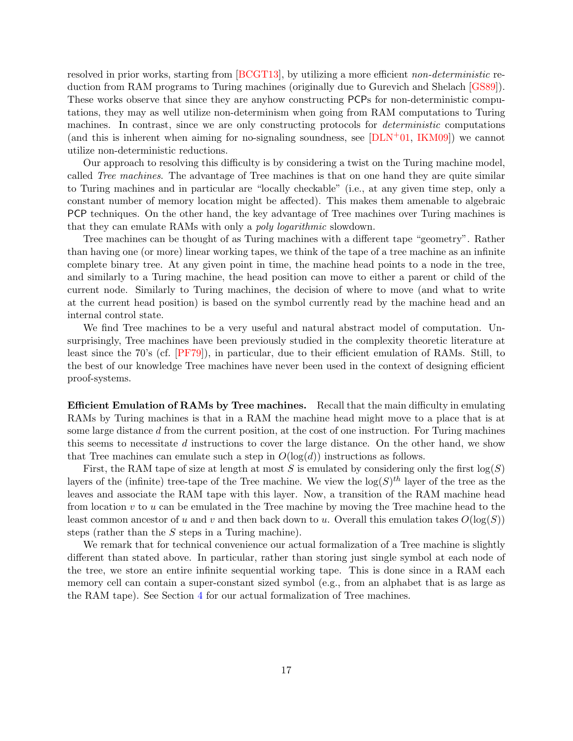resolved in prior works, starting from [\[BCGT13\]](#page-78-2), by utilizing a more efficient *non-deterministic* reduction from RAM programs to Turing machines (originally due to Gurevich and Shelach [\[GS89\]](#page-81-11)). These works observe that since they are anyhow constructing PCPs for non-deterministic computations, they may as well utilize non-determinism when going from RAM computations to Turing machines. In contrast, since we are only constructing protocols for *deterministic* computations (and this is inherent when aiming for no-signaling soundness, see  $[DLN+01, IKM09]$  $[DLN+01, IKM09]$ ) we cannot utilize non-deterministic reductions.

Our approach to resolving this difficulty is by considering a twist on the Turing machine model, called Tree machines. The advantage of Tree machines is that on one hand they are quite similar to Turing machines and in particular are "locally checkable" (i.e., at any given time step, only a constant number of memory location might be affected). This makes them amenable to algebraic PCP techniques. On the other hand, the key advantage of Tree machines over Turing machines is that they can emulate RAMs with only a poly logarithmic slowdown.

Tree machines can be thought of as Turing machines with a different tape "geometry". Rather than having one (or more) linear working tapes, we think of the tape of a tree machine as an infinite complete binary tree. At any given point in time, the machine head points to a node in the tree, and similarly to a Turing machine, the head position can move to either a parent or child of the current node. Similarly to Turing machines, the decision of where to move (and what to write at the current head position) is based on the symbol currently read by the machine head and an internal control state.

We find Tree machines to be a very useful and natural abstract model of computation. Unsurprisingly, Tree machines have been previously studied in the complexity theoretic literature at least since the 70's (cf. [\[PF79\]](#page-82-14)), in particular, due to their efficient emulation of RAMs. Still, to the best of our knowledge Tree machines have never been used in the context of designing efficient proof-systems.

Efficient Emulation of RAMs by Tree machines. Recall that the main difficulty in emulating RAMs by Turing machines is that in a RAM the machine head might move to a place that is at some large distance d from the current position, at the cost of one instruction. For Turing machines this seems to necessitate d instructions to cover the large distance. On the other hand, we show that Tree machines can emulate such a step in  $O(\log(d))$  instructions as follows.

First, the RAM tape of size at length at most S is emulated by considering only the first  $log(S)$ layers of the (infinite) tree-tape of the Tree machine. We view the  $\log(S)^{th}$  layer of the tree as the leaves and associate the RAM tape with this layer. Now, a transition of the RAM machine head from location  $v$  to  $u$  can be emulated in the Tree machine by moving the Tree machine head to the least common ancestor of u and v and then back down to u. Overall this emulation takes  $O(\log(S))$ steps (rather than the S steps in a Turing machine).

We remark that for technical convenience our actual formalization of a Tree machine is slightly different than stated above. In particular, rather than storing just single symbol at each node of the tree, we store an entire infinite sequential working tape. This is done since in a RAM each memory cell can contain a super-constant sized symbol (e.g., from an alphabet that is as large as the RAM tape). See Section [4](#page-26-1) for our actual formalization of Tree machines.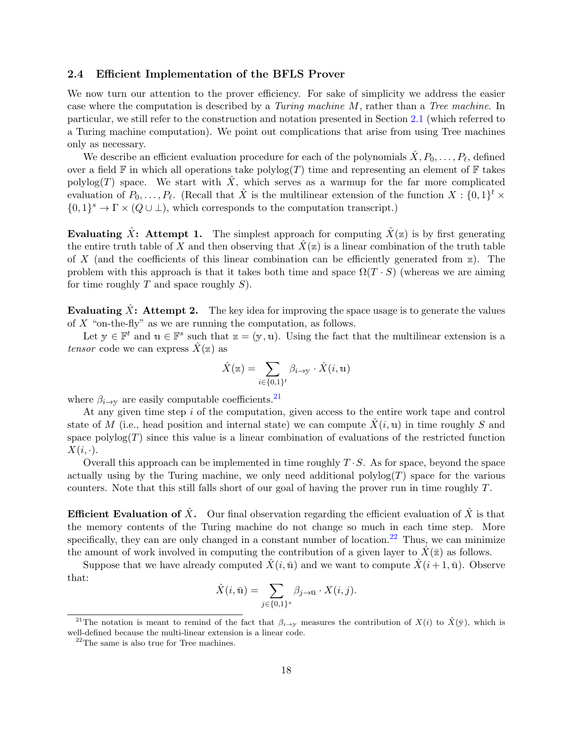### <span id="page-17-0"></span>2.4 Efficient Implementation of the BFLS Prover

We now turn our attention to the prover efficiency. For sake of simplicity we address the easier case where the computation is described by a Turing machine M, rather than a Tree machine. In particular, we still refer to the construction and notation presented in Section [2.1](#page-10-0) (which referred to a Turing machine computation). We point out complications that arise from using Tree machines only as necessary.

We describe an efficient evaluation procedure for each of the polynomials  $\hat{X}, P_0, \ldots, P_\ell$ , defined over a field  $\mathbb F$  in which all operations take  $\text{polylog}(T)$  time and representing an element of  $\mathbb F$  takes polylog(T) space. We start with  $\hat{X}$ , which serves as a warmup for the far more complicated evaluation of  $P_0, \ldots, P_\ell$ . (Recall that  $\hat{X}$  is the multilinear extension of the function  $X : \{0, 1\}^t \times$  $\{0,1\}^s \to \Gamma \times (Q \cup \bot)$ , which corresponds to the computation transcript.)

Evaluating  $\hat{X}$ : Attempt 1. The simplest approach for computing  $\hat{X}(\mathbf{z})$  is by first generating the entire truth table of X and then observing that  $\hat{X}(\mathbf{z})$  is a linear combination of the truth table of X (and the coefficients of this linear combination can be efficiently generated from  $\mathbb{Z}$ ). The problem with this approach is that it takes both time and space  $\Omega(T \cdot S)$  (whereas we are aiming for time roughly  $T$  and space roughly  $S$ ).

Evaluating X: Attempt 2. The key idea for improving the space usage is to generate the values of  $X$  "on-the-fly" as we are running the computation, as follows.

Let  $y \in \mathbb{F}^t$  and  $u \in \mathbb{F}^s$  such that  $z = (y, u)$ . Using the fact that the multilinear extension is a tensor code we can express  $X(\mathbf{z})$  as

$$
\hat{X}(\mathbf{z}) = \sum_{i \in \{0,1\}^t} \beta_{i \to \mathbf{y}} \cdot \hat{X}(i, \mathbf{u})
$$

where  $\beta_{i\rightarrow y}$  are easily computable coefficients.<sup>[21](#page-17-1)</sup>

At any given time step i of the computation, given access to the entire work tape and control state of M (i.e., head position and internal state) we can compute  $\ddot{X}(i, u)$  in time roughly S and space  $\text{polylog}(T)$  since this value is a linear combination of evaluations of the restricted function  $X(i, \cdot).$ 

Overall this approach can be implemented in time roughly  $T \cdot S$ . As for space, beyond the space actually using by the Turing machine, we only need additional polylog $(T)$  space for the various counters. Note that this still falls short of our goal of having the prover run in time roughly T.

**Efficient Evaluation of**  $\hat{X}$ **.** Our final observation regarding the efficient evaluation of  $\hat{X}$  is that the memory contents of the Turing machine do not change so much in each time step. More specifically, they can are only changed in a constant number of location.<sup>[22](#page-17-2)</sup> Thus, we can minimize the amount of work involved in computing the contribution of a given layer to  $\hat{X}(\bar{z})$  as follows.

Suppose that we have already computed  $\hat{X}(i,\bar{u})$  and we want to compute  $\hat{X}(i+1,\bar{u})$ . Observe that:

$$
\hat{X}(i,\bar{\mathbf{u}}) = \sum_{j \in \{0,1\}^s} \beta_{j \to \bar{\mathbf{u}}} \cdot X(i,j).
$$

<span id="page-17-1"></span><sup>&</sup>lt;sup>21</sup>The notation is meant to remind of the fact that  $\beta_{i\to\gamma}$  measures the contribution of  $X(i)$  to  $\hat{X}(\bar{y})$ , which is well-defined because the multi-linear extension is a linear code.

<span id="page-17-2"></span><sup>22</sup>The same is also true for Tree machines.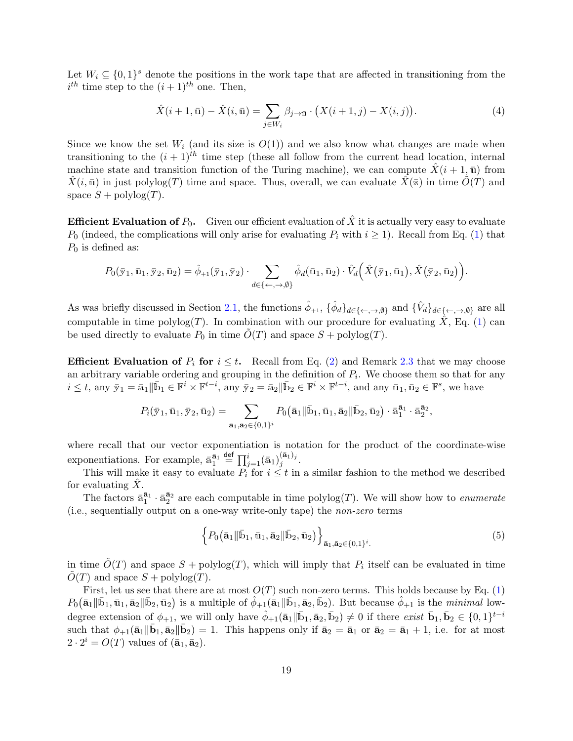Let  $W_i \subseteq \{0,1\}^s$  denote the positions in the work tape that are affected in transitioning from the  $i^{th}$  time step to the  $(i+1)^{th}$  one. Then,

<span id="page-18-1"></span>
$$
\hat{X}(i+1,\bar{\mathbf{u}}) - \hat{X}(i,\bar{\mathbf{u}}) = \sum_{j \in W_i} \beta_{j \to \bar{\mathbf{u}}} \cdot (X(i+1,j) - X(i,j)).
$$
\n(4)

Since we know the set  $W_i$  (and its size is  $O(1)$ ) and we also know what changes are made when transitioning to the  $(i + 1)^{th}$  time step (these all follow from the current head location, internal machine state and transition function of the Turing machine), we can compute  $\hat{X}(i+1, \bar{u})$  from  $\hat{X}(i,\bar{u})$  in just polylog(T) time and space. Thus, overall, we can evaluate  $\hat{X}(\bar{z})$  in time  $\hat{O}(T)$  and space  $S$  + polylog $(T)$ .

**Efficient Evaluation of**  $P_0$ **.** Given our efficient evaluation of  $\hat{X}$  it is actually very easy to evaluate  $P_0$  (indeed, the complications will only arise for evaluating  $P_i$  with  $i \geq 1$ ). Recall from Eq. [\(1\)](#page-12-5) that  $P_0$  is defined as:

$$
P_0(\bar{\mathbf{y}}_1,\bar{\mathbf{u}}_1,\bar{\mathbf{y}}_2,\bar{\mathbf{u}}_2)=\hat{\phi}_{+1}(\bar{\mathbf{y}}_1,\bar{\mathbf{y}}_2)\cdot\sum_{d\in\{\leftarrow,\rightarrow,\emptyset\}}\hat{\phi}_d(\bar{\mathbf{u}}_1,\bar{\mathbf{u}}_2)\cdot\hat{V}_d\Big(\hat{X}(\bar{\mathbf{y}}_1,\bar{\mathbf{u}}_1),\hat{X}(\bar{\mathbf{y}}_2,\bar{\mathbf{u}}_2)\Big).
$$

As was briefly discussed in Section [2.1,](#page-10-0) the functions  $\hat{\phi}_{+1}$ ,  $\{\hat{\phi}_d\}_{d\in\{\leftarrow, \rightarrow, \emptyset\}}$  and  $\{\hat{V}_d\}_{d\in\{\leftarrow, \rightarrow, \emptyset\}}$  are all computable in time  $\text{polylog}(T)$ . In combination with our procedure for evaluating X, Eq. [\(1\)](#page-12-5) can be used directly to evaluate  $P_0$  in time  $O(T)$  and space  $S + \text{polylog}(T)$ .

**Efficient Evaluation of**  $P_i$  for  $i \leq t$ . Recall from Eq. [\(2\)](#page-12-2) and Remark [2.3](#page-12-6) that we may choose an arbitrary variable ordering and grouping in the definition of  $P_i$ . We choose them so that for any  $i \leq t$ , any  $\bar{y}_1 = \bar{a}_1 \|\bar{b}_1 \in \mathbb{F}^i \times \mathbb{F}^{t-i}$ , any  $\bar{y}_2 = \bar{a}_2 \|\bar{b}_2 \in \mathbb{F}^i \times \mathbb{F}^{t-i}$ , and any  $\bar{u}_1, \bar{u}_2 \in \mathbb{F}^s$ , we have

$$
P_i(\bar{\mathbf{y}}_1, \bar{\mathbf{u}}_1, \bar{\mathbf{y}}_2, \bar{\mathbf{u}}_2) = \sum_{\bar{\mathbf{a}}_1, \bar{\mathbf{a}}_2 \in \{0, 1\}^i} P_0(\bar{\mathbf{a}}_1 \| \bar{\mathbf{b}}_1, \bar{\mathbf{u}}_1, \bar{\mathbf{a}}_2 \| \bar{\mathbf{b}}_2, \bar{\mathbf{u}}_2) \cdot \bar{\mathbf{a}}_1^{\bar{\mathbf{a}}_1} \cdot \bar{\mathbf{a}}_2^{\bar{\mathbf{a}}_2},
$$

where recall that our vector exponentiation is notation for the product of the coordinate-wise exponentiations. For example,  $\bar{a}_1^{\bar{a}_1} \stackrel{\text{def}}{=} \prod_{j=1}^i (\bar{a}_1)_j^{(\bar{a}_1)_j}$  $j^{(a_1)_j}.$ 

This will make it easy to evaluate  $P_i$  for  $i \leq t$  in a similar fashion to the method we described for evaluating  $X$ .

The factors  $\bar{a}_1^{\bar{a}_1} \cdot \bar{a}_2^{\bar{a}_2}$  are each computable in time  $\text{polylog}(T)$ . We will show how to *enumerate* (i.e., sequentially output on a one-way write-only tape) the non-zero terms

<span id="page-18-0"></span>
$$
\left\{P_0(\bar{\mathbf{a}}_1 \|\bar{\mathbf{b}}_1, \bar{\mathbf{u}}_1, \bar{\mathbf{a}}_2 \|\bar{\mathbf{b}}_2, \bar{\mathbf{u}}_2)\right\}_{\bar{\mathbf{a}}_1, \bar{\mathbf{a}}_2 \in \{0, 1\}^i.}
$$
\n(5)

in time  $\tilde{O}(T)$  and space  $S + \text{polylog}(T)$ , which will imply that  $P_i$  itself can be evaluated in time  $O(T)$  and space  $S$  + polylog $(T)$ .

First, let us see that there are at most  $O(T)$  such non-zero terms. This holds because by Eq. [\(1\)](#page-12-5)  $P_0(\bar{a}_1 \|\bar{b}_1, \bar{u}_1, \bar{a}_2 \| \bar{b}_2, \bar{u}_2)$  is a multiple of  $\hat{\phi}_{+1}(\bar{a}_1 \|\bar{b}_1, \bar{a}_2, \bar{b}_2)$ . But because  $\hat{\phi}_{+1}$  is the *minimal* lowdegree extension of  $\phi_{+1}$ , we will only have  $\hat{\phi}_{+1}(\bar{a}_1 \| \bar{b}_1, \bar{a}_2, \bar{b}_2) \neq 0$  if there exist  $\bar{b}_1, \bar{b}_2 \in \{0, 1\}^{t-i}$ such that  $\phi_{+1}(\bar{a}_1 \| \bar{b}_1, \bar{a}_2 \| \bar{b}_2) = 1$ . This happens only if  $\bar{a}_2 = \bar{a}_1$  or  $\bar{a}_2 = \bar{a}_1 + 1$ , i.e. for at most  $2 \cdot 2^i = O(T)$  values of  $(\bar{a}_1, \bar{a}_2)$ .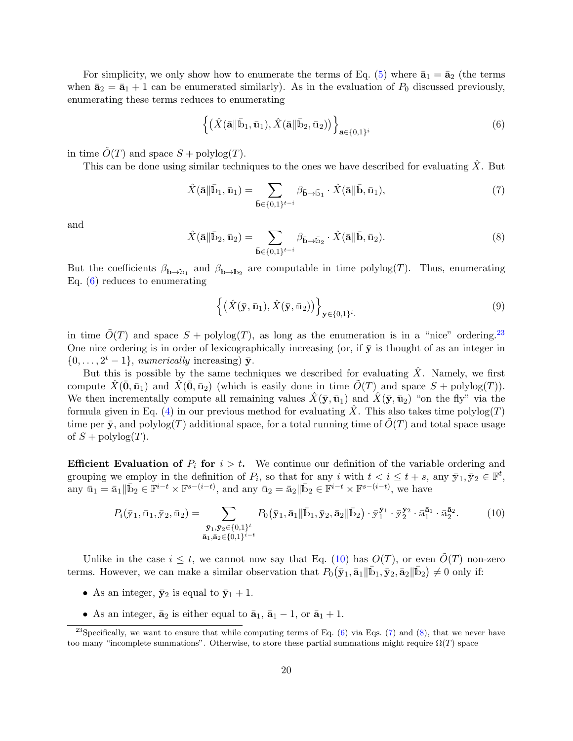For simplicity, we only show how to enumerate the terms of Eq. [\(5\)](#page-18-0) where  $\bar{\mathbf{a}}_1 = \bar{\mathbf{a}}_2$  (the terms when  $\bar{\mathbf{a}}_2 = \bar{\mathbf{a}}_1 + 1$  can be enumerated similarly). As in the evaluation of  $P_0$  discussed previously, enumerating these terms reduces to enumerating

<span id="page-19-0"></span>
$$
\left\{ (\hat{X}(\bar{\mathbf{a}}\|\bar{\mathbf{b}}_1,\bar{\mathbf{u}}_1), \hat{X}(\bar{\mathbf{a}}\|\bar{\mathbf{b}}_2,\bar{\mathbf{u}}_2)) \right\}_{\bar{\mathbf{a}} \in \{0,1\}^i}
$$
(6)

in time  $\tilde{O}(T)$  and space  $S + \text{polylog}(T)$ .

This can be done using similar techniques to the ones we have described for evaluating  $\hat{X}$ . But

<span id="page-19-3"></span>
$$
\hat{X}(\mathbf{\bar{a}}\|\bar{\mathbf{b}}_1, \bar{\mathbf{u}}_1) = \sum_{\bar{\mathbf{b}} \in \{0, 1\}^{t-i}} \beta_{\bar{\mathbf{b}} \to \bar{\mathbf{b}}_1} \cdot \hat{X}(\bar{\mathbf{a}}\|\bar{\mathbf{b}}, \bar{\mathbf{u}}_1),\tag{7}
$$

and

<span id="page-19-4"></span>
$$
\hat{X}(\mathbf{\bar{a}}\|\bar{\mathbf{b}}_2, \bar{\mathbf{u}}_2) = \sum_{\bar{\mathbf{b}} \in \{0,1\}^{t-i}} \beta_{\bar{\mathbf{b}} \to \bar{\mathbf{b}}_2} \cdot \hat{X}(\bar{\mathbf{a}}\|\bar{\mathbf{b}}, \bar{\mathbf{u}}_2). \tag{8}
$$

But the coefficients  $\beta_{\bar{b}\to\bar{b}_1}$  and  $\beta_{\bar{b}\to\bar{b}_2}$  are computable in time polylog(T). Thus, enumerating Eq. [\(6\)](#page-19-0) reduces to enumerating

$$
\left\{ \left( \hat{X}(\bar{\mathbf{y}}, \bar{\mathbf{u}}_1), \hat{X}(\bar{\mathbf{y}}, \bar{\mathbf{u}}_2) \right) \right\}_{\bar{\mathbf{y}} \in \{0, 1\}^i.}
$$
\n
$$
\tag{9}
$$

in time  $\tilde{O}(T)$  and space  $S$  + polylog(T), as long as the enumeration is in a "nice" ordering.<sup>[23](#page-19-1)</sup> One nice ordering is in order of lexicographically increasing (or, if  $\bar{y}$  is thought of as an integer in  $\{0, \ldots, 2^t-1\}$ , numerically increasing)  $\bar{y}$ .

But this is possible by the same techniques we described for evaluating  $X$ . Namely, we first compute  $\hat{X}(\bar{\mathbf{0}}, \bar{\mathbf{u}}_1)$  and  $\hat{X}(\bar{\mathbf{0}}, \bar{\mathbf{u}}_2)$  (which is easily done in time  $\tilde{O}(T)$  and space  $S + \text{polylog}(T)$ ). We then incrementally compute all remaining values  $\hat{X}(\bar{y}, \bar{u}_1)$  and  $\hat{X}(\bar{y}, \bar{u}_2)$  "on the fly" via the formula given in Eq. [\(4\)](#page-18-1) in our previous method for evaluating  $\hat{X}$ . This also takes time polylog(T) time per  $\bar{y}$ , and polylog(T) additional space, for a total running time of  $O(T)$  and total space usage of  $S$  + polylog $(T)$ .

**Efficient Evaluation of P<sub>i</sub>** for  $i > t$ . We continue our definition of the variable ordering and grouping we employ in the definition of  $P_i$ , so that for any i with  $t < i \leq t + s$ , any  $\bar{y}_1, \bar{y}_2 \in \mathbb{F}^t$ , any  $\bar{\mathbf{u}}_1 = \bar{\mathbf{a}}_1 \|\bar{\mathbf{b}}_2 \in \mathbb{F}^{i-t} \times \mathbb{F}^{s-(i-t)}$ , and any  $\bar{\mathbf{u}}_2 = \bar{\mathbf{a}}_2 \|\bar{\mathbf{b}}_2 \in \mathbb{F}^{i-t} \times \mathbb{F}^{s-(i-t)}$ , we have

<span id="page-19-2"></span>
$$
P_i(\bar{\mathbf{y}}_1, \bar{\mathbf{u}}_1, \bar{\mathbf{y}}_2, \bar{\mathbf{u}}_2) = \sum_{\substack{\bar{\mathbf{y}}_1, \bar{\mathbf{y}}_2 \in \{0, 1\}^t \\ \bar{\mathbf{a}}_1, \bar{\mathbf{a}}_2 \in \{0, 1\}^{i-t}}} P_0(\bar{\mathbf{y}}_1, \bar{\mathbf{a}}_1 \| \bar{\mathbf{b}}_1, \bar{\mathbf{y}}_2, \bar{\mathbf{a}}_2 \| \bar{\mathbf{b}}_2) \cdot \bar{\mathbf{y}}_1^{\bar{\mathbf{y}}_1} \cdot \bar{\mathbf{y}}_2^{\bar{\mathbf{y}}_2} \cdot \bar{\mathbf{a}}_1^{\bar{\mathbf{a}}_1} \cdot \bar{\mathbf{a}}_2^{\bar{\mathbf{a}}_2}.
$$
 (10)

Unlike in the case  $i \leq t$ , we cannot now say that Eq. [\(10\)](#page-19-2) has  $O(T)$ , or even  $O(T)$  non-zero terms. However, we can make a similar observation that  $P_0(\bar{y}_1, \bar{a}_1 \|\bar{b}_1, \bar{y}_2, \bar{a}_2 \|\bar{b}_2) \neq 0$  only if:

- As an integer,  $\bar{y}_2$  is equal to  $\bar{y}_1 + 1$ .
- <span id="page-19-1"></span>• As an integer,  $\bar{\mathbf{a}}_2$  is either equal to  $\bar{\mathbf{a}}_1$ ,  $\bar{\mathbf{a}}_1$  – 1, or  $\bar{\mathbf{a}}_1$  + 1.

<sup>&</sup>lt;sup>23</sup>Specifically, we want to ensure that while computing terms of Eq.  $(6)$  via Eqs.  $(7)$  and  $(8)$ , that we never have too many "incomplete summations". Otherwise, to store these partial summations might require  $\Omega(T)$  space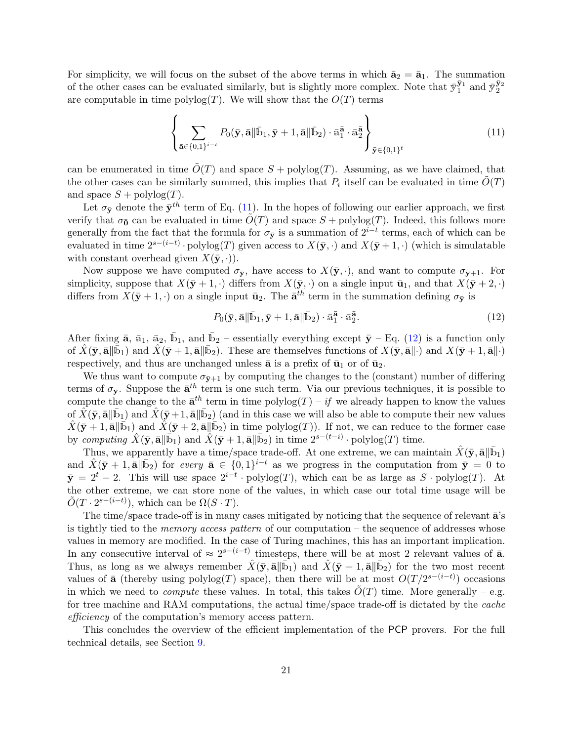For simplicity, we will focus on the subset of the above terms in which  $\bar{\mathbf{a}}_2 = \bar{\mathbf{a}}_1$ . The summation of the other cases can be evaluated similarly, but is slightly more complex. Note that  $\bar{y}_1^{\bar{y}_1}$  and  $\bar{y}_2^{\bar{y}_2}$ are computable in time polylog $(T)$ . We will show that the  $O(T)$  terms

<span id="page-20-0"></span>
$$
\left\{\sum_{\bar{\mathbf{a}} \in \{0,1\}^{i-t}} P_0(\bar{\mathbf{y}}, \bar{\mathbf{a}} \| \bar{\mathbf{b}}_1, \bar{\mathbf{y}} + 1, \bar{\mathbf{a}} \| \bar{\mathbf{b}}_2) \cdot \bar{\mathbf{a}}_1^{\bar{\mathbf{a}}} \cdot \bar{\mathbf{a}}_2^{\bar{\mathbf{a}}}\right\}_{\bar{\mathbf{y}} \in \{0,1\}^t}
$$
(11)

can be enumerated in time  $\tilde{O}(T)$  and space  $S + \text{polylog}(T)$ . Assuming, as we have claimed, that the other cases can be similarly summed, this implies that  $P_i$  itself can be evaluated in time  $\tilde{O}(T)$ and space  $S$  + polylog $(T)$ .

Let  $\sigma_{\bar{y}}$  denote the  $\bar{y}^{th}$  term of Eq. [\(11\)](#page-20-0). In the hopes of following our earlier approach, we first verify that  $\sigma_0$  can be evaluated in time  $\tilde{O}(T)$  and space  $S$  + polylog(T). Indeed, this follows more generally from the fact that the formula for  $\sigma_{\bar{y}}$  is a summation of  $2^{i-t}$  terms, each of which can be evaluated in time  $2^{s-(i-t)} \cdot \text{polylog}(T)$  given access to  $X(\bar{y}, \cdot)$  and  $X(\bar{y}+1, \cdot)$  (which is simulatable with constant overhead given  $X(\bar{y}, \cdot)$ .

Now suppose we have computed  $\sigma_{\bar{y}},$  have access to  $X(\bar{y}, \cdot)$ , and want to compute  $\sigma_{\bar{y}+1}$ . For simplicity, suppose that  $X(\bar{y}+1, \cdot)$  differs from  $X(\bar{y}, \cdot)$  on a single input  $\bar{u}_1$ , and that  $X(\bar{y}+2, \cdot)$ differs from  $X(\bar{y} + 1, \cdot)$  on a single input  $\bar{u}_2$ . The  $\bar{a}^{th}$  term in the summation defining  $\sigma_{\bar{y}}$  is

<span id="page-20-1"></span>
$$
P_0(\bar{\mathbf{y}}, \bar{\mathbf{a}} \|\bar{\mathbf{b}}_1, \bar{\mathbf{y}} + 1, \bar{\mathbf{a}} \|\bar{\mathbf{b}}_2) \cdot \bar{\mathbf{a}}_1^{\bar{\mathbf{a}}} \cdot \bar{\mathbf{a}}_2^{\bar{\mathbf{a}}}.
$$
\n(12)

After fixing  $\bar{a}$ ,  $\bar{a}_1$ ,  $\bar{a}_2$ ,  $\bar{b}_1$ , and  $\bar{b}_2$  – essentially everything except  $\bar{y}$  – Eq. [\(12\)](#page-20-1) is a function only of  $\hat{X}(\bar{y}, \bar{\mathbf{a}} \| \bar{\mathbf{b}}_1)$  and  $\hat{X}(\bar{y}+1, \bar{\mathbf{a}} \| \bar{\mathbf{b}}_2)$ . These are themselves functions of  $X(\bar{y}, \bar{\mathbf{a}} \| \cdot)$  and  $X(\bar{y}+1, \bar{\mathbf{a}} \| \cdot)$ respectively, and thus are unchanged unless  $\bar{a}$  is a prefix of  $\bar{u}_1$  or of  $\bar{u}_2$ .

We thus want to compute  $\sigma_{\bar{v}+1}$  by computing the changes to the (constant) number of differing terms of  $\sigma_{\bar{y}}$ . Suppose the  $\bar{a}^{th}$  term is one such term. Via our previous techniques, it is possible to compute the change to the  $\bar{\mathbf{a}}^{th}$  term in time polylog $(T)$  – if we already happen to know the values of  $\hat{X}(\bar{y}, \bar{\mathbf{a}} \| \bar{\mathbf{b}}_1)$  and  $\hat{X}(\bar{y}+1, \bar{\mathbf{a}} \| \bar{\mathbf{b}}_2)$  (and in this case we will also be able to compute their new values  $\hat{X}(\bar{y}+1, \bar{a}||\bar{b}_1)$  and  $\hat{X}(\bar{y}+2, \bar{a}||\bar{b}_2)$  in time polylog(T)). If not, we can reduce to the former case by computing  $\hat{X}(\bar{y}, \bar{\mathbf{a}} \|\bar{\mathbf{b}}_1)$  and  $\hat{X}(\bar{y}+1, \bar{\mathbf{a}} \|\bar{\mathbf{b}}_2)$  in time  $2^{s-(t-i)} \cdot \text{polylog}(T)$  time.

Thus, we apparently have a time/space trade-off. At one extreme, we can maintain  $\hat{X}(\bar{y}, \bar{a} || \bar{b}_1)$ and  $\hat{X}(\bar{y} + 1, \bar{a}||\bar{b}_2)$  for every  $\bar{a} \in \{0, 1\}^{i-t}$  as we progress in the computation from  $\bar{y} = 0$  to  $\bar{y} = 2^t - 2$ . This will use space  $2^{i-t} \cdot \text{polylog}(T)$ , which can be as large as S · polylog(T). At the other extreme, we can store none of the values, in which case our total time usage will be  $\tilde{O}(T \cdot 2^{s-(i-t)})$ , which can be  $\Omega(S \cdot T)$ .

The time/space trade-off is in many cases mitigated by noticing that the sequence of relevant  $\bar{a}$ 's is tightly tied to the *memory access pattern* of our computation – the sequence of addresses whose values in memory are modified. In the case of Turing machines, this has an important implication. In any consecutive interval of  $\approx 2^{s-(i-t)}$  timesteps, there will be at most 2 relevant values of  $\bar{a}$ . Thus, as long as we always remember  $\hat{X}(\bar{y}, \bar{a}||\bar{b}_1)$  and  $\hat{X}(\bar{y}+1, \bar{a}||\bar{b}_2)$  for the two most recent values of  $\bar{a}$  (thereby using polylog(T) space), then there will be at most  $O(T / 2^{s-(i-t)})$  occasions in which we need to *compute* these values. In total, this takes  $O(T)$  time. More generally – e.g. for tree machine and RAM computations, the actual time/space trade-off is dictated by the cache efficiency of the computation's memory access pattern.

This concludes the overview of the efficient implementation of the PCP provers. For the full technical details, see Section [9.](#page-53-0)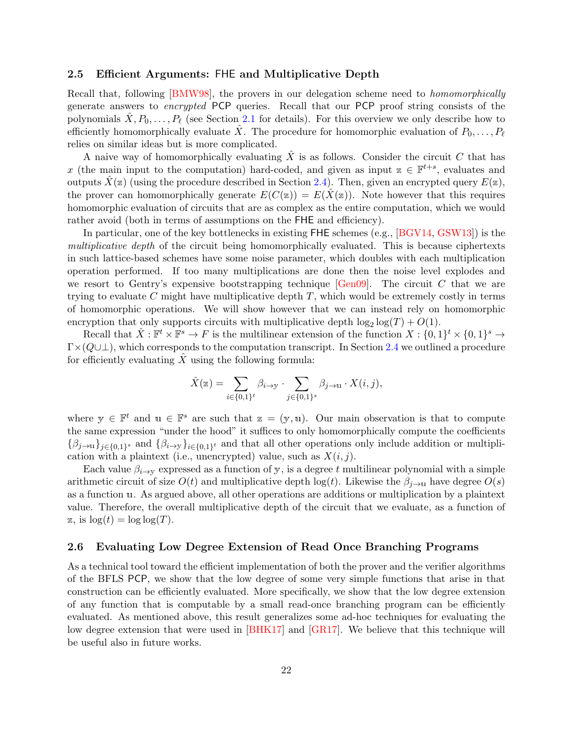### <span id="page-21-0"></span>2.5 Efficient Arguments: FHE and Multiplicative Depth

Recall that, following [\[BMW98\]](#page-79-5), the provers in our delegation scheme need to *homomorphically* generate answers to encrypted PCP queries. Recall that our PCP proof string consists of the polynomials  $\hat{X}, P_0, \ldots, P_\ell$  (see Section [2.1](#page-10-0) for details). For this overview we only describe how to efficiently homomorphically evaluate  $\ddot{X}$ . The procedure for homomorphic evaluation of  $P_0, \ldots, P_\ell$ relies on similar ideas but is more complicated.

A naive way of homomorphically evaluating  $\ddot{X}$  is as follows. Consider the circuit C that has x (the main input to the computation) hard-coded, and given as input  $z \in \mathbb{F}^{t+s}$ , evaluates and outputs  $X(z)$  (using the procedure described in Section [2.4\)](#page-17-0). Then, given an encrypted query  $E(z)$ , the prover can homomorphically generate  $E(C(\mathbf{z})) = E(X(\mathbf{z}))$ . Note however that this requires homomorphic evaluation of circuits that are as complex as the entire computation, which we would rather avoid (both in terms of assumptions on the FHE and efficiency).

In particular, one of the key bottlenecks in existing FHE schemes (e.g., [\[BGV14,](#page-79-0) [GSW13\]](#page-81-1)) is the multiplicative depth of the circuit being homomorphically evaluated. This is because ciphertexts in such lattice-based schemes have some noise parameter, which doubles with each multiplication operation performed. If too many multiplications are done then the noise level explodes and we resort to Gentry's expensive bootstrapping technique  $[\text{Gen}09]$ . The circuit C that we are trying to evaluate C might have multiplicative depth  $T$ , which would be extremely costly in terms of homomorphic operations. We will show however that we can instead rely on homomorphic encryption that only supports circuits with multiplicative depth  $\log_2 \log(T) + O(1)$ .

Recall that  $\hat{X}: \mathbb{F}^t \times \mathbb{F}^s \to F$  is the multilinear extension of the function  $X: \{0,1\}^t \times \{0,1\}^s \to$  $\Gamma \times (Q \cup \bot)$ , which corresponds to the computation transcript. In Section [2.4](#page-17-0) we outlined a procedure for efficiently evaluating  $\hat{X}$  using the following formula:

$$
\hat{X}(\mathbf{z}) = \sum_{i \in \{0,1\}^t} \beta_{i \to \mathbf{y}} \cdot \sum_{j \in \{0,1\}^s} \beta_{j \to \mathbf{u}} \cdot X(i,j),
$$

where  $y \in \mathbb{F}^t$  and  $u \in \mathbb{F}^s$  are such that  $z = (y, u)$ . Our main observation is that to compute the same expression "under the hood" it suffices to only homomorphically compute the coefficients  $\{\beta_{j\to u}\}_{j\in\{0,1\}^s}$  and  $\{\beta_{i\to y}\}_{i\in\{0,1\}^t}$  and that all other operations only include addition or multiplication with a plaintext (i.e., unencrypted) value, such as  $X(i, j)$ .

Each value  $\beta_{i\to y}$  expressed as a function of y, is a degree t multilinear polynomial with a simple arithmetic circuit of size  $O(t)$  and multiplicative depth log(t). Likewise the  $\beta_{i\to u}$  have degree  $O(s)$ as a function u. As argued above, all other operations are additions or multiplication by a plaintext value. Therefore, the overall multiplicative depth of the circuit that we evaluate, as a function of  $z$ , is  $\log(t) = \log \log(T)$ .

### <span id="page-21-1"></span>2.6 Evaluating Low Degree Extension of Read Once Branching Programs

As a technical tool toward the efficient implementation of both the prover and the verifier algorithms of the BFLS PCP, we show that the low degree of some very simple functions that arise in that construction can be efficiently evaluated. More specifically, we show that the low degree extension of any function that is computable by a small read-once branching program can be efficiently evaluated. As mentioned above, this result generalizes some ad-hoc techniques for evaluating the low degree extension that were used in [\[BHK17\]](#page-79-1) and [\[GR17\]](#page-81-5). We believe that this technique will be useful also in future works.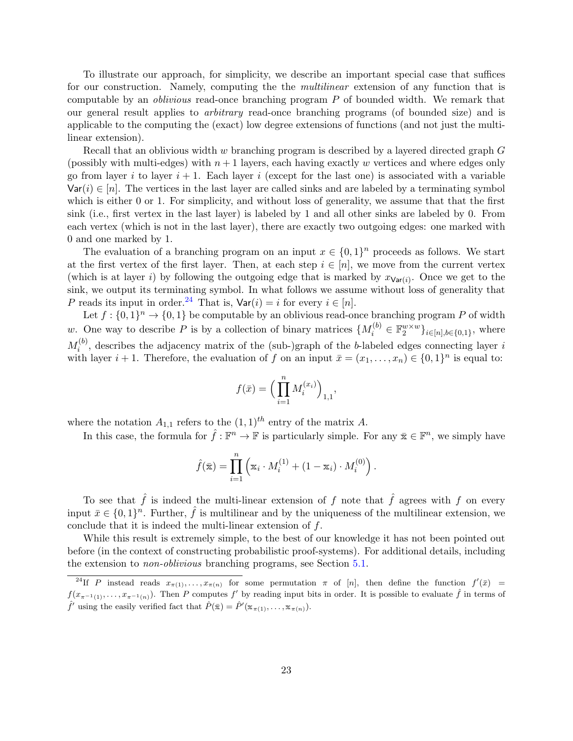To illustrate our approach, for simplicity, we describe an important special case that suffices for our construction. Namely, computing the the *multilinear* extension of any function that is computable by an oblivious read-once branching program P of bounded width. We remark that our general result applies to arbitrary read-once branching programs (of bounded size) and is applicable to the computing the (exact) low degree extensions of functions (and not just the multilinear extension).

Recall that an oblivious width w branching program is described by a layered directed graph G (possibly with multi-edges) with  $n+1$  layers, each having exactly w vertices and where edges only go from layer i to layer  $i + 1$ . Each layer i (except for the last one) is associated with a variable  $\text{Var}(i) \in [n]$ . The vertices in the last layer are called sinks and are labeled by a terminating symbol which is either 0 or 1. For simplicity, and without loss of generality, we assume that that the first sink (i.e., first vertex in the last layer) is labeled by 1 and all other sinks are labeled by 0. From each vertex (which is not in the last layer), there are exactly two outgoing edges: one marked with 0 and one marked by 1.

The evaluation of a branching program on an input  $x \in \{0,1\}^n$  proceeds as follows. We start at the first vertex of the first layer. Then, at each step  $i \in [n]$ , we move from the current vertex (which is at layer i) by following the outgoing edge that is marked by  $x_{\text{Var}(i)}$ . Once we get to the sink, we output its terminating symbol. In what follows we assume without loss of generality that P reads its input in order.<sup>[24](#page-22-0)</sup> That is,  $\text{Var}(i) = i$  for every  $i \in [n]$ .

Let  $f: \{0,1\}^n \to \{0,1\}$  be computable by an oblivious read-once branching program P of width w. One way to describe P is by a collection of binary matrices  $\{M_i^{(b)} \in \mathbb{F}_2^{w \times w}\}_{i \in [n], b \in \{0,1\}}$ , where  $M_i^{(b)}$  $i^{(0)}$ , describes the adjacency matrix of the (sub-)graph of the b-labeled edges connecting layer is with layer  $i + 1$ . Therefore, the evaluation of f on an input  $\bar{x} = (x_1, \ldots, x_n) \in \{0, 1\}^n$  is equal to:

$$
f(\bar{x}) = \Big(\prod_{i=1}^n M_i^{(x_i)}\Big)_{1,1},
$$

where the notation  $A_{1,1}$  refers to the  $(1,1)^{th}$  entry of the matrix A.

In this case, the formula for  $\hat{f}: \mathbb{F}^n \to \mathbb{F}$  is particularly simple. For any  $\bar{x} \in \mathbb{F}^n$ , we simply have

$$
\hat{f}(\bar{\mathbf{x}}) = \prod_{i=1}^{n} \left( \mathbf{x}_i \cdot M_i^{(1)} + (1 - \mathbf{x}_i) \cdot M_i^{(0)} \right).
$$

To see that  $\hat{f}$  is indeed the multi-linear extension of f note that  $\hat{f}$  agrees with f on every input  $\bar{x} \in \{0,1\}^n$ . Further,  $\hat{f}$  is multilinear and by the uniqueness of the multilinear extension, we conclude that it is indeed the multi-linear extension of f.

While this result is extremely simple, to the best of our knowledge it has not been pointed out before (in the context of constructing probabilistic proof-systems). For additional details, including the extension to non-oblivious branching programs, see Section [5.1.](#page-38-1)

<span id="page-22-0"></span><sup>&</sup>lt;sup>24</sup>If P instead reads  $x_{\pi(1)}, \ldots, x_{\pi(n)}$  for some permutation  $\pi$  of [n], then define the function  $f'(\bar{x}) =$  $f(x_{\pi^{-1}(1)},\ldots,x_{\pi^{-1}(n)})$ . Then P computes f' by reading input bits in order. It is possible to evaluate f in terms of  $\hat{f}'$  using the easily verified fact that  $\hat{P}(\bar{x}) = \hat{P}'(\bar{x}_{\pi(1)}, \ldots, \bar{x}_{\pi(n)})$ .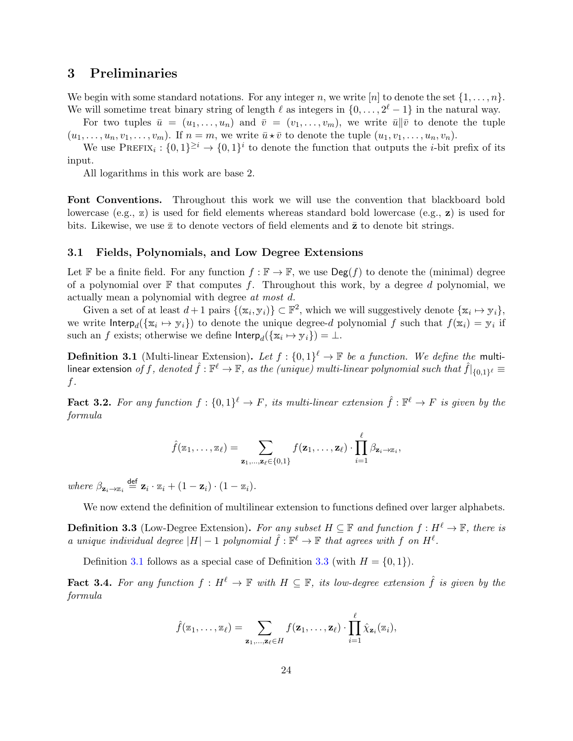# <span id="page-23-0"></span>3 Preliminaries

We begin with some standard notations. For any integer n, we write [n] to denote the set  $\{1, \ldots, n\}$ . We will sometime treat binary string of length  $\ell$  as integers in  $\{0, \ldots, 2^{\ell} - 1\}$  in the natural way.

For two tuples  $\bar{u} = (u_1, \ldots, u_n)$  and  $\bar{v} = (v_1, \ldots, v_m)$ , we write  $\bar{u} || \bar{v}$  to denote the tuple  $(u_1, \ldots, u_n, v_1, \ldots, v_m)$ . If  $n = m$ , we write  $\overline{u} \star \overline{v}$  to denote the tuple  $(u_1, v_1, \ldots, u_n, v_n)$ .

We use  $\text{PREFIX}_i: \{0,1\}^{\geq i} \to \{0,1\}^i$  to denote the function that outputs the *i*-bit prefix of its input.

All logarithms in this work are base 2.

Font Conventions. Throughout this work we will use the convention that blackboard bold lowercase (e.g., z) is used for field elements whereas standard bold lowercase (e.g., z) is used for bits. Likewise, we use  $\bar{z}$  to denote vectors of field elements and  $\bar{z}$  to denote bit strings.

### <span id="page-23-1"></span>3.1 Fields, Polynomials, and Low Degree Extensions

Let F be a finite field. For any function  $f : \mathbb{F} \to \mathbb{F}$ , we use  $\text{Deg}(f)$  to denote the (minimal) degree of a polynomial over  $\mathbb F$  that computes f. Throughout this work, by a degree d polynomial, we actually mean a polynomial with degree at most d.

Given a set of at least  $d+1$  pairs  $\{(\mathbf{x}_i, \mathbf{y}_i)\} \subset \mathbb{F}^2$ , which we will suggestively denote  $\{\mathbf{x}_i \mapsto \mathbf{y}_i\}$ , we write  $\text{Interp}_d(\{\mathbf{x}_i \mapsto \mathbf{y}_i\})$  to denote the unique degree-d polynomial f such that  $f(\mathbf{x}_i) = \mathbf{y}_i$  if such an f exists; otherwise we define  $\mathsf{Interp}_d(\{\mathbf{x}_i \mapsto \mathbf{y}_i\}) = \bot$ .

<span id="page-23-2"></span>**Definition 3.1** (Multi-linear Extension). Let  $f: \{0,1\}^{\ell} \to \mathbb{F}$  be a function. We define the multilinear extension  $of~f,~denoted~\hat{f}:\mathbb{F}^\ell\to\mathbb{F},~as~the~(unique)~multi-linear~polynomial~such~that~\hat{f}|_{\{0,1\}^\ell}\equiv$ f.

<span id="page-23-4"></span>**Fact 3.2.** For any function  $f: \{0,1\}^{\ell} \to F$ , its multi-linear extension  $\hat{f}: \mathbb{F}^{\ell} \to F$  is given by the formula

$$
\hat{f}(\mathbf{z}_1,\ldots,\mathbf{z}_\ell) = \sum_{\mathbf{z}_1,\ldots,\mathbf{z}_\ell \in \{0,1\}} f(\mathbf{z}_1,\ldots,\mathbf{z}_\ell) \cdot \prod_{i=1}^\ell \beta_{\mathbf{z}_i \to \mathbf{z}_i},
$$

where  $\beta_{\mathbf{z}_i \to \mathbf{z}_i} \stackrel{\text{def}}{=} \mathbf{z}_i \cdot \mathbf{z}_i + (1 - \mathbf{z}_i) \cdot (1 - \mathbf{z}_i).$ 

We now extend the definition of multilinear extension to functions defined over larger alphabets.

<span id="page-23-3"></span>**Definition 3.3** (Low-Degree Extension). For any subset  $H \subseteq \mathbb{F}$  and function  $f : H^{\ell} \to \mathbb{F}$ , there is a unique individual degree  $|H|-1$  polynomial  $\hat{f}: \mathbb{F}^{\ell} \to \mathbb{F}$  that agrees with f on  $H^{\ell}$ .

Definition [3.1](#page-23-2) follows as a special case of Definition [3.3](#page-23-3) (with  $H = \{0, 1\}$ ).

**Fact 3.4.** For any function  $f : H^{\ell} \to \mathbb{F}$  with  $H \subseteq \mathbb{F}$ , its low-degree extension  $\hat{f}$  is given by the formula

$$
\hat{f}(\mathbf{z}_1,\ldots,\mathbf{z}_\ell) = \sum_{\mathbf{z}_1,\ldots,\mathbf{z}_\ell \in H} f(\mathbf{z}_1,\ldots,\mathbf{z}_\ell) \cdot \prod_{i=1}^\ell \hat{\chi}_{\mathbf{z}_i}(\mathbf{z}_i),
$$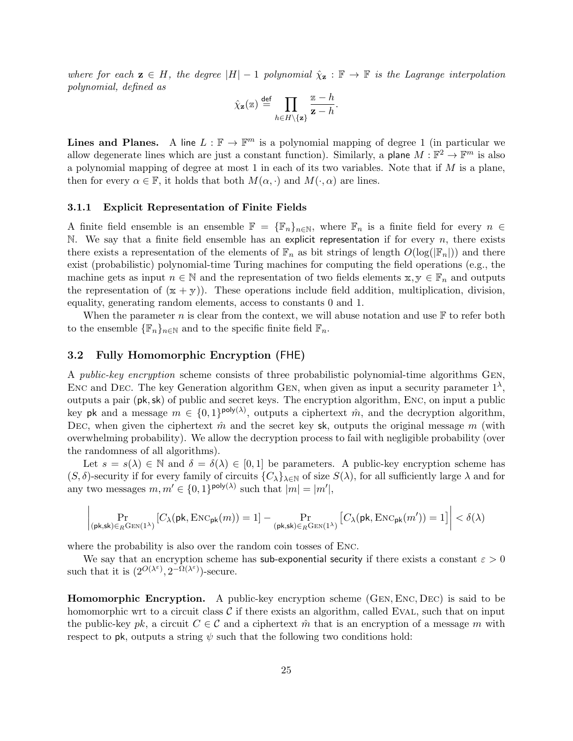where for each  $z \in H$ , the degree  $|H|-1$  polynomial  $\hat{\chi}_z : \mathbb{F} \to \mathbb{F}$  is the Lagrange interpolation polynomial, defined as

$$
\hat{\chi}_{\mathbf{z}}(\mathbf{z}) \stackrel{\text{def}}{=} \prod_{h \in H \backslash \{\mathbf{z}\}} \frac{\mathbf{z} - h}{\mathbf{z} - h}.
$$

**Lines and Planes.** A line  $L : \mathbb{F} \to \mathbb{F}^m$  is a polynomial mapping of degree 1 (in particular we allow degenerate lines which are just a constant function). Similarly, a plane  $M: \mathbb{F}^2 \to \mathbb{F}^m$  is also a polynomial mapping of degree at most 1 in each of its two variables. Note that if  $M$  is a plane, then for every  $\alpha \in \mathbb{F}$ , it holds that both  $M(\alpha, \cdot)$  and  $M(\cdot, \alpha)$  are lines.

#### 3.1.1 Explicit Representation of Finite Fields

A finite field ensemble is an ensemble  $\mathbb{F} = {\mathbb{F}_n}_{n \in \mathbb{N}}$ , where  $\mathbb{F}_n$  is a finite field for every  $n \in$ N. We say that a finite field ensemble has an explicit representation if for every  $n$ , there exists there exists a representation of the elements of  $\mathbb{F}_n$  as bit strings of length  $O(\log(|\mathbb{F}_n|))$  and there exist (probabilistic) polynomial-time Turing machines for computing the field operations (e.g., the machine gets as input  $n \in \mathbb{N}$  and the representation of two fields elements  $x, y \in \mathbb{F}_n$  and outputs the representation of  $(x + y)$ . These operations include field addition, multiplication, division, equality, generating random elements, access to constants 0 and 1.

When the parameter n is clear from the context, we will abuse notation and use  $\mathbb F$  to refer both to the ensemble  $\{\mathbb{F}_n\}_{n\in\mathbb{N}}$  and to the specific finite field  $\mathbb{F}_n$ .

### <span id="page-24-0"></span>3.2 Fully Homomorphic Encryption (FHE)

A public-key encryption scheme consists of three probabilistic polynomial-time algorithms Gen, ENC and DEC. The key Generation algorithm GEN, when given as input a security parameter  $1^{\lambda}$ , outputs a pair (pk,sk) of public and secret keys. The encryption algorithm, Enc, on input a public key pk and a message  $m \in \{0,1\}^{\text{poly}(\lambda)}$ , outputs a ciphertext  $\hat{m}$ , and the decryption algorithm, DEC, when given the ciphertext  $\hat{m}$  and the secret key sk, outputs the original message m (with overwhelming probability). We allow the decryption process to fail with negligible probability (over the randomness of all algorithms).

Let  $s = s(\lambda) \in \mathbb{N}$  and  $\delta = \delta(\lambda) \in [0,1]$  be parameters. A public-key encryption scheme has  $(S, \delta)$ -security if for every family of circuits  $\{C_{\lambda}\}_{{\lambda}\in\mathbb{N}}$  of size  $S(\lambda)$ , for all sufficiently large  $\lambda$  and for any two messages  $m, m' \in \{0, 1\}^{\text{poly}(\lambda)}$  such that  $|m| = |m'|$ ,

$$
\left|\Pr_{(\mathsf{pk},\mathsf{sk})\in_{R}\mathrm{GEN}(1^{\lambda})} \left[ C_{\lambda}(\mathsf{pk},\mathrm{ENC}_\mathsf{pk}(m)) = 1 \right] - \Pr_{(\mathsf{pk},\mathsf{sk})\in_{R}\mathrm{GEN}(1^{\lambda})} \left[ C_{\lambda}(\mathsf{pk},\mathrm{ENC}_\mathsf{pk}(m')) = 1 \right] \right| < \delta(\lambda)
$$

where the probability is also over the random coin tosses of Enc.

We say that an encryption scheme has sub-exponential security if there exists a constant  $\varepsilon > 0$ such that it is  $(2^{O(\lambda^{\varepsilon})}, 2^{-\Omega(\lambda^{\varepsilon})})$ -secure.

Homomorphic Encryption. A public-key encryption scheme (Gen, Enc, Dec) is said to be homomorphic wrt to a circuit class  $\mathcal C$  if there exists an algorithm, called EVAL, such that on input the public-key pk, a circuit  $C \in \mathcal{C}$  and a ciphertext  $\hat{m}$  that is an encryption of a message m with respect to pk, outputs a string  $\psi$  such that the following two conditions hold: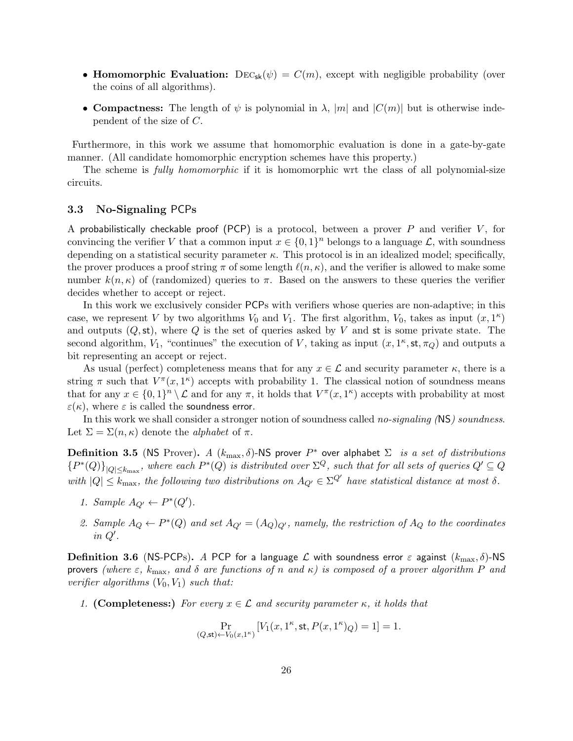- Homomorphic Evaluation:  $\text{Dec}_{\text{sk}}(\psi) = C(m)$ , except with negligible probability (over the coins of all algorithms).
- Compactness: The length of  $\psi$  is polynomial in  $\lambda$ , |m| and  $|C(m)|$  but is otherwise independent of the size of C.

Furthermore, in this work we assume that homomorphic evaluation is done in a gate-by-gate manner. (All candidate homomorphic encryption schemes have this property.)

The scheme is *fully homomorphic* if it is homomorphic wrt the class of all polynomial-size circuits.

### <span id="page-25-0"></span>3.3 No-Signaling PCPs

A probabilistically checkable proof (PCP) is a protocol, between a prover  $P$  and verifier  $V$ , for convincing the verifier V that a common input  $x \in \{0,1\}^n$  belongs to a language L, with soundness depending on a statistical security parameter  $\kappa$ . This protocol is in an idealized model; specifically, the prover produces a proof string  $\pi$  of some length  $\ell(n, \kappa)$ , and the verifier is allowed to make some number  $k(n, \kappa)$  of (randomized) queries to  $\pi$ . Based on the answers to these queries the verifier decides whether to accept or reject.

In this work we exclusively consider PCPs with verifiers whose queries are non-adaptive; in this case, we represent V by two algorithms  $V_0$  and  $V_1$ . The first algorithm,  $V_0$ , takes as input  $(x, 1^{\kappa})$ and outputs  $(Q, st)$ , where Q is the set of queries asked by V and st is some private state. The second algorithm,  $V_1$ , "continues" the execution of V, taking as input  $(x, 1<sup>\kappa</sup>, st, \pi_Q)$  and outputs a bit representing an accept or reject.

As usual (perfect) completeness means that for any  $x \in \mathcal{L}$  and security parameter  $\kappa$ , there is a string  $\pi$  such that  $V^{\pi}(x, 1^{\kappa})$  accepts with probability 1. The classical notion of soundness means that for any  $x \in \{0,1\}^n \setminus \mathcal{L}$  and for any  $\pi$ , it holds that  $V^{\pi}(x, 1^{\kappa})$  accepts with probability at most  $\varepsilon(\kappa)$ , where  $\varepsilon$  is called the soundness error.

In this work we shall consider a stronger notion of soundness called *no-signaling* (NS) soundness. Let  $\Sigma = \Sigma(n, \kappa)$  denote the *alphabet* of  $\pi$ .

**Definition 3.5** (NS Prover). A  $(k_{\text{max}}, \delta)$ -NS prover  $P^*$  over alphabet  $\Sigma$  is a set of distributions  ${P^*(Q)}_{|Q|\leq k_{\max}}$ , where each  $P^*(Q)$  is distributed over  $\Sigma^Q$ , such that for all sets of queries  $Q'\subseteq Q$ with  $|Q| \leq k_{\text{max}}$ , the following two distributions on  $A_{Q'} \in \Sigma^{Q'}$  have statistical distance at most  $\delta$ .

- 1. Sample  $A_{Q'} \leftarrow P^*(Q')$ .
- 2. Sample  $A_Q \leftarrow P^*(Q)$  and set  $A_{Q'} = (A_Q)_{Q'}$ , namely, the restriction of  $A_Q$  to the coordinates in  $Q'$ .

Definition 3.6 (NS-PCPs). A PCP for a language  $\mathcal L$  with soundness error  $\varepsilon$  against  $(k_{\max}, \delta)$ -NS provers (where  $\varepsilon$ ,  $k_{\text{max}}$ , and  $\delta$  are functions of n and  $\kappa$ ) is composed of a prover algorithm P and verifier algorithms  $(V_0, V_1)$  such that:

1. (Completeness:) For every  $x \in \mathcal{L}$  and security parameter  $\kappa$ , it holds that

$$
\Pr_{(Q,\mathsf{st}) \leftarrow V_0(x,1^{\kappa})} \left[ V_1(x,1^{\kappa},\mathsf{st},P(x,1^{\kappa})_Q) = 1 \right] = 1.
$$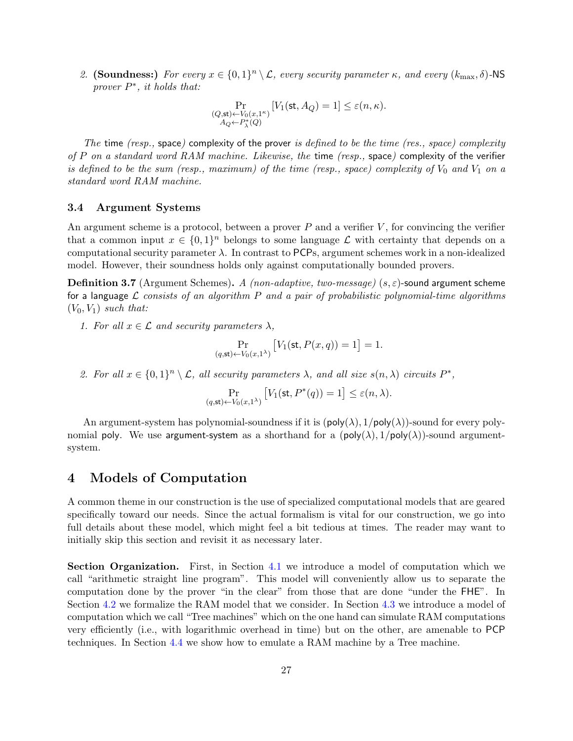2. (Soundness:) For every  $x \in \{0,1\}^n \setminus \mathcal{L}$ , every security parameter  $\kappa$ , and every  $(k_{\max}, \delta)$ -NS prover  $P^*$ , it holds that:

$$
\Pr_{\substack{(Q,\mathsf{st}) \leftarrow V_0(x,1^\kappa)\\ A_Q \leftarrow P_\lambda^*(Q)}} \left[V_1(\mathsf{st},A_Q) = 1\right] \leq \varepsilon(n,\kappa).
$$

The time ( $resp.,$  space) complexity of the prover is defined to be the time ( $res., space$ ) complexity of P on a standard word RAM machine. Likewise, the time (resp., space) complexity of the verifier is defined to be the sum (resp., maximum) of the time (resp., space) complexity of  $V_0$  and  $V_1$  on a standard word RAM machine.

### <span id="page-26-0"></span>3.4 Argument Systems

An argument scheme is a protocol, between a prover  $P$  and a verifier  $V$ , for convincing the verifier that a common input  $x \in \{0,1\}^n$  belongs to some language  $\mathcal L$  with certainty that depends on a computational security parameter  $\lambda$ . In contrast to PCPs, argument schemes work in a non-idealized model. However, their soundness holds only against computationally bounded provers.

**Definition 3.7** (Argument Schemes). A (non-adaptive, two-message) ( $s, \varepsilon$ )-sound argument scheme for a language  $\mathcal L$  consists of an algorithm P and a pair of probabilistic polynomial-time algorithms  $(V_0, V_1)$  such that:

1. For all  $x \in \mathcal{L}$  and security parameters  $\lambda$ ,

$$
\Pr_{(q,\mathsf{st}) \leftarrow V_0(x,1^{\lambda})} \left[ V_1(\mathsf{st}, P(x,q)) = 1 \right] = 1.
$$

2. For all  $x \in \{0,1\}^n \setminus \mathcal{L}$ , all security parameters  $\lambda$ , and all size  $s(n,\lambda)$  circuits  $P^*$ ,

$$
\Pr_{(q,\mathsf{st}) \leftarrow V_0(x,1^\lambda)} \left[ V_1(\mathsf{st}, P^*(q)) = 1 \right] \leq \varepsilon(n,\lambda).
$$

An argument-system has polynomial-soundness if it is  $(\text{poly}(\lambda), 1/\text{poly}(\lambda))$ -sound for every polynomial poly. We use argument-system as a shorthand for a  $(\text{poly}(\lambda), 1/\text{poly}(\lambda))$ -sound argumentsystem.

# <span id="page-26-1"></span>4 Models of Computation

A common theme in our construction is the use of specialized computational models that are geared specifically toward our needs. Since the actual formalism is vital for our construction, we go into full details about these model, which might feel a bit tedious at times. The reader may want to initially skip this section and revisit it as necessary later.

Section Organization. First, in Section [4.1](#page-27-0) we introduce a model of computation which we call "arithmetic straight line program". This model will conveniently allow us to separate the computation done by the prover "in the clear" from those that are done "under the FHE". In Section [4.2](#page-29-0) we formalize the RAM model that we consider. In Section [4.3](#page-33-0) we introduce a model of computation which we call "Tree machines" which on the one hand can simulate RAM computations very efficiently (i.e., with logarithmic overhead in time) but on the other, are amenable to PCP techniques. In Section [4.4](#page-36-0) we show how to emulate a RAM machine by a Tree machine.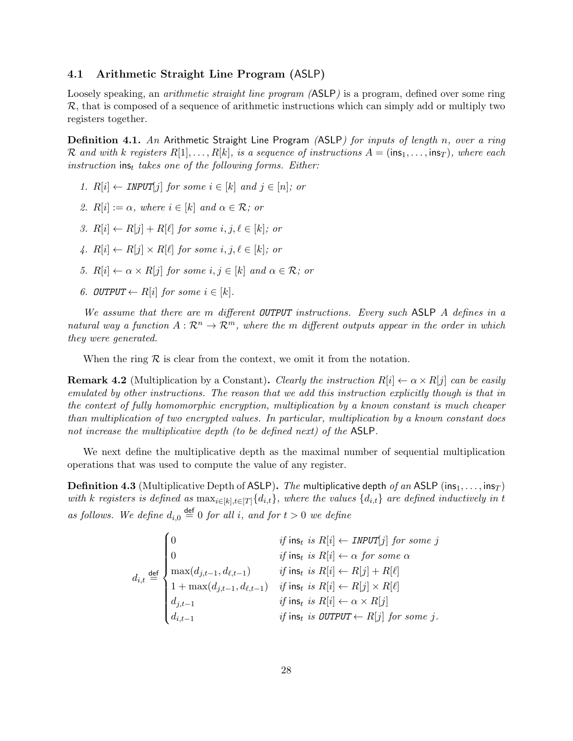### <span id="page-27-0"></span>4.1 Arithmetic Straight Line Program (ASLP)

Loosely speaking, an *arithmetic straight line program (ASLP)* is a program, defined over some ring  $\mathcal{R}$ , that is composed of a sequence of arithmetic instructions which can simply add or multiply two registers together.

**Definition 4.1.** An Arithmetic Straight Line Program *(ASLP) for inputs of length n, over a ring* R and with k registers  $R[1], \ldots, R[k]$ , is a sequence of instructions  $A = (\text{ins}_1, \ldots, \text{ins}_T)$ , where each instruction ins<sub>t</sub> takes one of the following forms. Either:

- 1.  $R[i] \leftarrow \text{INV}[i]$  for some  $i \in [k]$  and  $j \in [n]$ ; or
- 2.  $R[i] := \alpha$ , where  $i \in [k]$  and  $\alpha \in \mathcal{R}$ ; or
- 3.  $R[i] \leftarrow R[j] + R[\ell]$  for some i, j,  $\ell \in [k]$ ; or
- 4.  $R[i] \leftarrow R[i] \times R[\ell]$  for some i,  $i, \ell \in [k]$ ; or
- 5.  $R[i] \leftarrow \alpha \times R[j]$  for some  $i, j \in [k]$  and  $\alpha \in \mathcal{R}$ ; or
- 6. OUTPUT  $\leftarrow$  R[i] for some  $i \in [k]$ .

We assume that there are m different OUTPUT instructions. Every such ASLP A defines in a natural way a function  $A: \mathbb{R}^n \to \mathbb{R}^m$ , where the m different outputs appear in the order in which they were generated.

When the ring  $R$  is clear from the context, we omit it from the notation.

**Remark 4.2** (Multiplication by a Constant). Clearly the instruction  $R[i] \leftarrow \alpha \times R[j]$  can be easily emulated by other instructions. The reason that we add this instruction explicitly though is that in the context of fully homomorphic encryption, multiplication by a known constant is much cheaper than multiplication of two encrypted values. In particular, multiplication by a known constant does not increase the multiplicative depth (to be defined next) of the ASLP.

We next define the multiplicative depth as the maximal number of sequential multiplication operations that was used to compute the value of any register.

**Definition 4.3** (Multiplicative Depth of ASLP). The multiplicative depth of an ASLP (ins<sub>1</sub>, ..., ins<sub>T</sub>) with k registers is defined as  $\max_{i\in[k],t\in[T]}\{d_{i,t}\}$ , where the values  $\{d_{i,t}\}\$ are defined inductively in t as follows. We define  $d_{i,0} \stackrel{\text{def}}{=} 0$  for all i, and for  $t > 0$  we define

$$
d_{i,t} \stackrel{\text{def}}{=} \begin{cases} 0 & \text{if } \mathsf{ins}_t \text{ is } R[i] \leftarrow \text{INPUT}[j] \text{ for some } j \\ 0 & \text{if } \mathsf{ins}_t \text{ is } R[i] \leftarrow \alpha \text{ for some } \alpha \\ \max(d_{j,t-1}, d_{\ell,t-1}) & \text{if } \mathsf{ins}_t \text{ is } R[i] \leftarrow R[j] + R[\ell] \\ 1 + \max(d_{j,t-1}, d_{\ell,t-1}) & \text{if } \mathsf{ins}_t \text{ is } R[i] \leftarrow R[j] \times R[\ell] \\ d_{j,t-1} & \text{if } \mathsf{ins}_t \text{ is } R[i] \leftarrow \alpha \times R[j] \\ d_{i,t-1} & \text{if } \mathsf{ins}_t \text{ is } \text{OUTPUT} \leftarrow R[j] \text{ for some } j. \end{cases}
$$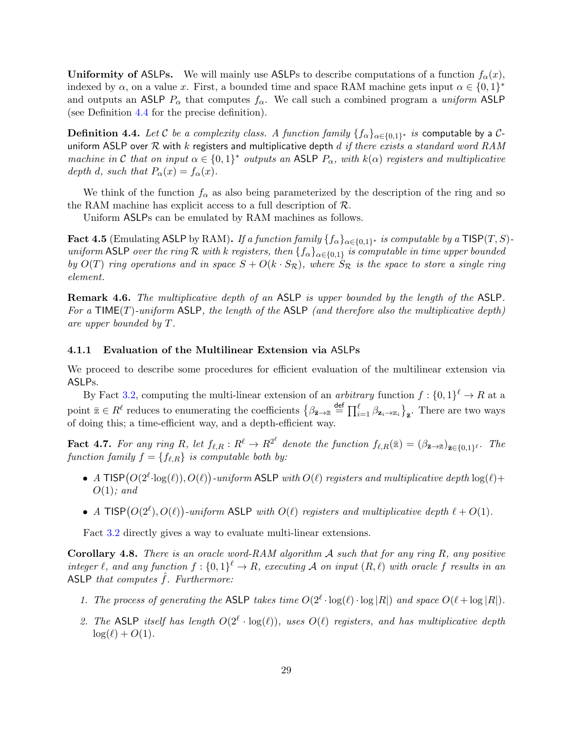Uniformity of ASLPs. We will mainly use ASLPs to describe computations of a function  $f_{\alpha}(x)$ , indexed by  $\alpha$ , on a value x. First, a bounded time and space RAM machine gets input  $\alpha \in \{0,1\}^*$ and outputs an ASLP  $P_{\alpha}$  that computes  $f_{\alpha}$ . We call such a combined program a *uniform* ASLP (see Definition [4.4](#page-28-0) for the precise definition).

<span id="page-28-0"></span> $\bf{Definition \ 4.4.}$   $\it Let \ {\cal C} \ be \ a \ complexity \ class. \ A \ function \ family \ \{{f_\alpha}\}_{\alpha \in \{0,1\}^*} \ is \ \sf computable \ by \ a \ {\cal C}$ uniform ASLP over  $R$  with  $k$  registers and multiplicative depth  $d$  if there exists a standard word RAM machine in C that on input  $\alpha \in \{0,1\}^*$  outputs an ASLP  $P_\alpha$ , with  $k(\alpha)$  registers and multiplicative depth d, such that  $P_{\alpha}(x) = f_{\alpha}(x)$ .

We think of the function  $f_{\alpha}$  as also being parameterized by the description of the ring and so the RAM machine has explicit access to a full description of  $\mathcal{R}$ .

Uniform ASLPs can be emulated by RAM machines as follows.

Fact 4.5 (Emulating ASLP by RAM). If a function family  $\{f_\alpha\}_{\alpha\in\{0,1\}^*}$  is computable by a  ${\sf TISP}(T,S)$ uniform ASLP over the ring R with k registers, then  $\{f_\alpha\}_{\alpha\in\{0,1\}}$  is computable in time upper bounded by  $O(T)$  ring operations and in space  $S + O(k \cdot S_{\mathcal{R}})$ , where  $S_{\mathcal{R}}$  is the space to store a single ring element.

Remark 4.6. The multiplicative depth of an ASLP is upper bounded by the length of the ASLP. For a  $\mathsf{TIME}(T)$ -uniform  $\mathsf{ASLP}$ , the length of the  $\mathsf{ASLP}$  (and therefore also the multiplicative depth) are upper bounded by T.

### 4.1.1 Evaluation of the Multilinear Extension via ASLPs

We proceed to describe some procedures for efficient evaluation of the multilinear extension via ASLPs.

By Fact [3.2,](#page-23-4) computing the multi-linear extension of an *arbitrary* function  $f: \{0,1\}^{\ell} \to R$  at a point  $\bar{z} \in R^{\ell}$  reduces to enumerating the coefficients  $\left\{\beta_{\bar{z}\to \bar{z}} \stackrel{\text{def}}{=} \prod_{i=1}^{\ell} \beta_{\mathbf{z}_i \to z_i} \right\}_{\bar{z}}$ . There are two ways of doing this; a time-efficient way, and a depth-efficient way.

**Fact 4.7.** For any ring R, let  $f_{\ell,R}: R^{\ell} \to R^{2^{\ell}}$  denote the function  $f_{\ell,R}(\bar{x}) = (\beta_{\bar{\mathbf{z}} \to \bar{x}})_{\bar{\mathbf{z}} \in \{0,1\}^{\ell}}$ . The function family  $f = \{f_{\ell,R}\}\;$  is computable both by:

- A TISP  $(O(2^{\ell} \cdot \log(\ell)), O(\ell))$ -uniform ASLP with  $O(\ell)$  registers and multiplicative depth  $\log(\ell)$ +  $O(1)$ ; and
- A TISP $(O(2^{\ell}), O(\ell))$ -uniform ASLP with  $O(\ell)$  registers and multiplicative depth  $\ell + O(1)$ .

Fact [3.2](#page-23-4) directly gives a way to evaluate multi-linear extensions.

**Corollary 4.8.** There is an oracle word-RAM algorithm  $\mathcal A$  such that for any ring R, any positive integer  $\ell$ , and any function  $f : \{0,1\}^{\ell} \to R$ , executing A on input  $(R, \ell)$  with oracle f results in an ASLP that computes  $\hat{f}$ . Furthermore:

- 1. The process of generating the ASLP takes time  $O(2^{\ell} \cdot \log(\ell) \cdot \log |R|)$  and space  $O(\ell + \log |R|)$ .
- 2. The ASLP itself has length  $O(2^{\ell} \cdot \log(\ell))$ , uses  $O(\ell)$  registers, and has multiplicative depth  $\log(\ell) + O(1)$ .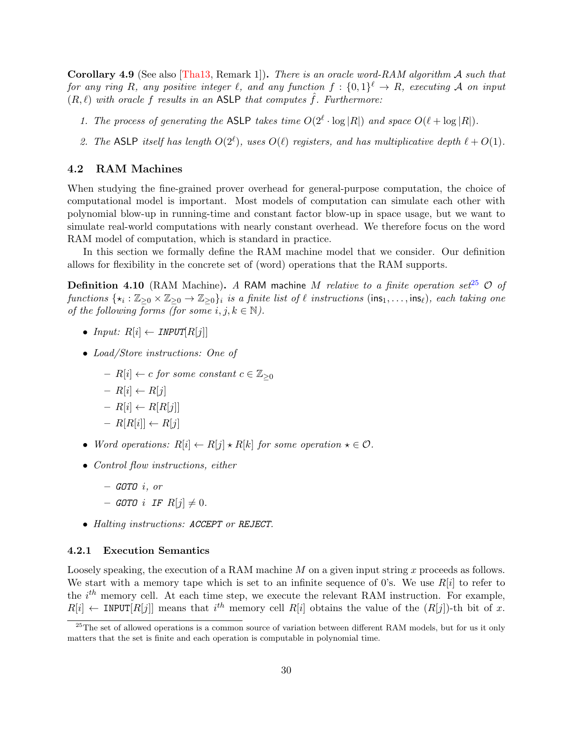**Corollary 4.9** (See also [\[Tha13,](#page-83-3) Remark 1]). There is an oracle word-RAM algorithm A such that for any ring R, any positive integer  $\ell$ , and any function  $f : \{0,1\}^{\ell} \to R$ , executing A on input  $(R, \ell)$  with oracle f results in an ASLP that computes  $\hat{f}$ . Furthermore:

- 1. The process of generating the ASLP takes time  $O(2^{\ell} \cdot \log |R|)$  and space  $O(\ell + \log |R|)$ .
- 2. The ASLP itself has length  $O(2^{\ell})$ , uses  $O(\ell)$  registers, and has multiplicative depth  $\ell + O(1)$ .

## <span id="page-29-0"></span>4.2 RAM Machines

When studying the fine-grained prover overhead for general-purpose computation, the choice of computational model is important. Most models of computation can simulate each other with polynomial blow-up in running-time and constant factor blow-up in space usage, but we want to simulate real-world computations with nearly constant overhead. We therefore focus on the word RAM model of computation, which is standard in practice.

In this section we formally define the RAM machine model that we consider. Our definition allows for flexibility in the concrete set of (word) operations that the RAM supports.

**Definition 4.10** (RAM Machine). A RAM machine M relative to a finite operation set<sup>[25](#page-29-1)</sup>  $\mathcal{O}$  of functions  $\{\star_i : \mathbb{Z}_{\geq 0} \times \mathbb{Z}_{\geq 0} \to \mathbb{Z}_{\geq 0}\}$  is a finite list of  $\ell$  instructions  $(\text{ins}_1, \ldots, \text{ins}_\ell)$ , each taking one of the following forms (for some  $i, j, k \in \mathbb{N}$ ).

- Input:  $R[i] \leftarrow \text{INPUT}[R[j]]$
- Load/Store instructions: One of
	- R[i]  $\leftarrow c$  for some constant  $c \in \mathbb{Z}_{\geq 0}$
	- $R[i] \leftarrow R[j]$
	- $R[i] \leftarrow R[R[j]]$
	- $R[R[i]] \leftarrow R[j]$
- Word operations:  $R[i] \leftarrow R[j] \star R[k]$  for some operation  $\star \in \mathcal{O}$ .
- Control flow instructions, either
	- $-$  GOTO  $i, or$
	- GOTO i IF  $R[i] \neq 0$ .
- Halting instructions: ACCEPT or REJECT.

### 4.2.1 Execution Semantics

Loosely speaking, the execution of a RAM machine  $M$  on a given input string  $x$  proceeds as follows. We start with a memory tape which is set to an infinite sequence of 0's. We use  $R[i]$  to refer to the  $i^{th}$  memory cell. At each time step, we execute the relevant RAM instruction. For example,  $R[i] \leftarrow \text{INVT}[R[j]]$  means that  $i^{th}$  memory cell  $R[i]$  obtains the value of the  $(R[j])$ -th bit of x.

<span id="page-29-1"></span> $^{25}$ The set of allowed operations is a common source of variation between different RAM models, but for us it only matters that the set is finite and each operation is computable in polynomial time.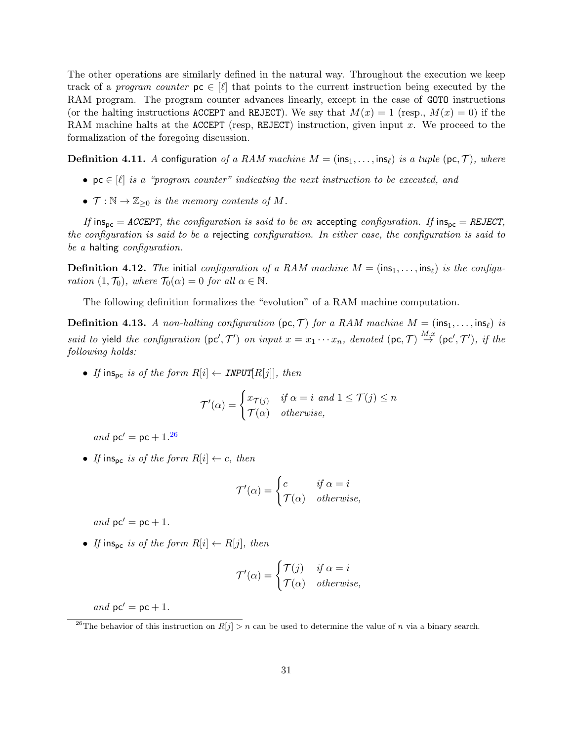The other operations are similarly defined in the natural way. Throughout the execution we keep track of a program counter  $p \in [\ell]$  that points to the current instruction being executed by the RAM program. The program counter advances linearly, except in the case of GOTO instructions (or the halting instructions ACCEPT and REJECT). We say that  $M(x) = 1$  (resp.,  $M(x) = 0$ ) if the RAM machine halts at the ACCEPT (resp, REJECT) instruction, given input x. We proceed to the formalization of the foregoing discussion.

**Definition 4.11.** A configuration of a RAM machine  $M = (ins_1, \ldots, ins_\ell)$  is a tuple (pc, T), where

- $\mathsf{pc} \in [\ell]$  is a "program counter" indicating the next instruction to be executed, and
- $\mathcal{T}: \mathbb{N} \to \mathbb{Z}_{\geq 0}$  is the memory contents of M.

If ins<sub>pc</sub> = ACCEPT, the configuration is said to be an accepting configuration. If ins<sub>pc</sub> = REJECT, the configuration is said to be a rejecting configuration. In either case, the configuration is said to be a halting configuration.

**Definition 4.12.** The initial configuration of a RAM machine  $M = (\text{ins}_1, \dots, \text{ins}_\ell)$  is the configuration  $(1, \mathcal{T}_0)$ , where  $\mathcal{T}_0(\alpha) = 0$  for all  $\alpha \in \mathbb{N}$ .

The following definition formalizes the "evolution" of a RAM machine computation.

**Definition 4.13.** A non-halting configuration (pc, T) for a RAM machine  $M = (\text{ins}_1, \ldots, \text{ins}_\ell)$  is said to yield the configuration  $(\mathsf{pc}', \mathcal{T}')$  on input  $x = x_1 \cdots x_n$ , denoted  $(\mathsf{pc}, \mathcal{T}) \stackrel{M,x}{\rightarrow} (\mathsf{pc}', \mathcal{T}')$ , if the following holds:

• If ins<sub>pc</sub> is of the form  $R[i] \leftarrow \text{INPUT}[R[j]]$ , then

$$
\mathcal{T}'(\alpha) = \begin{cases} x_{\mathcal{T}(j)} & \text{if } \alpha = i \text{ and } 1 \le \mathcal{T}(j) \le n \\ \mathcal{T}(\alpha) & otherwise, \end{cases}
$$

and  $pc' = pc + 1.26$  $pc' = pc + 1.26$ 

• If ins<sub>pc</sub> is of the form  $R[i] \leftarrow c$ , then

$$
\mathcal{T}'(\alpha) = \begin{cases} c & \text{if } \alpha = i \\ \mathcal{T}(\alpha) & \text{otherwise,} \end{cases}
$$

and  $pc' = pc + 1$ .

• If ins<sub>pc</sub> is of the form  $R[i] \leftarrow R[j]$ , then

$$
\mathcal{T}'(\alpha) = \begin{cases} \mathcal{T}(j) & \text{if } \alpha = i \\ \mathcal{T}(\alpha) & \text{otherwise,} \end{cases}
$$

and  $pc' = pc + 1$ .

<span id="page-30-0"></span><sup>&</sup>lt;sup>26</sup>The behavior of this instruction on  $R[j] > n$  can be used to determine the value of n via a binary search.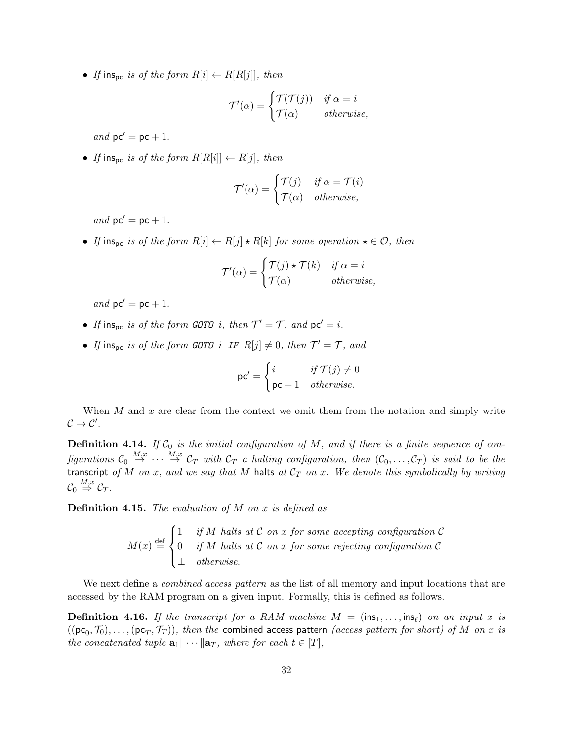• If ins<sub>pc</sub> is of the form  $R[i] \leftarrow R[R[j]]$ , then

$$
\mathcal{T}'(\alpha) = \begin{cases} \mathcal{T}(\mathcal{T}(j)) & \text{if } \alpha = i \\ \mathcal{T}(\alpha) & \text{otherwise,} \end{cases}
$$

and  $pc' = pc + 1$ .

• If inspe is of the form  $R[R[i]] \leftarrow R[j]$ , then

$$
\mathcal{T}'(\alpha) = \begin{cases} \mathcal{T}(j) & \text{if } \alpha = \mathcal{T}(i) \\ \mathcal{T}(\alpha) & \text{otherwise,} \end{cases}
$$

and  $pc' = pc + 1$ .

• If ins<sub>pc</sub> is of the form  $R[i] \leftarrow R[j] \star R[k]$  for some operation  $\star \in \mathcal{O}$ , then

$$
\mathcal{T}'(\alpha) = \begin{cases} \mathcal{T}(j) \star \mathcal{T}(k) & \text{if } \alpha = i \\ \mathcal{T}(\alpha) & \text{otherwise,} \end{cases}
$$

and  $pc' = pc + 1$ .

- If ins<sub>pc</sub> is of the form GOTO i, then  $T' = T$ , and  $pc' = i$ .
- If ins<sub>pc</sub> is of the form GOTO i IF  $R[j] \neq 0$ , then  $\mathcal{T}' = \mathcal{T}$ , and

$$
\mathsf{pc}' = \begin{cases} i & \text{if } \mathcal{T}(j) \neq 0 \\ \mathsf{pc} + 1 & otherwise. \end{cases}
$$

When  $M$  and  $x$  are clear from the context we omit them from the notation and simply write  $\mathcal{C} \to \mathcal{C}'$ .

**Definition 4.14.** If  $C_0$  is the initial configuration of M, and if there is a finite sequence of configurations  $\mathcal{C}_0 \stackrel{M,x}{\to} \cdots \stackrel{M,x}{\to} \mathcal{C}_T$  with  $\mathcal{C}_T$  a halting configuration, then  $(\mathcal{C}_0,\ldots,\mathcal{C}_T)$  is said to be the transcript of M on x, and we say that M halts at  $C_T$  on x. We denote this symbolically by writing  $\mathcal{C}_0 \stackrel{M,x}{\Rightarrow} \mathcal{C}_T.$ 

**Definition 4.15.** The evaluation of  $M$  on  $x$  is defined as

$$
M(x) \stackrel{\text{def}}{=} \begin{cases} 1 & \text{if } M \text{ halts at } C \text{ on } x \text{ for some accepting configuration } C \\ 0 & \text{if } M \text{ halts at } C \text{ on } x \text{ for some rejecting configuration } C \\ \perp & \text{otherwise.} \end{cases}
$$

We next define a *combined access pattern* as the list of all memory and input locations that are accessed by the RAM program on a given input. Formally, this is defined as follows.

<span id="page-31-0"></span>**Definition 4.16.** If the transcript for a RAM machine  $M = (\text{ins}_1, \ldots, \text{ins}_\ell)$  on an input x is  $((\mathtt{pc}_0, \mathcal{T}_0), \ldots, (\mathtt{pc}_T, \mathcal{T}_T)),$  then the combined access pattern  $(access\ pattern\ for\ short)\ of\ M\ on\ x\ is$ the concatenated tuple  $\mathbf{a}_1\|\cdots\|\mathbf{a}_T$ , where for each  $t \in [T]$ ,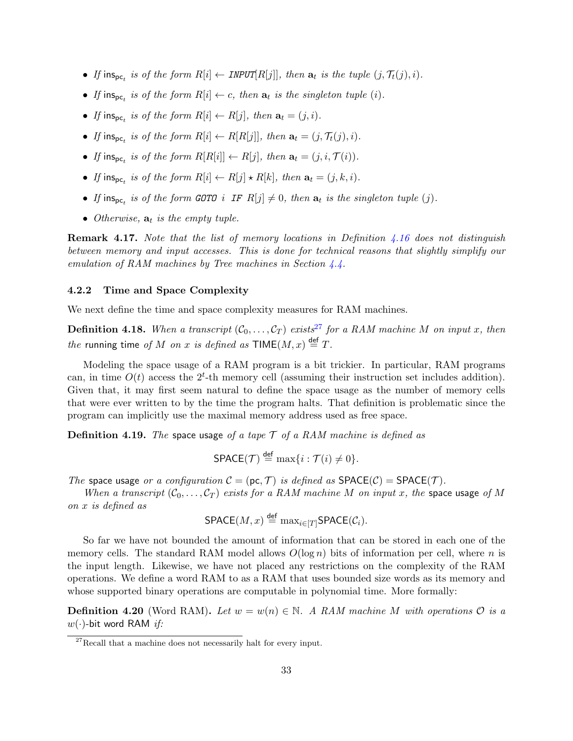- If ins<sub>pc<sub>t</sub></sub> is of the form  $R[i] \leftarrow \text{INVU}[R[j]]$ , then  $\mathbf{a}_t$  is the tuple  $(j, \mathcal{T}_t(j), i)$ .
- If  $\text{ins}_{\text{pc}_t}$  is of the form  $R[i] \leftarrow c$ , then  $\mathbf{a}_t$  is the singleton tuple (i).
- If ins<sub>pc<sub>t</sub></sub> is of the form  $R[i] \leftarrow R[j]$ , then  $\mathbf{a}_t = (j, i)$ .
- If ins<sub>pc<sub>t</sub></sub> is of the form  $R[i] \leftarrow R[R[j]]$ , then  $\mathbf{a}_t = (j, \mathcal{T}_t(j), i)$ .
- If ins<sub>pc<sub>t</sub></sub> is of the form  $R[R[i]] \leftarrow R[j]$ , then  $\mathbf{a}_t = (j, i, \mathcal{T}(i))$ .
- If ins<sub>pc<sub>t</sub></sub> is of the form  $R[i] \leftarrow R[j] \star R[k]$ , then  $\mathbf{a}_t = (j, k, i)$ .
- If ins<sub>pc<sub>t</sub></sub> is of the form GOTO i IF  $R[j] \neq 0$ , then  $a_t$  is the singleton tuple (j).
- Otherwise,  $a_t$  is the empty tuple.

**Remark 4.17.** Note that the list of memory locations in Definition [4.16](#page-31-0) does not distinguish between memory and input accesses. This is done for technical reasons that slightly simplify our emulation of RAM machines by Tree machines in Section [4.4.](#page-36-0)

#### 4.2.2 Time and Space Complexity

We next define the time and space complexity measures for RAM machines.

**Definition 4.18.** When a transcript  $(C_0, \ldots, C_T)$  exists<sup>[27](#page-32-0)</sup> for a RAM machine M on input x, then the running time of M on x is defined as  $\mathsf{TIME}(M, x) \stackrel{\mathsf{def}}{=} T$ .

Modeling the space usage of a RAM program is a bit trickier. In particular, RAM programs can, in time  $O(t)$  access the  $2<sup>t</sup>$ -th memory cell (assuming their instruction set includes addition). Given that, it may first seem natural to define the space usage as the number of memory cells that were ever written to by the time the program halts. That definition is problematic since the program can implicitly use the maximal memory address used as free space.

**Definition 4.19.** The space usage of a tape  $\mathcal{T}$  of a RAM machine is defined as

$$
\mathsf{SPACE}(\mathcal{T}) \stackrel{\mathsf{def}}{=} \max\{i : \mathcal{T}(i) \neq 0\}.
$$

The space usage or a configuration  $C = (pc, \mathcal{T})$  is defined as  $SPACE(\mathcal{C}) = SPACE(\mathcal{T})$ .

When a transcript  $(C_0, \ldots, C_T)$  exists for a RAM machine M on input x, the space usage of M on x is defined as def

$$
\mathsf{SPACE}(M, x) \stackrel{\mathsf{def}}{=} \max_{i \in [T]} \mathsf{SPACE}(\mathcal{C}_i).
$$

So far we have not bounded the amount of information that can be stored in each one of the memory cells. The standard RAM model allows  $O(\log n)$  bits of information per cell, where n is the input length. Likewise, we have not placed any restrictions on the complexity of the RAM operations. We define a word RAM to as a RAM that uses bounded size words as its memory and whose supported binary operations are computable in polynomial time. More formally:

**Definition 4.20** (Word RAM). Let  $w = w(n) \in \mathbb{N}$ . A RAM machine M with operations  $\mathcal{O}$  is a  $w(\cdot)$ -bit word RAM if:

<span id="page-32-0"></span> $27$ Recall that a machine does not necessarily halt for every input.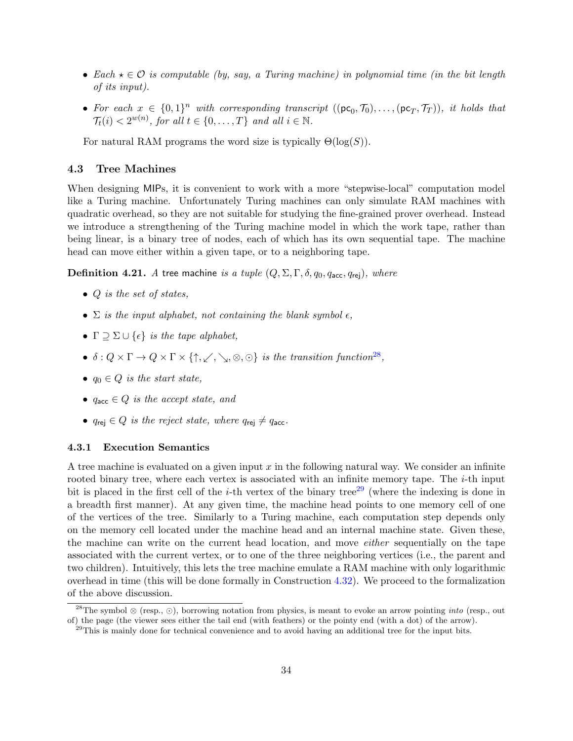- Each  $\star \in \mathcal{O}$  is computable (by, say, a Turing machine) in polynomial time (in the bit length of its input).
- For each  $x \in \{0,1\}^n$  with corresponding transcript  $((\text{pc}_0, \mathcal{T}_0), \ldots, (\text{pc}_T, \mathcal{T}_T)),$  it holds that  $\mathcal{T}_t(i) < 2^{w(n)}$ , for all  $t \in \{0, \ldots, T\}$  and all  $i \in \mathbb{N}$ .

For natural RAM programs the word size is typically  $\Theta(\log(S)).$ 

## <span id="page-33-0"></span>4.3 Tree Machines

When designing MIPs, it is convenient to work with a more "stepwise-local" computation model like a Turing machine. Unfortunately Turing machines can only simulate RAM machines with quadratic overhead, so they are not suitable for studying the fine-grained prover overhead. Instead we introduce a strengthening of the Turing machine model in which the work tape, rather than being linear, is a binary tree of nodes, each of which has its own sequential tape. The machine head can move either within a given tape, or to a neighboring tape.

**Definition 4.21.** A tree machine is a tuple  $(Q, \Sigma, \Gamma, \delta, q_0, q_{\text{acc}}, q_{\text{rej}})$ , where

- $Q$  is the set of states,
- $\Sigma$  is the input alphabet, not containing the blank symbol  $\epsilon$ ,
- $\Gamma \supseteq \Sigma \cup \{\epsilon\}$  is the tape alphabet,
- $\delta: Q \times \Gamma \to Q \times \Gamma \times \{\uparrow, \swarrow, \searrow, \otimes, \odot\}$  is the transition function<sup>[28](#page-33-1)</sup>,
- $q_0 \in Q$  is the start state,
- $q_{\text{acc}} \in Q$  is the accept state, and
- $q_{\text{rej}} \in Q$  is the reject state, where  $q_{\text{rej}} \neq q_{\text{acc}}$ .

### 4.3.1 Execution Semantics

A tree machine is evaluated on a given input  $x$  in the following natural way. We consider an infinite rooted binary tree, where each vertex is associated with an infinite memory tape. The  $i$ -th input bit is placed in the first cell of the *i*-th vertex of the binary tree<sup>[29](#page-33-2)</sup> (where the indexing is done in a breadth first manner). At any given time, the machine head points to one memory cell of one of the vertices of the tree. Similarly to a Turing machine, each computation step depends only on the memory cell located under the machine head and an internal machine state. Given these, the machine can write on the current head location, and move either sequentially on the tape associated with the current vertex, or to one of the three neighboring vertices (i.e., the parent and two children). Intuitively, this lets the tree machine emulate a RAM machine with only logarithmic overhead in time (this will be done formally in Construction [4.32\)](#page-36-1). We proceed to the formalization of the above discussion.

<span id="page-33-1"></span><sup>&</sup>lt;sup>28</sup>The symbol ⊗ (resp., ⊙), borrowing notation from physics, is meant to evoke an arrow pointing *into* (resp., out of) the page (the viewer sees either the tail end (with feathers) or the pointy end (with a dot) of the arrow).

<span id="page-33-2"></span><sup>&</sup>lt;sup>29</sup>This is mainly done for technical convenience and to avoid having an additional tree for the input bits.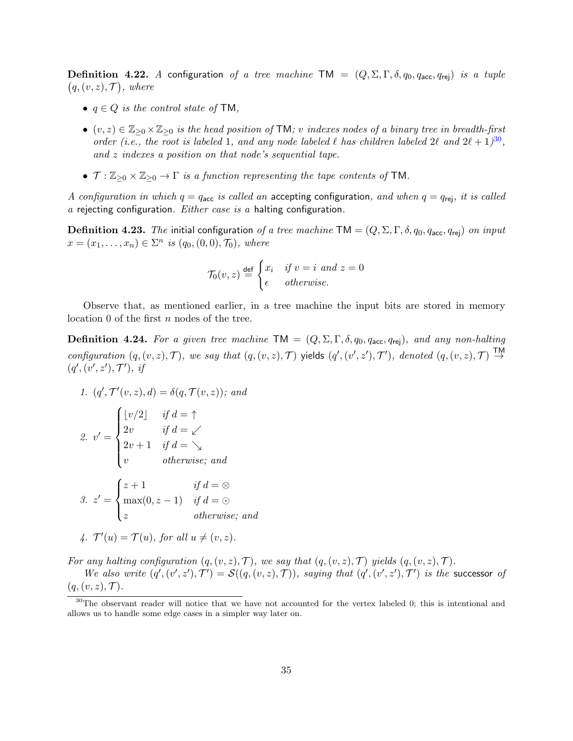**Definition 4.22.** A configuration of a tree machine TM =  $(Q, \Sigma, \Gamma, \delta, q_0, q_{\text{acc}}, q_{\text{rej}})$  is a tuple  $(q, (v, z), \mathcal{T})$ , where

- $q \in Q$  is the control state of TM,
- $(v, z) \in \mathbb{Z}_{\geq 0} \times \mathbb{Z}_{\geq 0}$  is the head position of TM; v indexes nodes of a binary tree in breadth-first order (i.e., the root is labeled 1, and any node labeled  $\ell$  has children labeled  $2\ell$  and  $2\ell + 1$ )<sup>[30](#page-34-0)</sup>, and z indexes a position on that node's sequential tape.
- $\mathcal{T} : \mathbb{Z}_{\geq 0} \times \mathbb{Z}_{\geq 0} \to \Gamma$  is a function representing the tape contents of TM.

A configuration in which  $q = q_{\text{acc}}$  is called an accepting configuration, and when  $q = q_{\text{rej}}$ , it is called  $a$  rejecting configuration.  $Either\ case\ is\ a\ halting\ configuration.$ 

**Definition 4.23.** The initial configuration of a tree machine TM =  $(Q, \Sigma, \Gamma, \delta, q_0, q_{\text{acc}}, q_{\text{rei}})$  on input  $x = (x_1, ..., x_n) \in \Sigma^n$  is  $(q_0, (0, 0), \mathcal{T}_0)$ , where

$$
\mathcal{T}_0(v, z) \stackrel{\text{def}}{=} \begin{cases} x_i & \text{if } v = i \text{ and } z = 0 \\ \epsilon & otherwise. \end{cases}
$$

Observe that, as mentioned earlier, in a tree machine the input bits are stored in memory location 0 of the first *n* nodes of the tree.

**Definition 4.24.** For a given tree machine  $TM = (Q, \Sigma, \Gamma, \delta, q_0, q_{\text{acc}}, q_{\text{rei}})$ , and any non-halting configuration  $(q, (v, z), \mathcal{T})$ , we say that  $(q, (v, z), \mathcal{T})$  yields  $(q', (v', z'), \mathcal{T}')$ , denoted  $(q, (v, z), \mathcal{T})$  $(q', (v', z'), \mathcal{T}'),$  if

1. 
$$
(q', \mathcal{T}'(v, z), d) = \delta(q, \mathcal{T}(v, z))
$$
; and

2. 
$$
v' = \begin{cases} \lfloor v/2 \rfloor & \text{if } d = \uparrow \\ 2v & \text{if } d = \swarrow \\ 2v + 1 & \text{if } d = \searrow \\ v & \text{otherwise; and} \end{cases}
$$
  
\n3.  $z' = \begin{cases} z + 1 & \text{if } d = \otimes \\ \max(0, z - 1) & \text{if } d = \odot \\ z & \text{otherwise; and} \end{cases}$   
\n4.  $T'(u) = T(u)$ , for all  $u \neq (v, z)$ .

For any halting configuration  $(q,(v, z), \mathcal{T})$ , we say that  $(q,(v, z), \mathcal{T})$  yields  $(q,(v, z), \mathcal{T})$ .

We also write  $(q', (v', z'), \mathcal{T}') = \mathcal{S}((q, (v, z), \mathcal{T}))$ , saying that  $(q', (v', z'), \mathcal{T}')$  is the successor of  $(q,(v, z), \mathcal{T}).$ 

<span id="page-34-0"></span><sup>&</sup>lt;sup>30</sup>The observant reader will notice that we have not accounted for the vertex labeled 0; this is intentional and allows us to handle some edge cases in a simpler way later on.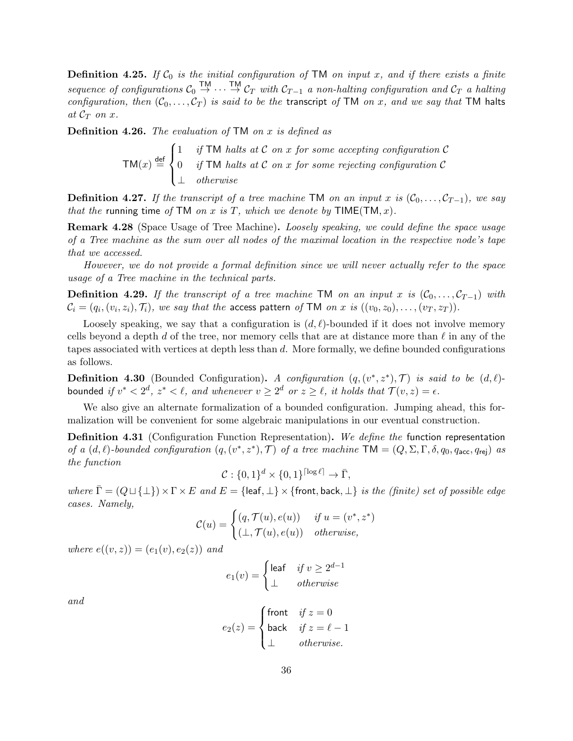**Definition 4.25.** If  $\mathcal{C}_0$  is the initial configuration of TM on input x, and if there exists a finite sequence of configurations  $C_0 \stackrel{\text{TM}}{\rightarrow} \cdots \stackrel{\text{TM}}{\rightarrow} C_T$  with  $C_{T-1}$  a non-halting configuration and  $C_T$  a halting configuration, then  $(C_0, \ldots, C_T)$  is said to be the transcript of TM on x, and we say that TM halts at  $\mathcal{C}_T$  on x.

**Definition 4.26.** The evaluation of  $TM$  on x is defined as

$$
TM(x) \stackrel{\text{def}}{=} \begin{cases} 1 & \text{if TM halts at C on x for some accepting configuration C} \\ 0 & \text{if TM halts at C on x for some rejecting configuration C} \\ \perp & \text{otherwise} \end{cases}
$$

**Definition 4.27.** If the transcript of a tree machine TM on an input x is  $(C_0, \ldots, C_{T-1})$ , we say that the running time of TM on x is T, which we denote by  $\mathsf{TIME}(\mathsf{TM}, x)$ .

Remark 4.28 (Space Usage of Tree Machine). Loosely speaking, we could define the space usage of a Tree machine as the sum over all nodes of the maximal location in the respective node's tape that we accessed.

However, we do not provide a formal definition since we will never actually refer to the space usage of a Tree machine in the technical parts.

**Definition 4.29.** If the transcript of a tree machine TM on an input x is  $(\mathcal{C}_0, \ldots, \mathcal{C}_{T-1})$  with  $\mathcal{C}_i=(q_i,(v_i,z_i),\mathcal{T}_i),$  we say that the access pattern of TM on  $x$  is  $((v_0,z_0),\ldots,(v_T,z_T)).$ 

Loosely speaking, we say that a configuration is  $(d, \ell)$ -bounded if it does not involve memory cells beyond a depth d of the tree, nor memory cells that are at distance more than  $\ell$  in any of the tapes associated with vertices at depth less than d. More formally, we define bounded configurations as follows.

**Definition 4.30** (Bounded Configuration). A configuration  $(q, (v^*, z^*), \mathcal{T})$  is said to be  $(d, \ell)$ bounded if  $v^* < 2^d$ ,  $z^* < \ell$ , and whenever  $v \geq 2^d$  or  $z \geq \ell$ , it holds that  $\mathcal{T}(v, z) = \epsilon$ .

We also give an alternate formalization of a bounded configuration. Jumping ahead, this formalization will be convenient for some algebraic manipulations in our eventual construction.

Definition 4.31 (Configuration Function Representation). We define the function representation of a  $(d, l)$ -bounded configuration  $(q, (v^*, z^*), \mathcal{T})$  of a tree machine  $TM = (Q, \Sigma, \Gamma, \delta, q_0, q_{\text{acc}}, q_{\text{rej}})$  as the function

$$
\mathcal{C}: \{0,1\}^d \times \{0,1\}^{\lceil \log \ell \rceil} \to \bar{\Gamma},
$$

where  $\bar{\Gamma} = (Q \sqcup \{\perp\}) \times \Gamma \times E$  and  $E = \{\text{leaf}, \perp\} \times \{\text{front}, \text{back}, \perp\}$  is the (finite) set of possible edge cases. Namely,

$$
\mathcal{C}(u) = \begin{cases} (q, \mathcal{T}(u), e(u)) & \text{if } u = (v^*, z^*) \\ (\perp, \mathcal{T}(u), e(u)) & \text{otherwise,} \end{cases}
$$

where  $e((v, z)) = (e_1(v), e_2(z))$  and

$$
e_1(v) = \begin{cases} \n\text{leaf} & \text{if } v \ge 2^{d-1} \\ \n\perp & \text{otherwise} \n\end{cases}
$$

and

$$
e_2(z) = \begin{cases} \text{front} & \text{if } z = 0\\ \text{back} & \text{if } z = \ell - 1\\ \bot & \text{otherwise.} \end{cases}
$$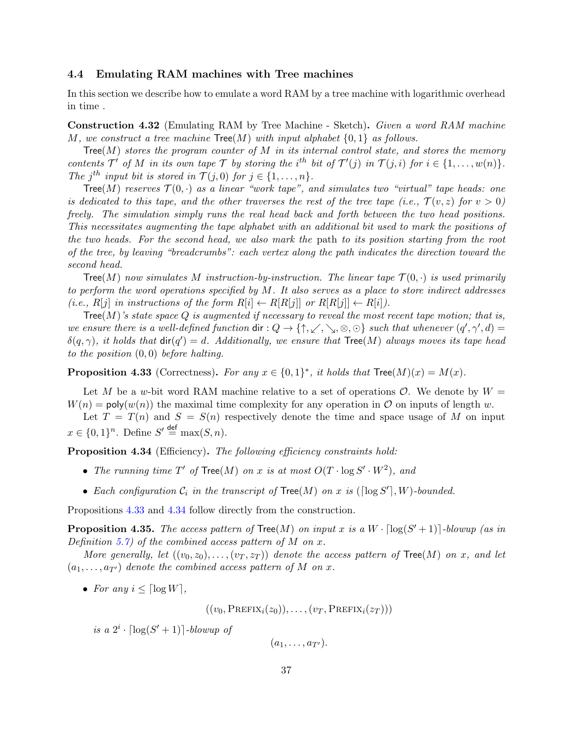## <span id="page-36-3"></span>4.4 Emulating RAM machines with Tree machines

In this section we describe how to emulate a word RAM by a tree machine with logarithmic overhead in time .

<span id="page-36-2"></span>Construction 4.32 (Emulating RAM by Tree Machine - Sketch). Given a word RAM machine M, we construct a tree machine  $Tree(M)$  with input alphabet  $\{0, 1\}$  as follows.

Tree(M) stores the program counter of M in its internal control state, and stores the memory contents  $\mathcal{T}'$  of M in its own tape  $\mathcal{T}$  by storing the i<sup>th</sup> bit of  $\mathcal{T}'(j)$  in  $\mathcal{T}(j,i)$  for  $i \in \{1,\ldots,w(n)\}.$ The j<sup>th</sup> input bit is stored in  $\mathcal{T}(j,0)$  for  $j \in \{1,\ldots,n\}$ .

Tree(M) reserves  $\mathcal{T}(0, \cdot)$  as a linear "work tape", and simulates two "virtual" tape heads: one is dedicated to this tape, and the other traverses the rest of the tree tape (i.e.,  $\mathcal{T}(v, z)$  for  $v > 0$ ) freely. The simulation simply runs the real head back and forth between the two head positions. This necessitates augmenting the tape alphabet with an additional bit used to mark the positions of the two heads. For the second head, we also mark the path to its position starting from the root of the tree, by leaving "breadcrumbs": each vertex along the path indicates the direction toward the second head.

Tree(M) now simulates M instruction-by-instruction. The linear tape  $\mathcal{T}(0, \cdot)$  is used primarily to perform the word operations specified by M. It also serves as a place to store indirect addresses (i.e.,  $R[j]$  in instructions of the form  $R[i] \leftarrow R[R[j]]$  or  $R[R[j]] \leftarrow R[i]$ ).

Tree(M)'s state space Q is augmented if necessary to reveal the most recent tape motion; that is, we ensure there is a well-defined function  $\text{dir}: Q \to \{\uparrow, \swarrow, \searrow, \otimes, \odot\}$  such that whenever  $(q', \gamma', d) =$  $\delta(q,\gamma)$ , it holds that  $\textsf{dir}(q') = d$ . Additionally, we ensure that  $\textsf{Tree}(M)$  always moves its tape head to the position  $(0, 0)$  before halting.

<span id="page-36-0"></span>**Proposition 4.33** (Correctness). For any  $x \in \{0,1\}^*$ , it holds that  $Tree(M)(x) = M(x)$ .

Let M be a w-bit word RAM machine relative to a set of operations  $\mathcal{O}$ . We denote by  $W =$  $W(n) = \text{poly}(w(n))$  the maximal time complexity for any operation in O on inputs of length w.

Let  $T = T(n)$  and  $S = S(n)$  respectively denote the time and space usage of M on input  $x \in \{0,1\}^n$ . Define  $S' \stackrel{\text{def}}{=} \max(S,n)$ .

<span id="page-36-1"></span>Proposition 4.34 (Efficiency). The following efficiency constraints hold:

- The running time  $T'$  of  $Tree(M)$  on x is at most  $O(T \cdot \log S' \cdot W^2)$ , and
- Each configuration  $C_i$  in the transcript of  $Tree(M)$  on x is  $(\lceil \log S' \rceil, W)$ -bounded.

Propositions [4.33](#page-36-0) and [4.34](#page-36-1) follow directly from the construction.

<span id="page-36-4"></span>**Proposition 4.35.** The access pattern of  $Tree(M)$  on input x is a  $W \cdot \lceil log(S'+1) \rceil$ -blowup (as in Definition [5.7\)](#page-43-0) of the combined access pattern of  $M$  on  $x$ .

More generally, let  $((v_0, z_0), \ldots, (v_T, z_T))$  denote the access pattern of Tree(M) on x, and let  $(a_1, \ldots, a_{T'})$  denote the combined access pattern of M on x.

• For any  $i \leq \lceil \log W \rceil$ ,

 $((v_0, \text{PREFIX}_i(z_0)), \ldots, (v_T, \text{PREFIX}_i(z_T)))$ 

is a  $2^i \cdot \lceil \log(S'+1) \rceil$ -blowup of

 $(a_1, \ldots, a_{T'})$ .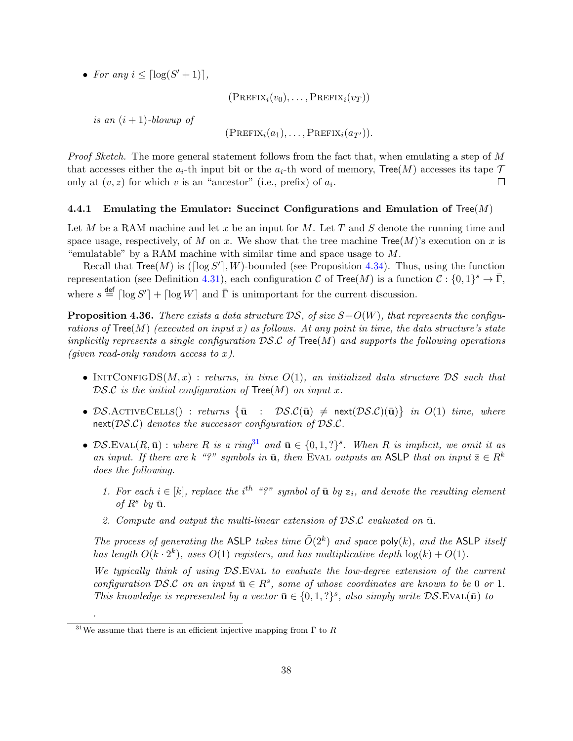• For any  $i \leq \lceil \log(S'+1) \rceil$ ,

 $(PREFIX_i(v_0), \ldots, PREFIX_i(v_T))$ 

is an  $(i + 1)$ -blowup of

 $(PREFIX_i(a_1), \ldots, PREFIX_i(a_{T'})).$ 

Proof Sketch. The more general statement follows from the fact that, when emulating a step of M that accesses either the  $a_i$ -th input bit or the  $a_i$ -th word of memory, Tree(M) accesses its tape  $\mathcal T$ only at  $(v, z)$  for which v is an "ancestor" (i.e., prefix) of  $a_i$ .  $\Box$ 

## 4.4.1 Emulating the Emulator: Succinct Configurations and Emulation of Tree $(M)$

Let M be a RAM machine and let x be an input for M. Let T and S denote the running time and space usage, respectively, of M on x. We show that the tree machine  $Tree(M)$ 's execution on x is "emulatable" by a RAM machine with similar time and space usage to  $M$ .

Recall that  $Tree(M)$  is ([ $log S'$ ], W)-bounded (see Proposition [4.34\)](#page-36-1). Thus, using the function representation (see Definition [4.31\)](#page-35-0), each configuration C of Tree(M) is a function  $\mathcal{C}: \{0,1\}^s \to \overline{\Gamma}$ , where  $s \stackrel{\text{def}}{=} \lceil \log S' \rceil + \lceil \log W \rceil$  and  $\overline{\Gamma}$  is unimportant for the current discussion.

<span id="page-37-1"></span>**Proposition 4.36.** There exists a data structure  $DS$ , of size  $S+O(W)$ , that represents the configurations of  $Tree(M)$  (executed on input x) as follows. At any point in time, the data structure's state implicitly represents a single configuration  $DS.C$  of Tree(M) and supports the following operations (given read-only random access to  $x$ ).

- INIT CONFIGDS $(M, x)$ : returns, in time  $O(1)$ , an initialized data structure DS such that DS.C is the initial configuration of  $Tree(M)$  on input x.
- DS.ACTIVECELLS() : returns  $\{\bar{\mathbf{u}} : \mathcal{DS}.\mathcal{C}(\bar{\mathbf{u}}) \neq \text{next}(\mathcal{DS}.\mathcal{C})(\bar{\mathbf{u}})\}\$ in  $O(1)$  time, where next( $DS.C$ ) denotes the successor configuration of  $DS.C$ .
- DS.EVAL(R,  $\bar{\mathbf{u}}$ ) : where R is a ring<sup>[31](#page-37-0)</sup> and  $\bar{\mathbf{u}} \in \{0,1,?\}^s$ . When R is implicit, we omit it as an input. If there are k "?" symbols in  $\bar{u}$ , then EVAL outputs an ASLP that on input  $\bar{z} \in R^k$ does the following.
	- 1. For each  $i \in [k]$ , replace the i<sup>th</sup> "?" symbol of  $\bar{u}$  by  $z_i$ , and denote the resulting element of  $R^s$  by  $\bar{u}$ .
	- 2. Compute and output the multi-linear extension of  $DS.C$  evaluated on  $\bar{u}$ .

The process of generating the ASLP takes time  $\tilde{O}(2^k)$  and space poly(k), and the ASLP itself has length  $O(k \cdot 2^k)$ , uses  $O(1)$  registers, and has multiplicative depth  $log(k) + O(1)$ .

We typically think of using DS.EVAL to evaluate the low-degree extension of the current configuration DS.C on an input  $\bar{u} \in R^s$ , some of whose coordinates are known to be 0 or 1. This knowledge is represented by a vector  $\bar{\mathbf{u}} \in \{0, 1, ?\}^s$ , also simply write  $\mathcal{DS}$ . EVAL( $\bar{\mathbf{u}}$ ) to

.

<span id="page-37-0"></span> $31$ We assume that there is an efficient injective mapping from  $\bar{\Gamma}$  to R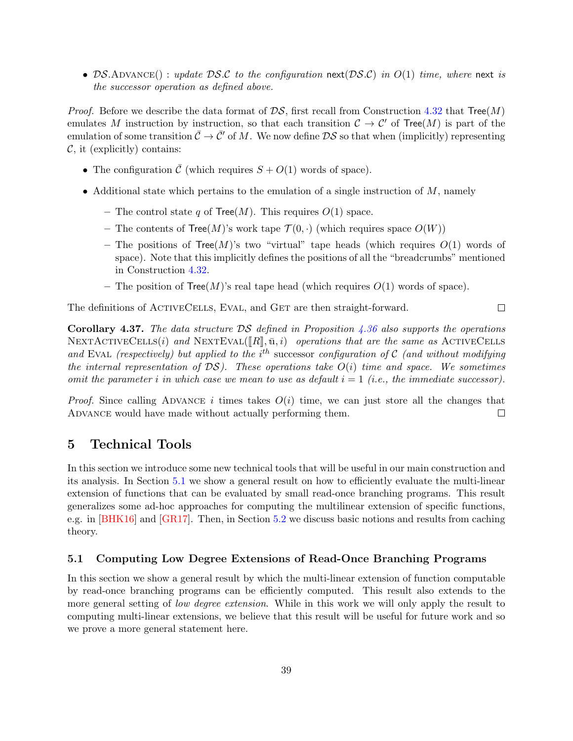• DS.ADVANCE(): update DS.C to the configuration next(DS.C) in  $O(1)$  time, where next is the successor operation as defined above.

*Proof.* Before we describe the data format of  $DS$ , first recall from Construction [4.32](#page-36-2) that  $Tree(M)$ emulates M instruction by instruction, so that each transition  $\mathcal{C} \to \mathcal{C}'$  of Tree(M) is part of the emulation of some transition  $\bar{\mathcal{C}} \to \bar{\mathcal{C}}'$  of M. We now define  $\mathcal{DS}$  so that when (implicitly) representing  $\mathcal{C}$ , it (explicitly) contains:

- The configuration  $\overline{\mathcal{C}}$  (which requires  $S + O(1)$  words of space).
- Additional state which pertains to the emulation of a single instruction of  $M$ , namely
	- The control state q of  $Tree(M)$ . This requires  $O(1)$  space.
	- The contents of  $Tree(M)$ 's work tape  $\mathcal{T}(0, \cdot)$  (which requires space  $O(W)$ )
	- The positions of  $Tree(M)$ 's two "virtual" tape heads (which requires  $O(1)$  words of space). Note that this implicitly defines the positions of all the "breadcrumbs" mentioned in Construction [4.32.](#page-36-2)

 $\Box$ 

– The position of  $Tree(M)$ 's real tape head (which requires  $O(1)$  words of space).

The definitions of ACTIVECELLS, EVAL, and GET are then straight-forward.

**Corollary 4.37.** The data structure  $DS$  defined in Proposition [4.36](#page-37-1) also supports the operations NEXTACTIVECELLS(i) and NEXTEVAL( $\llbracket R \rrbracket$ ,  $\bar{u}$ , i) operations that are the same as ACTIVECELLS and EVAL (respectively) but applied to the  $i^{th}$  successor configuration of C (and without modifying the internal representation of  $DS$ ). These operations take  $O(i)$  time and space. We sometimes omit the parameter i in which case we mean to use as default  $i = 1$  (i.e., the immediate successor).

*Proof.* Since calling ADVANCE *i* times takes  $O(i)$  time, we can just store all the changes that ADVANCE would have made without actually performing them.  $\Box$ 

## 5 Technical Tools

In this section we introduce some new technical tools that will be useful in our main construction and its analysis. In Section [5.1](#page-38-0) we show a general result on how to efficiently evaluate the multi-linear extension of functions that can be evaluated by small read-once branching programs. This result generalizes some ad-hoc approaches for computing the multilinear extension of specific functions, e.g. in [\[BHK16\]](#page-79-0) and [\[GR17\]](#page-81-0). Then, in Section [5.2](#page-42-0) we discuss basic notions and results from caching theory.

## <span id="page-38-0"></span>5.1 Computing Low Degree Extensions of Read-Once Branching Programs

In this section we show a general result by which the multi-linear extension of function computable by read-once branching programs can be efficiently computed. This result also extends to the more general setting of *low degree extension*. While in this work we will only apply the result to computing multi-linear extensions, we believe that this result will be useful for future work and so we prove a more general statement here.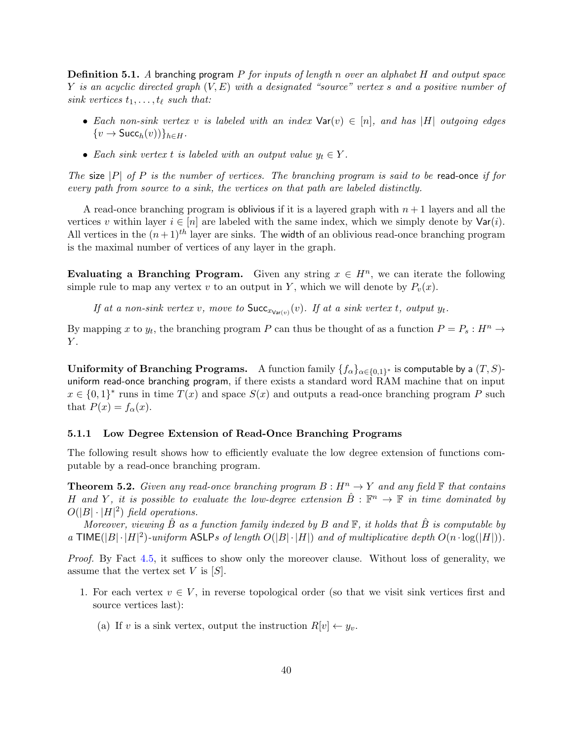**Definition 5.1.** A branching program  $P$  for inputs of length n over an alphabet  $H$  and output space Y is an acyclic directed graph  $(V, E)$  with a designated "source" vertex s and a positive number of sink vertices  $t_1, \ldots, t_\ell$  such that:

- Each non-sink vertex v is labeled with an index  $\text{Var}(v) \in [n]$ , and has |H| outgoing edges  $\{v \to \mathsf{Succ}_h(v)\}\}_{h \in H}$ .
- Each sink vertex t is labeled with an output value  $y_t \in Y$ .

The size |P| of P is the number of vertices. The branching program is said to be read-once if for every path from source to a sink, the vertices on that path are labeled distinctly.

A read-once branching program is oblivious if it is a layered graph with  $n + 1$  layers and all the vertices v within layer  $i \in [n]$  are labeled with the same index, which we simply denote by  $\text{Var}(i)$ . All vertices in the  $(n+1)^{th}$  layer are sinks. The width of an oblivious read-once branching program is the maximal number of vertices of any layer in the graph.

Evaluating a Branching Program. Given any string  $x \in H<sup>n</sup>$ , we can iterate the following simple rule to map any vertex v to an output in Y, which we will denote by  $P_v(x)$ .

If at a non-sink vertex v, move to  $Succ_{x_{\text{Var}(v)}}(v)$ . If at a sink vertex t, output  $y_t$ .

By mapping x to  $y_t$ , the branching program P can thus be thought of as a function  $P = P_s : H^n \to$  $Y$ .

Uniformity of Branching Programs. A function family  $\{f_\alpha\}_{\alpha\in\{0,1\}^*}$  is computable by a  $(T,S)$ uniform read-once branching program, if there exists a standard word RAM machine that on input  $x \in \{0,1\}^*$  runs in time  $T(x)$  and space  $S(x)$  and outputs a read-once branching program P such that  $P(x) = f_{\alpha}(x)$ .

#### 5.1.1 Low Degree Extension of Read-Once Branching Programs

The following result shows how to efficiently evaluate the low degree extension of functions computable by a read-once branching program.

<span id="page-39-1"></span>**Theorem 5.2.** Given any read-once branching program  $B: H^n \to Y$  and any field  $\mathbb F$  that contains H and Y, it is possible to evaluate the low-degree extension  $\hat{B}: \mathbb{F}^n \to \mathbb{F}$  in time dominated by  $O(|B| \cdot |H|^2)$  field operations.

Moreover, viewing  $\hat{B}$  as a function family indexed by B and  $\mathbb{F}$ , it holds that  $\hat{B}$  is computable by a TIME( $|B| \cdot |H|^2$ )-uniform ASLPs of length  $O(|B| \cdot |H|)$  and of multiplicative depth  $O(n \cdot \log(|H|))$ .

Proof. By Fact [4.5,](#page-28-0) it suffices to show only the moreover clause. Without loss of generality, we assume that the vertex set V is  $[S]$ .

- <span id="page-39-0"></span>1. For each vertex  $v \in V$ , in reverse topological order (so that we visit sink vertices first and source vertices last):
	- (a) If v is a sink vertex, output the instruction  $R[v] \leftarrow y_v$ .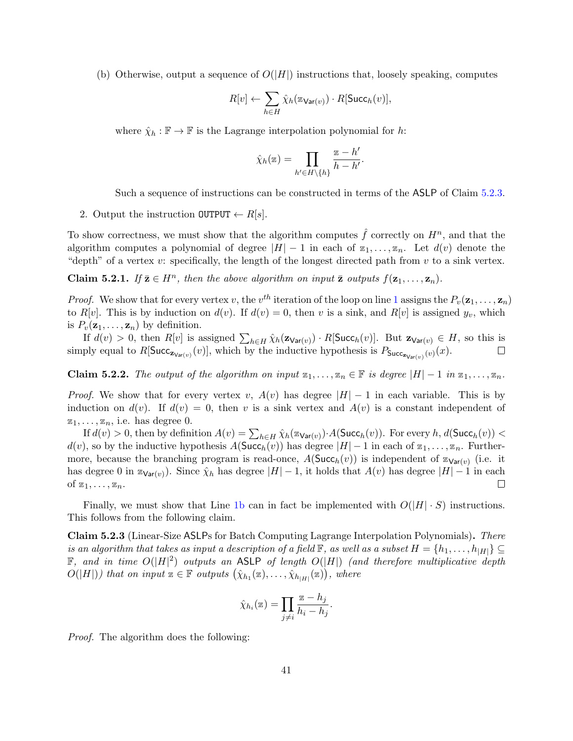<span id="page-40-1"></span>(b) Otherwise, output a sequence of  $O(|H|)$  instructions that, loosely speaking, computes

$$
R[v] \leftarrow \sum_{h \in H} \hat{\chi}_h(\mathbf{z}_{\mathsf{Var}(v)}) \cdot R[\mathsf{Succ}_h(v)],
$$

where  $\hat{\chi}_h : \mathbb{F} \to \mathbb{F}$  is the Lagrange interpolation polynomial for  $h$ :

$$
\hat{\chi}_h(\mathbf{z}) = \prod_{h' \in H \setminus \{h\}} \frac{\mathbf{z} - h'}{h - h'}.
$$

Such a sequence of instructions can be constructed in terms of the ASLP of Claim [5.2.3.](#page-40-0)

2. Output the instruction  $\text{OUTPUT} \leftarrow R[s]$ .

To show correctness, we must show that the algorithm computes  $\hat{f}$  correctly on  $H^n$ , and that the algorithm computes a polynomial of degree  $|H| - 1$  in each of  $z_1, \ldots, z_n$ . Let  $d(v)$  denote the "depth" of a vertex  $v:$  specifically, the length of the longest directed path from  $v$  to a sink vertex.

**Claim 5.2.1.** If  $\bar{\mathbf{z}} \in H^n$ , then the above algorithm on input  $\bar{\mathbf{z}}$  outputs  $f(\mathbf{z}_1, \ldots, \mathbf{z}_n)$ .

*Proof.* We show that for every vertex v, the  $v^{th}$  iteration of the loop on line [1](#page-39-0) assigns the  $P_v(\mathbf{z}_1,\ldots,\mathbf{z}_n)$ to R[v]. This is by induction on  $d(v)$ . If  $d(v) = 0$ , then v is a sink, and R[v] is assigned  $y_v$ , which is  $P_v(\mathbf{z}_1,\ldots,\mathbf{z}_n)$  by definition.

If  $d(v) > 0$ , then  $R[v]$  is assigned  $\sum_{h \in H} \hat{\chi}_h(\mathbf{z}_{\mathsf{Var}(v)}) \cdot R[\mathsf{Succ}_h(v)]$ . But  $\mathbf{z}_{\mathsf{Var}(v)} \in H$ , so this is simply equal to  $R[\text{Succ}_{\mathbf{z}_{\text{Var}(v)}}(v)]$ , which by the inductive hypothesis is  $P_{\text{Succ}_{\mathbf{z}_{\text{Var}(v)}}(v)}(x)$ .  $\Box$ 

**Claim 5.2.2.** The output of the algorithm on input  $z_1, \ldots, z_n \in \mathbb{F}$  is degree  $|H| - 1$  in  $z_1, \ldots, z_n$ .

*Proof.* We show that for every vertex v,  $A(v)$  has degree  $|H| - 1$  in each variable. This is by induction on  $d(v)$ . If  $d(v) = 0$ , then v is a sink vertex and  $A(v)$  is a constant independent of  $z_1, \ldots, z_n$ , i.e. has degree 0.

If  $d(v) > 0$ , then by definition  $A(v) = \sum_{h \in H} \hat{\chi}_h(\mathbb{Z}_{\mathsf{Var}(v)}) \cdot A(\mathsf{Succ}_h(v))$ . For every  $h, d(\mathsf{Succ}_h(v)) <$  $d(v)$ , so by the inductive hypothesis  $A(\text{Succ}_h(v))$  has degree  $|H|-1$  in each of  $z_1, \ldots, z_n$ . Furthermore, because the branching program is read-once,  $A(\mathsf{Succ}_h(v))$  is independent of  $\mathbb{Z}_{\mathsf{Var}(v)}$  (i.e. it has degree 0 in  $\mathbb{Z}_{\mathsf{Var}(v)}$ ). Since  $\hat{\chi}_h$  has degree  $|H|-1$ , it holds that  $A(v)$  has degree  $|H|-1$  in each of  $z_1, \ldots, z_n$ .  $\Box$ 

Finally, we must show that Line [1b](#page-40-1) can in fact be implemented with  $O(|H| \cdot S)$  instructions. This follows from the following claim.

<span id="page-40-0"></span>Claim 5.2.3 (Linear-Size ASLPs for Batch Computing Lagrange Interpolation Polynomials). There is an algorithm that takes as input a description of a field  $\mathbb{F}$ , as well as a subset  $H = \{h_1, \ldots, h_{|H|}\} \subseteq$  $\mathbb{F}$ , and in time  $O(|H|^2)$  outputs an ASLP of length  $O(|H|)$  (and therefore multiplicative depth  $O(|H|)$ ) that on input  $z \in \mathbb{F}$  outputs  $(\hat{\chi}_{h_1}(z), \ldots, \hat{\chi}_{h_{|H|}}(z)),$  where

$$
\hat{\chi}_{h_i}(\mathbf{z}) = \prod_{j \neq i} \frac{\mathbf{z} - h_j}{h_i - h_j}.
$$

Proof. The algorithm does the following: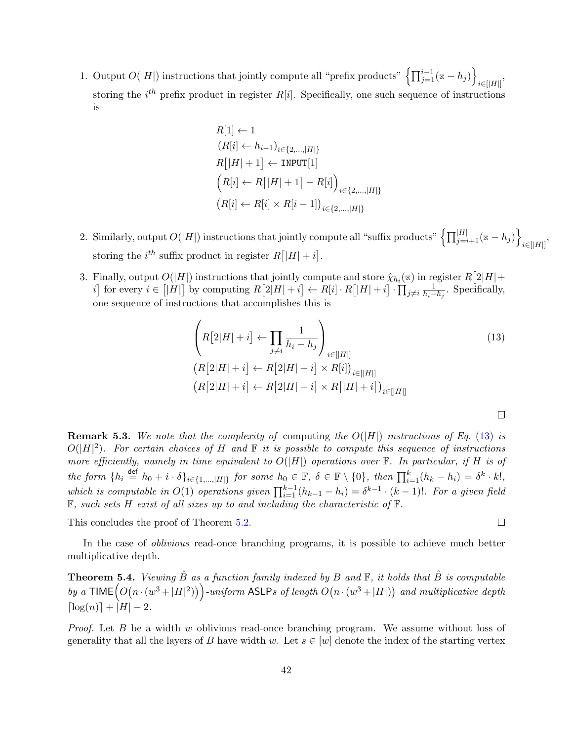1. Output  $O(|H|)$  instructions that jointly compute all "prefix products"  $\left\{\prod_{j=1}^{i-1}(\mathbf{z} - h_j)\right\}$  $\sum_{i\in[|H|]}$ storing the  $i^{th}$  prefix product in register  $R[i]$ . Specifically, one such sequence of instructions is

$$
R[1] \leftarrow 1
$$
  
\n
$$
(R[i] \leftarrow h_{i-1})_{i \in \{2, \dots, |H|\}}
$$
  
\n
$$
R[|H| + 1] \leftarrow \text{NPUT}[1]
$$
  
\n
$$
(R[i] \leftarrow R[|H| + 1] - R[i]\right)_{i \in \{2, \dots, |H|\}}
$$
  
\n
$$
(R[i] \leftarrow R[i] \times R[i-1])_{i \in \{2, \dots, |H|\}}
$$

- 2. Similarly, output  $O(|H|)$  instructions that jointly compute all "suffix products"  $\left\{ \prod_{j=i+1}^{|H|}(z-h_j)\right\}$  $\sum_{i\in[|H|]}\n$ storing the  $i^{th}$  suffix product in register  $R[|H|+i]$ .
- 3. Finally, output  $O(|H|)$  instructions that jointly compute and store  $\hat{\chi}_{h_i}(z)$  in register  $R[2|H|+$ i for every  $i \in [|H|]$  by computing  $R[2|H|+i] \leftarrow R[i] \cdot R[|H|+i] \cdot \prod_{j \neq i} \frac{1}{h_i-h_j}$ . Specifically, one sequence of instructions that accomplishes this is

$$
\left(R[2|H|+i] \leftarrow \prod_{j \neq i} \frac{1}{h_i - h_j}\right)_{i \in [|H|]}
$$
\n
$$
(R[2|H|+i] \leftarrow R[2|H|+i] \times R[i])_{i \in [|H|]}
$$
\n
$$
(R[2|H|+i] \leftarrow R[2|H|+i] \times R[|H|+i])_{i \in [|H|]}
$$
\n
$$
(R[2|H|+i] \leftarrow R[2|H|+i] \times R[|H|+i])_{i \in [|H|]}
$$
\n
$$
(R[2|H|+i] \leftarrow R[2|H|+i] \times R[|H|+i])_{i \in [|H|]}
$$
\n
$$
(R[2|H|+i] \leftarrow R[2|H|+i] \times R[|H|+i])_{i \in [|H|]}
$$
\n
$$
(R[2|H|+i] \leftarrow R[2|H|+i] \times R[|H|+i])_{i \in [|H|]}
$$
\n
$$
(R[2|H|+i] \leftarrow R[2|H|+i] \times R[|H|+i])_{i \in [|H|]}
$$
\n
$$
(R[2|H|+i] \leftarrow R[2|H|+i] \times R[|H|+i])_{i \in [|H|]}
$$
\n
$$
(R[2|H|+i] \leftarrow R[2|H|+i] \times R[|H|+i])_{i \in [|H|]}
$$
\n
$$
(R[2|H|+i] \leftarrow R[2|H|+i] \times R[|H|+i])_{i \in [H|]}
$$
\n
$$
(R[2|H|+i] \leftarrow R[2|H|+i] \times R[|H|+i])_{i \in [H|]}
$$

**Remark 5.3.** We note that the complexity of computing the  $O(|H|)$  instructions of Eq. [\(13\)](#page-41-0) is  $O(|H|^2)$ . For certain choices of H and  $\mathbb F$  it is possible to compute this sequence of instructions more efficiently, namely in time equivalent to  $O(|H|)$  operations over  $\mathbb F$ . In particular, if H is of  $the form \{h_i \stackrel{\text{def}}{=} h_0 + i \cdot \delta\}_{i \in \{1,\ldots,|H|\}} for some h_0 \in \mathbb{F}, \ \delta \in \mathbb{F} \setminus \{0\}, then \prod_{i=1}^k (h_k - h_i) = \delta^k \cdot k!,$ which is computable in  $O(1)$  operations given  $\prod_{i=1}^{k-1} (h_{k-1} - h_i) = \delta^{k-1} \cdot (k-1)!$ . For a given field  $\mathbb F$ , such sets H exist of all sizes up to and including the characteristic of  $\mathbb F$ .

This concludes the proof of Theorem [5.2.](#page-39-1)

In the case of oblivious read-once branching programs, it is possible to achieve much better multiplicative depth.

<span id="page-41-1"></span>**Theorem 5.4.** Viewing  $\hat{B}$  as a function family indexed by B and  $\mathbb{F}$ , it holds that  $\hat{B}$  is computable by a  $\textsf{TIME} \big( O(n \cdot (w^3 + |H|^2)) \big)$ -uniform ASLPs of length  $O(n \cdot (w^3 + |H|))$  and multiplicative depth  $\lceil \log(n) \rceil + |H| - 2.$ 

*Proof.* Let  $B$  be a width  $w$  oblivious read-once branching program. We assume without loss of generality that all the layers of B have width w. Let  $s \in [w]$  denote the index of the starting vertex

 $\Box$ 

<span id="page-41-0"></span> $\Box$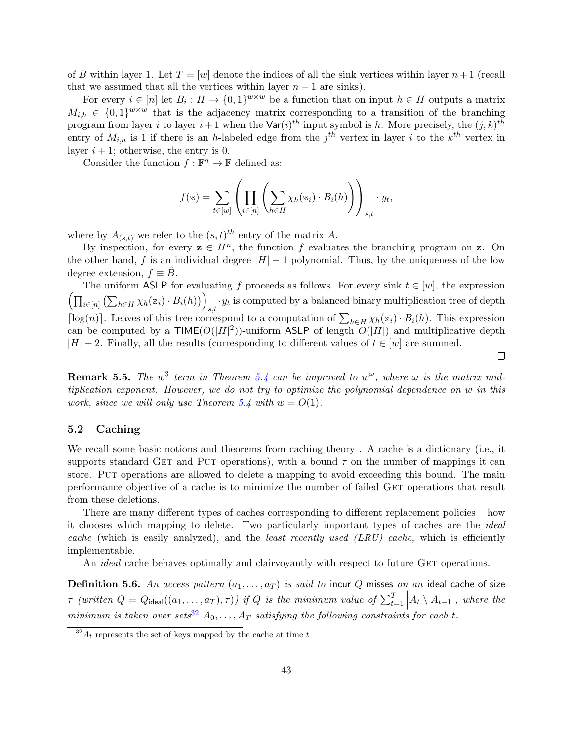of B within layer 1. Let  $T = |w|$  denote the indices of all the sink vertices within layer  $n+1$  (recall that we assumed that all the vertices within layer  $n + 1$  are sinks).

For every  $i \in [n]$  let  $B_i : H \to \{0,1\}^{w \times w}$  be a function that on input  $h \in H$  outputs a matrix  $M_{i,h} \in \{0,1\}^{w \times w}$  that is the adjacency matrix corresponding to a transition of the branching program from layer i to layer  $i+1$  when the  $\text{Var}(i)^{th}$  input symbol is h. More precisely, the  $(j, k)^{th}$ entry of  $M_{i,h}$  is 1 if there is an h-labeled edge from the  $j<sup>th</sup>$  vertex in layer i to the  $k<sup>th</sup>$  vertex in layer  $i + 1$ ; otherwise, the entry is 0.

Consider the function  $f : \mathbb{F}^n \to \mathbb{F}$  defined as:

$$
f(\mathbf{z}) = \sum_{t \in [w]} \left( \prod_{i \in [n]} \left( \sum_{h \in H} \chi_h(\mathbf{z}_i) \cdot B_i(h) \right) \right)_{s,t} \cdot y_t,
$$

where by  $A_{(s,t)}$  we refer to the  $(s,t)^{th}$  entry of the matrix A.

By inspection, for every  $z \in H^n$ , the function f evaluates the branching program on z. On the other hand, f is an individual degree  $|H| - 1$  polynomial. Thus, by the uniqueness of the low degree extension,  $f \equiv B$ .

The uniform ASLP for evaluating f proceeds as follows. For every sink  $t \in [w]$ , the expression  $\left( \prod_{i\in[n]}\left( \sum_{h\in H}\chi_h(\mathbf{z}_i)\cdot B_i(h)\right)\right)$  $s,t$  is computed by a balanced binary multiplication tree of depth  $s,t$ [log(n)]. Leaves of this tree correspond to a computation of  $\sum_{h\in H}\chi_h(z_i)\cdot B_i(h)$ . This expression can be computed by a  $\mathsf{TIME}(O(|H|^2))$ -uniform ASLP of length  $O(|H|)$  and multiplicative depth  $|H| - 2$ . Finally, all the results (corresponding to different values of  $t \in [w]$  are summed.

**Remark 5.5.** The  $w^3$  term in Theorem [5.4](#page-41-1) can be improved to  $w^{\omega}$ , where  $\omega$  is the matrix multiplication exponent. However, we do not try to optimize the polynomial dependence on w in this work, since we will only use Theorem [5.4](#page-41-1) with  $w = O(1)$ .

## <span id="page-42-0"></span>5.2 Caching

We recall some basic notions and theorems from caching theory . A cache is a dictionary (i.e., it supports standard GET and PUT operations), with a bound  $\tau$  on the number of mappings it can store. Put operations are allowed to delete a mapping to avoid exceeding this bound. The main performance objective of a cache is to minimize the number of failed GET operations that result from these deletions.

There are many different types of caches corresponding to different replacement policies – how it chooses which mapping to delete. Two particularly important types of caches are the ideal cache (which is easily analyzed), and the *least recently used (LRU) cache*, which is efficiently implementable.

An *ideal* cache behaves optimally and clairvoyantly with respect to future GET operations.

<span id="page-42-2"></span>Definition 5.6. An access pattern  $(a_1, \ldots, a_T)$  is said to incur Q misses on an ideal cache of size  $\tau$  (written  $Q = Q_{\text{ideal}}((a_1, \ldots, a_T), \tau)$ ) if  $Q$  is the minimum value of  $\sum_{t=1}^T \Big| A_t \setminus A_{t-1} \Big|$ , where the minimum is taken over sets<sup>[32](#page-42-1)</sup>  $A_0, \ldots, A_T$  satisfying the following constraints for each t.

 $\Box$ 

<span id="page-42-1"></span> $32A_t$  represents the set of keys mapped by the cache at time t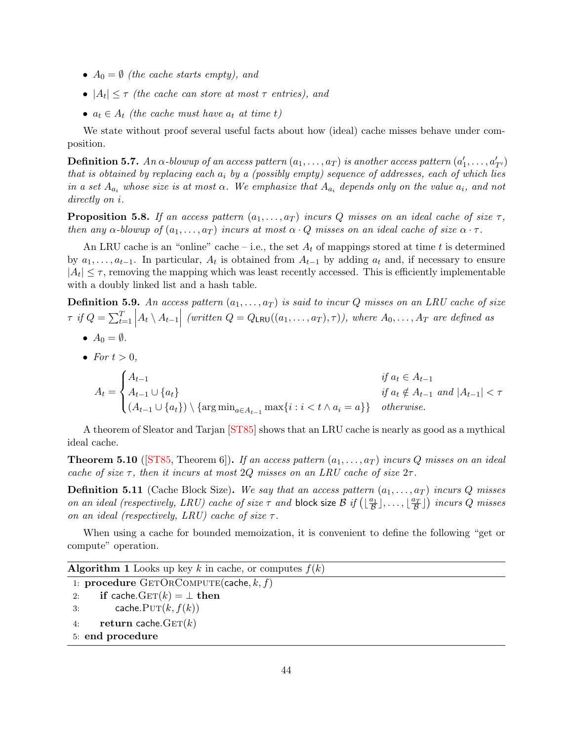- $A_0 = \emptyset$  (the cache starts empty), and
- $|A_t| \leq \tau$  (the cache can store at most  $\tau$  entries), and
- $a_t \in A_t$  (the cache must have  $a_t$  at time t)

We state without proof several useful facts about how (ideal) cache misses behave under composition.

<span id="page-43-0"></span> ${\bf Definition~5.7.}$  An  $\alpha$ -blowup of an access pattern  $(a_1,\ldots,a_T)$  is another access pattern  $(a'_1,\ldots,a'_{T'})$ that is obtained by replacing each  $a_i$  by a (possibly empty) sequence of addresses, each of which lies in a set  $A_{a_i}$  whose size is at most  $\alpha$ . We emphasize that  $A_{a_i}$  depends only on the value  $a_i$ , and not directly on i.

<span id="page-43-2"></span>**Proposition 5.8.** If an access pattern  $(a_1, \ldots, a_T)$  incurs Q misses on an ideal cache of size  $\tau$ , then any  $\alpha$ -blowup of  $(a_1, \ldots, a_T)$  incurs at most  $\alpha \cdot Q$  misses on an ideal cache of size  $\alpha \cdot \tau$ .

An LRU cache is an "online" cache – i.e., the set  $A_t$  of mappings stored at time t is determined by  $a_1, \ldots, a_{t-1}$ . In particular,  $A_t$  is obtained from  $A_{t-1}$  by adding  $a_t$  and, if necessary to ensure  $|A_t| \leq \tau$ , removing the mapping which was least recently accessed. This is efficiently implementable with a doubly linked list and a hash table.

**Definition 5.9.** An access pattern  $(a_1, \ldots, a_T)$  is said to incur Q misses on an LRU cache of size  $\tau$  if  $Q = \sum_{t=1}^{T} |A_t \setminus A_{t-1}|$  (written  $Q = Q_{LRU}((a_1, \ldots, a_T), \tau)$ ), where  $A_0, \ldots, A_T$  are defined as

- $A_0 = \emptyset$ .
- For  $t > 0$ .

$$
A_{t} = \begin{cases} A_{t-1} & \text{if } a_{t} \in A_{t-1} \\ A_{t-1} \cup \{a_{t}\} & \text{if } a_{t} \notin A_{t-1} \text{ and } |A_{t-1}| < \tau \\ (A_{t-1} \cup \{a_{t}\}) \setminus \{\arg\min_{a \in A_{t-1}} \max\{i : i < t \land a_{i} = a\}\} & \text{otherwise.} \end{cases}
$$

A theorem of Sleator and Tarjan [\[ST85\]](#page-83-0) shows that an LRU cache is nearly as good as a mythical ideal cache.

<span id="page-43-1"></span>**Theorem 5.10** ([\[ST85,](#page-83-0) Theorem 6]). If an access pattern  $(a_1, \ldots, a_T)$  incurs Q misses on an ideal cache of size  $\tau$ , then it incurs at most 2Q misses on an LRU cache of size  $2\tau$ .

**Definition 5.11** (Cache Block Size). We say that an access pattern  $(a_1, \ldots, a_T)$  incurs Q misses on an ideal (respectively, LRU) cache of size  $\tau$  and block size  $\mathcal{B}$  if  $(\lfloor \frac{a_1}{\mathcal{B}} \rfloor, \ldots, \lfloor \frac{a_T}{\mathcal{B}} \rfloor)$  incurs  $Q$  misses on an ideal (respectively, LRU) cache of size  $\tau$ .

When using a cache for bounded memoization, it is convenient to define the following "get or compute" operation.

```
Algorithm 1 Looks up key k in cache, or computes f(k)
```

```
1: procedure GETORCOMPUTE(cache, k, f)
```

```
2: if cache. GET(k) = \perp then
3: cache. PUT(k, f(k))4: return cache. GET(k)5: end procedure
```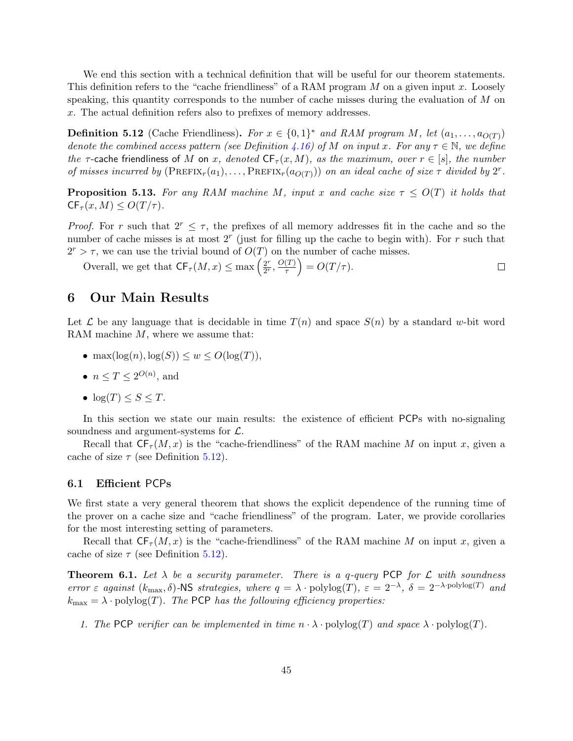We end this section with a technical definition that will be useful for our theorem statements. This definition refers to the "cache friendliness" of a RAM program  $M$  on a given input  $x$ . Loosely speaking, this quantity corresponds to the number of cache misses during the evaluation of M on x. The actual definition refers also to prefixes of memory addresses.

<span id="page-44-0"></span>**Definition 5.12** (Cache Friendliness). For  $x \in \{0,1\}^*$  and RAM program M, let  $(a_1, \ldots, a_{O(T)})$ denote the combined access pattern (see Definition [4.16\)](#page-31-0) of M on input x. For any  $\tau \in \mathbb{N}$ , we define the  $\tau$ -cache friendliness of M on x, denoted  $CF_{\tau}(x, M)$ , as the maximum, over  $r \in [s]$ , the number of misses incurred by  $(PREFIX<sub>r</sub>(a<sub>1</sub>),...,PREFIX<sub>r</sub>(a<sub>O(T)</sub>))$  on an ideal cache of size  $\tau$  divided by  $2^r$ .

<span id="page-44-2"></span>**Proposition 5.13.** For any RAM machine M, input x and cache size  $\tau \leq O(T)$  it holds that  $CF_{\tau}(x, M) \leq O(T/\tau).$ 

*Proof.* For r such that  $2^r \leq \tau$ , the prefixes of all memory addresses fit in the cache and so the number of cache misses is at most  $2<sup>r</sup>$  (just for filling up the cache to begin with). For r such that  $2^r > \tau$ , we can use the trivial bound of  $O(T)$  on the number of cache misses.

Overall, we get that  $CF_{\tau}(M, x) \leq \max \left( \frac{2^r}{2^r} \right)$  $\left(\frac{T}{\tau}\right) = O(T/\tau).$  $\frac{2^r}{2^r}, \frac{O(T)}{\tau}$  $\Box$ 

## 6 Our Main Results

Let  $\mathcal L$  be any language that is decidable in time  $T(n)$  and space  $S(n)$  by a standard w-bit word RAM machine  $M$ , where we assume that:

- max $(\log(n), \log(S)) \leq w \leq O(\log(T)).$
- $n \le T \le 2^{O(n)}$ , and
- $log(T) \leq S \leq T$ .

In this section we state our main results: the existence of efficient PCPs with no-signaling soundness and argument-systems for  $\mathcal{L}$ .

Recall that  $CF_{\tau}(M, x)$  is the "cache-friendliness" of the RAM machine M on input x, given a cache of size  $\tau$  (see Definition [5.12\)](#page-44-0).

## 6.1 Efficient PCPs

We first state a very general theorem that shows the explicit dependence of the running time of the prover on a cache size and "cache friendliness" of the program. Later, we provide corollaries for the most interesting setting of parameters.

Recall that  $CF_{\tau}(M, x)$  is the "cache-friendliness" of the RAM machine M on input x, given a cache of size  $\tau$  (see Definition [5.12\)](#page-44-0).

<span id="page-44-1"></span>**Theorem 6.1.** Let  $\lambda$  be a security parameter. There is a q-query PCP for  $\mathcal L$  with soundness error  $\varepsilon$  against  $(k_{\text{max}}, \delta)$ -NS strategies, where  $q = \lambda \cdot \text{polylog}(T)$ ,  $\varepsilon = 2^{-\lambda}$ ,  $\delta = 2^{-\lambda \cdot \text{polylog}(T)}$  and  $k_{\text{max}} = \lambda \cdot \text{polylog}(T)$ . The PCP has the following efficiency properties:

1. The PCP verifier can be implemented in time  $n \cdot \lambda \cdot \text{polylog}(T)$  and space  $\lambda \cdot \text{polylog}(T)$ .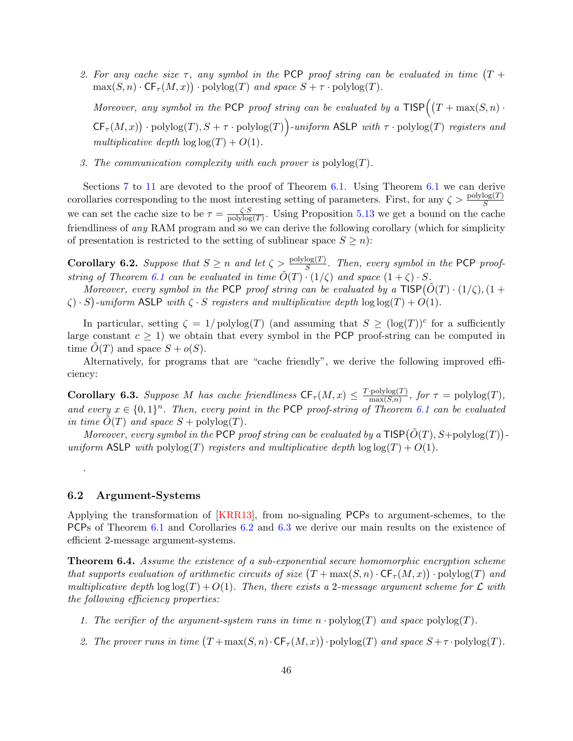2. For any cache size  $\tau$ , any symbol in the PCP proof string can be evaluated in time  $(T +$  $\max(S, n) \cdot \mathsf{CF}_{\tau}(M, x)) \cdot \text{polylog}(T)$  and space  $S + \tau \cdot \text{polylog}(T)$ .

Moreover, any symbol in the PCP proof string can be evaluated by a  $TISP((T + \max(S, n))$ .  $CF_{\tau}(M,x)$  · polylog(T),  $S + \tau$  · polylog(T) aniform ASLP with  $\tau$  · polylog(T) registers and multiplicative depth  $\log \log(T) + O(1)$ .

3. The communication complexity with each prover is  $\text{polylog}(T)$ .

Sections [7](#page-46-0) to [11](#page-76-0) are devoted to the proof of Theorem [6.1.](#page-44-1) Using Theorem [6.1](#page-44-1) we can derive corollaries corresponding to the most interesting setting of parameters. First, for any  $\zeta > \frac{\text{polylog}(T)}{S}$ we can set the cache size to be  $\tau = \frac{\zeta \cdot S}{\text{polylog}}$  $\frac{\zeta \cdot S}{\text{polylog}(T)}$ . Using Proposition [5.13](#page-44-2) we get a bound on the cache friendliness of any RAM program and so we can derive the following corollary (which for simplicity of presentation is restricted to the setting of sublinear space  $S \geq n$ :

<span id="page-45-0"></span>**Corollary 6.2.** Suppose that  $S \ge n$  and let  $\zeta > \frac{\text{polylog}(T)}{S}$ . Then, every symbol in the PCP proof-string of Theorem [6.1](#page-44-1) can be evaluated in time  $\tilde{O}(T) \cdot (1/\zeta)$  and space  $(1+\zeta) \cdot S$ .

Moreover, every symbol in the PCP proof string can be evaluated by a  $\text{TISP}(\tilde{O}(T)\cdot(1/\zeta), (1+\zeta))$  $\zeta$ )  $\cdot$  S)-uniform ASLP with  $\zeta \cdot S$  registers and multiplicative depth  $\log \log(T) + O(1)$ .

In particular, setting  $\zeta = 1/\text{polylog}(T)$  (and assuming that  $S \geq (\log(T))^c$  for a sufficiently large constant  $c \geq 1$ ) we obtain that every symbol in the PCP proof-string can be computed in time  $O(T)$  and space  $S + o(S)$ .

Alternatively, for programs that are "cache friendly", we derive the following improved efficiency:

<span id="page-45-1"></span>**Corollary 6.3.** Suppose M has cache friendliness  $CF_{\tau}(M, x) \leq \frac{T \cdot \text{polylog}(T)}{\max(S,n)}$  $\frac{\text{polylog}(T)}{\max(S,n)}$ , for  $\tau = \text{polylog}(T)$ , and every  $x \in \{0,1\}^n$ . Then, every point in the PCP proof-string of Theorem [6.1](#page-44-1) can be evaluated in time  $\tilde{O}(T)$  and space  $S$  + polylog(T).

Moreover, every symbol in the PCP proof string can be evaluated by a  $\text{TISP}(\tilde{O}(T), S+\text{polylog}(T))$ uniform ASLP with polylog(T) registers and multiplicative depth  $\log \log(T) + O(1)$ .

## 6.2 Argument-Systems

.

Applying the transformation of [\[KRR13\]](#page-82-0), from no-signaling PCPs to argument-schemes, to the PCPs of Theorem [6.1](#page-44-1) and Corollaries [6.2](#page-45-0) and [6.3](#page-45-1) we derive our main results on the existence of efficient 2-message argument-systems.

<span id="page-45-2"></span>Theorem 6.4. Assume the existence of a sub-exponential secure homomorphic encryption scheme that supports evaluation of arithmetic circuits of size  $(T + \max(S, n) \cdot \mathsf{CF}_{\tau}(M, x)) \cdot \mathrm{polylog}(T)$  and multiplicative depth  $\log \log(T) + O(1)$ . Then, there exists a 2-message argument scheme for  $\mathcal L$  with the following efficiency properties:

- 1. The verifier of the argument-system runs in time  $n \cdot \text{polylog}(T)$  and space  $\text{polylog}(T)$ .
- 2. The prover runs in time  $(T + \max(S, n) \cdot \mathsf{CF}_{\tau}(M, x)) \cdot \text{polylog}(T)$  and space  $S + \tau \cdot \text{polylog}(T)$ .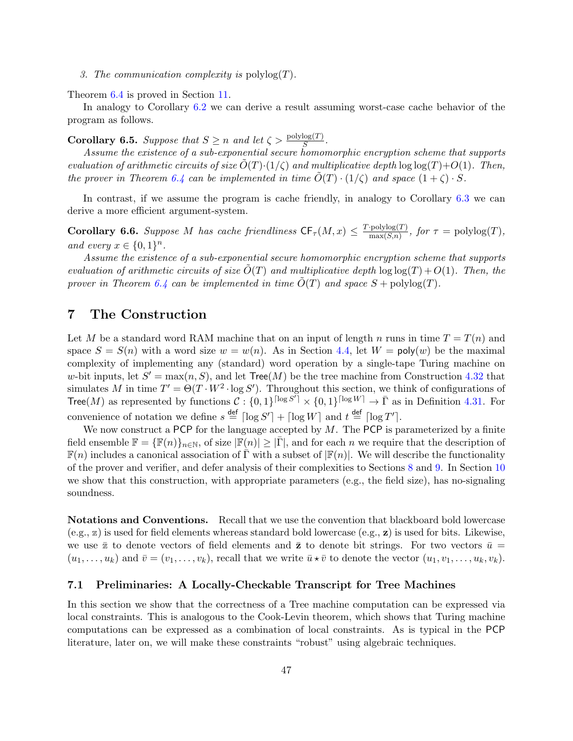3. The communication complexity is  $\text{polylog}(T)$ .

Theorem [6.4](#page-45-2) is proved in Section [11.](#page-76-0)

In analogy to Corollary [6.2](#page-45-0) we can derive a result assuming worst-case cache behavior of the program as follows.

**Corollary 6.5.** Suppose that  $S \ge n$  and let  $\zeta > \frac{\text{polylog}(T)}{S}$ .

Assume the existence of a sub-exponential secure homomorphic encryption scheme that supports evaluation of arithmetic circuits of size  $\tilde{O}(T)\cdot(1/\zeta)$  and multiplicative depth  $\log \log(T)+O(1)$ . Then, the prover in Theorem [6.4](#page-45-2) can be implemented in time  $O(T) \cdot (1/\zeta)$  and space  $(1+\zeta) \cdot S$ .

In contrast, if we assume the program is cache friendly, in analogy to Corollary [6.3](#page-45-1) we can derive a more efficient argument-system.

**Corollary 6.6.** Suppose M has cache friendliness  $CF_{\tau}(M, x) \leq \frac{T \cdot \text{polylog}(T)}{\max(S,n)}$  $\frac{\text{polylog}(T)}{\max(S,n)}$ , for  $\tau = \text{polylog}(T)$ , and every  $x \in \{0,1\}^n$ .

Assume the existence of a sub-exponential secure homomorphic encryption scheme that supports evaluation of arithmetic circuits of size  $\tilde{O}(T)$  and multiplicative depth  $\log \log(T) + O(1)$ . Then, the prover in Theorem [6.4](#page-45-2) can be implemented in time  $\tilde{O}(T)$  and space  $S + \text{polylog}(T)$ .

## <span id="page-46-0"></span>7 The Construction

Let M be a standard word RAM machine that on an input of length n runs in time  $T = T(n)$  and space  $S = S(n)$  with a word size  $w = w(n)$ . As in Section [4.4,](#page-36-3) let  $W = poly(w)$  be the maximal complexity of implementing any (standard) word operation by a single-tape Turing machine on w-bit inputs, let  $S' = \max(n, S)$ , and let  $\text{Tree}(M)$  be the tree machine from Construction [4.32](#page-36-2) that simulates M in time  $T' = \Theta(T \cdot W^2 \cdot \log S')$ . Throughout this section, we think of configurations of Tree(M) as represented by functions  $C: \{0,1\}^{\lceil \log S^7 \rceil} \times \{0,1\}^{\lceil \log W \rceil} \to \bar{\Gamma}$  as in Definition [4.31.](#page-35-0) For convenience of notation we define  $s \stackrel{\text{def}}{=} \lceil \log S' \rceil + \lceil \log W \rceil$  and  $t \stackrel{\text{def}}{=} \lceil \log T' \rceil$ .

We now construct a PCP for the language accepted by  $M$ . The PCP is parameterized by a finite field ensemble  $\mathbb{F} = {\mathbb{F}(n)}_{n \in \mathbb{N}},$  of size  $|\mathbb{F}(n)| \geq |\bar{\Gamma}|$ , and for each n we require that the description of  $\mathbb{F}(n)$  includes a canonical association of  $\bar{\Gamma}$  with a subset of  $\mathbb{F}(n)$ . We will describe the functionality of the prover and verifier, and defer analysis of their complexities to Sections [8](#page-51-0) and [9.](#page-53-0) In Section [10](#page-63-0) we show that this construction, with appropriate parameters (e.g., the field size), has no-signaling soundness.

Notations and Conventions. Recall that we use the convention that blackboard bold lowercase  $(e.g., z)$  is used for field elements whereas standard bold lowercase  $(e.g., z)$  is used for bits. Likewise, we use  $\bar{z}$  to denote vectors of field elements and  $\bar{z}$  to denote bit strings. For two vectors  $\bar{u}$  =  $(u_1, \ldots, u_k)$  and  $\bar{v} = (v_1, \ldots, v_k)$ , recall that we write  $\bar{u} \star \bar{v}$  to denote the vector  $(u_1, v_1, \ldots, u_k, v_k)$ .

### 7.1 Preliminaries: A Locally-Checkable Transcript for Tree Machines

In this section we show that the correctness of a Tree machine computation can be expressed via local constraints. This is analogous to the Cook-Levin theorem, which shows that Turing machine computations can be expressed as a combination of local constraints. As is typical in the PCP literature, later on, we will make these constraints "robust" using algebraic techniques.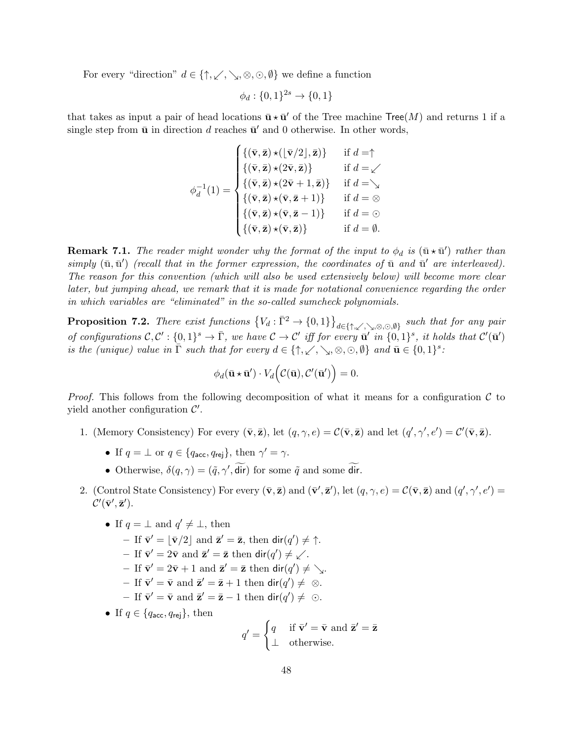For every "direction"  $d \in \{\uparrow, \swarrow, \searrow, \otimes, \odot, \emptyset\}$  we define a function

$$
\phi_d: \{0, 1\}^{2s} \to \{0, 1\}
$$

that takes as input a pair of head locations  $\bar{\mathbf{u}} \star \bar{\mathbf{u}}'$  of the Tree machine  $\text{Tree}(M)$  and returns 1 if a single step from  $\bar{u}$  in direction d reaches  $\bar{u}'$  and 0 otherwise. In other words,

$$
\phi_d^{-1}(1) = \begin{cases}\n\{(\bar{\mathbf{v}}, \bar{\mathbf{z}}) \star (\lfloor \bar{\mathbf{v}}/2 \rfloor, \bar{\mathbf{z}})\} & \text{if } d = \uparrow \\
\{(\bar{\mathbf{v}}, \bar{\mathbf{z}}) \star (2\bar{\mathbf{v}}, \bar{\mathbf{z}})\} & \text{if } d = \swarrow \\
\{(\bar{\mathbf{v}}, \bar{\mathbf{z}}) \star (2\bar{\mathbf{v}} + 1, \bar{\mathbf{z}})\} & \text{if } d = \searrow \\
\{(\bar{\mathbf{v}}, \bar{\mathbf{z}}) \star (\bar{\mathbf{v}}, \bar{\mathbf{z}} + 1)\} & \text{if } d = \otimes \\
\{(\bar{\mathbf{v}}, \bar{\mathbf{z}}) \star (\bar{\mathbf{v}}, \bar{\mathbf{z}} - 1)\} & \text{if } d = \odot \\
\{(\bar{\mathbf{v}}, \bar{\mathbf{z}}) \star (\bar{\mathbf{v}}, \bar{\mathbf{z}} - 1)\} & \text{if } d = \emptyset \\
\{(\bar{\mathbf{v}}, \bar{\mathbf{z}}) \star (\bar{\mathbf{v}}, \bar{\mathbf{z}})\} & \text{if } d = \emptyset.\n\end{cases}
$$

**Remark 7.1.** The reader might wonder why the format of the input to  $\phi_d$  is  $(\bar{u} \star \bar{u}')$  rather than  $simplify (\bar{u}, \bar{u}')$  (recall that in the former expression, the coordinates of  $\bar{u}$  and  $\bar{u}'$  are interleaved). The reason for this convention (which will also be used extensively below) will become more clear later, but jumping ahead, we remark that it is made for notational convenience regarding the order in which variables are "eliminated" in the so-called sumcheck polynomials.

<span id="page-47-0"></span>**Proposition 7.2.** There exist functions  $\{V_d: \bar{\Gamma}^2 \to \{0,1\}\}_{d \in \{\uparrow,\swarrow,\searrow, \otimes, \odot, \emptyset\}}$  such that for any pair of configurations  $\mathcal{C}, \mathcal{C}' : \{0,1\}^s \to \overline{\Gamma}$ , we have  $\mathcal{C} \to \mathcal{C}'$  iff for every  $\overline{\mathbf{u}}'$  in  $\{0,1\}^s$ , it holds that  $\mathcal{C}'(\overline{\mathbf{u}}')$ is the (unique) value in  $\overline{\Gamma}$  such that for every  $d \in \{\uparrow, \swarrow, \searrow, \otimes, \odot, \emptyset\}$  and  $\overline{\mathbf{u}} \in \{0,1\}^s$ :

$$
\phi_d(\bar{\mathbf{u}} \star \bar{\mathbf{u}}') \cdot V_d\Big(\mathcal{C}(\bar{\mathbf{u}}), \mathcal{C}'(\bar{\mathbf{u}}')\Big) = 0.
$$

*Proof.* This follows from the following decomposition of what it means for a configuration  $\mathcal C$  to yield another configuration  $\mathcal{C}'$ .

- 1. (Memory Consistency) For every  $(\bar{\mathbf{v}}, \bar{\mathbf{z}})$ , let  $(q, \gamma, e) = \mathcal{C}(\bar{\mathbf{v}}, \bar{\mathbf{z}})$  and let  $(q', \gamma', e') = \mathcal{C}'(\bar{\mathbf{v}}, \bar{\mathbf{z}})$ .
	- If  $q = \perp$  or  $q \in \{q_{\text{acc}}, q_{\text{rej}}\}$ , then  $\gamma' = \gamma$ .
	- Otherwise,  $\delta(q, \gamma) = (\tilde{q}, \gamma', \tilde{\text{dir}})$  for some  $\tilde{q}$  and some dir.
- 2. (Control State Consistency) For every  $(\bar{\mathbf{v}}, \bar{\mathbf{z}})$  and  $(\bar{\mathbf{v}}', \bar{\mathbf{z}}')$ , let  $(q, \gamma, e) = \mathcal{C}(\bar{\mathbf{v}}, \bar{\mathbf{z}})$  and  $(q', \gamma', e') =$  $\mathcal{C}'(\bar{\mathbf{v}}', \bar{\mathbf{z}}').$ 
	- If  $q = \perp$  and  $q' \neq \perp$ , then
		- If  $\bar{\mathbf{v}}' = |\bar{\mathbf{v}}/2|$  and  $\bar{\mathbf{z}}' = \bar{\mathbf{z}}$ , then  $\text{dir}(q') \neq \uparrow$ .
		- If  $\bar{\mathbf{v}}' = 2\bar{\mathbf{v}}$  and  $\bar{\mathbf{z}}' = \bar{\mathbf{z}}$  then  $\text{dir}(q') \neq \swarrow$ .
		- If  $\bar{\mathbf{v}}' = 2\bar{\mathbf{v}} + 1$  and  $\bar{\mathbf{z}}' = \bar{\mathbf{z}}$  then  $\text{dir}(q') \neq \searrow$ .
		- If  $\bar{\mathbf{v}}' = \bar{\mathbf{v}}$  and  $\bar{\mathbf{z}}' = \bar{\mathbf{z}} + 1$  then  $\text{dir}(q') \neq \otimes$ .
		- If  $\bar{\mathbf{v}}' = \bar{\mathbf{v}}$  and  $\bar{\mathbf{z}}' = \bar{\mathbf{z}} 1$  then  $\text{dir}(q') \neq \odot$ .
	- If  $q \in \{q_{\text{acc}}, q_{\text{rei}}\}$ , then

$$
q' = \begin{cases} q & \text{if } \bar{\mathbf{v}}' = \bar{\mathbf{v}} \text{ and } \bar{\mathbf{z}}' = \bar{\mathbf{z}} \\ \perp & \text{otherwise.} \end{cases}
$$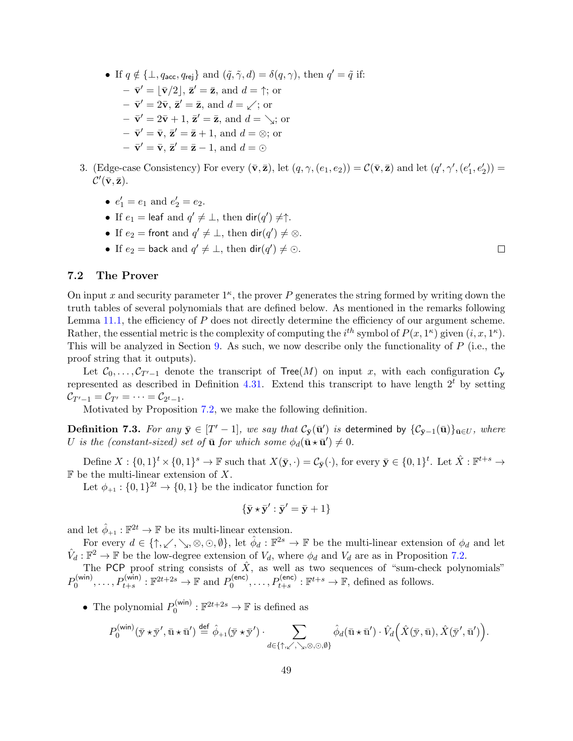• If  $q \notin {\perp, q_{\text{acc}}, q_{\text{rej}}}$  and  $(\tilde{q}, \tilde{\gamma}, d) = \delta(q, \gamma)$ , then  $q' = \tilde{q}$  if:  $-\bar{\mathbf{v}}' = |\bar{\mathbf{v}}/2|, \bar{\mathbf{z}}' = \bar{\mathbf{z}}, \text{ and } d = \uparrow; \text{ or }$  $-\bar{\mathbf{v}}' = 2\bar{\mathbf{v}}, \bar{\mathbf{z}}' = \bar{\mathbf{z}}, \text{ and } d = \sqrt{2}$ ; or  $-\bar{\mathbf{v}}' = 2\bar{\mathbf{v}} + 1$ ,  $\bar{\mathbf{z}}' = \bar{\mathbf{z}}$ , and  $d = \chi$ ; or  $-\bar{\mathbf{v}}' = \bar{\mathbf{v}}, \bar{\mathbf{z}}' = \bar{\mathbf{z}} + 1$ , and  $d = \otimes$ ; or  $-\bar{\mathbf{v}}' = \bar{\mathbf{v}}, \bar{\mathbf{z}}' = \bar{\mathbf{z}} - 1, \text{ and } d = \odot$ 

- 3. (Edge-case Consistency) For every  $(\bar{\mathbf{v}}, \bar{\mathbf{z}})$ , let  $(q, \gamma, (e_1, e_2)) = \mathcal{C}(\bar{\mathbf{v}}, \bar{\mathbf{z}})$  and let  $(q', \gamma', (e'_1, e'_2)) =$  $\mathcal{C}'(\bar{\mathbf{v}}, \bar{\mathbf{z}}).$ 
	- $e'_1 = e_1$  and  $e'_2 = e_2$ .
	- If  $e_1 = \text{leaf}$  and  $q' \neq \bot$ , then  $\text{dir}(q') \neq \uparrow$ .
	- If  $e_2 =$  front and  $q' \neq \perp$ , then  $\textsf{dir}(q') \neq \otimes$ .
	- If  $e_2 = \text{back and } q' \neq \bot$ , then  $\text{dir}(q') \neq \odot$ .

# $\Box$

## <span id="page-48-0"></span>7.2 The Prover

On input x and security parameter  $1<sup>\kappa</sup>$ , the prover P generates the string formed by writing down the truth tables of several polynomials that are defined below. As mentioned in the remarks following Lemma [11.1,](#page-77-0) the efficiency of P does not directly determine the efficiency of our argument scheme. Rather, the essential metric is the complexity of computing the  $i^{th}$  symbol of  $P(x, 1^{\kappa})$  given  $(i, x, 1^{\kappa})$ . This will be analyzed in Section [9.](#page-53-0) As such, we now describe only the functionality of  $P$  (i.e., the proof string that it outputs).

Let  $C_0, \ldots, C_{T'-1}$  denote the transcript of Tree(M) on input x, with each configuration  $C_{\mathbf{y}}$ represented as described in Definition [4.31.](#page-35-0) Extend this transcript to have length  $2<sup>t</sup>$  by setting  $\mathcal{C}_{T'-1} = \mathcal{C}_{T'} = \cdots = \mathcal{C}_{2^t-1}.$ 

Motivated by Proposition [7.2,](#page-47-0) we make the following definition.

<span id="page-48-1"></span>**Definition 7.3.** For any  $\bar{y} \in [T'-1]$ , we say that  $\mathcal{C}_{\bar{y}}(\bar{\mathbf{u}}')$  is determined by  $\{\mathcal{C}_{\bar{y}-1}(\bar{\mathbf{u}})\}_{\bar{\mathbf{u}} \in U}$ , where U is the (constant-sized) set of  $\bar{u}$  for which some  $\phi_d(\bar{u} \star \bar{u}') \neq 0$ .

Define  $X: \{0,1\}^t \times \{0,1\}^s \to \mathbb{F}$  such that  $X(\bar{y},\cdot) = \mathcal{C}_{\bar{y}}(\cdot)$ , for every  $\bar{y} \in \{0,1\}^t$ . Let  $\hat{X}: \mathbb{F}^{t+s} \to$  $\mathbb F$  be the multi-linear extension of X.

Let  $\phi_{+1}: \{0,1\}^{2t} \to \{0,1\}$  be the indicator function for

$$
\{\bar{\mathbf{y}}\star\bar{\mathbf{y}}':\bar{\mathbf{y}}'=\bar{\mathbf{y}}+1\}
$$

and let  $\hat{\phi}_{+1} : \mathbb{F}^{2t} \to \mathbb{F}$  be its multi-linear extension.

For every  $d \in \{\uparrow, \swarrow, \searrow, \otimes, \odot, \emptyset\}$ , let  $\hat{\phi}_d : \mathbb{F}^{2s} \to \mathbb{F}$  be the multi-linear extension of  $\phi_d$  and let  $\hat{V}_d : \mathbb{F}^2 \to \mathbb{F}$  be the low-degree extension of  $V_d$ , where  $\phi_d$  and  $V_d$  are as in Proposition [7.2.](#page-47-0)

The PCP proof string consists of  $\hat{X}$ , as well as two sequences of "sum-check polynomials"  $P_0^{(\mathsf{win})}$  $p_0^{(\text{win})}, \ldots, P_{t+s}^{(\text{win})} : \mathbb{F}^{2t+2s} \to \mathbb{F}$  and  $P_0^{(\text{enc})}$  $D_0^{(\text{enc})}, \ldots, P_{t+s}^{(\text{enc})}: \mathbb{F}^{t+s} \to \mathbb{F}$ , defined as follows.

• The polynomial  $P_0^{(\text{win})}$  $0_0^{(\text{win})}: \mathbb{F}^{2t+2s} \to \mathbb{F}$  is defined as

$$
P_0^{(\text{win})}(\bar{\mathbf{y}} \star \bar{\mathbf{y}}', \bar{\mathbf{u}} \star \bar{\mathbf{u}}') \stackrel{\text{def}}{=} \hat{\phi}_{+1}(\bar{\mathbf{y}} \star \bar{\mathbf{y}}') \cdot \sum_{d \in \{\uparrow, \swarrow, \searrow, \odot, \odot, \emptyset\}} \hat{\phi}_d(\bar{\mathbf{u}} \star \bar{\mathbf{u}}') \cdot \hat{V}_d\Big(\hat{X}(\bar{\mathbf{y}}, \bar{\mathbf{u}}), \hat{X}(\bar{\mathbf{y}}', \bar{\mathbf{u}}')\Big).
$$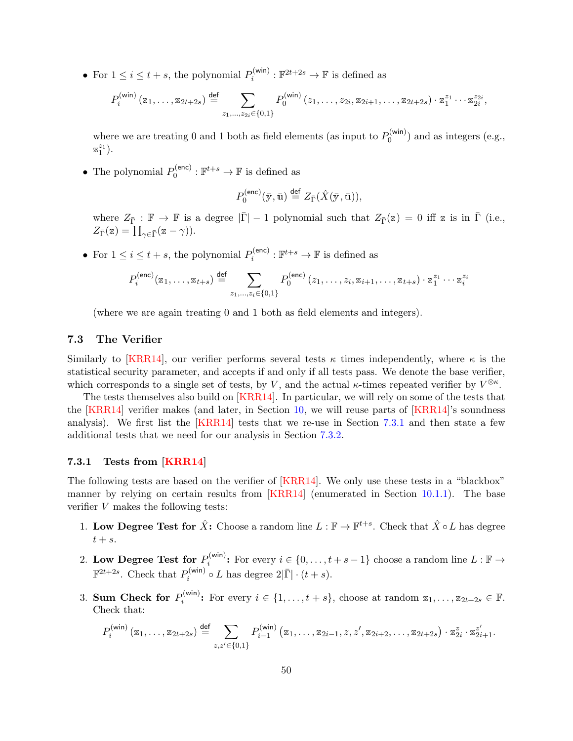• For  $1 \leq i \leq t + s$ , the polynomial  $P_i^{(\text{win})}$  $p_i^{(\text{win})}: \mathbb{F}^{2t+2s} \to \mathbb{F}$  is defined as

$$
P_i^{(\text{win})}(z_1,\ldots,z_{2t+2s}) \stackrel{\text{def}}{=} \sum_{z_1,\ldots,z_{2i}\in\{0,1\}} P_0^{(\text{win})}(z_1,\ldots,z_{2i},z_{2i+1},\ldots,z_{2t+2s}) \cdot z_1^{z_1}\cdots z_{2i}^{z_{2i}},
$$

where we are treating 0 and 1 both as field elements (as input to  $P_0^{(\text{win})}$ )  $\mathfrak{b}_0^{(\mathsf{wm})}$  and as integers (e.g.,  $\mathbb{Z}_1^{z_1}$ ).

• The polynomial  $P_0^{(\text{enc})}$  $p_0^{(enc)} : \mathbb{F}^{t+s} \to \mathbb{F}$  is defined as

$$
P_0^{\text{(enc)}}(\bar{\mathbf{y}}, \bar{\mathbf{u}}) \stackrel{\text{def}}{=} Z_{\bar{\Gamma}}(\hat{X}(\bar{\mathbf{y}}, \bar{\mathbf{u}})),
$$

where  $Z_{\bar{\Gamma}} : \mathbb{F} \to \mathbb{F}$  is a degree  $|\bar{\Gamma}| - 1$  polynomial such that  $Z_{\bar{\Gamma}}(\mathbb{Z}) = 0$  iff  $\mathbb{Z}$  is in  $\bar{\Gamma}$  (i.e.,  $Z_{\bar{\Gamma}}(\mathbf{z}) = \prod_{\gamma \in \bar{\Gamma}} (\mathbf{z} - \gamma).$ 

• For  $1 \leq i \leq t + s$ , the polynomial  $P_i^{(\text{enc})}$  $p_i^{(\text{enc})}: \mathbb{F}^{t+s} \to \mathbb{F}$  is defined as

$$
P_i^{(\text{enc})}(z_1, \ldots, z_{t+s}) \stackrel{\text{def}}{=} \sum_{z_1, \ldots, z_i \in \{0, 1\}} P_0^{(\text{enc})}(z_1, \ldots, z_i, z_{i+1}, \ldots, z_{t+s}) \cdot z_1^{z_1} \cdots z_i^{z_i}
$$

(where we are again treating 0 and 1 both as field elements and integers).

## <span id="page-49-1"></span>7.3 The Verifier

Similarly to [\[KRR14\]](#page-82-1), our verifier performs several tests  $\kappa$  times independently, where  $\kappa$  is the statistical security parameter, and accepts if and only if all tests pass. We denote the base verifier, which corresponds to a single set of tests, by V, and the actual  $\kappa$ -times repeated verifier by  $V^{\otimes \kappa}$ .

The tests themselves also build on [\[KRR14\]](#page-82-1). In particular, we will rely on some of the tests that the  $[KRR14]$  verifier makes (and later, in Section [10,](#page-63-0) we will reuse parts of  $[KRR14]$ 's soundness analysis). We first list the [\[KRR14\]](#page-82-1) tests that we re-use in Section [7.3.1](#page-49-0) and then state a few additional tests that we need for our analysis in Section [7.3.2.](#page-50-0)

## <span id="page-49-0"></span>7.3.1 Tests from [\[KRR14\]](#page-82-1)

The following tests are based on the verifier of [\[KRR14\]](#page-82-1). We only use these tests in a "blackbox" manner by relying on certain results from [\[KRR14\]](#page-82-1) (enumerated in Section [10.1.1\)](#page-65-0). The base verifier V makes the following tests:

- 1. Low Degree Test for  $\hat{X}$ : Choose a random line  $L : \mathbb{F} \to \mathbb{F}^{t+s}$ . Check that  $\hat{X} \circ L$  has degree  $t + s$ .
- 2. Low Degree Test for  $P_i^{(\text{win})}$  $i_i^{(\text{win})}$ : For every  $i \in \{0, \ldots, t + s - 1\}$  choose a random line  $L : \mathbb{F} \to$  $\mathbb{F}^{2t+2s}$ . Check that  $P_i^{(\text{win})}$  $b_i^{(\text{win})} \circ L$  has degree  $2|\bar{\Gamma}| \cdot (t+s)$ .
- 3. Sum Check for  $P_i^{(\text{win})}$  $i^{(\text{win})}$ : For every  $i \in \{1, ..., t+s\}$ , choose at random  $z_1, ..., z_{2t+2s} \in \mathbb{F}$ . Check that:

$$
P_i^{(\text{win})}(z_1,\ldots,z_{2t+2s}) \stackrel{\text{def}}{=} \sum_{z,z' \in \{0,1\}} P_{i-1}^{(\text{win})}(z_1,\ldots,z_{2i-1},z,z',z_{2i+2},\ldots,z_{2t+2s}) \cdot z_{2i}^z \cdot z_{2i+1}^{z'}.
$$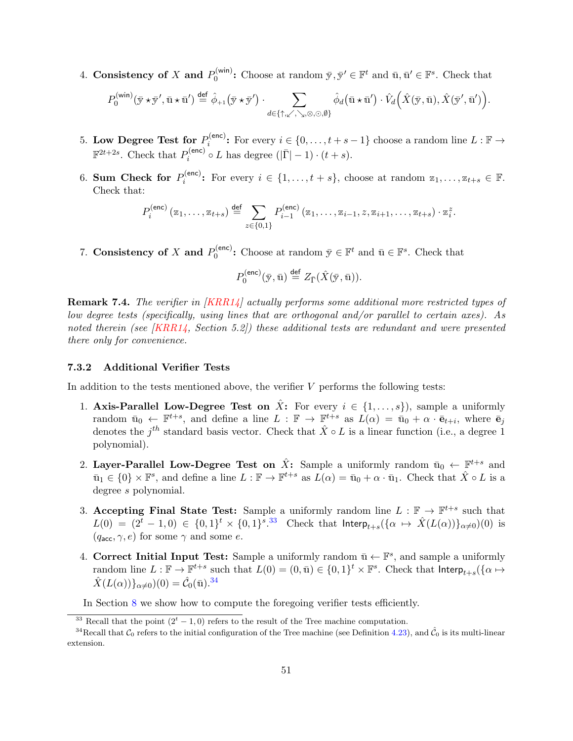4. Consistency of X and  $P_0^{(\text{win})}$  $\overline{y}_0^{(\text{win})}$ : Choose at random  $\overline{y}, \overline{y}' \in \mathbb{F}^t$  and  $\overline{u}, \overline{u}' \in \mathbb{F}^s$ . Check that

$$
P_0^{(\min)}(\bar{\mathbf{y}} \star \bar{\mathbf{y}}', \bar{\mathbf{u}} \star \bar{\mathbf{u}}') \stackrel{\text{def}}{=} \hat{\phi}_{+1}(\bar{\mathbf{y}} \star \bar{\mathbf{y}}') \cdot \sum_{d \in \{\uparrow, \swarrow, \searrow, \odot, \emptyset\}} \hat{\phi}_d(\bar{\mathbf{u}} \star \bar{\mathbf{u}}') \cdot \hat{V}_d\Big(\hat{X}(\bar{\mathbf{y}}, \bar{\mathbf{u}}), \hat{X}(\bar{\mathbf{y}}', \bar{\mathbf{u}}')\Big).
$$

- 5. Low Degree Test for  $P_i^{(enc)}$  $i_i^{(\text{enc})}$ : For every  $i \in \{0, \ldots, t + s - 1\}$  choose a random line  $L : \mathbb{F} \to$  $\mathbb{F}^{2t+2s}$ . Check that  $P_i^{(\text{enc})}$  $i_i^{(\mathsf{enc})} \circ L$  has degree  $(|\bar{\Gamma}| - 1) \cdot (t + s)$ .
- 6. Sum Check for  $P_i^{(\text{enc})}$  $i_i^{(\text{enc})}$ : For every  $i \in \{1, ..., t+s\}$ , choose at random  $z_1, ..., z_{t+s} \in \mathbb{F}$ . Check that:

$$
P_i^{(\mathsf{enc})}(z_1,\ldots,z_{t+s}) \stackrel{\mathsf{def}}{=} \sum_{z \in \{0,1\}} P_{i-1}^{(\mathsf{enc})}(z_1,\ldots,z_{i-1},z,z_{i+1},\ldots,z_{t+s}) \cdot z_i^z.
$$

7. Consistency of X and  $P_0^{(enc)}$  $\mathbf{Q}_0^{(\mathsf{enc})}$ : Choose at random  $\bar{\mathbf{y}} \in \mathbb{F}^t$  and  $\bar{\mathbf{u}} \in \mathbb{F}^s$ . Check that

$$
P_0^{\rm (enc)}(\bar{\mathbf{y}},\bar{\mathbf{u}})\stackrel{\text{def}}{=}Z_{\bar{\Gamma}}(\hat{X}(\bar{\mathbf{y}},\bar{\mathbf{u}})).
$$

**Remark 7.4.** The verifier in  $|KRR14|$  actually performs some additional more restricted types of low degree tests (specifically, using lines that are orthogonal and/or parallel to certain axes). As noted therein (see [\[KRR14,](#page-82-1) Section 5.2]) these additional tests are redundant and were presented there only for convenience.

### <span id="page-50-0"></span>7.3.2 Additional Verifier Tests

In addition to the tests mentioned above, the verifier  $V$  performs the following tests:

- 1. Axis-Parallel Low-Degree Test on  $\hat{X}$ : For every  $i \in \{1, \ldots, s\}$ , sample a uniformly random  $\bar{u}_0 \leftarrow \mathbb{F}^{t+s}$ , and define a line  $L : \mathbb{F} \to \mathbb{F}^{t+s}$  as  $L(\alpha) = \bar{u}_0 + \alpha \cdot \bar{e}_{t+i}$ , where  $\bar{e}_j$ denotes the  $j<sup>th</sup>$  standard basis vector. Check that  $\hat{X} \circ L$  is a linear function (i.e., a degree 1) polynomial).
- 2. Layer-Parallel Low-Degree Test on  $\hat{X}$ : Sample a uniformly random  $\bar{u}_0 \leftarrow \mathbb{F}^{t+s}$  and  $\bar{u}_1 \in \{0\} \times \mathbb{F}^s$ , and define a line  $L : \mathbb{F} \to \mathbb{F}^{t+s}$  as  $L(\alpha) = \bar{u}_0 + \alpha \cdot \bar{u}_1$ . Check that  $\hat{X} \circ L$  is a degree s polynomial.
- 3. Accepting Final State Test: Sample a uniformly random line  $L : \mathbb{F} \to \mathbb{F}^{t+s}$  such that  $L(0) = (2<sup>t</sup> - 1, 0) \in \{0, 1\}<sup>t</sup> \times \{0, 1\}<sup>s</sup>.<sup>33</sup>$  $L(0) = (2<sup>t</sup> - 1, 0) \in \{0, 1\}<sup>t</sup> \times \{0, 1\}<sup>s</sup>.<sup>33</sup>$  $L(0) = (2<sup>t</sup> - 1, 0) \in \{0, 1\}<sup>t</sup> \times \{0, 1\}<sup>s</sup>.<sup>33</sup>$  Check that  $Interp_{t+s}(\{\alpha \mapsto \hat{X}(L(\alpha))\}_{\alpha \neq 0})(0)$  is  $(q_{\text{acc}}, \gamma, e)$  for some  $\gamma$  and some e.
- 4. Correct Initial Input Test: Sample a uniformly random  $\bar{u} \leftarrow \mathbb{F}^s$ , and sample a uniformly random line  $L : \mathbb{F} \to \mathbb{F}^{t+s}$  such that  $L(0) = (0, \bar{u}) \in \{0,1\}^t \times \mathbb{F}^s$ . Check that  $\mathsf{Interp}_{t+s}(\{\alpha \mapsto$  $\hat{X}(L(\alpha))\}_{\alpha\neq 0})(0) = \hat{\mathcal{C}}_0(\bar{u}).^{34}$  $\hat{X}(L(\alpha))\}_{\alpha\neq 0})(0) = \hat{\mathcal{C}}_0(\bar{u}).^{34}$  $\hat{X}(L(\alpha))\}_{\alpha\neq 0})(0) = \hat{\mathcal{C}}_0(\bar{u}).^{34}$

In Section [8](#page-51-0) we show how to compute the foregoing verifier tests efficiently.

<span id="page-50-2"></span><span id="page-50-1"></span><sup>&</sup>lt;sup>33</sup> Recall that the point  $(2<sup>t</sup> - 1, 0)$  refers to the result of the Tree machine computation.

<sup>&</sup>lt;sup>34</sup>Recall that  $C_0$  refers to the initial configuration of the Tree machine (see Definition [4.23\)](#page-34-0), and  $\hat{C}_0$  is its multi-linear extension.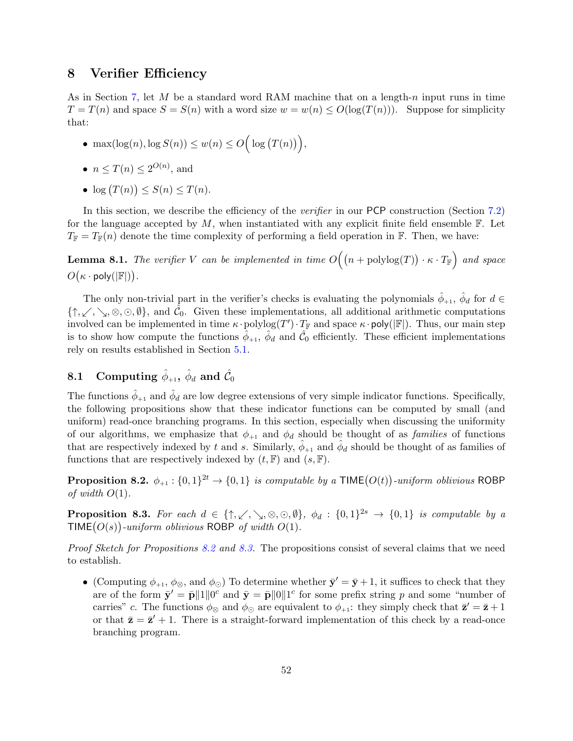## <span id="page-51-0"></span>8 Verifier Efficiency

As in Section [7,](#page-46-0) let  $M$  be a standard word RAM machine that on a length-n input runs in time  $T = T(n)$  and space  $S = S(n)$  with a word size  $w = w(n) \leq O(\log(T(n)))$ . Suppose for simplicity that:

- max $(\log(n), \log S(n)) \leq w(n) \leq O\Big(\log (T(n))\Big),$
- $n \leq T(n) \leq 2^{O(n)}$ , and
- $\log(T(n)) \leq S(n) \leq T(n)$ .

In this section, we describe the efficiency of the *verifier* in our PCP construction (Section [7.2\)](#page-48-0) for the language accepted by  $M$ , when instantiated with any explicit finite field ensemble  $\mathbb F$ . Let  $T_{\mathbb{F}} = T_{\mathbb{F}}(n)$  denote the time complexity of performing a field operation in  $\mathbb{F}$ . Then, we have:

<span id="page-51-3"></span>**Lemma 8.1.** The verifier V can be implemented in time  $O((n + \text{polylog}(T)) \cdot \kappa \cdot T_{\mathbb{F}})$  and space  $O(\kappa \cdot \text{poly}(|\mathbb{F}|)).$ 

The only non-trivial part in the verifier's checks is evaluating the polynomials  $\hat{\phi}_{+1}$ ,  $\hat{\phi}_d$  for  $d \in$  $\{\uparrow, \swarrow, \searrow, \otimes, \odot, \emptyset\}$ , and  $\hat{\mathcal{C}}_0$ . Given these implementations, all additional arithmetic computations involved can be implemented in time  $\kappa \cdot \text{polylog}(T') \cdot T_{\mathbb{F}}$  and space  $\kappa \cdot \text{poly}(|\mathbb{F}|)$ . Thus, our main step is to show how compute the functions  $\hat{\phi}_{+1}$ ,  $\hat{\phi}_d$  and  $\hat{\mathcal{C}}_0$  efficiently. These efficient implementations rely on results established in Section [5.1.](#page-38-0)

# <span id="page-51-4"></span> $8.1 \quad \textbf{Computing}\,\, \hat{\phi}_{+1},\, \hat{\phi}_{d} \,\, \textbf{and}\,\, \hat{\mathcal{C}}_{0}$

The functions  $\hat{\phi}_{+1}$  and  $\hat{\phi}_d$  are low degree extensions of very simple indicator functions. Specifically, the following propositions show that these indicator functions can be computed by small (and uniform) read-once branching programs. In this section, especially when discussing the uniformity of our algorithms, we emphasize that  $\phi_{+1}$  and  $\phi_d$  should be thought of as *families* of functions that are respectively indexed by t and s. Similarly,  $\hat{\phi}_{+1}$  and  $\hat{\phi}_d$  should be thought of as families of functions that are respectively indexed by  $(t, \mathbb{F})$  and  $(s, \mathbb{F})$ .

<span id="page-51-1"></span>**Proposition 8.2.**  $\phi_{+1} : \{0,1\}^{2t} \to \{0,1\}$  is computable by a TIME $(O(t))$ -uniform oblivious ROBP of width  $O(1)$ .

<span id="page-51-2"></span>**Proposition 8.3.** For each  $d \in \{\uparrow, \swarrow, \searrow, \otimes, \odot, \emptyset\}$ ,  $\phi_d : \{0,1\}^{2s} \to \{0,1\}$  is computable by a TIME $(O(s))$ -uniform oblivious ROBP of width  $O(1)$ .

Proof Sketch for Propositions [8.2](#page-51-1) and [8.3.](#page-51-2) The propositions consist of several claims that we need to establish.

• (Computing  $\phi_{+1}$ ,  $\phi_{\otimes}$ , and  $\phi_{\odot}$ ) To determine whether  $\bar{\mathbf{y}}' = \bar{\mathbf{y}} + 1$ , it suffices to check that they are of the form  $\bar{\mathbf{y}}' = \bar{\mathbf{p}} \| 1 \| 0^c$  and  $\bar{\mathbf{y}} = \bar{\mathbf{p}} \| 0 \| 1^c$  for some prefix string p and some "number of carries" c. The functions  $\phi_{\otimes}$  and  $\phi_{\odot}$  are equivalent to  $\phi_{+1}$ : they simply check that  $\bar{\mathbf{z}}' = \bar{\mathbf{z}} + 1$ or that  $\bar{z} = \bar{z}' + 1$ . There is a straight-forward implementation of this check by a read-once branching program.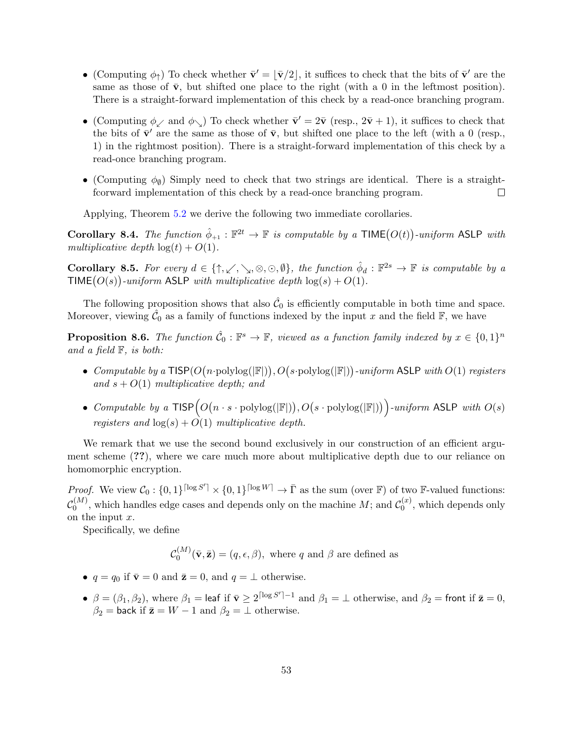- (Computing  $\phi_{\uparrow}$ ) To check whether  $\bar{\mathbf{v}}' = \lfloor \bar{\mathbf{v}}/2 \rfloor$ , it suffices to check that the bits of  $\bar{\mathbf{v}}'$  are the same as those of  $\bar{v}$ , but shifted one place to the right (with a 0 in the leftmost position). There is a straight-forward implementation of this check by a read-once branching program.
- (Computing  $\phi_{\swarrow}$  and  $\phi_{\searrow}$ ) To check whether  $\bar{\mathbf{v}}' = 2\bar{\mathbf{v}}$  (resp.,  $2\bar{\mathbf{v}} + 1$ ), it suffices to check that the bits of  $\bar{\mathbf{v}}'$  are the same as those of  $\bar{\mathbf{v}}$ , but shifted one place to the left (with a 0 (resp., 1) in the rightmost position). There is a straight-forward implementation of this check by a read-once branching program.
- (Computing  $\phi_{\emptyset}$ ) Simply need to check that two strings are identical. There is a straightfcorward implementation of this check by a read-once branching program.  $\Box$

Applying, Theorem [5.2](#page-39-1) we derive the following two immediate corollaries.

<span id="page-52-0"></span>Corollary 8.4. The function  $\hat{\phi}_{+1} : \mathbb{F}^{2t} \to \mathbb{F}$  is computable by a TIME $(O(t))$ -uniform ASLP with multiplicative depth  $log(t) + O(1)$ .

<span id="page-52-1"></span>**Corollary 8.5.** For every  $d \in \{\uparrow, \swarrow, \searrow, \otimes, \odot, \emptyset\}$ , the function  $\hat{\phi}_d : \mathbb{F}^{2s} \to \mathbb{F}$  is computable by a TIME $(O(s))$ -uniform ASLP with multiplicative depth  $log(s) + O(1)$ .

The following proposition shows that also  $\hat{\mathcal{C}}_0$  is efficiently computable in both time and space. Moreover, viewing  $\hat{\mathcal{C}}_0$  as a family of functions indexed by the input x and the field  $\mathbb{F}$ , we have

<span id="page-52-2"></span>**Proposition 8.6.** The function  $\hat{\mathcal{C}}_0$ :  $\mathbb{F}^s \to \mathbb{F}$ , viewed as a function family indexed by  $x \in \{0,1\}^n$ and a field  $\mathbb{F}$ , is both:

- Computable by a  $\textsf{TISP}(O(n\cdot \text{polylog}(|\mathbb{F}|)), O(s\cdot \text{polylog}(|\mathbb{F}|))\cdot uniform$  ASLP with  $O(1)$  registers and  $s + O(1)$  multiplicative depth; and
- Computable by a  $TISP\big(O(n \cdot s \cdot \text{polylog}(|\mathbb{F}|)), O(s \cdot \text{polylog}(|\mathbb{F}|))\big)$ -uniform ASLP with  $O(s)$ registers and  $log(s) + O(1)$  multiplicative depth.

We remark that we use the second bound exclusively in our construction of an efficient argument scheme (??), where we care much more about multiplicative depth due to our reliance on homomorphic encryption.

*Proof.* We view  $C_0: \{0,1\}^{\lceil \log S' \rceil} \times \{0,1\}^{\lceil \log W \rceil} \to \overline{\Gamma}$  as the sum (over  $\mathbb{F}$ ) of two  $\mathbb{F}\text{-valued functions:}$  $\mathcal{C}^{(M)}_\mathrm{0}$  $\binom{M}{0}$ , which handles edge cases and depends only on the machine  $M$ ; and  $\mathcal{C}_0^{(x)}$  $\binom{u}{0}$ , which depends only on the input x.

Specifically, we define

 $\mathcal{C}^{(M)}_\mathrm{0}$  $Q_0^{(M)}(\bar{\mathbf{v}}, \bar{\mathbf{z}}) = (q, \epsilon, \beta)$ , where q and  $\beta$  are defined as

- $q = q_0$  if  $\bar{\mathbf{v}} = 0$  and  $\bar{\mathbf{z}} = 0$ , and  $q = \perp$  otherwise.
- $\beta = (\beta_1, \beta_2)$ , where  $\beta_1 =$  leaf if  $\bar{\mathbf{v}} \ge 2^{\lceil \log S' \rceil 1}$  and  $\beta_1 = \bot$  otherwise, and  $\beta_2 =$  front if  $\bar{\mathbf{z}} = 0$ ,  $\beta_2$  = back if  $\bar{\mathbf{z}} = W - 1$  and  $\beta_2 = \bot$  otherwise.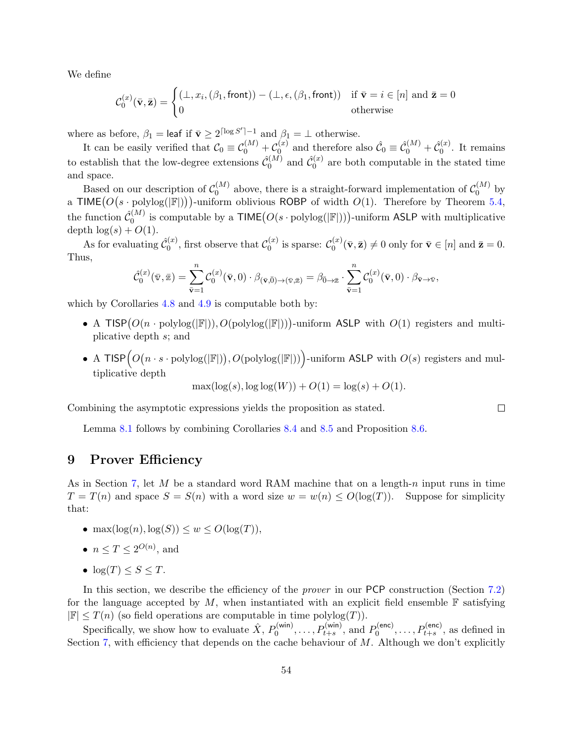We define

$$
\mathcal{C}_0^{(x)}(\bar{\mathbf{v}}, \bar{\mathbf{z}}) = \begin{cases} (\bot, x_i, (\beta_1, \text{front})) - (\bot, \epsilon, (\beta_1, \text{front})) & \text{if } \bar{\mathbf{v}} = i \in [n] \text{ and } \bar{\mathbf{z}} = 0\\ 0 & \text{otherwise} \end{cases}
$$

where as before,  $\beta_1 = \text{leaf if } \bar{\mathbf{v}} \geq 2^{\lceil \log S' \rceil - 1}$  and  $\beta_1 = \bot$  otherwise.

It can be easily verified that  $\mathcal{C}_0 \equiv \mathcal{C}_0^{(M)} + \mathcal{C}_0^{(x)}$  $\hat{\mathcal{C}}_0^{(x)}$  and therefore also  $\hat{\mathcal{C}}_0 \equiv \hat{\mathcal{C}}_0^{(M)} + \hat{\mathcal{C}}_0^{(x)}$  $\binom{x}{0}$ . It remains to establish that the low-degree extensions  $\hat{\mathcal{C}}_0^{(M)}$  $\hat{\mathcal{C}}_{0}^{(M)}$  and  $\hat{\mathcal{C}}_{0}^{(x)}$  $\binom{x}{0}$  are both computable in the stated time and space.

Based on our description of  $C_0^{(M)}$  $\binom{M}{0}$  above, there is a straight-forward implementation of  $\mathcal{C}_0^{(M)}$  $\int_0^{(M)}$  by a TIME $(O(s \cdot polylog(|\mathbb{F}|)))$ -uniform oblivious ROBP of width  $O(1)$ . Therefore by Theorem [5.4,](#page-41-1) the function  $\hat{\mathcal{C}}_0^{(M)}$  $\mathcal{O}_0^{(M)}$  is computable by a  $\mathsf{TIME}\big(O(s\cdot \mathrm{polylog}(|\mathbb{F}|))\big)$ -uniform ASLP with multiplicative depth  $log(s) + O(1)$ .

As for evaluating  $\hat{\mathcal{C}}_0^{(x)}$  $\mathcal{C}_0^{(x)}$ , first observe that  $\mathcal{C}_0^{(x)}$  $\mathcal{C}_0^{(x)}$  is sparse:  $\mathcal{C}_0^{(x)}$  $v_0^{(\mathbf{x})}(\bar{\mathbf{v}}, \bar{\mathbf{z}}) \neq 0$  only for  $\bar{\mathbf{v}} \in [n]$  and  $\bar{\mathbf{z}} = 0$ . Thus,

$$
\hat{\mathcal{C}}^{(x)}_0(\bar{\mathbf{v}},\bar{\mathbf{z}})=\sum_{\bar{\mathbf{v}}=1}^n\mathcal{C}^{(x)}_0(\bar{\mathbf{v}},0)\cdot\beta_{(\bar{\mathbf{v}},\bar{0})\to(\bar{\mathbf{v}},\bar{\mathbf{z}})}=\beta_{\bar{0}\to\bar{\mathbf{z}}}\cdot\sum_{\bar{\mathbf{v}}=1}^n\mathcal{C}^{(x)}_0(\bar{\mathbf{v}},0)\cdot\beta_{\bar{\mathbf{v}}\to\bar{\mathbf{v}}},
$$

which by Corollaries [4.8](#page-28-1) and [4.9](#page-28-2) is computable both by:

- A TISP $(O(n \cdot polylog(|\mathbb{F}|)), O(polylog(|\mathbb{F}|)))$ -uniform ASLP with  $O(1)$  registers and multiplicative depth s; and
- A TISP  $\big(\mathcal{O}(n \cdot s \cdot \text{polylog}(|\mathbb{F}|)), \mathcal{O}(\text{polylog}(|\mathbb{F}|))\big)$ -uniform ASLP with  $\mathcal{O}(s)$  registers and multiplicative depth

$$
\max(\log(s), \log \log(W)) + O(1) = \log(s) + O(1).
$$

Combining the asymptotic expressions yields the proposition as stated.

Lemma [8.1](#page-51-3) follows by combining Corollaries [8.4](#page-52-0) and [8.5](#page-52-1) and Proposition [8.6.](#page-52-2)

## <span id="page-53-0"></span>9 Prover Efficiency

As in Section [7,](#page-46-0) let  $M$  be a standard word RAM machine that on a length-n input runs in time  $T = T(n)$  and space  $S = S(n)$  with a word size  $w = w(n) \le O(\log(T))$ . Suppose for simplicity that:

- max $(\log(n), \log(S)) \leq w \leq O(\log(T)),$
- $n \le T \le 2^{O(n)}$ , and
- $log(T) \leq S \leq T$ .

In this section, we describe the efficiency of the *prover* in our PCP construction (Section [7.2\)](#page-48-0) for the language accepted by M, when instantiated with an explicit field ensemble  $\mathbb F$  satisfying  $|\mathbb{F}| \leq T(n)$  (so field operations are computable in time polylog $(T)$ ).

Specifically, we show how to evaluate  $\hat{X}$ ,  $P_0^{(\text{win})}$  $D_0^{(\textsf{win})}, \ldots, P_{t+s}^{(\textsf{win})}, \text{ and } P_0^{(\textsf{enc})}$  $D_0^{(\mathsf{enc})}, \ldots, P_{t+s}^{(\mathsf{enc})}$ , as defined in Section [7,](#page-46-0) with efficiency that depends on the cache behaviour of  $M$ . Although we don't explicitly

 $\Box$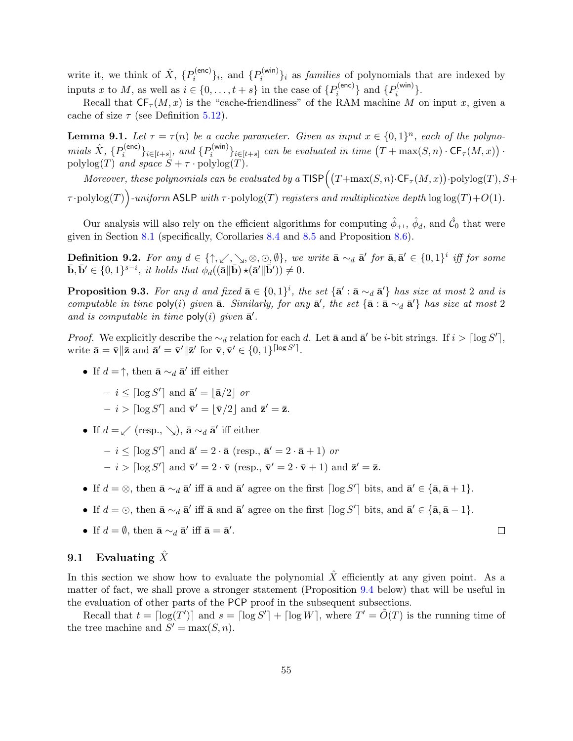write it, we think of  $\hat{X}$ ,  $\{P_i^{(\text{enc})}\}$  $\{P_i^{(\mathsf{enc})}\}_i$ , and  $\{P_i^{(\mathsf{win})}\}_i$  $\{e_i^{(WIII)}\}_i$  as *families* of polynomials that are indexed by inputs x to M, as well as  $i \in \{0, \ldots, t + s\}$  in the case of  $\{P_i^{(\text{enc})}\}$  $\{P_i^{(\mathsf{enc})}\}$  and  $\{P_i^{(\mathsf{win})}\}$  $i^{(W\vert n)}$ .

Recall that  $CF_{\tau}(M, x)$  is the "cache-friendliness" of the RAM machine M on input x, given a cache of size  $\tau$  (see Definition [5.12\)](#page-44-0).

**Lemma 9.1.** Let  $\tau = \tau(n)$  be a cache parameter. Given as input  $x \in \{0,1\}^n$ , each of the polynomials  $\hat{X}$ ,  $\{P_i^{(\textsf{enc})}\}$  $\{e^{(\mathsf{enc})}\}_{i \in [t+s]}, \text{ and } \{P_i^{(\mathsf{win})}\}$  $\{e^{(W\cup W)}\}_{i\in[t+s]}$  can be evaluated in time  $(T+\max(S,n)\cdot \textsf{CF}_{\tau}(M,x))$ . polylog(T) and space  $S + \tau \cdot \text{polylog}(T)$ .

Moreover, these polynomials can be evaluated by a  $\textsf{TISP}\Big((T+\max(S,n)\cdot\textsf{CF}_{\tau}(M,x))\cdot\textsf{polylog}(T),S+$ 

 $\tau$ ·polylog(T))-uniform ASLP with  $\tau$ ·polylog(T) registers and multiplicative depth log log(T)+O(1).

Our analysis will also rely on the efficient algorithms for computing  $\hat{\phi}_{+1}$ ,  $\hat{\phi}_d$ , and  $\hat{\mathcal{C}}_0$  that were given in Section [8.1](#page-51-4) (specifically, Corollaries [8.4](#page-52-0) and [8.5](#page-52-1) and Proposition [8.6\)](#page-52-2).

**Definition 9.2.** For any  $d \in \{\uparrow, \swarrow, \searrow, \otimes, \odot, \emptyset\}$ , we write  $\bar{\mathbf{a}} \sim_d \bar{\mathbf{a}}'$  for  $\bar{\mathbf{a}}, \bar{\mathbf{a}}' \in \{0,1\}^i$  iff for some  $\bar{\mathbf{b}}, \bar{\mathbf{b}}' \in \{0,1\}^{s-i}$ , it holds that  $\phi_d((\bar{\mathbf{a}} \|\bar{\mathbf{b}}) \star (\bar{\mathbf{a}}' \|\bar{\mathbf{b}}')) \neq 0$ .

**Proposition 9.3.** For any d and fixed  $\bar{\mathbf{a}} \in \{0,1\}^i$ , the set  $\{\bar{\mathbf{a}}': \bar{\mathbf{a}} \sim_d \bar{\mathbf{a}}'\}$  has size at most 2 and is computable in time poly(i) given  $\bar{a}$ . Similarly, for any  $\bar{a}'$ , the set  $\{\bar{a} : \bar{a} \sim_d \bar{a}'\}$  has size at most 2 and is computable in time  $\text{poly}(i)$  given  $\bar{\mathbf{a}}'$ .

*Proof.* We explicitly describe the  $\sim_d$  relation for each d. Let  $\bar{a}$  and  $\bar{a}'$  be *i*-bit strings. If  $i > \lceil \log S' \rceil$ , write  $\bar{\mathbf{a}} = \bar{\mathbf{v}} || \bar{\mathbf{z}}$  and  $\bar{\mathbf{a}}' = \bar{\mathbf{v}}' || \bar{\mathbf{z}}'$  for  $\bar{\mathbf{v}}, \bar{\mathbf{v}}' \in \{0, 1\}^{\lceil \log S' \rceil}$ .

• If  $d = \uparrow$ , then  $\bar{\mathbf{a}} \sim_d \bar{\mathbf{a}}'$  iff either

 $- i \leq \lceil \log S' \rceil$  and  $\bar{\mathbf{a}}' = |\bar{\mathbf{a}}/2|$  or  $- i > \lceil \log S' \rceil$  and  $\bar{\mathbf{v}}' = |\bar{\mathbf{v}}/2|$  and  $\bar{\mathbf{z}}' = \bar{\mathbf{z}}$ .

• If  $d = \swarrow$  (resp.,  $\searrow$ ),  $\bar{\mathbf{a}} \sim_d \bar{\mathbf{a}}'$  iff either

 $- i \leq \lceil \log S' \rceil$  and  $\bar{\mathbf{a}}' = 2 \cdot \bar{\mathbf{a}} \text{ (resp., } \bar{\mathbf{a}}' = 2 \cdot \bar{\mathbf{a}} + 1)$  or

- $i > \lceil \log S' \rceil$  and  $\bar{\mathbf{v}}' = 2 \cdot \bar{\mathbf{v}} \pmod{\bar{\mathbf{v}}' = 2 \cdot \bar{\mathbf{v}} + 1}$  and  $\bar{\mathbf{z}}' = \bar{\mathbf{z}}$ .
- If  $d = \otimes$ , then  $\bar{\mathbf{a}} \sim_d \bar{\mathbf{a}}'$  iff  $\bar{\mathbf{a}}$  and  $\bar{\mathbf{a}}'$  agree on the first  $\lceil \log S' \rceil$  bits, and  $\bar{\mathbf{a}}' \in {\lbrace \bar{\mathbf{a}}, \bar{\mathbf{a}} + 1 \rbrace}$ .
- If  $d = \odot$ , then  $\bar{\mathbf{a}} \sim_d \bar{\mathbf{a}}'$  iff  $\bar{\mathbf{a}}$  and  $\bar{\mathbf{a}}'$  agree on the first  $\lceil \log S' \rceil$  bits, and  $\bar{\mathbf{a}}' \in {\lbrace \bar{\mathbf{a}}, \bar{\mathbf{a}} 1 \rbrace}$ .
- If  $d = \emptyset$ , then  $\bar{\mathbf{a}} \sim_d \bar{\mathbf{a}}'$  iff  $\bar{\mathbf{a}} = \bar{\mathbf{a}}'$ .

## 9.1 Evaluating  $\overline{X}$

In this section we show how to evaluate the polynomial  $\hat{X}$  efficiently at any given point. As a matter of fact, we shall prove a stronger statement (Proposition [9.4](#page-54-0) below) that will be useful in the evaluation of other parts of the PCP proof in the subsequent subsections.

<span id="page-54-0"></span>Recall that  $t = \lceil \log(T') \rceil$  and  $s = \lceil \log S' \rceil + \lceil \log W \rceil$ , where  $T' = \tilde{O}(T)$  is the running time of the tree machine and  $S' = \max(S, n)$ .

 $\Box$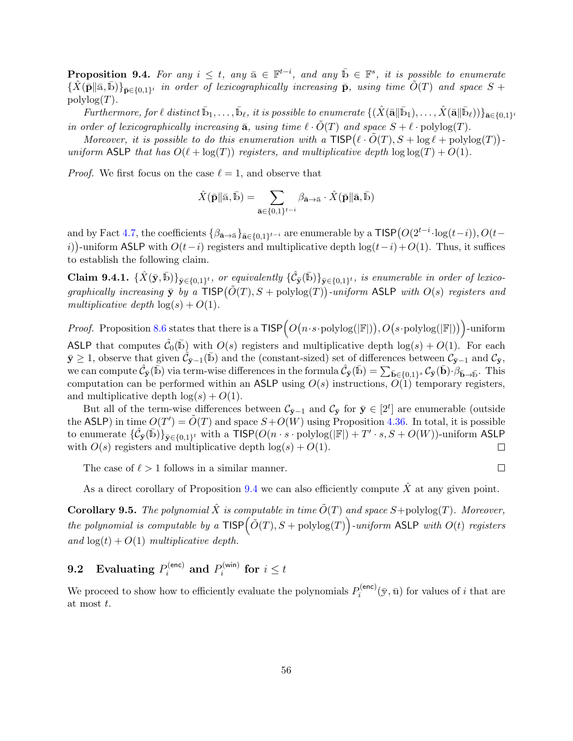**Proposition 9.4.** For any  $i \leq t$ , any  $\bar{a} \in \mathbb{F}^{t-i}$ , and any  $\bar{b} \in \mathbb{F}^s$ , it is possible to enumerate  $\{\hat{X}(\bar{\mathbf{p}}\|\bar{\mathbf{a}},\bar{\mathbf{b}})\}_{\bar{\mathbf{p}}\in\{0,1\}^i}$  in order of lexicographically increasing  $\bar{\mathbf{p}}$ , using time  $\tilde{O}(T)$  and space  $S$  +  $polylog(T)$ .

 $\emph{Furthermore, for $\ell$ distinct $\bar{\mathbb{b}}_1,\ldots,\bar{\mathbb{b}}_\ell$, it is possible to enumerate $\{(\hat{X}(\bar{\mathbf{a}}\vert \vert \bar{\mathbf{b}}_1),\ldots,\hat{X}(\bar{\mathbf{a}}\vert \vert \bar{\mathbf{b}}_\ell))\}_{\bar{\mathbf{a}}\in\{0,1\}^i}}$ in order of lexicographically increasing  $\bar{a}$ , using time  $\ell \cdot \tilde{O}(T)$  and space  $S + \ell \cdot \text{polylog}(T)$ .

Moreover, it is possible to do this enumeration with a  $\text{TISP}(\ell \cdot \tilde{O}(T), S + \log \ell + \text{polylog}(T))$ uniform ASLP that has  $O(\ell + \log(T))$  registers, and multiplicative depth  $\log(\log(T) + O(1))$ .

*Proof.* We first focus on the case  $\ell = 1$ , and observe that

$$
\hat{X}(\bar{\mathbf{p}} \| \bar{\mathbf{a}}, \bar{\mathbf{b}}) = \sum_{\bar{\mathbf{a}} \in \{0,1\}^{t-i}} \beta_{\bar{\mathbf{a}} \to \bar{\mathbf{a}}} \cdot \hat{X}(\bar{\mathbf{p}} \| \bar{\mathbf{a}}, \bar{\mathbf{b}})
$$

and by Fact [4.7,](#page-28-3) the coefficients  $\{\beta_{\bar{\mathbf{a}}\to\bar{\mathbf{a}}}\}_{\bar{\mathbf{a}}\in\{0,1\}^{t-i}}$  are enumerable by a  $\text{TISP}(O(2^{t-i}\cdot \log(t-i)), O(t-i))$ i))-uniform ASLP with  $O(t-i)$  registers and multiplicative depth  $log(t-i)+O(1)$ . Thus, it suffices to establish the following claim.

Claim 9.4.1.  $\{\hat{X}(\bar{y}, \bar{b})\}_{\bar{y}\in\{0,1\}^t}$ , or equivalently  $\{\hat{\mathcal{C}}_{\bar{y}}(\bar{b})\}_{\bar{y}\in\{0,1\}^t}$ , is enumerable in order of lexicographically increasing  $\bar{y}$  by a  $\overline{\text{TISP}(\tilde{O}(T), S + \text{polylog}(T))}$ -uniform ASLP with  $O(s)$  registers and multiplicative depth  $log(s) + O(1)$ .

*Proof.* Proposition [8.6](#page-52-2) states that there is a  $TISP\big(O(n \cdot s \cdot \text{polylog}(|\mathbb{F}|)), O(s \cdot \text{polylog}(|\mathbb{F}|))\big)$ -uniform ASLP that computes  $\hat{\mathcal{C}}_0(\bar{\mathbb{b}})$  with  $O(s)$  registers and multiplicative depth  $\log(s) + O(1)$ . For each  $\bar{y} \geq 1$ , observe that given  $\hat{\mathcal{C}}_{\bar{y}-1}(\bar{b})$  and the (constant-sized) set of differences between  $\mathcal{C}_{\bar{y}-1}$  and  $\mathcal{C}_{\bar{y}}$ , we can compute  $\hat{\mathcal{C}}_{\bar{\mathbf{y}}}(\bar{\mathbf{b}})$  via term-wise differences in the formula  $\hat{\mathcal{C}}_{\bar{\mathbf{y}}}(\bar{\mathbf{b}}) = \sum_{\bar{\mathbf{b}} \in \{0,1\}^s} \mathcal{C}_{\bar{\mathbf{y}}}(\bar{\mathbf{b}}) \cdot \hat{\beta}_{\bar{\mathbf{b}} \to \bar{\mathbf{b}}}$ . This computation can be performed within an ASLP using  $O(s)$  instructions,  $O(1)$  temporary registers, and multiplicative depth  $log(s) + O(1)$ .

But all of the term-wise differences between  $\mathcal{C}_{\bar{y}-1}$  and  $\mathcal{C}_{\bar{y}}$  for  $\bar{y} \in [2^t]$  are enumerable (outside the ASLP) in time  $O(T') = \tilde{O}(T)$  and space  $S+O(W)$  using Proposition [4.36.](#page-37-1) In total, it is possible to enumerate  $\{\hat{\mathcal{C}}_{\bar{\mathbf{y}}}(\bar{\mathbb{b}})\}_{\bar{\mathbf{y}}\in\{0,1\}^t}$  with a  $\text{TISP}(O(n\cdot s\cdot \text{polylog}(|\mathbb{F}|) + T'\cdot s, S + O(W))$ -uniform ASLP with  $O(s)$  registers and multiplicative depth  $log(s) + O(1)$ .  $\Box$ 

The case of  $\ell > 1$  follows in a similar manner.

$$
\Box
$$

As a direct corollary of Proposition [9.4](#page-54-0) we can also efficiently compute  $\hat{X}$  at any given point.

**Corollary 9.5.** The polynomial  $\hat{X}$  is computable in time  $\hat{O}(T)$  and space  $S+$ polylog(T). Moreover, the polynomial is computable by a  $\mathsf{TISP}\big(\tilde{O}(T),S+\mathrm{polylog}(T)\big)$ -uniform ASLP with  $O(t)$  registers and  $log(t) + O(1)$  multiplicative depth.

#### $\quad \ \textbf{9.2 \quad Evaluating}\ \textit{P}_{i}^{(\textsf{enc})} \ \textbf{and}\ \textit{P}_{i}^{(\textsf{win})}$  $\sum_{i}^{\text{(win)}}$  for  $i \leq t$

We proceed to show how to efficiently evaluate the polynomials  $P_i^{(\text{enc})}$  $i_i^{(\text{enc})}(\bar{y}, \bar{u})$  for values of i that are at most t.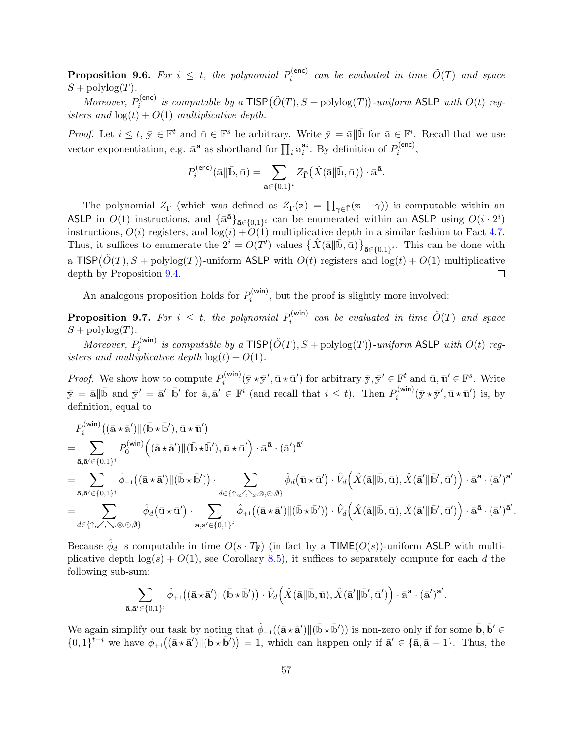**Proposition 9.6.** For  $i \leq t$ , the polynomial  $P_i^{(\text{enc})}$  $\tilde{O}^{(\text{enc})}_{i}$  can be evaluated in time  $\tilde{O}(T)$  and space  $S + \text{polylog}(T)$ .

*Moreover*,  $P_i^{(\text{enc})}$  $\tilde{p}_i^{(\text{enc})}$  is computable by a  $\textsf{TISP}(\tilde{O}(T),S+\text{polylog}(T))$ -uniform ASLP with  $O(t)$  registers and  $log(t) + O(1)$  multiplicative depth.

*Proof.* Let  $i \leq t, \bar{y} \in \mathbb{F}^t$  and  $\bar{u} \in \mathbb{F}^s$  be arbitrary. Write  $\bar{y} = \bar{a} \|\bar{b}$  for  $\bar{a} \in \mathbb{F}^i$ . Recall that we use vector exponentiation, e.g.  $\bar{a}^{\bar{a}}$  as shorthand for  $\prod_i a_i^{a_i}$ . By definition of  $P_i^{(enc)}$  $i^{(\text{enc})},$ 

$$
P_i^{(\mathsf{enc})}(\bar{\mathbf{a}} \| \bar{\mathbf{b}}, \bar{\mathbf{u}}) = \sum_{\bar{\mathbf{a}} \in \{0,1\}^i} Z_{\bar{\Gamma}}(\hat{X}(\bar{\mathbf{a}} \| \bar{\mathbf{b}}, \bar{\mathbf{u}})) \cdot \bar{\mathbf{a}}^{\bar{\mathbf{a}}}.
$$

The polynomial  $Z_{\bar{\Gamma}}$  (which was defined as  $Z_{\bar{\Gamma}}(z) = \prod_{\gamma \in \bar{\Gamma}} (z - \gamma)$ ) is computable within an ASLP in  $O(1)$  instructions, and  $\{\bar{a}^{\bar{a}}\}_{\bar{a}\in\{0,1\}^i}$  can be enumerated within an ASLP using  $O(i \cdot 2^i)$ instructions,  $O(i)$  registers, and  $log(i) + O(1)$  multiplicative depth in a similar fashion to Fact [4.7.](#page-28-3) Thus, it suffices to enumerate the  $2^{i} = O(T')$  values  $\{\hat{X}(\bar{\mathbf{a}}\|\bar{\mathbf{b}}, \bar{\mathbf{u}})\}_{\bar{\mathbf{a}} \in \{0,1\}^i}$ . This can be done with a TISP $(\tilde{O}(T), S + \text{polylog}(T))$ -uniform ASLP with  $O(t)$  registers and  $\log(t) + O(1)$  multiplicative depth by Proposition [9.4.](#page-54-0)  $\Box$ 

An analogous proposition holds for  $P_i^{(\text{win})}$  $i_i^{(WIII)}$ , but the proof is slightly more involved:

**Proposition 9.7.** For  $i \leq t$ , the polynomial  $P_i^{(\text{win})}$  $\tilde{o}^{(\sf{win})}_{i}$  can be evaluated in time  $\tilde{O}(T)$  and space  $S + \text{polylog}(T)$ .

*Moreover*,  $P_i^{(\text{win})}$  $\tilde{p}_i^{(\textsf{win})}$  is computable by a  $\textsf{TISP}(\tilde{O}(T),S+\text{polylog}(T))$ -uniform ASLP with  $O(t)$  registers and multiplicative depth  $log(t) + O(1)$ .

*Proof.* We show how to compute  $P_i^{(\text{win})}$  $\bar{y}_i^{(\text{win})}(\bar{y} \star \bar{y}', \bar{u} \star \bar{u}')$  for arbitrary  $\bar{y}, \bar{y}' \in \mathbb{F}^t$  and  $\bar{u}, \bar{u}' \in \mathbb{F}^s$ . Write  $\bar{y} = \bar{a} \|\bar{b} \text{ and } \bar{y}' = \bar{a}'\|\bar{b}' \text{ for } \bar{a}, \bar{a}' \in \mathbb{F}^i \text{ (and recall that } i \leq t). \text{ Then } P_i^{(\text{win})}$  $\bar{u}_i^{(\text{win})}(\bar{y} \star \bar{y}', \bar{u} \star \bar{u}')$  is, by definition, equal to

$$
P_{i}^{(\text{win})}((\bar{a} \star \bar{a}') \| (\bar{b} \star \bar{b}'), \bar{u} \star \bar{u}' )
$$
\n
$$
= \sum_{\bar{a}, \bar{a}' \in \{0,1\}^{i}} P_{0}^{(\text{win})}((\bar{a} \star \bar{a}') \| (\bar{b} \star \bar{b}'), \bar{u} \star \bar{u}' ) \cdot \bar{a}^{\bar{a}} \cdot (\bar{a}')^{\bar{a}'}
$$
\n
$$
= \sum_{\bar{a}, \bar{a}' \in \{0,1\}^{i}} \hat{\phi}_{+1}((\bar{a} \star \bar{a}') \| (\bar{b} \star \bar{b}')) \cdot \sum_{d \in \{\uparrow, \swarrow, \searrow, \otimes, \odot, \emptyset\}} \hat{\phi}_{d}(\bar{u} \star \bar{u}') \cdot \hat{V}_{d}(\hat{X}(\bar{a} \| \bar{b}, \bar{u}), \hat{X}(\bar{a}' \| \bar{b}', \bar{u}')) \cdot \bar{a}^{\bar{a}} \cdot (\bar{a}')^{\bar{a}'}
$$
\n
$$
= \sum_{d \in \{\uparrow, \swarrow, \searrow, \otimes, \odot, \emptyset\}} \hat{\phi}_{d}(\bar{u} \star \bar{u}') \cdot \sum_{\bar{a}, \bar{a}' \in \{0,1\}^{i}} \hat{\phi}_{+1}((\bar{a} \star \bar{a}') \| (\bar{b} \star \bar{b}')) \cdot \hat{V}_{d}(\hat{X}(\bar{a} \| \bar{b}, \bar{u}), \hat{X}(\bar{a}' \| \bar{b}', \bar{u}')) \cdot \bar{a}^{\bar{a}} \cdot (\bar{a}')^{\bar{a}'}
$$

.

Because  $\hat{\phi}_d$  is computable in time  $O(s \cdot T_{\mathbb{F}})$  (in fact by a TIME( $O(s)$ )-uniform ASLP with multiplicative depth  $log(s) + O(1)$ , see Corollary [8.5\)](#page-52-1), it suffices to separately compute for each d the following sub-sum:

$$
\sum_{\bar{\mathbf{a}},\bar{\mathbf{a}}'\in\{0,1\}^i}\hat{\phi}_{+1}\big((\bar{\mathbf{a}}\star\bar{\mathbf{a}}')\|(\bar{\mathbb{b}}\star\bar{\mathbb{b}}')\big)\cdot\hat{V}_d\Big(\hat{X}(\bar{\mathbf{a}}\|\bar{\mathbb{b}},\bar{\mathbf{u}}),\hat{X}(\bar{\mathbf{a}}'\|\bar{\mathbb{b}}',\bar{\mathbf{u}}')\Big)\cdot\bar{\mathbf{a}}^{\bar{\mathbf{a}}}\cdot(\bar{\mathbf{a}}')^{\bar{\mathbf{a}}'}.
$$

We again simplify our task by noting that  $\hat{\phi}_{+1}((\bar{\mathbf{a}} \star \bar{\mathbf{a}}') \| (\bar{\mathbf{b}} \star \bar{\mathbf{b}}'))$  is non-zero only if for some  $\bar{\mathbf{b}}, \bar{\mathbf{b}}' \in$  $\{0,1\}^{\bar{t}-i}$  we have  $\phi_{+1}((\bar{\mathbf{a}}\star\bar{\mathbf{a}}')\|(\bar{\mathbf{b}}\star\bar{\mathbf{b}}'))=1$ , which can happen only if  $\bar{\mathbf{a}}' \in {\bar{\mathbf{a}}}, \bar{\mathbf{a}}+1$ . Thus, the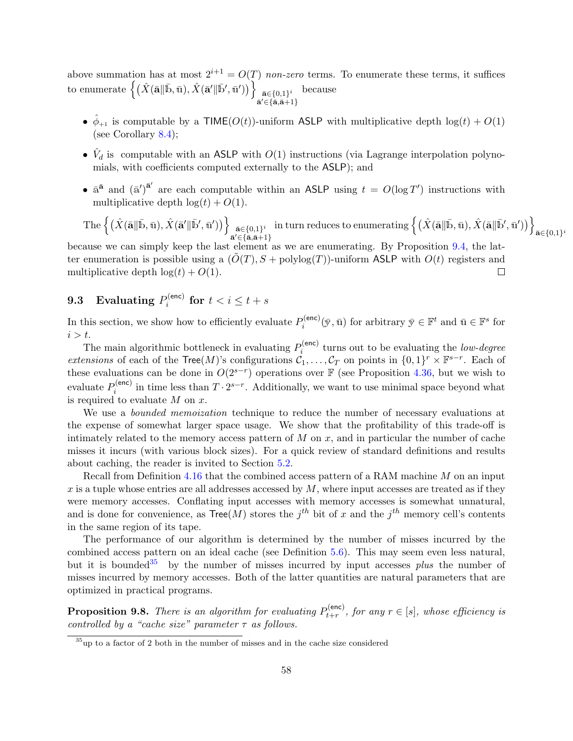above summation has at most  $2^{i+1} = O(T)$  non-zero terms. To enumerate these terms, it suffices  ${\rm to\,\, enumerate}\,\left\{(\hat X(\bar{\bf a}\|\bar{\bf b},\bar{\bf u}),\hat X(\bar{\bf a}'\|\bar{\bf b}',\bar{\bf u}'))\right\}\,\, \bar{\bf a}\in\{0,1\}^i}$  $\bar{\mathbf{a}}' \in {\bar{\mathbf{a}}}, \bar{\mathbf{a}}+1$ because

- $\hat{\phi}_{+1}$  is computable by a TIME( $O(t)$ )-uniform ASLP with multiplicative depth  $\log(t) + O(1)$ (see Corollary [8.4\)](#page-52-0);
- $\hat{V}_d$  is computable with an ASLP with  $O(1)$  instructions (via Lagrange interpolation polynomials, with coefficients computed externally to the ASLP); and
- $\bar{a}^{\bar{a}}$  and  $(\bar{a}')^{\bar{a}'}$  are each computable within an ASLP using  $t = O(\log T')$  instructions with multiplicative depth  $\log(t) + O(1)$ .

$$
\text{The}\left\{\left(\hat{X}(\bar{\mathbf{a}}\|\bar{\mathbf{b}},\bar{\mathbf{u}}),\hat{X}(\bar{\mathbf{a}}'\|\bar{\mathbf{b}}',\bar{\mathbf{u}}')\right)\right\}_{\bar{\mathbf{a}}\in\{0,1\}^i}\text{ in turn reduces to enumerating }\left\{\left(\hat{X}(\bar{\mathbf{a}}\|\bar{\mathbf{b}},\bar{\mathbf{u}}),\hat{X}(\bar{\mathbf{a}}\|\bar{\mathbf{b}}',\bar{\mathbf{u}}')\right)\right\}_{\bar{\mathbf{a}}\in\{0,1\}^i}
$$

because we can simply keep the last element as we are enumerating. By Proposition [9.4,](#page-54-0) the latter enumeration is possible using a  $(\tilde{O}(T), S + \text{polylog}(T))$ -uniform ASLP with  $O(t)$  registers and multiplicative depth  $log(t) + O(1)$ .  $\Box$ 

#### 9.3 Evaluating  $P_i^{(\mathsf{enc})}$  $\sum_{i}^{\text{(enc)}}$  for  $t < i \leq t + s$

In this section, we show how to efficiently evaluate  $P_i^{(\text{enc})}$  $\bar{y}_i^{(\text{enc})}(\bar{y}, \bar{u})$  for arbitrary  $\bar{y} \in \mathbb{F}^t$  and  $\bar{u} \in \mathbb{F}^s$  for  $i > t$ .

The main algorithmic bottleneck in evaluating  $P_i^{(enc)}$  $i_i^{(enc)}$  turns out to be evaluating the *low-degree extensions* of each of the Tree(M)'s configurations  $\mathcal{C}_1, \ldots, \mathcal{C}_T$  on points in  $\{0,1\}^r \times \mathbb{F}^{s-r}$ . Each of these evaluations can be done in  $O(2^{s-r})$  operations over F (see Proposition [4.36,](#page-37-1) but we wish to evaluate  $P_i^{(\text{enc})}$  $i^{(\text{enc})}$  in time less than  $T \cdot 2^{s-r}$ . Additionally, we want to use minimal space beyond what is required to evaluate  $M$  on  $x$ .

We use a *bounded memoization* technique to reduce the number of necessary evaluations at the expense of somewhat larger space usage. We show that the profitability of this trade-off is intimately related to the memory access pattern of  $M$  on  $x$ , and in particular the number of cache misses it incurs (with various block sizes). For a quick review of standard definitions and results about caching, the reader is invited to Section [5.2.](#page-42-0)

Recall from Definition [4.16](#page-31-0) that the combined access pattern of a RAM machine M on an input  $x$  is a tuple whose entries are all addresses accessed by  $M$ , where input accesses are treated as if they were memory accesses. Conflating input accesses with memory accesses is somewhat unnatural, and is done for convenience, as  $Tree(M)$  stores the  $j<sup>th</sup>$  bit of x and the  $j<sup>th</sup>$  memory cell's contents in the same region of its tape.

The performance of our algorithm is determined by the number of misses incurred by the combined access pattern on an ideal cache (see Definition [5.6\)](#page-42-2). This may seem even less natural, but it is bounded<sup>[35](#page-57-0)</sup> by the number of misses incurred by input accesses *plus* the number of misses incurred by memory accesses. Both of the latter quantities are natural parameters that are optimized in practical programs.

<span id="page-57-1"></span>**Proposition 9.8.** There is an algorithm for evaluating  $P_{t+r}^{(\text{enc})}$  $t_{t+r}^{(\text{enc})}$ , for any  $r \in [s]$ , whose efficiency is controlled by a "cache size" parameter  $\tau$  as follows.

<span id="page-57-0"></span> $35$ up to a factor of 2 both in the number of misses and in the cache size considered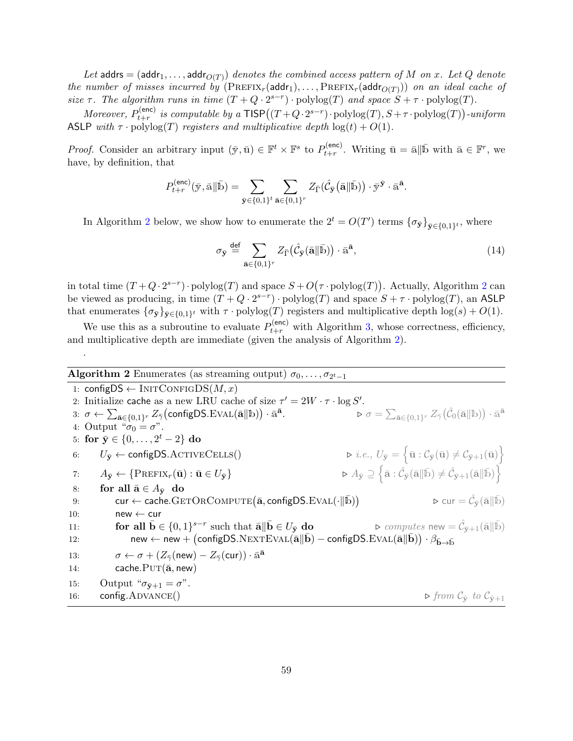Let  $\mathsf{address} = (\mathsf{addr}_1, \dots, \mathsf{addr}_{O(T)})$  denotes the combined access pattern of  $M$  on  $x.$  Let  $Q$  denote the number of misses incurred by  $(PREFIX_r(\text{addr}_1), \ldots, PREFIX_r(\text{addr}_{O(T)}))$  on an ideal cache of size  $\tau$ . The algorithm runs in time  $(T+Q\cdot 2^{s-r})\cdot \text{polylog}(T)$  and space  $S+\tau \cdot \text{polylog}(T)$ .

*Moreover*,  $P_{t+r}^{(\text{enc})}$  $t_{t+r}^{(\text{enc})}$  is computable by a  $\text{TISP}\big((T+Q\cdot 2^{s-r})\cdot \text{polylog}(T), S+\tau\cdot \text{polylog}(T)\big)$ -uniform ASLP with  $\tau \cdot \text{polylog}(T)$  registers and multiplicative depth  $\log(t) + O(1)$ .

*Proof.* Consider an arbitrary input  $(\bar{y}, \bar{u}) \in \mathbb{F}^t \times \mathbb{F}^s$  to  $P_{t+r}^{(\text{enc})}$  $t_{t+r}^{(\text{enc})}$ . Writing  $\bar{u} = \bar{a} \|\bar{b}$  with  $\bar{a} \in \mathbb{F}^r$ , we have, by definition, that

$$
P_{t+r}^{(\mathrm{enc})}(\bar{\mathbf{y}},\bar{\mathbf{a}}\|\bar{\mathbf{b}}) = \sum_{\bar{\mathbf{y}} \in \{0,1\}^t} \sum_{\bar{\mathbf{a}} \in \{0,1\}^r} Z_{\bar{\Gamma}}(\hat{\mathcal{C}}_{\bar{\mathbf{y}}}(\bar{\mathbf{a}}\|\bar{\mathbf{b}})) \cdot \bar{\mathbf{y}}^{\bar{\mathbf{y}}} \cdot \bar{\mathbf{a}}^{\bar{\mathbf{a}}}.
$$

In Algorithm [2](#page-58-0) below, we show how to enumerate the  $2^t = O(T')$  terms  ${\{\sigma_{\bar{y}}\}}_{\bar{y} \in \{0,1\}^t}$ , where

<span id="page-58-2"></span>
$$
\sigma_{\bar{y}} \stackrel{\text{def}}{=} \sum_{\bar{\mathbf{a}} \in \{0,1\}^r} Z_{\bar{\Gamma}}(\hat{\mathcal{C}}_{\bar{y}}(\bar{\mathbf{a}} \| \bar{\mathbf{b}})) \cdot \bar{\mathbf{a}}^{\bar{\mathbf{a}}},\tag{14}
$$

in total time  $(T+Q\cdot 2^{s-r})\cdot \text{polylog}(T)$  $(T+Q\cdot 2^{s-r})\cdot \text{polylog}(T)$  $(T+Q\cdot 2^{s-r})\cdot \text{polylog}(T)$  and space  $S+O(\tau \cdot \text{polylog}(T))$ . Actually, Algorithm 2 can be viewed as producing, in time  $(T+Q\cdot 2^{s-r})\cdot \text{polylog}(T)$  and space  $S+\tau \cdot \text{polylog}(T)$ , an ASLP that enumerates  $\{\sigma_{\bar{y}}\}_{\bar{y}\in\{0,1\}^t}$  with  $\tau \cdot \text{polylog}(T)$  registers and multiplicative depth  $\log(s) + O(1)$ .

We use this as a subroutine to evaluate  $P_{t+r}^{(\text{enc})}$  with Algorithm [3,](#page-59-0) whose correctness, efficiency, and multiplicative depth are immediate (given the analysis of Algorithm [2\)](#page-58-0).

<span id="page-58-0"></span>**Algorithm 2** Enumerates (as streaming output)  $\sigma_0, \ldots, \sigma_{2^t-1}$ 

.

<span id="page-58-10"></span><span id="page-58-9"></span><span id="page-58-8"></span><span id="page-58-7"></span><span id="page-58-6"></span><span id="page-58-5"></span><span id="page-58-4"></span><span id="page-58-3"></span><span id="page-58-1"></span>1: configDS  $\leftarrow$  INITCONFIGDS $(M, x)$ 2: Initialize cache as a new LRU cache of size  $\tau' = 2W \cdot \tau \cdot \log S'$ .  $\mathrm{a:}\;\sigma\gets\sum_{\bar{\mathbf{a}}\in\{0,1\}^r}Z_{\bar{\gamma}}\big(\mathrm{configDS.EVAL}(\bar{\mathbf{a}}\|\mathbb{b})\big)\cdot\bar{\mathbf{a}}^{\bar{\mathbf{a}}}$ .  $\qquad \qquad \triangleright \sigma = \sum_{\bar{\mathbf{a}} \in \{0,1\}^r} Z_{\bar{\gamma}}\big(\hat{\mathcal{C}}_0(\bar{\mathbf{a}} \| \mathbb{b})\big) \cdot \bar{\mathbf{a}}^{\bar{\mathbf{a}}}$ 4: Output " $\sigma_0 = \sigma$ ". 5: for  $\bar{y} \in \{0, \ldots, 2^t - 2\}$  do 6:  $U_{\bar{v}} \leftarrow$  configDS.ACTIVECELLS()  $\left\{\bar{\mathbf{u}} : \mathcal{C}_{\bar{\mathbf{y}}}(\bar{\mathbf{u}}) \neq \mathcal{C}_{\bar{\mathbf{y}}+1}(\bar{\mathbf{u}})\right\}$ 7:  $A_{\bar{v}} \leftarrow {\text{PREFIX}_r(\bar{u}) : \bar{u} \in U_{\bar{v}} }$  $\left\{ \bar{\mathbf{a}} : \hat{\mathcal{C}}_{\bar{\mathbf{y}}}(\bar{\mathbf{a}} \| \bar{\mathbf{b}}) \neq \hat{\mathcal{C}}_{\bar{\mathbf{y}}+1}(\bar{\mathbf{a}} \| \bar{\mathbf{b}}) \right\}$ 8: for all  $\bar{\mathbf{a}} \in A_{\bar{\mathbf{v}}}$  do 9:  $\text{cur} \leftarrow \text{cache}.\text{GETORCOMPUTE}(\bar{\mathbf{a}}, \text{configDS}.\text{EVAL}(\cdot \|\bar{\mathbf{b}}))$  $\triangleright$  cur  $= \hat{\mathcal{C}}_{\bar{{\mathbf{y}}}}(\bar{{\mathbf{a}}} \| \bar{{\mathbf{b}}})$ 10:  $new \leftarrow cur$ 11: **for all**  $\bar{\mathbf{b}} \in \{0,1\}^{s-r}$  such that  $\bar{\mathbf{a}} \parallel \bar{\mathbf{b}} \in U_{\bar{\mathbf{y}}}$  do  $\triangleright$  computes new  $=\hat{\mathcal{C}}_3$  $\triangleright$  computes new  $=\hat{\mathcal{C}}_{\bar{\mathbf{v}}+1}(\bar{\mathbf{a}}\|\bar{\mathbf{b}})$ 12: new ← new + (configDS.NEXTEVAL( $\bar{a}$ || $\bar{b}$ ) – configDS.EVAL( $\bar{a}$ || $\bar{b}$ ))  $\cdot$   $\beta_{\bar{b}\to\bar{b}}$ 13:  $\sigma \leftarrow \sigma + (Z_{\bar{\gamma}}(\textsf{new}) - Z_{\bar{\gamma}}(\textsf{cur})) \cdot \bar{\mathbf{a}}^{\bar{\mathbf{a}}}$ 14: cache. $PUT(\bar{a}, new)$ 15: Output " $\sigma_{\bar{v}+1} = \sigma$ ". 16: config. ADVANCE()  $\triangleright$  from  $C_{\bar{y}}$  to  $C_{\bar{y}+1}$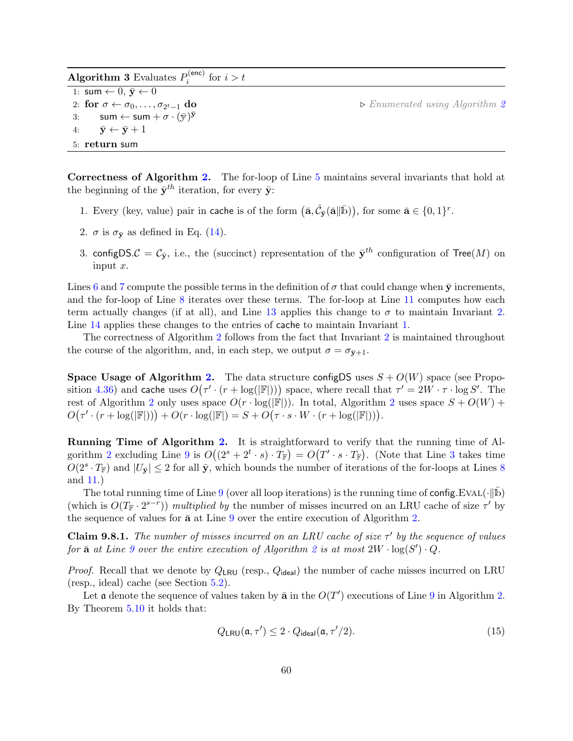<span id="page-59-0"></span>

| <b>Algorithm 3</b> Evaluates $P_i^{(enc)}$ for $i > t$         |                                               |
|----------------------------------------------------------------|-----------------------------------------------|
| 1: sum $\leftarrow 0, \bar{\mathbf{y}} \leftarrow 0$           |                                               |
| 2: for $\sigma \leftarrow \sigma_0, \ldots, \sigma_{2^t-1}$ do | $\triangleright$ Enumerated using Algorithm 2 |
| 3: sum $\leftarrow$ sum $+ \sigma \cdot (\bar{y})^{\bar{y}}$   |                                               |
| 4: $\bar{\mathbf{y}} \leftarrow \bar{\mathbf{y}} + 1$          |                                               |
| 5: return sum                                                  |                                               |

Correctness of Algorithm [2.](#page-58-0) The for-loop of Line [5](#page-58-1) maintains several invariants that hold at the beginning of the  $\bar{\mathbf{y}}^{th}$  iteration, for every  $\bar{\mathbf{y}}$ :

- <span id="page-59-2"></span>1. Every (key, value) pair in cache is of the form  $(\bar{\mathbf{a}}, \hat{\mathcal{C}}_{\bar{\mathbf{y}}}(\bar{\mathbf{a}}||\bar{\mathbf{b}}))$ , for some  $\bar{\mathbf{a}} \in \{0, 1\}^r$ .
- <span id="page-59-1"></span>2.  $\sigma$  is  $\sigma_{\bar{y}}$  as defined in Eq. [\(14\)](#page-58-2).
- 3. configDS. $\mathcal{C} = \mathcal{C}_{\bar{y}}$ , i.e., the (succinct) representation of the  $\bar{y}^{th}$  configuration of Tree(M) on input  $x$ .

Lines [6](#page-58-3) and [7](#page-58-4) compute the possible terms in the definition of  $\sigma$  that could change when  $\bar{y}$  increments, and the for-loop of Line [8](#page-58-5) iterates over these terms. The for-loop at Line [11](#page-58-6) computes how each term actually changes (if at all), and Line [13](#page-58-7) applies this change to  $\sigma$  to maintain Invariant [2.](#page-59-1) Line [14](#page-58-8) applies these changes to the entries of cache to maintain Invariant [1.](#page-59-2)

The correctness of Algorithm [2](#page-58-0) follows from the fact that Invariant [2](#page-59-1) is maintained throughout the course of the algorithm, and, in each step, we output  $\sigma = \sigma_{\bar{y}+1}$ .

**Space Usage of Algorithm [2.](#page-58-0)** The data structure configDS uses  $S + O(W)$  space (see Propo-sition [4.36\)](#page-37-1) and cache uses  $O(\tau' \cdot (r + \log(|\mathbb{F}|)))$  space, where recall that  $\tau' = 2W \cdot \tau \cdot \log S'$ . The rest of Algorithm [2](#page-58-0) only uses space  $O(r \cdot \log(|\mathbb{F}|))$ . In total, Algorithm 2 uses space  $S + O(W)$  +  $O(\tau' \cdot (r + \log(|\mathbb{F}|))) + O(r \cdot \log(|\mathbb{F}|)) = S + O(\tau \cdot s \cdot W \cdot (r + \log(|\mathbb{F}|))).$ 

Running Time of Algorithm [2.](#page-58-0) It is straightforward to verify that the running time of Al-gorithm [2](#page-58-0) excluding Line [9](#page-58-9) is  $O((2^s + 2^t \cdot s) \cdot T_{\mathbb{F}}) = O(T' \cdot s \cdot T_{\mathbb{F}})$ . (Note that Line [3](#page-58-10) takes time  $O(2^s \tcdot T_{\mathbb{F}})$  and  $|U_{\bar{y}}| \leq 2$  for all  $\bar{y}$ , which bounds the number of iterations of the for-loops at Lines [8](#page-58-5) and [11.](#page-58-6))

The total running time of Line [9](#page-58-9) (over all loop iterations) is the running time of config.EVAL( $\cdot \|\bar{b}$ ) (which is  $O(T_F \cdot 2^{s-r})$ ) multiplied by the number of misses incurred on an LRU cache of size  $\tau'$  by the sequence of values for  $\bar{a}$  at Line [9](#page-58-9) over the entire execution of Algorithm [2.](#page-58-0)

<span id="page-59-4"></span>**Claim 9.8.1.** The number of misses incurred on an LRU cache of size  $\tau'$  by the sequence of values for  $\bar{a}$  at Line [9](#page-58-9) over the entire execution of Algorithm [2](#page-58-0) is at most  $2W \cdot \log(S') \cdot Q$ .

*Proof.* Recall that we denote by  $Q_{LRU}$  (resp.,  $Q_{ideal}$ ) the number of cache misses incurred on LRU (resp., ideal) cache (see Section [5.2\)](#page-42-0).

Let a denote the sequence of values taken by  $\bar{a}$  in the  $O(T')$  executions of Line [9](#page-58-9) in Algorithm [2.](#page-58-0) By Theorem [5.10](#page-43-1) it holds that:

<span id="page-59-3"></span>
$$
Q_{LRU}(\mathfrak{a}, \tau') \le 2 \cdot Q_{\text{ideal}}(\mathfrak{a}, \tau'/2). \tag{15}
$$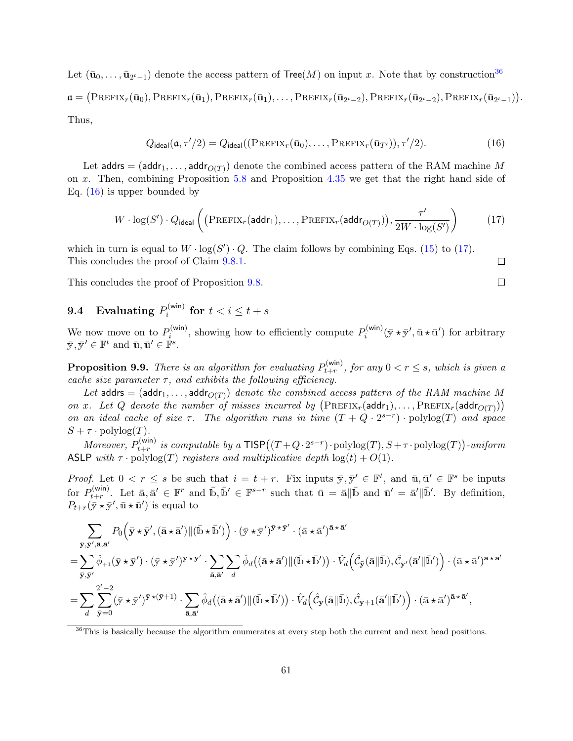Let  $(\bar{\mathbf{u}}_0, \ldots, \bar{\mathbf{u}}_{2^t-1})$  denote the access pattern of  $\mathsf{Tree}(M)$  on input x. Note that by construction<sup>[36](#page-60-0)</sup>  $\mathfrak{a} = (\text{Prefix}_r(\bar{\mathbf{u}}_0), \text{Prefix}_r(\bar{\mathbf{u}}_1), \text{Prefix}_r(\bar{\mathbf{u}}_1), \dots, \text{Prefix}_r(\bar{\mathbf{u}}_{2^t-2}), \text{Prefix}_r(\bar{\mathbf{u}}_{2^t-2}), \text{Prefix}_r(\bar{\mathbf{u}}_{2^t-1})).$ Thus,

$$
Q_{\text{ideal}}(\mathfrak{a}, \tau'/2) = Q_{\text{ideal}}((\text{PREFIX}_r(\bar{\mathbf{u}}_0), \dots, \text{PREFIX}_r(\bar{\mathbf{u}}_{T'})), \tau'/2). \tag{16}
$$

Let  $\mathsf{address} = (\mathsf{addr}_1, \dots, \mathsf{addr}_{O(T)})$  denote the combined access pattern of the RAM machine  $M$ on x. Then, combining Proposition [5.8](#page-43-2) and Proposition [4.35](#page-36-4) we get that the right hand side of Eq. [\(16\)](#page-60-1) is upper bounded by

$$
W \cdot \log(S') \cdot Q_{\text{ideal}} \left( \left( \text{PREFIX}_r(\text{addr}_1), \dots, \text{PREFIX}_r(\text{addr}_{O(T)}) \right), \frac{\tau'}{2W \cdot \log(S')} \right) \tag{17}
$$

which in turn is equal to  $W \cdot \log(S') \cdot Q$ . The claim follows by combining Eqs. [\(15\)](#page-59-3) to [\(17\)](#page-60-2). This concludes the proof of Claim [9.8.1.](#page-59-4)

This concludes the proof of Proposition [9.8.](#page-57-1)

#### 9.4 Evaluating  $P_i^{(\text{win})}$  $\int_i^{\text{(win)}}$  for  $t < i \leq t + s$

We now move on to  $P_i^{(\text{win})}$  $p_i^{(\text{win})}$ , showing how to efficiently compute  $P_i^{(\text{win})}$  $\bar{y}_i^{(\text{win})}(\bar{y} \star \bar{y}', \bar{u} \star \bar{u}')$  for arbitrary  $\bar{\mathbf{y}}, \bar{\mathbf{y}}' \in \mathbb{F}^t$  and  $\bar{\mathbf{u}}, \bar{\mathbf{u}}' \in \mathbb{F}^s$ .

<span id="page-60-3"></span>**Proposition 9.9.** There is an algorithm for evaluating  $P_{t+r}^{(\text{win})}$  $t_{t+r}^{(\text{win})}$ , for any  $0 < r \leq s$ , which is given a cache size parameter  $\tau$ , and exhibits the following efficiency.

Let  $\mathsf{address} = (\mathsf{addr}_1, \dots, \mathsf{addr}_{O(T)})$  denote the combined access pattern of the RAM machine M on x. Let Q denote the number of misses incurred by  $(PREFIX_r(\text{addr}_1), \ldots, PREFIX_r(\text{addr}_O(T)))$ on an ideal cache of size  $\tau$ . The algorithm runs in time  $(T + Q \cdot 2^{s-r}) \cdot \text{polylog}(T)$  and space  $S + \tau \cdot \text{polylog}(T)$ .

*Moreover*,  $P_{t+r}^{(\text{win})}$  $t_{t+r}^{(win)}$  is computable by a  $\mathsf{TISP}\big((T+Q\cdot 2^{s-r})\cdot \mathrm{polylog}(T),S+\tau\cdot \mathrm{polylog}(T)\big)$ -uniform ASLP with  $\tau \cdot \text{polylog}(T)$  registers and multiplicative depth  $\log(t) + O(1)$ .

*Proof.* Let  $0 < r \leq s$  be such that  $i = t + r$ . Fix inputs  $\bar{y}, \bar{y}' \in \mathbb{F}^t$ , and  $\bar{u}, \bar{u}' \in \mathbb{F}^s$  be inputs for  $P_{t+r}^{(\text{win})}$  $\mathbf{L}_{t+r}^{(\text{win})}$ . Let  $\bar{\mathbf{a}}, \bar{\mathbf{a}}' \in \mathbb{F}^r$  and  $\bar{\mathbf{b}}, \bar{\mathbf{b}}' \in \mathbb{F}^{s-r}$  such that  $\bar{\mathbf{u}} = \bar{\mathbf{a}} \|\bar{\mathbf{b}}$  and  $\bar{\mathbf{u}}' = \bar{\mathbf{a}}' \|\bar{\mathbf{b}}'$ . By definition,  $P_{t+r}(\bar{\mathbf{y}} \star \bar{\mathbf{y}}', \bar{\mathbf{u}} \star \bar{\mathbf{u}}')$  is equal to

$$
\sum_{\bar{\mathbf{y}},\bar{\mathbf{y}}',\bar{\mathbf{a}},\bar{\mathbf{a}}'} P_0(\bar{\mathbf{y}} \star \bar{\mathbf{y}}',(\bar{\mathbf{a}} \star \bar{\mathbf{a}}') \| (\bar{\mathbf{b}} \star \bar{\mathbf{b}}')\n\right) \cdot (\bar{\mathbf{y}} \star \bar{\mathbf{y}}')^{\bar{\mathbf{y}} \star \bar{\mathbf{y}}'} \cdot (\bar{\mathbf{a}} \star \bar{\mathbf{a}}')^{\bar{\mathbf{a}} \star \bar{\mathbf{a}}'}
$$
\n
$$
= \sum_{\bar{\mathbf{y}},\bar{\mathbf{y}}'} \hat{\phi}_{+1}(\bar{\mathbf{y}} \star \bar{\mathbf{y}}') \cdot (\bar{\mathbf{y}} \star \bar{\mathbf{y}}')^{\bar{\mathbf{y}} \star \bar{\mathbf{y}}'} \cdot \sum_{\bar{\mathbf{a}},\bar{\mathbf{a}}'} \sum_{d} \hat{\phi}_{d}((\bar{\mathbf{a}} \star \bar{\mathbf{a}}') \| (\bar{\mathbf{b}} \star \bar{\mathbf{b}}')) \cdot \hat{V}_d(\hat{\mathcal{C}}_{\bar{\mathbf{y}}}(\bar{\mathbf{a}} \| \bar{\mathbf{b}}), \hat{\mathcal{C}}_{\bar{\mathbf{y}}'}(\bar{\mathbf{a}}' \| \bar{\mathbf{b}}')) \cdot (\bar{\mathbf{a}} \star \bar{\mathbf{a}}')^{\bar{\mathbf{a}} \star \bar{\mathbf{a}}'}
$$
\n
$$
= \sum_{d} \sum_{\bar{\mathbf{y}}=0}^{2^t-2} (\bar{\mathbf{y}} \star \bar{\mathbf{y}}')^{\bar{\mathbf{y}} \star (\bar{\mathbf{y}}+1)} \cdot \sum_{\bar{\mathbf{a}},\bar{\mathbf{a}}'} \hat{\phi}_{d}((\bar{\mathbf{a}} \star \bar{\mathbf{a}}') \| (\bar{\mathbf{b}} \star \bar{\mathbf{b}}')) \cdot \hat{V}_d(\hat{\mathcal{C}}_{\bar{\mathbf{y}}}(\bar{\mathbf{a}} \| \bar{\mathbf{b}}), \hat{\mathcal{C}}_{\bar{\mathbf{y}}+1}(\bar{\mathbf{a}}' \| \bar{\mathbf{b}}')) \cdot (\bar{\mathbf{a}} \star \bar{\mathbf{a}}')^{\bar{\mathbf{a}} \star \bar{\mathbf{a}}'},
$$

<span id="page-60-2"></span><span id="page-60-1"></span>
$$
\begin{array}{c}\n\Box \\
\Box\n\end{array}
$$

<span id="page-60-0"></span><sup>&</sup>lt;sup>36</sup>This is basically because the algorithm enumerates at every step both the current and next head positions.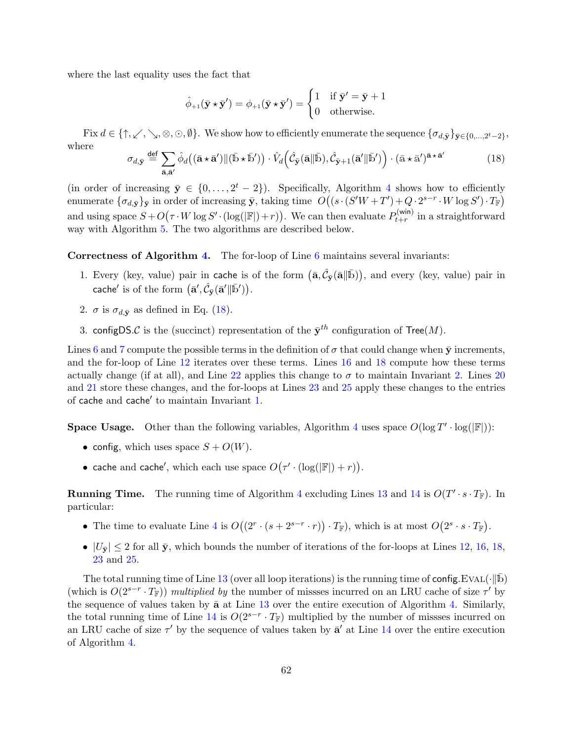where the last equality uses the fact that

$$
\hat{\phi}_{+1}(\bar{\mathbf{y}} \star \bar{\mathbf{y}}') = \phi_{+1}(\bar{\mathbf{y}} \star \bar{\mathbf{y}}') = \begin{cases} 1 & \text{if } \bar{\mathbf{y}}' = \bar{\mathbf{y}} + 1 \\ 0 & \text{otherwise.} \end{cases}
$$

Fix  $d \in \{\uparrow, \swarrow, \searrow, \otimes, \odot, \emptyset\}$ . We show how to efficiently enumerate the sequence  $\{\sigma_{d, \bar{\mathbf{y}}}\}_{\bar{\mathbf{y}} \in \{0, \ldots, 2^t - 2\}},$ where

<span id="page-61-0"></span>
$$
\sigma_{d,\bar{\mathbf{y}}} \stackrel{\text{def}}{=} \sum_{\bar{\mathbf{a}}, \bar{\mathbf{a}}'} \hat{\phi}_d((\bar{\mathbf{a}} \star \bar{\mathbf{a}}') \| (\bar{\mathbf{b}} \star \bar{\mathbf{b}}')) \cdot \hat{V}_d\left(\hat{\mathcal{C}}_{\bar{\mathbf{y}}}(\bar{\mathbf{a}} \| \bar{\mathbf{b}}), \hat{\mathcal{C}}_{\bar{\mathbf{y}}+1}(\bar{\mathbf{a}}' \| \bar{\mathbf{b}}')\right) \cdot (\bar{\mathbf{a}} \star \bar{\mathbf{a}}')^{\bar{\mathbf{a}} \star \bar{\mathbf{a}}'}
$$
(18)

(in order of increasing  $\bar{y} \in \{0, \ldots, 2^t - 2\}$ ). Specifically, Algorithm [4](#page-62-0) shows how to efficiently enumerate  $\{\sigma_{d,\bar{\mathbf{y}}}\}_{\bar{\mathbf{y}}}$  in order of increasing  $\bar{\mathbf{y}}$ , taking time  $O((s \cdot (S'W + T') + Q \cdot 2^{s-r} \cdot W \log S') \cdot T_{\mathbb{F}})$ and using space  $S + O(\tau \cdot W \log S' \cdot (\log(|\mathbb{F}|) + r))$ . We can then evaluate  $P_{t+r}^{(\text{win})}$  $t+r$  in a straightforward way with Algorithm [5.](#page-62-1) The two algorithms are described below.

<span id="page-61-2"></span>Correctness of Algorithm [4.](#page-62-0) The for-loop of Line [6](#page-62-2) maintains several invariants:

- 1. Every (key, value) pair in cache is of the form  $(\bar{a}, \hat{C}_{\bar{y}}(\bar{a}||\bar{b}))$ , and every (key, value) pair in cache' is of the form  $(\bar{\mathbf{a}}', \hat{\mathcal{C}}_{\bar{\mathbf{y}}}(\bar{\mathbf{a}}' || \bar{\mathbf{b}}'))$ .
- <span id="page-61-1"></span>2.  $\sigma$  is  $\sigma_{d,\bar{\mathbf{y}}}$  as defined in Eq. [\(18\)](#page-61-0).
- 3. configDS.C is the (succinct) representation of the  $\bar{\mathbf{y}}^{th}$  configuration of Tree(M).

Lines [6](#page-58-3) and [7](#page-58-4) compute the possible terms in the definition of  $\sigma$  that could change when  $\bar{y}$  increments, and the for-loop of Line [12](#page-62-3) iterates over these terms. Lines [16](#page-62-4) and [18](#page-62-5) compute how these terms actually change (if at all), and Line [22](#page-62-6) applies this change to  $\sigma$  to maintain Invariant [2.](#page-61-1) Lines [20](#page-62-7) and [21](#page-62-8) store these changes, and the for-loops at Lines [23](#page-62-9) and [25](#page-62-10) apply these changes to the entries of cache and cache' to maintain Invariant [1.](#page-61-2)

**Space Usage.** Other than the following variables, Algorithm [4](#page-62-0) uses space  $O(\log T' \cdot \log(|\mathbb{F}|))$ :

- config, which uses space  $S + O(W)$ .
- cache and cache', which each use space  $O(\tau' \cdot (\log(|\mathbb{F}|) + r)).$

**Running Time.** The running time of Algorithm [4](#page-62-0) excluding Lines [13](#page-62-11) and [14](#page-62-12) is  $O(T' \cdot s \cdot T_{\mathbb{F}})$ . In particular:

- The time to evaluate Line [4](#page-62-13) is  $O((2^r \cdot (s + 2^{s-r} \cdot r)) \cdot T_{\mathbb{F}})$ , which is at most  $O(2^s \cdot s \cdot T_{\mathbb{F}})$ .
- $|U_{\bar{y}}| \leq 2$  for all  $\bar{y}$ , which bounds the number of iterations of the for-loops at Lines [12,](#page-62-3) [16,](#page-62-4) [18,](#page-62-5) [23](#page-62-9) and [25.](#page-62-10)

<span id="page-61-3"></span>The total running time of Line [13](#page-62-11) (over all loop iterations) is the running time of config.EVAL( $\cdot$ ||b) (which is  $O(2^{s-r} \cdot T_{\mathbb{F}})$ ) multiplied by the number of missses incurred on an LRU cache of size  $\tau'$  by the sequence of values taken by  $\bar{a}$  at Line [13](#page-62-11) over the entire execution of Algorithm [4.](#page-62-0) Similarly, the total running time of Line  $14$  is  $O(2^{s-r} \cdot T_{\mathbb{F}})$  multiplied by the number of missses incurred on an LRU cache of size  $\tau'$  by the sequence of values taken by  $\bar{a}'$  at Line [14](#page-62-12) over the entire execution of Algorithm [4.](#page-62-0)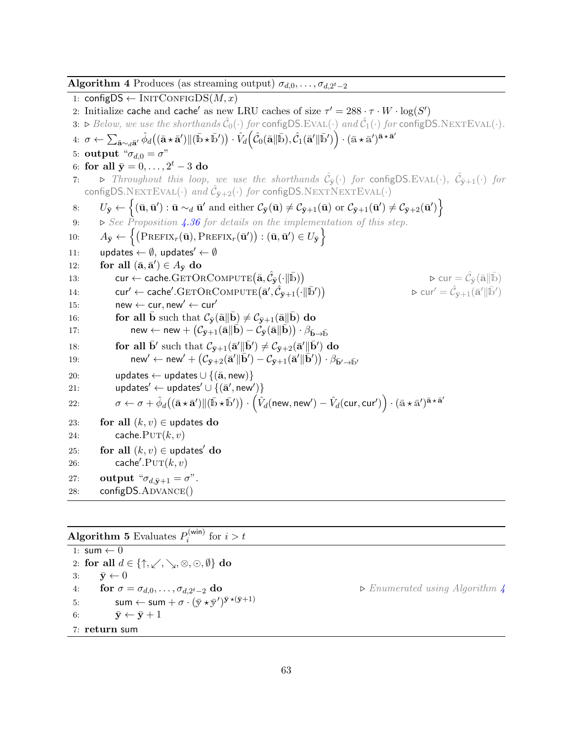<span id="page-62-13"></span><span id="page-62-12"></span><span id="page-62-11"></span><span id="page-62-3"></span><span id="page-62-2"></span><span id="page-62-0"></span>**Algorithm 4** Produces (as streaming output)  $\sigma_{d,0}, \ldots, \sigma_{d,2^t-2}$ 1: configDS  $\leftarrow$  INITCONFIGDS $(M, x)$ 2: Initialize cache and cache' as new LRU caches of size  $\tau' = 288 \cdot \tau \cdot W \cdot \log(S')$ 3:  $\triangleright$  Below, we use the shorthands  $\hat{\mathcal{C}}_0(\cdot)$  for configDS.EVAL( $\cdot$ ) and  $\hat{\mathcal{C}}_1(\cdot)$  for configDS.NEXTEVAL( $\cdot$ ).  $4\colon\thinspace\sigma\leftarrow\sum_{\mathbf{\bar{a}}\sim_{d}\mathbf{\bar{a}}'}\hat{\phi}_{d}\big((\mathbf{\bar{a}}\star\mathbf{\bar{a}}')\|(\bar{\mathbb{b}}\star\bar{\mathbb{b}}')\big)\cdot\hat{V}_{d}\Big(\hat{\mathcal{C}}_{0}(\mathbf{\bar{a}}\|\bar{\mathbb{b}}),\hat{\mathcal{C}}_{1}(\mathbf{\bar{a}}'\|\bar{\mathbb{b}}')\Big)\cdot(\bar{\mathbb{a}}\star\bar{\mathbb{a}}')^{\bar{\mathbf{a}}\star\bar{\mathbf{a}}'}$ 5: output " $\sigma_{d,0} = \sigma$ " 6: for all  $\bar{y} = 0, \ldots, 2^t - 3$  do 7:  $\triangleright$  Throughout this loop, we use the shorthands  $\hat{\mathcal{C}}_{\bar{\mathbf{y}}}(\cdot)$  for configDS.EVAL( $\cdot$ ),  $\hat{\mathcal{C}}_{\bar{\mathbf{y}}+1}(\cdot)$  for configDS.NEXTEVAL( $\cdot$ ) and  $\hat{\mathcal{C}}_{\bar{y}+2}(\cdot)$  for configDS.NEXTNEXTEVAL( $\cdot$ ) 8:  $U_{\bar{y}} \leftarrow \left\{ (\bar{\mathbf{u}}, \bar{\mathbf{u}}') : \bar{\mathbf{u}} \sim_d \bar{\mathbf{u}}' \text{ and either } \mathcal{C}_{\bar{y}}(\bar{\mathbf{u}}) \neq \mathcal{C}_{\bar{y}+1}(\bar{\mathbf{u}}) \text{ or } \mathcal{C}_{\bar{y}+1}(\bar{\mathbf{u}}') \neq \mathcal{C}_{\bar{y}+2}(\bar{\mathbf{u}}') \right\}$ 9:  $\triangleright$  See Proposition [4.36](#page-37-1) for details on the implementation of this step. 10:  $A_{\bar{y}} \leftarrow \left\{ \left( \text{PREFIX}_r(\bar{\mathbf{u}}), \text{PREFIX}_r(\bar{\mathbf{u}}') \right) : (\bar{\mathbf{u}}, \bar{\mathbf{u}}') \in U_{\bar{y}} \right\}$ 11: updates  $\leftarrow \emptyset$ , updates'  $\leftarrow \emptyset$ 12: for all  $(\bar{\mathbf{a}}, \bar{\mathbf{a}}') \in A_{\bar{\mathbf{y}}}$  do 13: cur ← cache.GETORCOMPUTE $(\bar{\mathbf{a}}, \hat{\mathcal{C}}_{\bar{\mathbf{y}}}(\cdot \| \bar{\mathbf{b}}))$  $\triangleright$  cur  $= \hat{\mathcal{C}}_{\bar{\mathbf{y}}}(\bar{\mathbf{a}} \| \bar{\mathbb{b}})$ 14:  $\text{curl}' \leftarrow \text{cache}'.\text{GETORCOMPUTE}(\bar{\mathbf{a}}', \hat{\mathcal{C}}_{\bar{\mathbf{y}}+1}(\cdot \|\bar{\mathbf{b}}'))$  $\triangleright$  cur ${}' = \hat{\mathcal{C}}_{\bar{\mathbf{y}}+1}(\bar{\mathbf{a}}' \| \bar{\mathbf{b}}')$ 15: new  $\leftarrow$  cur, new'  $\leftarrow$  cur' 16: **for all b** such that  $\mathcal{C}_{\bar{y}}(\bar{a}||b) \neq \mathcal{C}_{\bar{y}+1}(\bar{a}||b)$  do 17:  ${\sf new} \leftarrow {\sf new} + \bigl( \mathcal{C}_{\bar{{\bf y}}+1}(\bar{{\bf a}} \| \bar{{\bf b}}) - \mathcal{C}_{\bar{{\bf y}}}(\bar{{\bf a}} \| \bar{{\bf b}}) \bigr) \cdot \beta_{\bar{{\bf b}} \to \bar{{\bf b}}}$ 18: **for all**  $\bar{\mathbf{b}}'$  such that  $\mathcal{C}_{\bar{\mathbf{y}}+1}(\bar{\mathbf{a}}' || \bar{\mathbf{b}}') \neq \mathcal{C}_{\bar{\mathbf{y}}+2}(\bar{\mathbf{a}}' || \bar{\mathbf{b}}')$  do 19:  $\qquad \qquad \mathsf{new}' \leftarrow \mathsf{new}' + \left( \mathcal{C}_{\bar{\mathbf{y}}+2}(\bar{\mathbf{a}}' \| \bar{\mathbf{b}}') - \mathcal{C}_{\bar{\mathbf{y}}+1}(\bar{\mathbf{a}}' \| \bar{\mathbf{b}}') \right) \cdot \beta_{\bar{\mathbf{b}}' \rightarrow \bar{\mathbf{b}}'}$ 20: updates ← updates  $\cup$   $\{(\bar{a}, new)\}$ 21: updates' ← updates'  $\cup$   $\{(\bar{a}', new')\}$  $22:\qquad\qquad\sigma\leftarrow\sigma+\hat{\phi}_d\big((\bar{\mathbf{a}}\star\bar{\mathbf{a}}')\|(\bar{\mathbb{b}}\star\bar{\mathbb{b}}')\big)\cdot\left(\hat{V}_d(\mathsf{new},\mathsf{new}')-\hat{V}_d(\mathsf{cur},\mathsf{cur}')\right)\cdot(\bar{\mathbf{a}}\star\bar{\mathbf{a}}')^{\bar{\mathbf{a}}\star\bar{\mathbf{a}}'}$ 23: for all  $(k, v) \in$  updates do 24: cache. $PUT(k, v)$ 25: for all  $(k, v) \in$  updates' do 26: cache'. $PUT(k, v)$ 27: **output** " $\sigma_{d,\bar{\mathbf{y}}+1} = \sigma$ ". 28: configDS.ADVANCE()

<span id="page-62-10"></span><span id="page-62-9"></span><span id="page-62-8"></span><span id="page-62-7"></span><span id="page-62-6"></span><span id="page-62-5"></span><span id="page-62-4"></span><span id="page-62-1"></span>**Algorithm 5** Evaluates  $P_i^{(\text{win})}$  $\sum_{i}^{\text{(win)}}$  for  $i > t$ 

1: sum  $\leftarrow$  0 2: for all  $d \in \{\uparrow, \swarrow, \searrow, \otimes, \odot, \emptyset\}$  do 3:  $\bar{\mathbf{y}} \leftarrow 0$ 4: for  $\sigma = \sigma_{d,0}, \ldots, \sigma_{d,2^t-2}$  do 5: sum  $\leftarrow$  sum  $+ \sigma \cdot (\bar{\mathbf{y}} \star \bar{\mathbf{y}}')^{\bar{\mathbf{y}} \star (\bar{\mathbf{y}}+1)}$ 6:  $\bar{\mathbf{y}} \leftarrow \bar{\mathbf{y}} + 1$ 7: return sum

► Enumerated using Algorithm [4](#page-62-0)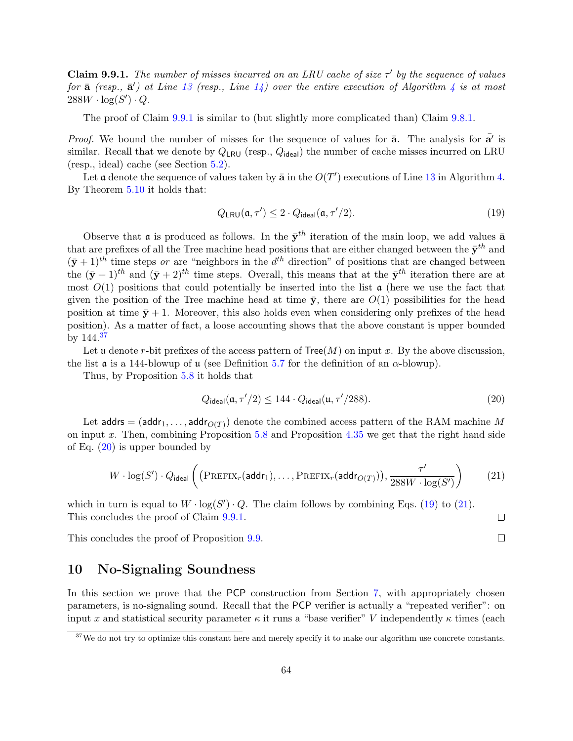**Claim 9.9.1.** The number of misses incurred on an LRU cache of size  $\tau'$  by the sequence of values for  $\bar{a}$  (resp.,  $\bar{a}'$ ) at Line [13](#page-62-11) (resp., Line [14\)](#page-62-12) over the entire execution of Algorithm [4](#page-62-0) is at most  $288W \cdot \log(S') \cdot Q$ .

The proof of Claim [9.9.1](#page-61-3) is similar to (but slightly more complicated than) Claim [9.8.1.](#page-59-4)

*Proof.* We bound the number of misses for the sequence of values for  $\bar{a}$ . The analysis for  $\bar{a'}$  is similar. Recall that we denote by  $Q_{LRU}$  (resp.,  $Q_{ideal}$ ) the number of cache misses incurred on LRU (resp., ideal) cache (see Section [5.2\)](#page-42-0).

Let a denote the sequence of values taken by  $\bar{a}$  in the  $O(T')$  executions of Line [13](#page-62-11) in Algorithm [4.](#page-62-0) By Theorem [5.10](#page-43-1) it holds that:

<span id="page-63-3"></span>
$$
Q_{LRU}(\mathfrak{a}, \tau') \le 2 \cdot Q_{\text{ideal}}(\mathfrak{a}, \tau'/2). \tag{19}
$$

Observe that **a** is produced as follows. In the  $\bar{y}^{th}$  iteration of the main loop, we add values  $\bar{a}$ that are prefixes of all the Tree machine head positions that are either changed between the  $\bar{\mathbf{y}}^{th}$  and  $(\bar{y} + 1)^{th}$  time steps or are "neighbors in the  $d^{th}$  direction" of positions that are changed between the  $(\bar{y} + 1)^{th}$  and  $(\bar{y} + 2)^{th}$  time steps. Overall, this means that at the  $\bar{y}^{th}$  iteration there are at most  $O(1)$  positions that could potentially be inserted into the list  $\alpha$  (here we use the fact that given the position of the Tree machine head at time  $\bar{y}$ , there are  $O(1)$  possibilities for the head position at time  $\bar{y}$  + 1. Moreover, this also holds even when considering only prefixes of the head position). As a matter of fact, a loose accounting shows that the above constant is upper bounded by  $144.\overline{37}$  $144.\overline{37}$  $144.\overline{37}$ 

Let u denote r-bit prefixes of the access pattern of  $Tree(M)$  on input x. By the above discussion, the list  $\mathfrak a$  is a 144-blowup of  $\mathfrak u$  (see Definition [5.7](#page-43-0) for the definition of an  $\alpha$ -blowup).

Thus, by Proposition [5.8](#page-43-2) it holds that

$$
Q_{\text{ideal}}(\mathfrak{a}, \tau'/2) \le 144 \cdot Q_{\text{ideal}}(\mathfrak{u}, \tau'/288). \tag{20}
$$

Let  $\mathsf{address} = (\mathsf{addr}_1, \dots, \mathsf{addr}_{O(T)})$  denote the combined access pattern of the RAM machine  $M$ on input x. Then, combining Proposition  $5.8$  and Proposition  $4.35$  we get that the right hand side of Eq.  $(20)$  is upper bounded by

$$
W \cdot \log(S') \cdot Q_{\text{ideal}} \left( \left( \text{PREFIX}_r(\text{addr}_1), \dots, \text{PREFIX}_r(\text{addr}_{O(T)}) \right), \frac{\tau'}{288W \cdot \log(S')} \right) \tag{21}
$$

which in turn is equal to  $W \cdot \log(S') \cdot Q$ . The claim follows by combining Eqs. [\(19\)](#page-63-3) to [\(21\)](#page-63-4). This concludes the proof of Claim [9.9.1.](#page-61-3)

This concludes the proof of Proposition [9.9.](#page-60-3)

## <span id="page-63-0"></span>10 No-Signaling Soundness

In this section we prove that the PCP construction from Section [7,](#page-46-0) with appropriately chosen parameters, is no-signaling sound. Recall that the PCP verifier is actually a "repeated verifier": on input x and statistical security parameter  $\kappa$  it runs a "base verifier" V independently  $\kappa$  times (each

<span id="page-63-4"></span><span id="page-63-2"></span> $\Box$  $\Box$ 

<span id="page-63-1"></span> $37$ We do not try to optimize this constant here and merely specify it to make our algorithm use concrete constants.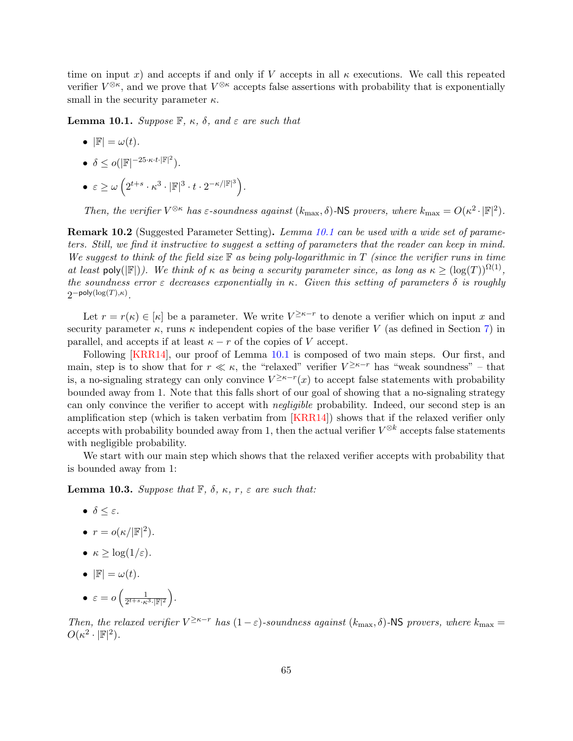time on input x) and accepts if and only if V accepts in all  $\kappa$  executions. We call this repeated verifier  $V^{\otimes \kappa}$ , and we prove that  $V^{\otimes \kappa}$  accepts false assertions with probability that is exponentially small in the security parameter  $\kappa$ .

<span id="page-64-0"></span>**Lemma 10.1.** Suppose  $\mathbb{F}$ ,  $\kappa$ ,  $\delta$ , and  $\varepsilon$  are such that

- $|\mathbb{F}| = \omega(t)$ .
- $\delta \leq o(|\mathbb{F}|^{-25 \cdot \kappa \cdot t \cdot |\mathbb{F}|^2}).$
- $\bullet\;\varepsilon\geq\omega\left(2^{t+s}\cdot\kappa^3\cdot|\mathbb{F}|^3\cdot t\cdot2^{-\kappa/|\mathbb{F}|^3}\right).$

Then, the verifier  $V^{\otimes \kappa}$  has  $\varepsilon$ -soundness against  $(k_{\max}, \delta)$ -NS provers, where  $k_{\max} = O(\kappa^2 \cdot |\mathbb{F}|^2)$ .

Remark 10.2 (Suggested Parameter Setting). Lemma [10.1](#page-64-0) can be used with a wide set of parameters. Still, we find it instructive to suggest a setting of parameters that the reader can keep in mind. We suggest to think of the field size  $\mathbb F$  as being poly-logarithmic in T (since the verifier runs in time at least poly( $\mathbb{F}$ )). We think of  $\kappa$  as being a security parameter since, as long as  $\kappa \geq (\log(T))^{\Omega(1)}$ , the soundness error  $\varepsilon$  decreases exponentially in  $\kappa$ . Given this setting of parameters  $\delta$  is roughly  $2$ <sup>-poly(log(T), $\kappa$ )</sup>.

Let  $r = r(\kappa) \in [\kappa]$  be a parameter. We write  $V^{\geq \kappa-r}$  to denote a verifier which on input x and security parameter  $\kappa$ , runs  $\kappa$  independent copies of the base verifier V (as defined in Section [7\)](#page-46-0) in parallel, and accepts if at least  $\kappa - r$  of the copies of V accept.

Following [\[KRR14\]](#page-82-1), our proof of Lemma [10.1](#page-64-0) is composed of two main steps. Our first, and main, step is to show that for  $r \ll \kappa$ , the "relaxed" verifier  $V^{\geq \kappa-r}$  has "weak soundness" – that is, a no-signaling strategy can only convince  $V^{\geq \kappa-r}(x)$  to accept false statements with probability bounded away from 1. Note that this falls short of our goal of showing that a no-signaling strategy can only convince the verifier to accept with *negligible* probability. Indeed, our second step is an amplification step (which is taken verbatim from [\[KRR14\]](#page-82-1)) shows that if the relaxed verifier only accepts with probability bounded away from 1, then the actual verifier  $V^{\otimes k}$  accepts false statements with negligible probability.

We start with our main step which shows that the relaxed verifier accepts with probability that is bounded away from 1:

<span id="page-64-1"></span>**Lemma 10.3.** Suppose that  $\mathbb{F}$ ,  $\delta$ ,  $\kappa$ ,  $r$ ,  $\varepsilon$  are such that:

- $\bullet$   $\delta \leq \varepsilon$ .
- $r = o(\kappa/|\mathbb{F}|^2)$ .
- $\kappa \geq \log(1/\varepsilon)$ .
- $|\mathbb{F}| = \omega(t)$ .
- $\bullet \ \varepsilon = o\left(\frac{1}{2^{t+s} \cdot \varepsilon}\right)$  $\frac{1}{2^{t+s} \cdot \kappa^3 \cdot |\mathbb{F}|^2}$ .

Then, the relaxed verifier  $V^{\geq \kappa-r}$  has  $(1-\varepsilon)$ -soundness against  $(k_{\max}, \delta)$ -NS provers, where  $k_{\max} =$  $O(\kappa^2 \cdot |\mathbb{F}|^2).$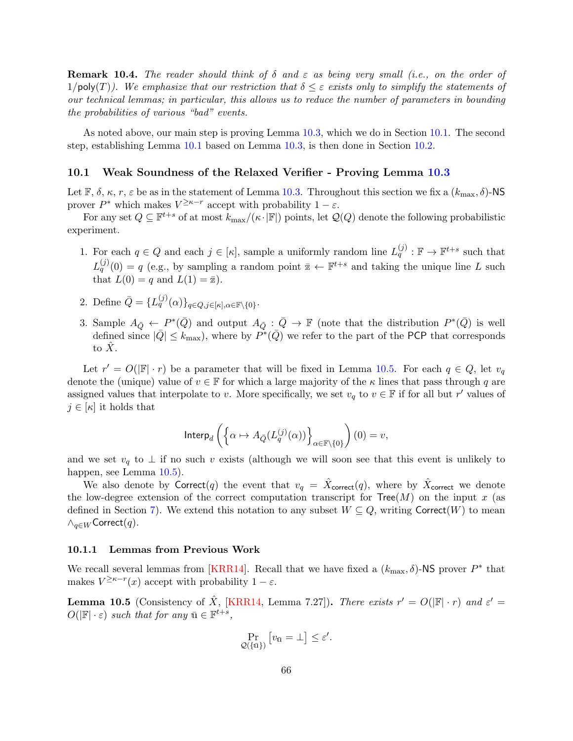**Remark 10.4.** The reader should think of  $\delta$  and  $\varepsilon$  as being very small (i.e., on the order of 1/poly(T)). We emphasize that our restriction that  $\delta \leq \varepsilon$  exists only to simplify the statements of our technical lemmas; in particular, this allows us to reduce the number of parameters in bounding the probabilities of various "bad" events.

As noted above, our main step is proving Lemma [10.3,](#page-64-1) which we do in Section [10.1.](#page-65-1) The second step, establishing Lemma [10.1](#page-64-0) based on Lemma [10.3,](#page-64-1) is then done in Section [10.2.](#page-75-0)

## <span id="page-65-1"></span>10.1 Weak Soundness of the Relaxed Verifier - Proving Lemma [10.3](#page-64-1)

Let  $\mathbb{F}, \delta, \kappa, r, \varepsilon$  be as in the statement of Lemma [10.3.](#page-64-1) Throughout this section we fix a  $(k_{\text{max}}, \delta)$ -NS prover  $P^*$  which makes  $V^{\geq \kappa-r}$  accept with probability  $1-\varepsilon$ .

For any set  $Q \subseteq \mathbb{F}^{t+s}$  of at most  $k_{\max}/(\kappa \cdot |\mathbb{F}|)$  points, let  $\mathcal{Q}(Q)$  denote the following probabilistic experiment.

- 1. For each  $q \in Q$  and each  $j \in [\kappa]$ , sample a uniformly random line  $L_q^{(j)} : \mathbb{F} \to \mathbb{F}^{t+s}$  such that  $L_q^{(j)}(0) = q$  (e.g., by sampling a random point  $\bar{z} \leftarrow \mathbb{F}^{t+s}$  and taking the unique line L such that  $L(0) = q$  and  $L(1) = \overline{\mathbb{Z}}$ .
- 2. Define  $\overline{Q} = \{L_q^{(j)}(\alpha)\}_{q \in Q, j \in [\kappa], \alpha \in \mathbb{F}\setminus\{0\}}$ .
- 3. Sample  $A_{\bar{Q}} \leftarrow P^*(\bar{Q})$  and output  $A_{\bar{Q}} : \bar{Q} \to \mathbb{F}$  (note that the distribution  $P^*(\bar{Q})$  is well defined since  $|\bar{Q}| \leq k_{\text{max}}$ , where by  $\tilde{P}^*(\bar{Q})$  we refer to the part of the PCP that corresponds to  $X$ .

Let  $r' = O(|\mathbb{F}| \cdot r)$  be a parameter that will be fixed in Lemma [10.5.](#page-65-2) For each  $q \in Q$ , let  $v_q$ denote the (unique) value of  $v \in \mathbb{F}$  for which a large majority of the  $\kappa$  lines that pass through q are assigned values that interpolate to v. More specifically, we set  $v_q$  to  $v \in \mathbb{F}$  if for all but r' values of  $j \in [\kappa]$  it holds that

$$
\text{Interp}_d \left( \left\{ \alpha \mapsto A_{\bar{Q}}(L^{(j)}_q(\alpha)) \right\}_{\alpha \in \mathbb{F} \backslash \{0\}} \right) (0) = v,
$$

and we set  $v_q$  to  $\perp$  if no such v exists (although we will soon see that this event is unlikely to happen, see Lemma [10.5\)](#page-65-2).

We also denote by Correct(q) the event that  $v_q = \hat{X}_{\text{correct}}(q)$ , where by  $\hat{X}_{\text{correct}}$  we denote the low-degree extension of the correct computation transcript for  $Tree(M)$  on the input x (as defined in Section [7\)](#page-46-0). We extend this notation to any subset  $W \subseteq Q$ , writing Correct(W) to mean  $∧_{q\in W}$ Correct $(q)$ .

### <span id="page-65-0"></span>10.1.1 Lemmas from Previous Work

We recall several lemmas from [\[KRR14\]](#page-82-1). Recall that we have fixed a  $(k_{\text{max}}, \delta)$ -NS prover  $P^*$  that makes  $V^{\geq \kappa-r}(x)$  accept with probability  $1-\varepsilon$ .

<span id="page-65-2"></span>**Lemma 10.5** (Consistency of  $\hat{X}$ , [\[KRR14,](#page-82-1) Lemma 7.27]). There exists  $r' = O(|\mathbb{F}| \cdot r)$  and  $\varepsilon' =$  $O(|\mathbb{F}| \cdot \varepsilon)$  such that for any  $\bar{\mathbf{u}} \in \mathbb{F}^{t+s}$ ,

$$
\Pr_{\mathcal{Q}(\{\bar{\mathbf{u}}\})} [v_{\bar{\mathbf{u}}} = \bot] \leq \varepsilon'.
$$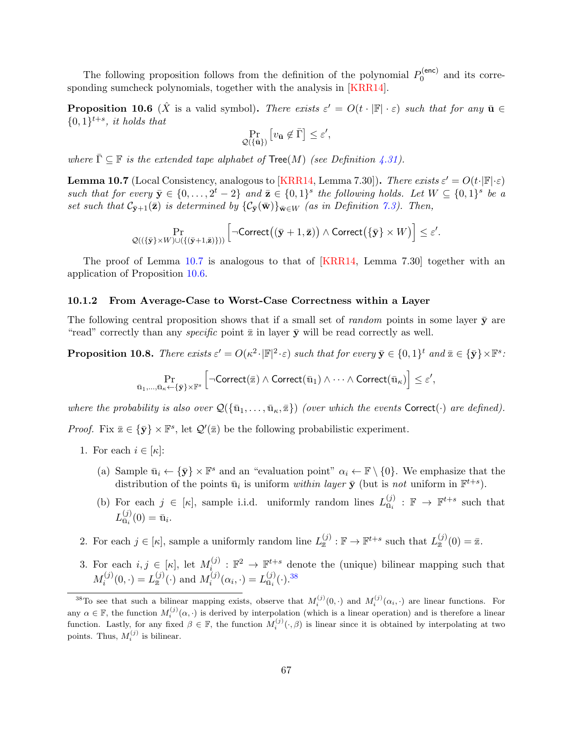The following proposition follows from the definition of the polynomial  $P_0^{(enc)}$  $_0^{\text{(enc)}}$  and its corresponding sumcheck polynomials, together with the analysis in [\[KRR14\]](#page-82-1).

<span id="page-66-1"></span>**Proposition 10.6** ( $\hat{X}$  is a valid symbol). There exists  $\varepsilon' = O(t \cdot |\mathbb{F}| \cdot \varepsilon)$  such that for any  $\bar{\mathbf{u}} \in \mathbb{F}$  $\{0,1\}^{t+s}$ , it holds that

$$
\Pr_{\mathcal{Q}(\{\bar{\mathbf{u}}\})} \left[ v_{\bar{\mathbf{u}}} \not\in \bar{\Gamma} \right] \leq \varepsilon',
$$

where  $\overline{\Gamma} \subseteq \mathbb{F}$  is the extended tape alphabet of  $\text{Tree}(M)$  (see Definition [4.31\)](#page-35-0).

<span id="page-66-0"></span>**Lemma 10.7** (Local Consistency, analogous to [\[KRR14,](#page-82-1) Lemma 7.30]). There exists  $\varepsilon' = O(t \cdot |\mathbb{F}| \cdot \varepsilon)$ such that for every  $\bar{\mathbf{y}} \in \{0, \ldots, 2^t - 2\}$  and  $\bar{\mathbf{z}} \in \{0, 1\}^s$  the following holds. Let  $W \subseteq \{0, 1\}^s$  be a set such that  $\mathcal{C}_{\bar{v}+1}(\bar{z})$  is determined by  $\{\mathcal{C}_{\bar{v}}(\bar{w})\}_{\bar{w}\in W}$  (as in Definition [7.3\)](#page-48-1). Then,

$$
\Pr_{\mathcal{Q}((\{\bar{\mathbf{y}}\}\times W)\cup(\{(\bar{\mathbf{y}}+1,\bar{\mathbf{z}})\}))}\left[\neg\text{Correct}\big((\bar{\mathbf{y}}+1,\bar{\mathbf{z}})\big)\land\text{Correct}\big(\{\bar{\mathbf{y}}\}\times W\big)\right]\leq\varepsilon'.
$$

The proof of Lemma [10.7](#page-66-0) is analogous to that of [\[KRR14,](#page-82-1) Lemma 7.30] together with an application of Proposition [10.6.](#page-66-1)

#### 10.1.2 From Average-Case to Worst-Case Correctness within a Layer

The following central proposition shows that if a small set of *random* points in some layer  $\bar{y}$  are "read" correctly than any *specific* point  $\bar{z}$  in layer  $\bar{y}$  will be read correctly as well.

<span id="page-66-3"></span>**Proposition 10.8.** There exists  $\varepsilon' = O(\kappa^2 \cdot |\mathbb{F}|^2 \cdot \varepsilon)$  such that for every  $\bar{\mathbf{y}} \in \{0,1\}^t$  and  $\bar{\mathbf{z}} \in \{\bar{\mathbf{y}}\} \times \mathbb{F}^s$ :

$$
\Pr_{\bar{\mathbf{u}}_1,\ldots,\bar{\mathbf{u}}_{\kappa} \leftarrow {\{\bar{\mathbf{y}}\} \times \mathbb{F}^s}} \left[ \neg \text{Correct}(\bar{\mathbf{z}}) \land \text{Correct}(\bar{\mathbf{u}}_1) \land \cdots \land \text{Correct}(\bar{\mathbf{u}}_{\kappa}) \right] \leq \varepsilon',
$$

where the probability is also over  $\mathcal{Q}(\{\bar{u}_1,\ldots,\bar{u}_\kappa,\bar{z}\})$  (over which the events Correct( $\cdot$ ) are defined).

*Proof.* Fix  $\bar{z} \in {\bar{\mathbf{y}}}\times \mathbb{F}^s$ , let  $\mathcal{Q}'(\bar{z})$  be the following probabilistic experiment.

- 1. For each  $i \in [\kappa]$ :
	- (a) Sample  $\bar{u}_i \leftarrow {\bar{x}} \times \mathbb{F}^s$  and an "evaluation point"  $\alpha_i \leftarrow \mathbb{F} \setminus \{0\}$ . We emphasize that the distribution of the points  $\bar{u}_i$  is uniform *within layer*  $\bar{y}$  (but is *not* uniform in  $\mathbb{F}^{t+s}$ ).
	- (b) For each  $j \in [\kappa]$ , sample i.i.d. uniformly random lines  $L_{\bar{u}_i}^{(j)}$  $\mathbf{u}_i^{(j)}$ :  $\mathbb{F} \to \mathbb{F}^{t+s}$  such that  $L_{{\bar {\mathbf u}}_i}^{(j)}$  $\mathbf{u}_i^{(j)}(0) = \mathbf{u}_i.$
- 2. For each  $j \in [\kappa]$ , sample a uniformly random line  $L_{\overline{x}}^{(j)}$  $\mathbb{F}^{(j)}:\mathbb{F}\to\mathbb{F}^{t+s}$  such that  $L_{\bar{x}}^{(j)}$  $\frac{\omega}{\overline{z}}(0) = \overline{z}.$
- 3. For each  $i, j \in [\kappa]$ , let  $M_i^{(j)}$  $\mathbf{E}^{(j)}: \mathbb{F}^2 \to \mathbb{F}^{t+s}$  denote the (unique) bilinear mapping such that  $M_i^{(j)}$  $I_i^{(j)}(0,\cdot) = L_{\bar{x}}^{(j)}$  $\binom{(j)}{\bar{z}}(\cdot)$  and  $M_i^{(j)}$  $L_i^{(j)}(\alpha_i, \cdot) = L_{\bar{\mathbf{u}}_i}^{(j)}$  $_{\bar{\bar{\mathbf{u}}}_i}^{(j)}(\cdot)$ .<sup>[38](#page-66-2)</sup>

<span id="page-66-2"></span><sup>&</sup>lt;sup>38</sup>To see that such a bilinear mapping exists, observe that  $M_i^{(j)}(0, \cdot)$  and  $M_i^{(j)}(\alpha_i, \cdot)$  are linear functions. For any  $\alpha \in \mathbb{F}$ , the function  $M_i^{(j)}(\alpha, \cdot)$  is derived by interpolation (which is a linear operation) and is therefore a linear function. Lastly, for any fixed  $\beta \in \mathbb{F}$ , the function  $M_i^{(j)}(\cdot,\beta)$  is linear since it is obtained by interpolating at two points. Thus,  $M_i^{(j)}$  is bilinear.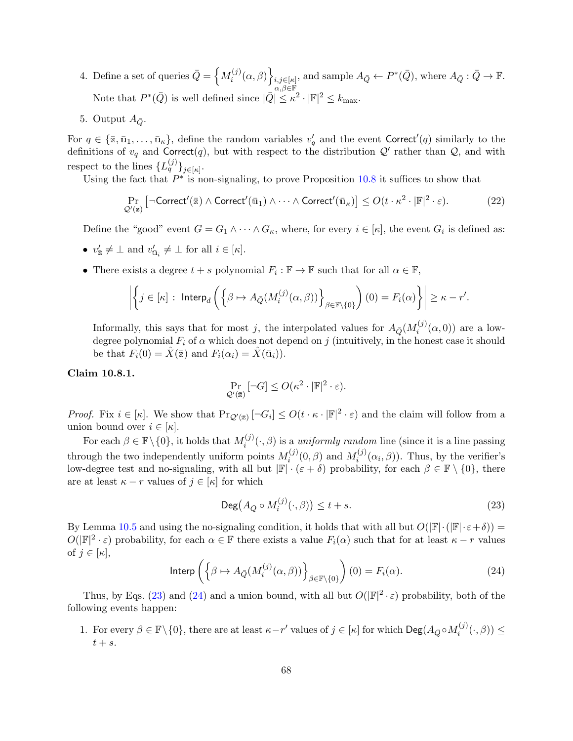- 4. Define a set of queries  $\bar{Q} = \left\{ M_i^{(j)} \right\}$  $\left. \begin{array}{c} \lambda^{(j)}(\alpha, \beta) \ \end{array} \right\}^{\,}_{\substack{i,j \in [\kappa]\; \alpha, \beta \in \mathbb{F} \end{array}}$ , and sample  $A_{\bar{Q}} \leftarrow P^*(\bar{Q})$ , where  $A_{\bar{Q}} : \bar{Q} \rightarrow \mathbb{F}$ . Note that  $P^*(\bar{Q})$  is well defined since  $|\bar{Q}| \leq \kappa^2 \cdot |\mathbb{F}|^2 \leq k_{\text{max}}$ .
- 5. Output  $A_{\bar{Q}}$ .

For  $q \in {\bar{\mathbb{Z}}}, \bar{u}_1, \ldots, \bar{u}_\kappa$ , define the random variables  $v'_q$  and the event Correct'(q) similarly to the definitions of  $v_q$  and Correct(q), but with respect to the distribution  $\mathcal{Q}'$  rather than  $\mathcal{Q}$ , and with respect to the lines  $\{L_q^{(j)}\}_{j \in [\kappa]}.$ 

Using the fact that  $P^*$  is non-signaling, to prove Proposition [10.8](#page-66-3) it suffices to show that

$$
\Pr_{\mathcal{Q}'(\mathbf{z})} \left[ \neg \mathsf{Correct}'(\bar{\mathbf{z}}) \land \mathsf{Correct}'(\bar{\mathbf{u}}_1) \land \dots \land \mathsf{Correct}'(\bar{\mathbf{u}}_\kappa) \right] \le O(t \cdot \kappa^2 \cdot |\mathbb{F}|^2 \cdot \varepsilon). \tag{22}
$$

Define the "good" event  $G = G_1 \wedge \cdots \wedge G_{\kappa}$ , where, for every  $i \in [\kappa]$ , the event  $G_i$  is defined as:

- $v'_{\overline{\mathbf{z}}} \neq \bot$  and  $v'_{\overline{\mathbf{u}}_i} \neq \bot$  for all  $i \in [\kappa]$ .
- There exists a degree  $t + s$  polynomial  $F_i : \mathbb{F} \to \mathbb{F}$  such that for all  $\alpha \in \mathbb{F}$ ,

$$
\left| \left\{ j \in [\kappa] : \text{ Interp}_d \left( \left\{ \beta \mapsto A_{\bar{Q}}(M_i^{(j)}(\alpha, \beta)) \right\}_{\beta \in \mathbb{F} \setminus \{0\}} \right) (0) = F_i(\alpha) \right\} \right| \geq \kappa - r'.
$$

Informally, this says that for most j, the interpolated values for  $A_{\bar{Q}}(M_i^{(j)})$  $i^{(J)}(\alpha,0)$  are a lowdegree polynomial  $F_i$  of  $\alpha$  which does not depend on j (intuitively, in the honest case it should be that  $F_i(0) = \hat{X}(\bar{z})$  and  $F_i(\alpha_i) = \hat{X}(\bar{u}_i)$ .

## <span id="page-67-2"></span>Claim 10.8.1.

$$
\Pr_{\mathcal{Q}'(\bar{z})}[\neg G] \leq O(\kappa^2 \cdot |\mathbb{F}|^2 \cdot \varepsilon).
$$

*Proof.* Fix  $i \in [\kappa]$ . We show that  $\Pr_{\mathcal{Q}'(\bar{z})} [\neg G_i] \leq O(t \cdot \kappa \cdot |\mathbb{F}|^2 \cdot \varepsilon)$  and the claim will follow from a union bound over  $i \in [\kappa]$ .

For each  $\beta \in \mathbb{F} \setminus \{0\}$ , it holds that  $M_i^{(j)}$  $i^{(j)}(\cdot,\beta)$  is a *uniformly random* line (since it is a line passing through the two independently uniform points  $M_i^{(j)}$  $\mathcal{M}_i^{(j)}(0,\beta)$  and  $M_i^{(j)}$  $i^{(J)}(\alpha_i, \beta)$ ). Thus, by the verifier's low-degree test and no-signaling, with all but  $\mathbb{F}[\cdot(\varepsilon+\delta)]$  probability, for each  $\beta \in \mathbb{F} \setminus \{0\}$ , there are at least  $\kappa - r$  values of  $j \in [\kappa]$  for which

<span id="page-67-0"></span>
$$
\operatorname{Deg}(A_{\bar{Q}} \circ M_i^{(j)}(\cdot,\beta)) \le t + s. \tag{23}
$$

By Lemma [10.5](#page-65-2) and using the no-signaling condition, it holds that with all but  $O(|\mathbb{F}|\cdot(|\mathbb{F}|\cdot\varepsilon+\delta))=$  $O(|\mathbb{F}|^2 \cdot \varepsilon)$  probability, for each  $\alpha \in \mathbb{F}$  there exists a value  $F_i(\alpha)$  such that for at least  $\kappa - r$  values of  $j \in [\kappa],$ 

<span id="page-67-1"></span>Interp
$$
\left(\left\{\beta \mapsto A_{\bar{Q}}(M_i^{(j)}(\alpha,\beta))\right\}_{\beta \in \mathbb{F}\backslash\{0\}}\right)(0) = F_i(\alpha).
$$
 (24)

Thus, by Eqs. [\(23\)](#page-67-0) and [\(24\)](#page-67-1) and a union bound, with all but  $O(|\mathbb{F}|^2 \cdot \varepsilon)$  probability, both of the following events happen:

1. For every  $\beta \in \mathbb{F}\setminus\{0\}$ , there are at least  $\kappa-r'$  values of  $j \in [\kappa]$  for which  $\text{Deg}(A_{\bar{Q}} \circ M_i^{(j)})$  $\mathcal{L}_i^{(J)}(\cdot,\beta)) \leq$  $t + s$ .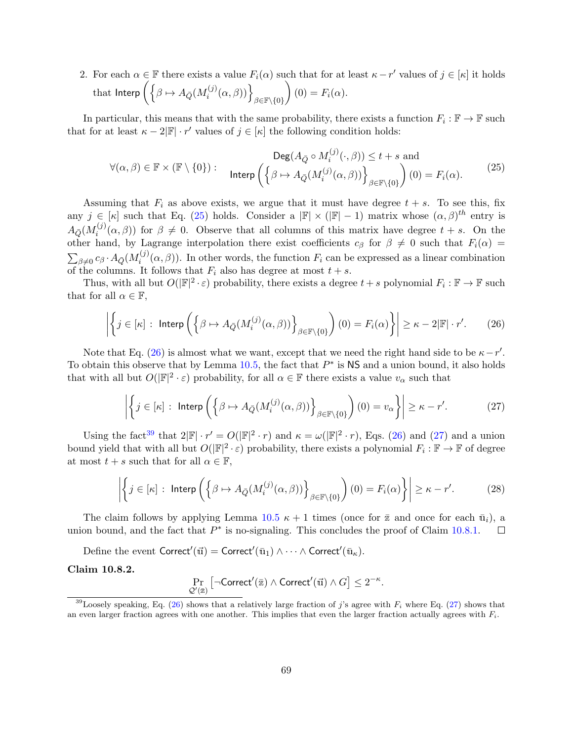2. For each  $\alpha \in \mathbb{F}$  there exists a value  $F_i(\alpha)$  such that for at least  $\kappa - r'$  values of  $j \in [\kappa]$  it holds that Interp  $\Big(\Big\{\beta\mapsto A_{\bar{Q}}(M_i^{(j)}\Big)$  $\big\{ \begin{matrix} \hat{a}^{(j)}(\alpha,\beta)) \end{matrix} \big\}_{\beta \in \mathbb{F}\setminus \{0\}}$  $(0) = F_i(\alpha).$ 

In particular, this means that with the same probability, there exists a function  $F_i : \mathbb{F} \to \mathbb{F}$  such that for at least  $\kappa - 2|\mathbb{F}| \cdot r'$  values of  $j \in [\kappa]$  the following condition holds:

<span id="page-68-0"></span>
$$
\forall (\alpha, \beta) \in \mathbb{F} \times (\mathbb{F} \setminus \{0\}) : \quad \text{Interp}\left(\left\{\beta \mapsto A_{\bar{Q}}(M_i^{(j)}(\alpha, \beta))\right\}_{\beta \in \mathbb{F} \setminus \{0\}}\right) (0) = F_i(\alpha). \tag{25}
$$

Assuming that  $F_i$  as above exists, we argue that it must have degree  $t + s$ . To see this, fix any  $j \in [\kappa]$  such that Eq. [\(25\)](#page-68-0) holds. Consider a  $|\mathbb{F}| \times (|\mathbb{F}|-1)$  matrix whose  $(\alpha, \beta)^{th}$  entry is  $A_{\bar{Q}}(M_i^{(j)}$  $i^{(j)}(\alpha, \beta)$  for  $\beta \neq 0$ . Observe that all columns of this matrix have degree  $t + s$ . On the other hand, by Lagrange interpolation there exist coefficients  $c_{\beta}$  for  $\beta \neq 0$  such that  $F_i(\alpha) =$  $\sum_{\beta\neq 0}c_\beta\cdot A_{\bar{Q}}(M_i^{(j)})$  $i^{(j)}(\alpha, \beta)$ . In other words, the function  $F_i$  can be expressed as a linear combination of the columns. It follows that  $F_i$  also has degree at most  $t + s$ .

Thus, with all but  $O(|\mathbb{F}|^2 \cdot \varepsilon)$  probability, there exists a degree  $t+s$  polynomial  $F_i : \mathbb{F} \to \mathbb{F}$  such that for all  $\alpha \in \mathbb{F}$ ,

$$
\left| \left\{ j \in [\kappa] : \text{Interp}\left( \left\{ \beta \mapsto A_{\bar{Q}}(M_i^{(j)}(\alpha, \beta)) \right\}_{\beta \in \mathbb{F} \setminus \{0\}} \right) (0) = F_i(\alpha) \right\} \right| \ge \kappa - 2|\mathbb{F}| \cdot r'. \tag{26}
$$

Note that Eq. [\(26\)](#page-68-1) is almost what we want, except that we need the right hand side to be  $\kappa - r'$ . To obtain this observe that by Lemma  $10.5$ , the fact that  $P^*$  is NS and a union bound, it also holds that with all but  $O(|\mathbb{F}|^2 \cdot \varepsilon)$  probability, for all  $\alpha \in \mathbb{F}$  there exists a value  $v_{\alpha}$  such that

<span id="page-68-1"></span>
$$
\left| \left\{ j \in [\kappa] : \text{Interp}\left( \left\{ \beta \mapsto A_{\bar{Q}}(M_i^{(j)}(\alpha, \beta)) \right\}_{\beta \in \mathbb{F}\backslash \{0\}} \right) (0) = v_\alpha \right\} \right| \ge \kappa - r'. \tag{27}
$$

Using the fact<sup>[39](#page-68-2)</sup> that  $2|\mathbb{F}| \cdot r' = O(|\mathbb{F}|^2 \cdot r)$  and  $\kappa = \omega(|\mathbb{F}|^2 \cdot r)$ , Eqs. [\(26\)](#page-68-1) and [\(27\)](#page-68-3) and a union bound yield that with all but  $O(|\mathbb{F}|^2 \cdot \varepsilon)$  probability, there exists a polynomial  $F_i : \mathbb{F} \to \mathbb{F}$  of degree at most  $t + s$  such that for all  $\alpha \in \mathbb{F}$ ,

$$
\left| \left\{ j \in [\kappa] : \text{Interp}\left( \left\{ \beta \mapsto A_{\bar{Q}}(M_i^{(j)}(\alpha, \beta)) \right\}_{\beta \in \mathbb{F} \setminus \{0\}} \right) (0) = F_i(\alpha) \right\} \right| \ge \kappa - r'. \tag{28}
$$

The claim follows by applying Lemma [10.5](#page-65-2)  $\kappa + 1$  times (once for  $\bar{z}$  and once for each  $\bar{u}_i$ ), a union bound, and the fact that  $P^*$  is no-signaling. This concludes the proof of Claim [10.8.1.](#page-67-2)  $\Box$ 

Define the event  $\mathsf{Correct}'(\vec u) = \mathsf{Correct}'(\bar u_1) \wedge \cdots \wedge \mathsf{Correct}'(\bar u_\kappa).$ 

<span id="page-68-4"></span>Claim 10.8.2.

<span id="page-68-3"></span>
$$
\Pr_{\mathcal{Q}'(\overline{\mathbf{z}})}\left[\neg \mathsf{Correct}'(\overline{\mathbf{z}}) \land \mathsf{Correct}'(\overrightarrow{\mathbf{u}}) \land G\right] \leq 2^{-\kappa}.
$$

<span id="page-68-2"></span><sup>&</sup>lt;sup>39</sup>Loosely speaking, Eq. [\(26\)](#page-68-1) shows that a relatively large fraction of j's agree with  $F_i$  where Eq. [\(27\)](#page-68-3) shows that an even larger fraction agrees with one another. This implies that even the larger fraction actually agrees with  $F_i$ .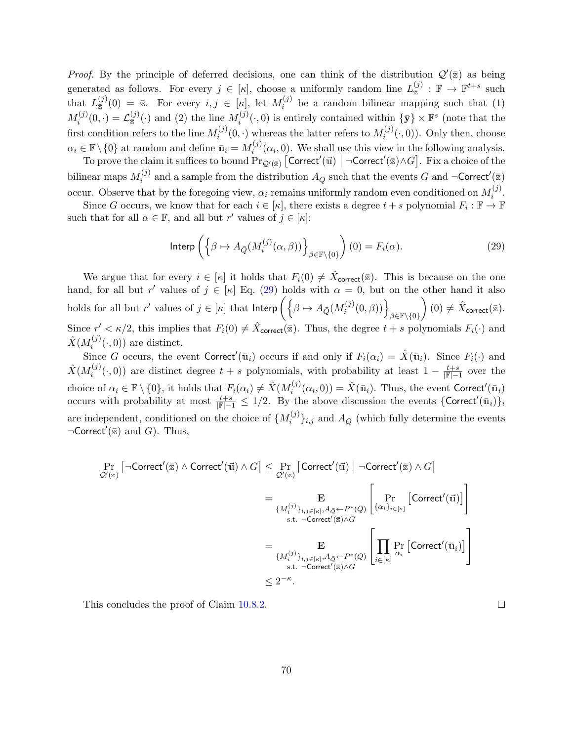*Proof.* By the principle of deferred decisions, one can think of the distribution  $\mathcal{Q}'(\bar{z})$  as being generated as follows. For every  $j \in [\kappa]$ , choose a uniformly random line  $L_{\overline{x}}^{(j)}$  $\frac{(j)}{\overline{z}}:\mathbb{F}\to\mathbb{F}^{t+s}$  such that  $L_{\bar{x}}^{(j)}$  $\frac{(j)}{\bar{z}}(0) = \bar{z}$ . For every  $i, j \in [\kappa]$ , let  $M_i^{(j)}$  $i^{(j)}$  be a random bilinear mapping such that (1)  $M_i^{(j)}$  $\mathcal{L}^{(j)}_{\bar{x}}(0,\cdot)=\mathcal{L}^{(j)}_{\bar{x}}$  $\binom{(j)}{\bar{z}}(\cdot)$  and (2) the line  $M_i^{(j)}$  $\{\bar{\mathbf{y}}\}\times\mathbb{F}^s$  (note that the first condition refers to the line  $M_i^{(j)}$  $\mathcal{N}_i^{(j)}(0,\cdot)$  whereas the latter refers to  $M_i^{(j)}$  $i^{(j)}(\cdot,0)$ ). Only then, choose  $\alpha_i \in \mathbb{F} \backslash \{0\}$  at random and define  $\bar{\mathbf{u}}_i = M_i^{(j)}$  $i^{(j)}(\alpha_i, 0)$ . We shall use this view in the following analysis.

To prove the claim it suffices to bound  $\Pr_{\mathcal{Q}'(\bar{z})}$  [Correct'( $\vec{u}$ ) | ¬Correct'( $\bar{z}$ ) $\wedge G$ ]. Fix a choice of the bilinear maps  $M_i^{(j)}$  $\hat{a}_i^{(j)}$  and a sample from the distribution  $A_{\bar{Q}}$  such that the events G and  $\neg$ Correct'( $\bar{z}$ ) occur. Observe that by the foregoing view,  $\alpha_i$  remains uniformly random even conditioned on  $M_i^{(j)}$  $\binom{J}{i}$ .

Since G occurs, we know that for each  $i \in [\kappa]$ , there exists a degree  $t + s$  polynomial  $F_i : \mathbb{F} \to \mathbb{F}$ such that for all  $\alpha \in \mathbb{F}$ , and all but r' values of  $j \in [\kappa]$ :

<span id="page-69-0"></span>Interp
$$
\left(\left\{\beta \mapsto A_{\bar{Q}}(M_i^{(j)}(\alpha,\beta))\right\}_{\beta \in \mathbb{F}\backslash\{0\}}\right)(0) = F_i(\alpha).
$$
 (29)

We argue that for every  $i \in [\kappa]$  it holds that  $F_i(0) \neq \hat{X}_{\text{correct}}(\bar{z})$ . This is because on the one hand, for all but r' values of  $j \in [\kappa]$  Eq. [\(29\)](#page-69-0) holds with  $\alpha = 0$ , but on the other hand it also holds for all but  $r'$  values of  $j \in [\kappa]$  that Interp  $\left( \bigl\{ \beta \mapsto A_{\bar{Q}}(M_{i}^{(j)} \bigr) \right.$  $\left\{ \begin{matrix} \rho^{(j)}(0, \beta)) \end{matrix} \right\}_{\beta \in \mathbb{F}\setminus \{0\}}$  $\Big)$   $(0) \neq \hat{X}_{\mathsf{correct}}(\bar{z}).$ Since  $r' < \kappa/2$ , this implies that  $F_i(0) \neq \hat{X}_{\text{correct}}(\bar{z})$ . Thus, the degree  $t + s$  polynomials  $F_i(\cdot)$  and  $\hat{X}(M_i^{(j)}$  $i^{(J)}(\cdot,0)$  are distinct.

Since G occurs, the event Correct'( $\bar{u}_i$ ) occurs if and only if  $F_i(\alpha_i) = \hat{X}(\bar{u}_i)$ . Since  $F_i(\cdot)$  and  $\hat{X}(M_i^{(j)}$  $\hat{f}_i^{(j)}(\cdot,0)$  are distinct degree  $t+s$  polynomials, with probability at least  $1-\frac{t+s}{\|\mathbb{F}\|-1}$  over the choice of  $\alpha_i \in \mathbb{F} \setminus \{0\}$ , it holds that  $F_i(\alpha_i) \neq \hat{X}(M_i^{(j)})$  $\hat{X}^{(j)}(\alpha_i, 0) = \hat{X}(\bar{\mathbf{u}}_i)$ . Thus, the event Correct'( $\bar{\mathbf{u}}_i$ ) occurs with probability at most  $\frac{t+s}{\mathbb{F}|-1} \leq 1/2$ . By the above discussion the events  $\{\text{Correct}'(\bar{u}_i)\}_i$ are independent, conditioned on the choice of  $\{M_i^{(j)}\}$  ${i^{(j)}}_{i,j}$  and  $A_{\bar{Q}}$  (which fully determine the events  $\neg$ Correct'( $\overline{z}$ ) and G). Thus,

$$
\Pr_{\mathcal{Q}'(\overline{\mathbf{z}})}\left[\neg \text{Correct}'(\overline{\mathbf{z}}) \land \text{Correct}'(\overline{\mathbf{u}}) \land G\right] \leq \Pr_{\mathcal{Q}'(\overline{\mathbf{z}})}\left[\text{Correct}'(\overline{\mathbf{u}}) \mid \neg \text{Correct}'(\overline{\mathbf{z}}) \land G\right]
$$
\n
$$
= \Pr_{\{M_i^{(j)}\}_{i,j \in [\kappa]}, A_{\overline{Q}} \leftarrow P^*(\overline{Q})} \left[\Pr_{\{\alpha_i\}_{i \in [\kappa]}\}}\left[\text{Correct}'(\overline{\mathbf{u}})\right]\right]
$$
\n
$$
= \Pr_{\{M_i^{(j)}\}_{i,j \in [\kappa]}, A_{\overline{Q}} \leftarrow P^*(\overline{Q})} \left[\prod_{i \in [\kappa]} \Pr_{\alpha_i} \left[\text{Correct}'(\overline{\mathbf{u}}_i)\right]\right]
$$
\n
$$
\leq 2^{-\kappa}.
$$

This concludes the proof of Claim [10.8.2.](#page-68-4)

 $\Box$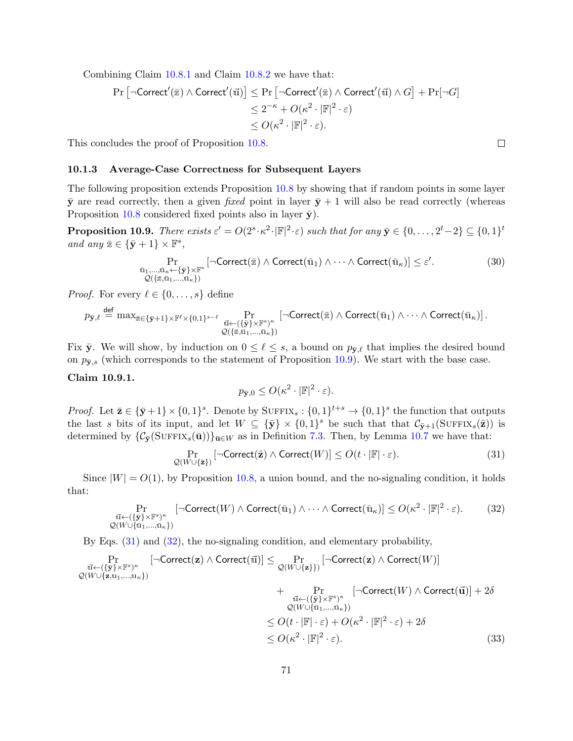Combining Claim [10.8.1](#page-67-2) and Claim [10.8.2](#page-68-4) we have that:

$$
\begin{aligned} \Pr\left[\neg \mathsf{Correct}'(\overline{\mathbf{z}}) \land \mathsf{Correct}'(\overline{\mathbf{u}})\right] &\leq \Pr\left[\neg \mathsf{Correct}'(\overline{\mathbf{z}}) \land \mathsf{Correct}'(\overline{\mathbf{u}}) \land G\right] + \Pr[\neg G] \\ &\leq 2^{-\kappa} + O(\kappa^2 \cdot |\mathbb{F}|^2 \cdot \varepsilon) \\ &\leq O(\kappa^2 \cdot |\mathbb{F}|^2 \cdot \varepsilon). \end{aligned}
$$

This concludes the proof of Proposition [10.8.](#page-66-3)

#### 10.1.3 Average-Case Correctness for Subsequent Layers

The following proposition extends Proposition [10.8](#page-66-3) by showing that if random points in some layer  $\bar{y}$  are read correctly, then a given fixed point in layer  $\bar{y}$  + 1 will also be read correctly (whereas Proposition [10.8](#page-66-3) considered fixed points also in layer  $\bar{y}$ ).

<span id="page-70-0"></span>**Proposition 10.9.** There exists  $\varepsilon' = O(2^s \cdot \kappa^2 \cdot |\mathbb{F}|^2 \cdot \varepsilon)$  such that for any  $\bar{\mathbf{y}} \in \{0, \ldots, 2^t - 2\} \subseteq \{0, 1\}^t$ and any  $\bar{z} \in {\bar{\mathbf{y}}} + 1$   $\times$   $\mathbb{F}^s$ ,

$$
\Pr_{\substack{\bar{u}_1,\ldots,\bar{u}_\kappa\leftarrow\{\bar{\mathbf{y}}\}\times\mathbb{F}^s\\ \mathcal{Q}(\{\bar{z},\bar{u}_1,\ldots,\bar{u}_\kappa\})}}\left[\neg \text{Correct}(\bar{z}) \land \text{Correct}(\bar{u}_1) \land \cdots \land \text{Correct}(\bar{u}_\kappa)\right] \leq \varepsilon'.\tag{30}
$$

*Proof.* For every  $\ell \in \{0, \ldots, s\}$  define

$$
p_{\bar{\mathbf{y}},\ell} \stackrel{\text{def}}{=} \max_{\bar{\mathbb{z}} \in \{\bar{\mathbf{y}}+1\} \times \mathbb{F}^{\ell} \times \{0,1\}^{s-\ell}} \Pr_{\substack{\vec{\mathbf{u}} \leftarrow (\{\bar{\mathbf{y}}\} \times \mathbb{F}^s)^{\kappa} \\ \mathcal{Q}(\{\bar{\mathbb{z}},\bar{\mathbf{u}}_1,...,\bar{\mathbf{u}}_\kappa\})}} \left[\neg \text{Correct}(\bar{\mathbf{z}}) \land \text{Correct}(\bar{\mathbf{u}}_1) \land \dots \land \text{Correct}(\bar{\mathbf{u}}_\kappa)\right].
$$

Fix  $\bar{y}$ . We will show, by induction on  $0 \leq \ell \leq s$ , a bound on  $p_{\bar{y},\ell}$  that implies the desired bound on  $p_{\bar{v},s}$  (which corresponds to the statement of Proposition [10.9\)](#page-70-0). We start with the base case.

## Claim 10.9.1.

<span id="page-70-2"></span><span id="page-70-1"></span>
$$
p_{\bar{\mathbf{y}},0} \le O(\kappa^2 \cdot |\mathbb{F}|^2 \cdot \varepsilon).
$$

*Proof.* Let  $\bar{\mathbf{z}} \in {\bar{\mathbf{y}}+1} \times {\{0,1\}^s}$ . Denote by SUFFIX<sub>s</sub>:  ${0,1\}^{t+s} \to {0,1\}^s$  the function that outputs the last s bits of its input, and let  $W \subseteq {\{\bar{\mathbf{y}}}\}\times{0,1}^s$  be such that that  $\mathcal{C}_{\bar{\mathbf{y}}+1}(\text{SUFFIX}_s(\bar{\mathbf{z}}))$  is determined by  $\{\mathcal{C}_{\bar{y}}(\text{SUFFIX}_s(\bar{\mathbf{u}}))\}_{\bar{\mathbf{u}}\in W}$  as in Definition [7.3.](#page-48-1) Then, by Lemma [10.7](#page-66-0) we have that:

$$
\Pr_{\mathcal{Q}(W \cup \{\bar{\mathbf{z}}\})} \left[ \neg \mathsf{Correct}(\bar{\mathbf{z}}) \land \mathsf{Correct}(W) \right] \le O(t \cdot |\mathbb{F}| \cdot \varepsilon). \tag{31}
$$

Since  $|W| = O(1)$ , by Proposition [10.8,](#page-66-3) a union bound, and the no-signaling condition, it holds that:

$$
\Pr_{\substack{\vec{u} \leftarrow (\{\bar{\mathbf{y}}\} \times \mathbb{F}^s)^{\kappa} \\ \mathcal{Q}(W \cup \{\bar{u}_1, \dots, \bar{u}_\kappa\})}} \left[ \neg \text{Correct}(W) \land \text{Correct}(\bar{u}_1) \land \dots \land \text{Correct}(\bar{u}_\kappa) \right] \le O(\kappa^2 \cdot |\mathbb{F}|^2 \cdot \varepsilon). \tag{32}
$$

By Eqs. [\(31\)](#page-70-1) and [\(32\)](#page-70-2), the no-signaling condition, and elementary probability,

$$
\Pr_{\substack{\vec{u} \leftarrow (\{\bar{\mathbf{y}}\} \times \mathbb{F}^s)^{\kappa} \\ \mathcal{Q}(W \cup \{\mathbf{z}, u_1, \dots, u_\kappa\})}} \left[ \neg \text{Correct}(\mathbf{z}) \land \text{Correct}(\vec{u}) \right] \le \Pr_{\substack{\mathcal{Q}(W \cup \{\mathbf{z}\}\})} \left[ \neg \text{Correct}(\mathbf{z}) \land \text{Correct}(W) \right] \\ \n+ \Pr_{\substack{\vec{u} \leftarrow (\{\bar{\mathbf{y}}\} \times \mathbb{F}^s)^{\kappa} \\ \mathcal{Q}(W \cup \{\bar{u}_1, \dots, \bar{u}_\kappa\})}} \right] \\ \n+ \Pr_{\substack{\vec{u} \leftarrow (\{\bar{\mathbf{y}}\} \times \mathbb{F}^s)^{\kappa} \\ \mathcal{Q}(W \cup \{\bar{u}_1, \dots, \bar{u}_\kappa\})} \right]} \\ \n\le O(t \cdot |\mathbb{F}| \cdot \varepsilon) + O(\kappa^2 \cdot |\mathbb{F}|^2 \cdot \varepsilon) + 2\delta \\ \n\le O(\kappa^2 \cdot |\mathbb{F}|^2 \cdot \varepsilon). \n\tag{33}
$$

 $\Box$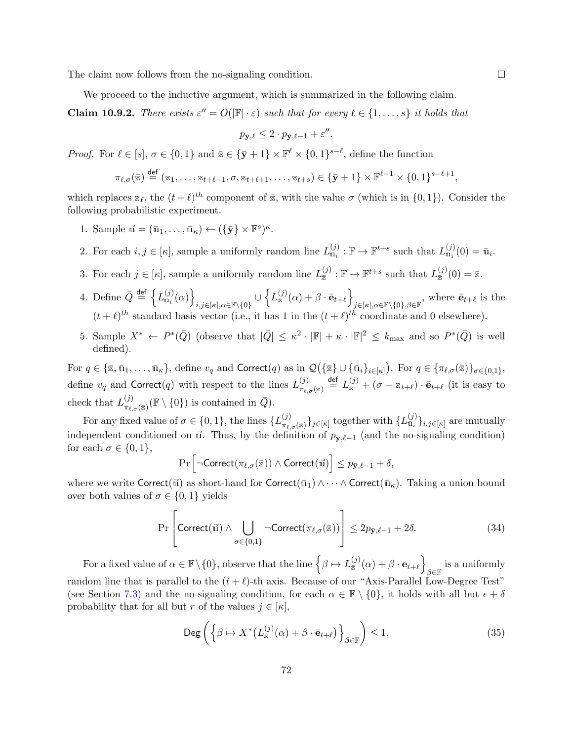The claim now follows from the no-signaling condition.

We proceed to the inductive argument, which is summarized in the following claim.

**Claim 10.9.2.** There exists  $\varepsilon'' = O(|\mathbb{F}| \cdot \varepsilon)$  such that for every  $\ell \in \{1, \ldots, s\}$  it holds that

$$
p_{\bar{\mathbf{y}},\ell} \leq 2 \cdot p_{\bar{\mathbf{y}},\ell-1} + \varepsilon''.
$$

*Proof.* For  $\ell \in [s], \sigma \in \{0, 1\}$  and  $\bar{z} \in {\bar{\mathbf{y}} + 1} \times \mathbb{F}^{\ell} \times \{0, 1\}^{s-\ell}$ , define the function

$$
\pi_{\ell,\sigma}(\overline{\mathbf{x}}) \stackrel{\text{def}}{=} (\mathbf{x}_1,\ldots,\mathbf{x}_{t+\ell-1},\sigma,\mathbf{x}_{t+\ell+1},\ldots,\mathbf{x}_{t+s}) \in \{\bar{\mathbf{y}}+1\} \times \mathbb{F}^{\ell-1} \times \{0,1\}^{s-\ell+1},
$$

which replaces  $\mathbb{Z}_{\ell}$ , the  $(t + \ell)^{th}$  component of  $\bar{\mathbb{Z}}$ , with the value  $\sigma$  (which is in  $\{0, 1\}$ ). Consider the following probabilistic experiment.

- 1. Sample  $\vec{u} = (\bar{u}_1, \dots, \bar{u}_\kappa) \leftarrow (\{\bar{\mathbf{y}}\} \times \mathbb{F}^s)^{\kappa}$ .
- 2. For each  $i, j \in [\kappa]$ , sample a uniformly random line  $L_{\bar{u}_i}^{(j)}$  $\mathbb{F}^{(j)}_{\bar{\mathbf{u}}_i} : \mathbb{F} \to \mathbb{F}^{t+s}$  such that  $L_{\bar{\mathbf{u}}_i}^{(j)}$  $\mathbf{u}_i^{(j)}(0) = \mathbf{u}_i.$
- 3. For each  $j \in [\kappa]$ , sample a uniformly random line  $L_{\overline{x}}^{(j)}$  $\mathbb{F}^{(j)}:\mathbb{F}\to\mathbb{F}^{t+s}$  such that  $L_{\bar{x}}^{(j)}$  $\frac{\omega}{\overline{z}}(0) = \overline{z}.$
- 4. Define  $\bar{Q} \stackrel{\text{def}}{=} \begin{cases} L_{\bar{u}_i}^{(j)} \end{cases}$  $_{\bar{\bar{\mathbf{u}}}_i}^{(j)}(\alpha)\Big\}$  $_{i,j\in [\kappa],\alpha\in \mathbb{F}\setminus\{0\}}\cup\left\{ L_{\overline{\mathbb{Z}}}\^{(j)}\right\}$  $\left. \begin{array}{c} \text{(j)}(\alpha)+\beta\cdot\bar{\mathbf{e}}_{t+\ell} \end{array} \right\}$  $j\in[\kappa],\alpha\in\mathbb{F}\setminus\{0\},\beta\in\mathbb{F}$ , where  $\bar{\mathbf{e}}_{t+\ell}$  is the  $(t + \ell)^{th}$  standard basis vector (i.e., it has 1 in the  $(t + \ell)^{th}$  coordinate and 0 elsewhere).
- 5. Sample  $X^* \leftarrow P^*(\bar{Q})$  (observe that  $|\bar{Q}| \leq \kappa^2 \cdot |\mathbb{F}| + \kappa \cdot |\mathbb{F}|^2 \leq k_{\text{max}}$  and so  $P^*(\bar{Q})$  is well defined).

For  $q \in \{\overline{\mathbb{Z}}, \overline{\mathbf{u}}_1, \ldots, \overline{\mathbf{u}}_\kappa\}$ , define  $v_q$  and Correct $(q)$  as in  $\mathcal{Q}(\{\overline{\mathbb{Z}}\} \cup \{\overline{\mathbf{u}}_i\}_{i \in [\kappa]})$ . For  $q \in \{\pi_{\ell,\sigma}(\overline{\mathbb{Z}})\}_{\sigma \in \{0,1\}}$ , define  $v_q$  and Correct(q) with respect to the lines  $L_{\pi_s}^{(j)}$  $\frac{f(j)}{\pi_{\ell,\sigma}(\bar{z})}$  def  $L_{\bar{z}}^{(j)} + (\sigma - z_{t+\ell}) \cdot \bar{e}_{t+\ell}$  (it is easy to check that  $L_{\pi_s}^{(j)}$  $_{\pi_{\ell,\sigma}(\bar{x})}^{(j)}(\mathbb{F} \setminus \{0\})$  is contained in  $\bar{Q}$ ).

For any fixed value of  $\sigma \in \{0,1\}$ , the lines  $\{L_{\pi}^{(j)}\}$  $_{\pi_{\ell,\sigma}(\bar{\mathbb{Z}})}^{(j)}\}_{j\in[\kappa]}$  together with  $\{L_{\bar{\mathbf{u}}_i}^{(j)}\}$  $\{U_j\}_{i,j\in[\kappa]}$  are mutually independent conditioned on  $\vec{u}$ . Thus, by the definition of  $p_{\bar{y},\ell-1}$  (and the no-signaling condition) for each  $\sigma \in \{0,1\},\$ 

$$
\Pr\left[\neg \mathsf{Correct}(\pi_{\ell,\sigma}(\bar{\mathbb{Z}})) \land \mathsf{Correct}(\vec{\mathbb{u}})\right] \leq p_{\bar{\mathbf{y}},\ell-1} + \delta,
$$

where we write Correct( $\vec{u}$ ) as short-hand for Correct( $\vec{u}_1$ ) ∧ · · · ∧ Correct( $\vec{u}_k$ ). Taking a union bound over both values of  $\sigma \in \{0,1\}$  yields

$$
\Pr\left[\text{Correct}(\vec{u}) \land \bigcup_{\sigma \in \{0,1\}} \neg \text{Correct}(\pi_{\ell,\sigma}(\bar{z}))\right] \le 2p_{\bar{\mathbf{y}},\ell-1} + 2\delta. \tag{34}
$$

For a fixed value of  $\alpha \in \mathbb{F} \setminus \{0\}$ , observe that the line  $\left\{\beta \mapsto L_{\overline{z}}^{(j)}\right\}$  $_{\overline{\mathbb{Z}}}\nolimits^{(j)}(\alpha)+\beta\cdot\mathbf{e}_{t+\ell}\big\}$ is a uniformly  $\beta \in \mathbb{F}$ random line that is parallel to the  $(t + \ell)$ -th axis. Because of our "Axis-Parallel Low-Degree Test" (see Section [7.3\)](#page-49-1) and the no-signaling condition, for each  $\alpha \in \mathbb{F} \setminus \{0\}$ , it holds with all but  $\epsilon + \delta$ probability that for all but r of the values  $j \in [\kappa]$ ,

$$
\operatorname{Deg}\left(\left\{\beta \mapsto X^*\left(L_{\bar{z}}^{(j)}(\alpha) + \beta \cdot \bar{\mathbf{e}}_{t+\ell}\right)\right\}_{\beta \in \mathbb{F}}\right) \le 1,\tag{35}
$$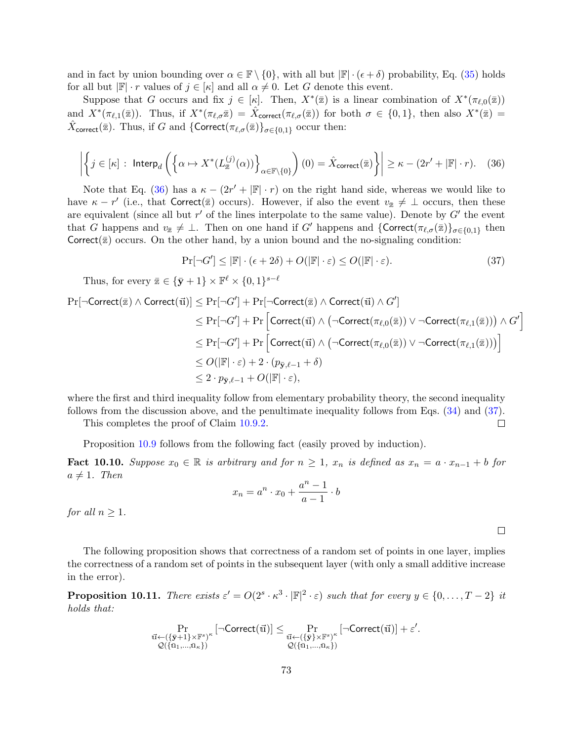and in fact by union bounding over  $\alpha \in \mathbb{F} \setminus \{0\}$ , with all but  $|\mathbb{F}| \cdot (\epsilon + \delta)$  probability, Eq. [\(35\)](#page-71-0) holds for all but  $\mathbb{F} \cdot r$  values of  $j \in [\kappa]$  and all  $\alpha \neq 0$ . Let G denote this event.

Suppose that G occurs and fix  $j \in [\kappa]$ . Then,  $X^*(\bar{z})$  is a linear combination of  $X^*(\pi_{\ell,0}(\bar{z}))$ and  $X^*(\pi_{\ell,1}(\bar{z}))$ . Thus, if  $X^*(\pi_{\ell,\sigma}\bar{z}) = \hat{X}_{\text{correct}}(\pi_{\ell,\sigma}(\bar{z}))$  for both  $\sigma \in \{0,1\}$ , then also  $X^*(\bar{z}) =$  $\hat{X}_{\text{correct}}(\bar{z})$ . Thus, if G and  $\{\text{Correct}(\pi_{\ell,\sigma}(\bar{z})\}_{\sigma \in \{0,1\}}$  occur then:

<span id="page-72-0"></span>
$$
\left| \left\{ j \in [\kappa] : \text{Interp}_d \left( \left\{ \alpha \mapsto X^*(L_{\bar{z}}^{(j)}(\alpha)) \right\}_{\alpha \in \mathbb{F}\backslash \{0\}} \right) (0) = \hat{X}_{\text{correct}}(\bar{z}) \right\} \right| \geq \kappa - (2r' + |\mathbb{F}| \cdot r). \tag{36}
$$

Note that Eq. [\(36\)](#page-72-0) has a  $\kappa - (2r' + |\mathbb{F}| \cdot r)$  on the right hand side, whereas we would like to have  $\kappa - r'$  (i.e., that Correct( $\overline{z}$ ) occurs). However, if also the event  $v_{\overline{z}} \neq \bot$  occurs, then these are equivalent (since all but  $r'$  of the lines interpolate to the same value). Denote by  $G'$  the event that G happens and  $v_{\bar{x}} \neq \bot$ . Then on one hand if G' happens and  $\{ \text{Correct}(\pi_{\ell,\sigma}(\bar{x})\}_{\sigma \in \{0,1\}}\}$  then Correct( $\bar{z}$ ) occurs. On the other hand, by a union bound and the no-signaling condition:

<span id="page-72-1"></span>
$$
\Pr[\neg G'] \le |\mathbb{F}| \cdot (\epsilon + 2\delta) + O(|\mathbb{F}| \cdot \varepsilon) \le O(|\mathbb{F}| \cdot \varepsilon). \tag{37}
$$

Thus, for every  $\bar{\mathbb{Z}} \in {\{\bar{\mathbf{y}} + 1\} \times \mathbb{F}^{\ell} \times \{0, 1\}^{s - \ell}}$ 

$$
\begin{aligned} \Pr[\neg \text{Correct}(\overline{\mathbf{z}}) \land \text{Correct}(\overline{\mathbf{u}})] &\leq \Pr[\neg G'] + \Pr[\neg \text{Correct}(\overline{\mathbf{z}}) \land \text{Correct}(\overline{\mathbf{u}}) \land G'] \\ &\leq \Pr[\neg G'] + \Pr\Big[\text{Correct}(\overline{\mathbf{u}}) \land (\neg \text{Correct}(\pi_{\ell,0}(\overline{\mathbf{z}})) \lor \neg \text{Correct}(\pi_{\ell,1}(\overline{\mathbf{z}}))) \land G'\Big] \\ &\leq \Pr[\neg G'] + \Pr\Big[\text{Correct}(\overline{\mathbf{u}}) \land (\neg \text{Correct}(\pi_{\ell,0}(\overline{\mathbf{z}})) \lor \neg \text{Correct}(\pi_{\ell,1}(\overline{\mathbf{z}})))\Big] \\ &\leq O(|\mathbb{F}| \cdot \varepsilon) + 2 \cdot (p_{\overline{\mathbf{y}},\ell-1} + \delta) \\ &\leq 2 \cdot p_{\overline{\mathbf{y}},\ell-1} + O(|\mathbb{F}| \cdot \varepsilon), \end{aligned}
$$

where the first and third inequality follow from elementary probability theory, the second inequality follows from the discussion above, and the penultimate inequality follows from Eqs. [\(34\)](#page-71-1) and [\(37\)](#page-72-1).

This completes the proof of Claim [10.9.2.](#page-71-2)

Proposition [10.9](#page-70-0) follows from the following fact (easily proved by induction).

**Fact 10.10.** Suppose  $x_0 \in \mathbb{R}$  is arbitrary and for  $n \geq 1$ ,  $x_n$  is defined as  $x_n = a \cdot x_{n-1} + b$  for  $a \neq 1$ . Then

$$
x_n = a^n \cdot x_0 + \frac{a^n - 1}{a - 1} \cdot b
$$

for all  $n \geq 1$ .

The following proposition shows that correctness of a random set of points in one layer, implies the correctness of a random set of points in the subsequent layer (with only a small additive increase in the error).

<span id="page-72-2"></span>**Proposition 10.11.** There exists  $\varepsilon' = O(2^s \cdot \kappa^3 \cdot |\mathbb{F}|^2 \cdot \varepsilon)$  such that for every  $y \in \{0, \ldots, T-2\}$  it holds that:

$$
\Pr_{\substack{\vec{u} \leftarrow (\{\bar{\mathbf{y}}+1\}\times\mathbb{F}^s)^{\kappa} \\ \mathcal{Q}(\{\bar{u}_1,...,\bar{u}_\kappa\})}} \left[\neg \text{Correct}(\vec{u})\right] \leq \Pr_{\substack{\vec{u} \leftarrow (\{\bar{\mathbf{y}}\}\times\mathbb{F}^s)^{\kappa} \\ \mathcal{Q}(\{\bar{u}_1,...,\bar{u}_\kappa\})}} \left[\neg \text{Correct}(\vec{u})\right] + \varepsilon'.
$$

 $\Box$ 

 $\Box$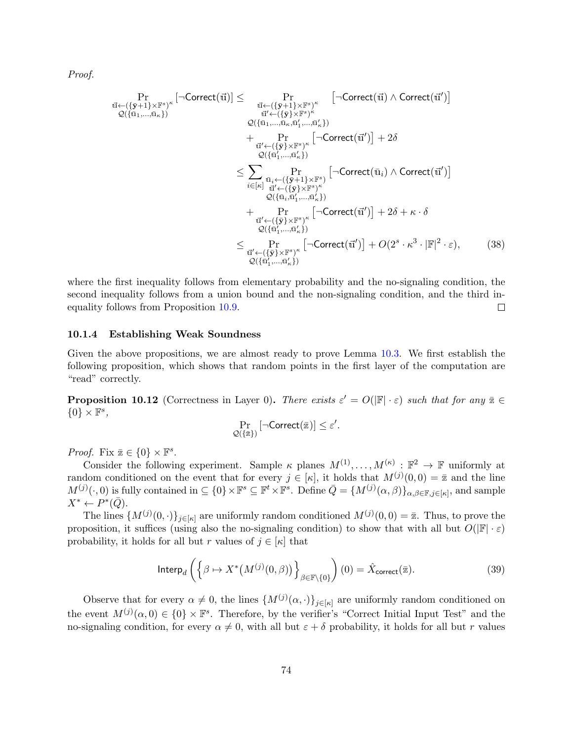Proof.

$$
\Pr_{\substack{\vec{u} \leftarrow (\{\bar{y}\} \mid \mathbf{x} \mid \mathbf{F}^s)^{\kappa} \\ \mathcal{Q}(\{\bar{u}_1, \ldots, \bar{u}_\kappa\})}} \left[ \neg \text{Correct}(\vec{u}) \right] \leq \Pr_{\substack{\vec{u}' \leftarrow (\{\bar{y}\} \mid \mathbf{x} \mid \mathbf{F}^s)^{\kappa} \\ \mathcal{Q}(\{\bar{u}_1, \ldots, \bar{u}_\kappa, \bar{u}'_1, \ldots, \bar{u}'_\kappa\})}} \right]
$$
\n
$$
= \Pr_{\substack{\vec{u}' \leftarrow (\{\bar{y}\} \mid \mathbf{x} \mid \mathbf{F}^s)^{\kappa} \\ \mathcal{Q}(\{\bar{u}_1, \ldots, \bar{u}_\kappa, \bar{u}'_1, \ldots, \bar{u}'_{\kappa}\})} \right)}
$$
\n
$$
+ \Pr_{\substack{\vec{u}' \leftarrow (\{\bar{y}\} \mid \mathbf{x} \mid \mathbf{F}^s)^{\kappa} \\ \mathcal{Q}(\{\bar{u}'_1, \ldots, \bar{u}'_{\kappa}\})} \left[ \neg \text{Correct}(\vec{u}_i) \land \text{Correct}(\vec{u}') \right]
$$
\n
$$
\leq \sum_{i \in [\kappa]} \Pr_{\substack{\vec{u}' \leftarrow (\{\bar{y}\} \mid \mathbf{x} \mid \mathbf{F}^s)^{\kappa} \\ \mathcal{Q}(\{\bar{u}_i, \bar{u}'_1, \ldots, \bar{u}'_{\kappa}\})}} \left[ \neg \text{Correct}(\vec{u}) \land \text{Correct}(\vec{u}') \right]
$$
\n
$$
+ \Pr_{\substack{\vec{u}' \leftarrow (\{\bar{y}\} \mid \mathbf{x} \mid \mathbf{F}^s)^{\kappa} \\ \mathcal{Q}(\{\bar{u}_1, \ldots, \bar{u}'_{\kappa}\})} \right)}
$$
\n
$$
+ \Pr_{\substack{\vec{u}' \leftarrow (\{\bar{y}\} \mid \mathbf{x} \mid \mathbf{F}^s)^{\kappa} \\ \mathcal{Q}(\{\bar{u}_1', \ldots, \bar{u}'_{\kappa}\})} \right]} \leq \Pr_{\substack{\vec{u}' \leftarrow (\{\bar{y}\} \mid \mathbf{x} \mid \mathbf
$$

where the first inequality follows from elementary probability and the no-signaling condition, the second inequality follows from a union bound and the non-signaling condition, and the third inequality follows from Proposition [10.9.](#page-70-0)  $\Box$ 

### 10.1.4 Establishing Weak Soundness

Given the above propositions, we are almost ready to prove Lemma [10.3.](#page-64-0) We first establish the following proposition, which shows that random points in the first layer of the computation are "read" correctly.

<span id="page-73-1"></span>**Proposition 10.12** (Correctness in Layer 0). There exists  $\varepsilon' = O(|\mathbb{F}| \cdot \varepsilon)$  such that for any  $\overline{\mathbb{Z}} \in$  ${0} \times \mathbb{F}^s$ ,

<span id="page-73-0"></span>
$$
\Pr_{\mathcal{Q}(\{\bar{\mathbf{z}}\})} \left[ \neg \mathsf{Correct}(\bar{\mathbf{z}}) \right] \leq \varepsilon'.
$$

*Proof.* Fix  $\bar{x} \in \{0\} \times \mathbb{F}^s$ .

Consider the following experiment. Sample  $\kappa$  planes  $M^{(1)}, \ldots, M^{(\kappa)} : \mathbb{F}^2 \to \mathbb{F}$  uniformly at random conditioned on the event that for every  $j \in [\kappa]$ , it holds that  $M^{(j)}(0,0) = \bar{x}$  and the line  $M^{(j)}(\cdot,0)$  is fully contained in  $\subseteq \{0\} \times \mathbb{F}^s \subseteq \mathbb{F}^t \times \mathbb{F}^s$ . Define  $\overline{Q} = \{M^{(j)}(\alpha,\beta)\}_{\alpha,\beta \in \mathbb{F}, j \in [\kappa]}$ , and sample  $X^* \leftarrow P^*(\bar{Q}).$ 

The lines  $\{M^{(j)}(0, \cdot)\}_{j\in[\kappa]}$  are uniformly random conditioned  $M^{(j)}(0, 0) = \bar{\mathbb{Z}}$ . Thus, to prove the proposition, it suffices (using also the no-signaling condition) to show that with all but  $O(|\mathbb{F}|\cdot \varepsilon)$ probability, it holds for all but r values of  $j \in [\kappa]$  that

$$
\mathsf{Interp}_d\left(\left\{\beta \mapsto X^*(M^{(j)}(0,\beta))\right\}_{\beta \in \mathbb{F}\backslash\{0\}}\right)(0) = \hat{X}_{\mathsf{correct}}(\bar{z}).\tag{39}
$$

Observe that for every  $\alpha \neq 0$ , the lines  $\{M^{(j)}(\alpha, \cdot)\}_{j \in [\kappa]}$  are uniformly random conditioned on the event  $M^{(j)}(\alpha,0) \in \{0\} \times \mathbb{F}^s$ . Therefore, by the verifier's "Correct Initial Input Test" and the no-signaling condition, for every  $\alpha \neq 0$ , with all but  $\varepsilon + \delta$  probability, it holds for all but r values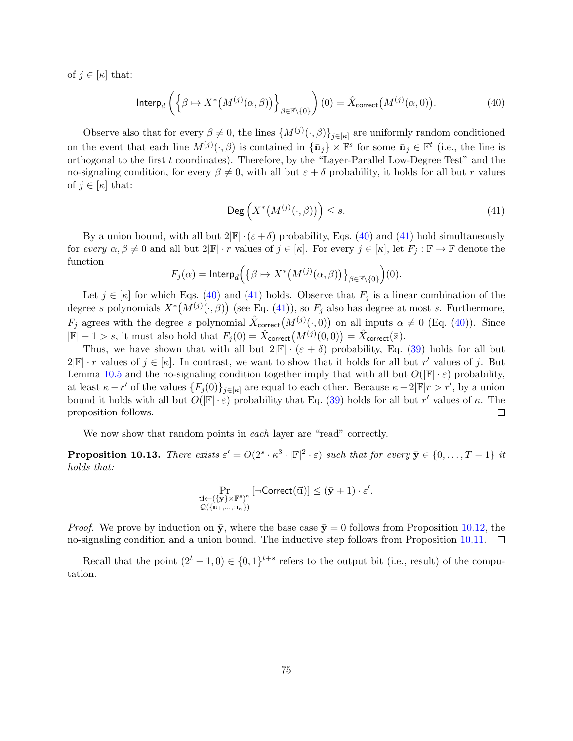of  $j \in [\kappa]$  that:

$$
\mathsf{Interp}_d\left(\left\{\beta \mapsto X^*\big(M^{(j)}(\alpha,\beta)\big)\right\}_{\beta \in \mathbb{F}\backslash\{0\}}\right)(0) = \hat{X}_{\mathsf{correct}}\big(M^{(j)}(\alpha,0)\big). \tag{40}
$$

Observe also that for every  $\beta \neq 0$ , the lines  ${M^{(j)}(\cdot,\beta)}_{j\in[\kappa]}$  are uniformly random conditioned on the event that each line  $M^{(j)}(\cdot,\beta)$  is contained in  $\{\bar{u}_j\}\times\mathbb{F}^s$  for some  $\bar{u}_j\in\mathbb{F}^t$  (i.e., the line is orthogonal to the first t coordinates). Therefore, by the "Layer-Parallel Low-Degree Test" and the no-signaling condition, for every  $\beta \neq 0$ , with all but  $\varepsilon + \delta$  probability, it holds for all but r values of  $j \in [\kappa]$  that:

<span id="page-74-1"></span><span id="page-74-0"></span>
$$
\mathsf{Deg}\left(X^*\big(M^{(j)}(\cdot,\beta)\big)\right)\le s.\tag{41}
$$

By a union bound, with all but  $2|\mathbb{F}| \cdot (\varepsilon + \delta)$  probability, Eqs. [\(40\)](#page-74-0) and [\(41\)](#page-74-1) hold simultaneously for every  $\alpha, \beta \neq 0$  and all but  $2|\mathbb{F}| \cdot r$  values of  $j \in [\kappa]$ . For every  $j \in [\kappa]$ , let  $F_j : \mathbb{F} \to \mathbb{F}$  denote the function

$$
F_j(\alpha) = \mathsf{Interp}_d\Big(\big\{\beta \mapsto X^*\big(M^{(j)}(\alpha,\beta)\big)\big\}_{\beta \in \mathbb{F}\setminus\{0\}}\Big)(0).
$$

Let  $j \in [\kappa]$  for which Eqs. [\(40\)](#page-74-0) and [\(41\)](#page-74-1) holds. Observe that  $F_j$  is a linear combination of the degree s polynomials  $X^*(M^{(j)}(\cdot,\beta))$  (see Eq. [\(41\)](#page-74-1)), so  $F_j$  also has degree at most s. Furthermore,  $F_j$  agrees with the degree s polynomial  $\hat{X}_{\text{correct}}(M^{(j)}(\cdot,0))$  on all inputs  $\alpha \neq 0$  (Eq. [\(40\)](#page-74-0)). Since  $|\mathbb{F}|-1>s$ , it must also hold that  $F_j(0) = \hat{X}_{\text{correct}}(M^{(j)}(0,0)) = \hat{X}_{\text{correct}}(\bar{x}).$ 

Thus, we have shown that with all but  $2|\mathbb{F}| \cdot (\varepsilon + \delta)$  probability, Eq. [\(39\)](#page-73-0) holds for all but  $2|\mathbb{F}| \cdot r$  values of  $j \in [\kappa]$ . In contrast, we want to show that it holds for all but r' values of j. But Lemma [10.5](#page-65-0) and the no-signaling condition together imply that with all but  $O(|\mathbb{F}|\cdot \varepsilon)$  probability, at least  $\kappa - r'$  of the values  $\{F_j(0)\}_{j \in [\kappa]}$  are equal to each other. Because  $\kappa - 2|\mathbb{F}|r > r'$ , by a union bound it holds with all but  $O(|\mathbb{F}|\cdot\varepsilon)$  probability that Eq. [\(39\)](#page-73-0) holds for all but r' values of  $\kappa$ . The proposition follows.  $\Box$ 

We now show that random points in each layer are "read" correctly.

**Proposition 10.13.** There exists  $\varepsilon' = O(2^s \cdot \kappa^3 \cdot |\mathbb{F}|^2 \cdot \varepsilon)$  such that for every  $\bar{\mathbf{y}} \in \{0, \ldots, T-1\}$  it holds that:

$$
\Pr_{\substack{\vec{u} \leftarrow (\{\bar{\mathbf{y}}\} \times \mathbb{F}^s)^{\kappa} \\ \mathcal{Q}(\{\bar{u}_1,\ldots,\bar{u}_\kappa\})}} \left[\neg \text{Correct}(\vec{u})\right] \leq (\bar{\mathbf{y}} + 1) \cdot \varepsilon'.
$$

*Proof.* We prove by induction on  $\bar{y}$ , where the base case  $\bar{y} = 0$  follows from Proposition [10.12,](#page-73-1) the no-signaling condition and a union bound. The inductive step follows from Proposition [10.11.](#page-72-2)  $\Box$ 

Recall that the point  $(2^t - 1, 0) \in \{0, 1\}^{t+s}$  refers to the output bit (i.e., result) of the computation.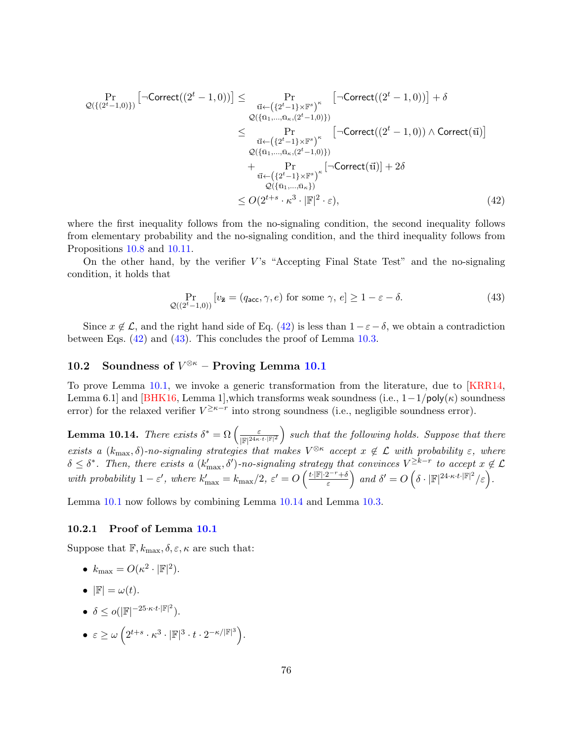$$
\Pr_{\mathcal{Q}(\{(2^t-1,0)\})}\left[\neg \text{Correct}((2^t-1,0))\right] \leq \Pr_{\substack{\vec{u} \leftarrow (\{2^t-1\} \times \mathbb{F}^s)^{\kappa} \\ \mathcal{Q}(\{\vec{u}_1,\dots,\vec{u}_\kappa,(2^t-1,0)\})\}} \left[\neg \text{Correct}((2^t-1,0))\right] + \delta
$$
\n
$$
\leq \Pr_{\substack{\vec{u} \leftarrow (\{2^t-1\} \times \mathbb{F}^s)^{\kappa} \\ \mathcal{Q}(\{\vec{u}_1,\dots,\vec{u}_\kappa,(2^t-1,0)\})}} \left[\neg \text{Correct}((2^t-1,0)) \land \text{Correct}(\vec{u})\right]
$$
\n
$$
+ \Pr_{\substack{\vec{u} \leftarrow (\{2^t-1\} \times \mathbb{F}^s)^{\kappa} \\ \mathcal{Q}(\{\vec{u}_1,\dots,\vec{u}_\kappa\})}} \left[\neg \text{Correct}(\vec{u})\right] + 2\delta
$$
\n
$$
\leq O(2^{t+s} \cdot \kappa^3 \cdot |\mathbb{F}|^2 \cdot \varepsilon),
$$
\n(42)

where the first inequality follows from the no-signaling condition, the second inequality follows from elementary probability and the no-signaling condition, and the third inequality follows from Propositions [10.8](#page-66-0) and [10.11.](#page-72-2)

On the other hand, by the verifier  $V$ 's "Accepting Final State Test" and the no-signaling condition, it holds that

<span id="page-75-1"></span><span id="page-75-0"></span>
$$
\Pr_{\mathcal{Q}((2^t-1,0))} \left[ v_{\bar{\mathbf{z}}} = (q_{\text{acc}}, \gamma, e) \text{ for some } \gamma, e \right] \ge 1 - \varepsilon - \delta. \tag{43}
$$

Since  $x \notin \mathcal{L}$ , and the right hand side of Eq. [\(42\)](#page-75-0) is less than  $1 - \varepsilon - \delta$ , we obtain a contradiction between Eqs.  $(42)$  and  $(43)$ . This concludes the proof of Lemma [10.3.](#page-64-0)

## 10.2 Soundness of  $V^{\otimes \kappa}$  – Proving Lemma [10.1](#page-64-1)

To prove Lemma [10.1,](#page-64-1) we invoke a generic transformation from the literature, due to [\[KRR14,](#page-82-0) Lemma 6.1] and [\[BHK16,](#page-79-0) Lemma 1],which transforms weak soundness (i.e.,  $1-1/poly(\kappa)$  soundness error) for the relaxed verifier  $V^{\geq \kappa-r}$  into strong soundness (i.e., negligible soundness error).

<span id="page-75-2"></span>**Lemma 10.14.** There exists  $\delta^* = \Omega \left( \frac{\varepsilon}{\log 24 \kappa_0} \right)$  $\frac{\varepsilon}{\|\mathbb{F}|^{24\kappa \cdot t \cdot |\mathbb{F}|^2}}$  such that the following holds. Suppose that there exists a  $(k_{\text{max}}, \delta)$ -no-signaling strategies that makes  $V^{\otimes \kappa}$  accept  $x \notin \mathcal{L}$  with probability  $\varepsilon$ , where  $\delta \leq \delta^*$ . Then, there exists a  $(k'_{\max}, \delta')$ -no-signaling strategy that convinces  $V^{\geq k-r}$  to accept  $x \notin \mathcal{L}$ with probability  $1 - \varepsilon'$ , where  $k'_{\text{max}} = k_{\text{max}}/2$ ,  $\varepsilon' = O\left(\frac{t \cdot |\mathbb{F}| \cdot 2^{-r} + \delta}{\varepsilon}\right)$  $\left( \frac{2^{-r}+\delta}{\varepsilon} \right)$  and  $\delta' = O\left( \delta \cdot |\mathbb{F}|^{24 \cdot \kappa \cdot t \cdot |\mathbb{F}|^2} / \varepsilon \right).$ 

Lemma [10.1](#page-64-1) now follows by combining Lemma [10.14](#page-75-2) and Lemma [10.3.](#page-64-0)

#### 10.2.1 Proof of Lemma [10.1](#page-64-1)

Suppose that  $\mathbb{F}, k_{\max}, \delta, \varepsilon, \kappa$  are such that:

• 
$$
k_{\text{max}} = O(\kappa^2 \cdot |\mathbb{F}|^2).
$$

$$
\bullet \ \ |\mathbb{F}| = \omega(t).
$$

- $\delta \leq o(|\mathbb{F}|^{-25 \cdot \kappa \cdot t \cdot |\mathbb{F}|^2}).$
- $\bullet\;\varepsilon\geq\omega\left(2^{t+s}\cdot\kappa^3\cdot|\mathbb{F}|^3\cdot t\cdot2^{-\kappa/|\mathbb{F}|^3}\right).$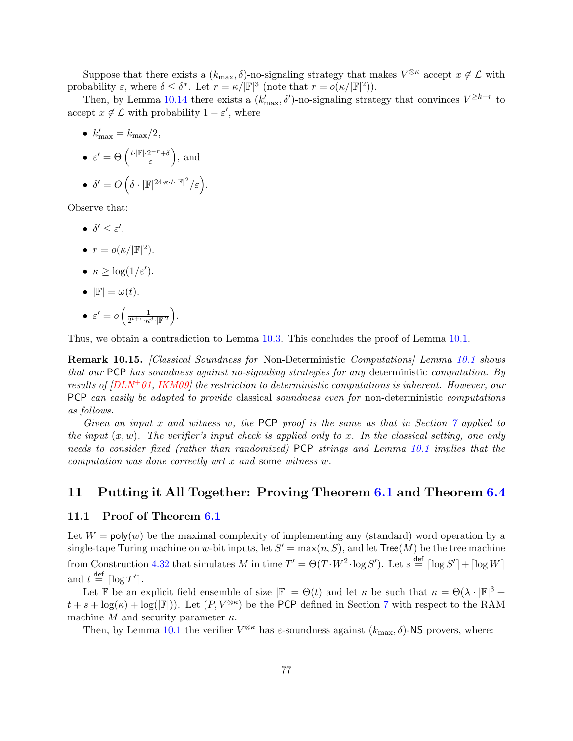Suppose that there exists a  $(k_{\text{max}}, \delta)$ -no-signaling strategy that makes  $V^{\otimes \kappa}$  accept  $x \notin \mathcal{L}$  with probability  $\varepsilon$ , where  $\delta \leq \delta^*$ . Let  $r = \kappa / |\mathbb{F}|^3$  (note that  $r = o(\kappa / |\mathbb{F}|^2)$ ).

Then, by Lemma [10.14](#page-75-2) there exists a  $(k'_{\text{max}}, \delta')$ -no-signaling strategy that convinces  $V^{\geq k-r}$  to accept  $x \notin \mathcal{L}$  with probability  $1 - \varepsilon'$ , where

•  $k'_{\text{max}} = k_{\text{max}}/2,$  $\epsilon' = \Theta\left(\frac{t \cdot |\mathbb{F}| \cdot 2^{-r} + \delta}{\epsilon}\right)$  $\left(\frac{2^{-r}+\delta}{\varepsilon}\right)$ , and  $\bullet\;\delta'=O\left(\delta\cdot|\mathbb{F}|^{24\cdot\kappa\cdot t\cdot|\mathbb{F}|^2}/\varepsilon\right).$ 

Observe that:

- $\bullet$   $\delta' \leq \varepsilon'.$
- $r = o(\kappa/|\mathbb{F}|^2)$ .
- $\kappa \geq \log(1/\varepsilon')$ .
- $|\mathbb{F}| = \omega(t)$ .
- $\epsilon' = o\left(\frac{1}{2^{t+s} \cdot \epsilon}\right)$  $\frac{1}{2^{t+s} \cdot \kappa^{3} \cdot |\mathbb{F}|^2}$ .

Thus, we obtain a contradiction to Lemma [10.3.](#page-64-0) This concludes the proof of Lemma [10.1.](#page-64-1)

Remark [10.1](#page-64-1)5. [Classical Soundness for Non-Deterministic Computations] Lemma 10.1 shows that our PCP has soundness against no-signaling strategies for any deterministic computation. By results of  $[DLN^+01, IKM09]$  $[DLN^+01, IKM09]$  $[DLN^+01, IKM09]$  the restriction to deterministic computations is inherent. However, our PCP can easily be adapted to provide classical soundness even for non-deterministic computations as follows.

Given an input x and witness w, the PCP proof is the same as that in Section  $\gamma$  applied to the input  $(x, w)$ . The verifier's input check is applied only to x. In the classical setting, one only needs to consider fixed (rather than randomized) PCP strings and Lemma [10.1](#page-64-1) implies that the computation was done correctly wrt x and some witness w.

### 11 Putting it All Together: Proving Theorem [6.1](#page-44-0) and Theorem [6.4](#page-45-0)

### 11.1 Proof of Theorem [6.1](#page-44-0)

Let  $W = \text{poly}(w)$  be the maximal complexity of implementing any (standard) word operation by a single-tape Turing machine on w-bit inputs, let  $S' = \max(n, S)$ , and let  $\text{Tree}(M)$  be the tree machine from Construction [4.32](#page-36-0) that simulates M in time  $T' = \Theta(T \cdot W^2 \cdot \log S')$ . Let  $s \stackrel{\text{def}}{=} \lceil \log S' \rceil + \lceil \log W \rceil$ and  $t \stackrel{\text{def}}{=} \lceil \log T' \rceil$ .

Let F be an explicit field ensemble of size  $|\mathbb{F}| = \Theta(t)$  and let  $\kappa$  be such that  $\kappa = \Theta(\lambda \cdot |\mathbb{F}|^3 +$  $t + s + \log(\kappa) + \log(|\mathbb{F}|)$ . Let  $(P, V^{\otimes \kappa})$  be the PCP defined in Section [7](#page-46-0) with respect to the RAM machine M and security parameter  $\kappa$ .

Then, by Lemma [10.1](#page-64-1) the verifier  $V^{\otimes \kappa}$  has  $\varepsilon$ -soundness against  $(k_{\max}, \delta)$ -NS provers, where: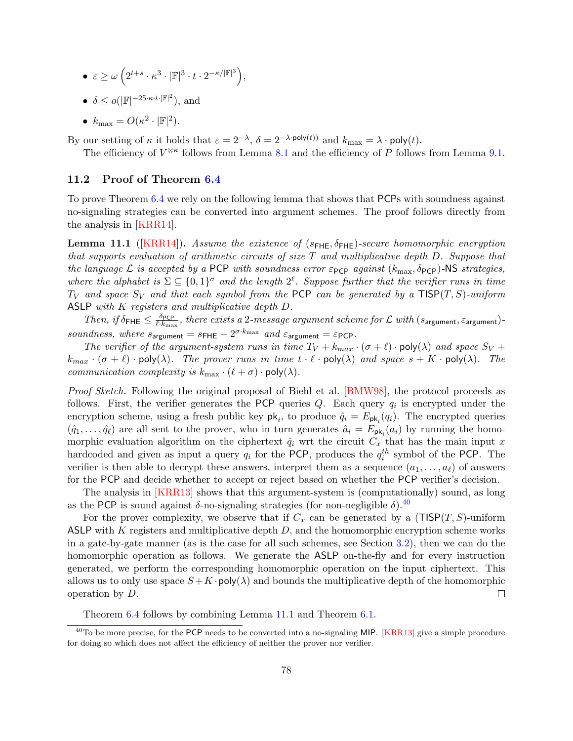- $\bullet\;\varepsilon\geq\omega\left(2^{t+s}\cdot\kappa^3\cdot|\mathbb{F}|^3\cdot t\cdot2^{-\kappa/|\mathbb{F}|^3}\right),$
- $\delta \leq o(|\mathbb{F}|^{-25 \cdot \kappa \cdot t \cdot |\mathbb{F}|^2}),$  and
- $k_{\text{max}} = O(\kappa^2 \cdot |\mathbb{F}|^2).$

By our setting of  $\kappa$  it holds that  $\varepsilon = 2^{-\lambda}$ ,  $\delta = 2^{-\lambda \cdot \text{poly}(t))}$  and  $k_{\text{max}} = \lambda \cdot \text{poly}(t)$ .

The efficiency of  $V^{\otimes \kappa}$  follows from Lemma [8.1](#page-51-0) and the efficiency of P follows from Lemma [9.1.](#page-54-0)

### 11.2 Proof of Theorem [6.4](#page-45-0)

To prove Theorem [6.4](#page-45-0) we rely on the following lemma that shows that PCPs with soundness against no-signaling strategies can be converted into argument schemes. The proof follows directly from the analysis in [\[KRR14\]](#page-82-0).

<span id="page-77-1"></span>**Lemma 11.1** ([\[KRR14\]](#page-82-0)). Assume the existence of ( $s$ <sub>FHE</sub>,  $\delta$ <sub>FHE</sub>)-secure homomorphic encryption that supports evaluation of arithmetic circuits of size  $T$  and multiplicative depth  $D$ . Suppose that the language L is accepted by a PCP with soundness error  $\varepsilon_{\text{PCP}}$  against  $(k_{\text{max}}, \delta_{\text{PCP}})$ -NS strategies, where the alphabet is  $\Sigma \subseteq \{0,1\}^{\sigma}$  and the length  $2^{\ell}$ . Suppose further that the verifier runs in time  $T_V$  and space  $S_V$  and that each symbol from the PCP can be generated by a TISP(T, S)-uniform ASLP with K registers and multiplicative depth D.

Then, if  $\delta_{\text{FHE}} \leq \frac{\delta_{\text{PCP}}}{\ell \cdot k_{\text{rms}}}$  $\frac{\partial p_{\text{CP}}}{\partial k_{\text{max}}}$ , there exists a  $2$ -message argument scheme for  $\mathcal L$  with  $(s_{\text{argument}}, \varepsilon_{\text{argument}})$ soundness, where  $s_{\text{argument}} = s_{\text{FHE}} - 2^{\sigma \cdot k_{\text{max}}}$  and  $\varepsilon_{\text{argument}} = \varepsilon_{\text{PCP}}$ .

The verifier of the argument-system runs in time  $T_V + k_{max} \cdot (\sigma + \ell) \cdot \text{poly}(\lambda)$  and space  $S_V$  +  $k_{max} \cdot (\sigma + \ell) \cdot \text{poly}(\lambda)$ . The prover runs in time  $t \cdot \ell \cdot \text{poly}(\lambda)$  and space  $s + K \cdot \text{poly}(\lambda)$ . The *communication complexity is*  $k_{\text{max}} \cdot (\ell + \sigma) \cdot \text{poly}(\lambda)$ .

Proof Sketch. Following the original proposal of Biehl et al. [\[BMW98\]](#page-79-1), the protocol proceeds as follows. First, the verifier generates the PCP queries  $Q$ . Each query  $q_i$  is encrypted under the encryption scheme, using a fresh public key  $\mathsf{pk}_i$ , to produce  $\hat{q}_i = E_{\mathsf{pk}_i}(q_i)$ . The encrypted queries  $(\hat{q}_1,\ldots,\hat{q}_\ell)$  are all sent to the prover, who in turn generates  $\hat{a}_i = E_{\mathsf{pk}_i}(a_i)$  by running the homomorphic evaluation algorithm on the ciphertext  $\hat{q}_i$  wrt the circuit  $C_x$  that has the main input x hardcoded and given as input a query  $q_i$  for the PCP, produces the  $q_i^{th}$  symbol of the PCP. The verifier is then able to decrypt these answers, interpret them as a sequence  $(a_1, \ldots, a_\ell)$  of answers for the PCP and decide whether to accept or reject based on whether the PCP verifier's decision.

The analysis in [\[KRR13\]](#page-82-1) shows that this argument-system is (computationally) sound, as long as the PCP is sound against  $\delta$ -no-signaling strategies (for non-negligible  $\delta$ ).<sup>[40](#page-77-0)</sup>

For the prover complexity, we observe that if  $C_x$  can be generated by a (TISP $(T, S)$ -uniform ASLP with K registers and multiplicative depth  $D$ , and the homomorphic encryption scheme works in a gate-by-gate manner (as is the case for all such schemes, see Section [3.2\)](#page-24-0), then we can do the homomorphic operation as follows. We generate the ASLP on-the-fly and for every instruction generated, we perform the corresponding homomorphic operation on the input ciphertext. This allows us to only use space  $S + K \cdot \text{poly}(\lambda)$  and bounds the multiplicative depth of the homomorphic operation by D.  $\Box$ 

<span id="page-77-0"></span>Theorem [6.4](#page-45-0) follows by combining Lemma [11.1](#page-77-1) and Theorem [6.1.](#page-44-0)

 $40$ To be more precise, for the PCP needs to be converted into a no-signaling MIP. [\[KRR13\]](#page-82-1) give a simple procedure for doing so which does not affect the efficiency of neither the prover nor verifier.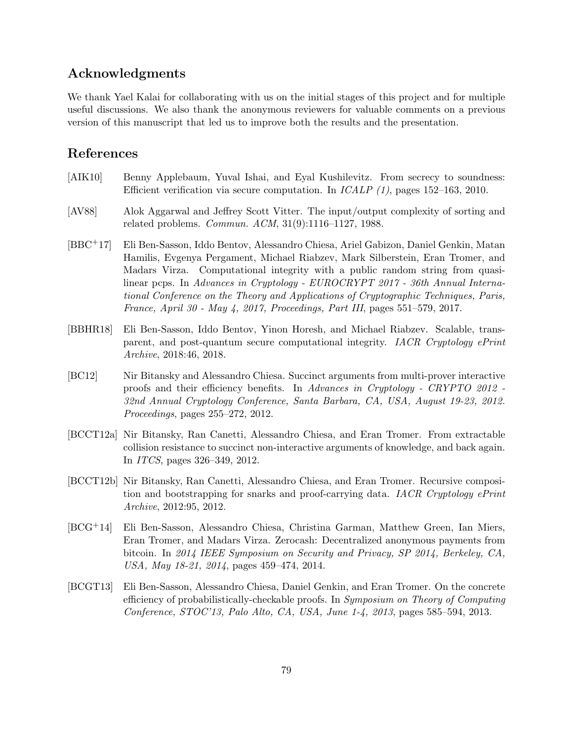## Acknowledgments

We thank Yael Kalai for collaborating with us on the initial stages of this project and for multiple useful discussions. We also thank the anonymous reviewers for valuable comments on a previous version of this manuscript that led us to improve both the results and the presentation.

# References

- [AIK10] Benny Applebaum, Yuval Ishai, and Eyal Kushilevitz. From secrecy to soundness: Efficient verification via secure computation. In ICALP (1), pages 152–163, 2010.
- [AV88] Alok Aggarwal and Jeffrey Scott Vitter. The input/output complexity of sorting and related problems. Commun. ACM, 31(9):1116–1127, 1988.
- [BBC+17] Eli Ben-Sasson, Iddo Bentov, Alessandro Chiesa, Ariel Gabizon, Daniel Genkin, Matan Hamilis, Evgenya Pergament, Michael Riabzev, Mark Silberstein, Eran Tromer, and Madars Virza. Computational integrity with a public random string from quasilinear pcps. In Advances in Cryptology - EUROCRYPT 2017 - 36th Annual International Conference on the Theory and Applications of Cryptographic Techniques, Paris, France, April 30 - May 4, 2017, Proceedings, Part III, pages 551–579, 2017.
- [BBHR18] Eli Ben-Sasson, Iddo Bentov, Yinon Horesh, and Michael Riabzev. Scalable, transparent, and post-quantum secure computational integrity. IACR Cryptology ePrint Archive, 2018:46, 2018.
- [BC12] Nir Bitansky and Alessandro Chiesa. Succinct arguments from multi-prover interactive proofs and their efficiency benefits. In Advances in Cryptology - CRYPTO 2012 - 32nd Annual Cryptology Conference, Santa Barbara, CA, USA, August 19-23, 2012. Proceedings, pages 255–272, 2012.
- [BCCT12a] Nir Bitansky, Ran Canetti, Alessandro Chiesa, and Eran Tromer. From extractable collision resistance to succinct non-interactive arguments of knowledge, and back again. In ITCS, pages 326–349, 2012.
- [BCCT12b] Nir Bitansky, Ran Canetti, Alessandro Chiesa, and Eran Tromer. Recursive composition and bootstrapping for snarks and proof-carrying data. IACR Cryptology ePrint Archive, 2012:95, 2012.
- [BCG+14] Eli Ben-Sasson, Alessandro Chiesa, Christina Garman, Matthew Green, Ian Miers, Eran Tromer, and Madars Virza. Zerocash: Decentralized anonymous payments from bitcoin. In 2014 IEEE Symposium on Security and Privacy, SP 2014, Berkeley, CA, USA, May 18-21, 2014, pages 459–474, 2014.
- [BCGT13] Eli Ben-Sasson, Alessandro Chiesa, Daniel Genkin, and Eran Tromer. On the concrete efficiency of probabilistically-checkable proofs. In Symposium on Theory of Computing Conference, STOC'13, Palo Alto, CA, USA, June 1-4, 2013, pages 585–594, 2013.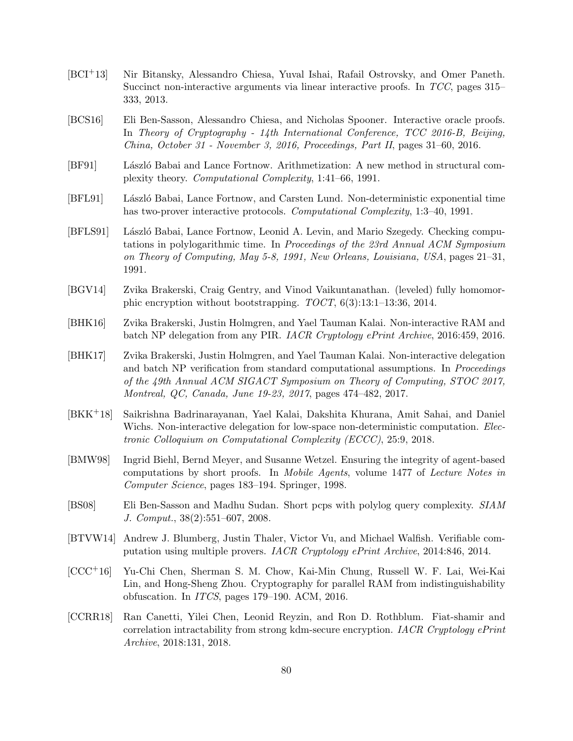- [BCI+13] Nir Bitansky, Alessandro Chiesa, Yuval Ishai, Rafail Ostrovsky, and Omer Paneth. Succinct non-interactive arguments via linear interactive proofs. In TCC, pages 315– 333, 2013.
- [BCS16] Eli Ben-Sasson, Alessandro Chiesa, and Nicholas Spooner. Interactive oracle proofs. In Theory of Cryptography - 14th International Conference, TCC 2016-B, Beijing, China, October 31 - November 3, 2016, Proceedings, Part II, pages 31–60, 2016.
- [BF91] László Babai and Lance Fortnow. Arithmetization: A new method in structural complexity theory. Computational Complexity, 1:41–66, 1991.
- [BFL91] L´aszl´o Babai, Lance Fortnow, and Carsten Lund. Non-deterministic exponential time has two-prover interactive protocols. *Computational Complexity*, 1:3–40, 1991.
- [BFLS91] László Babai, Lance Fortnow, Leonid A. Levin, and Mario Szegedy. Checking computations in polylogarithmic time. In Proceedings of the 23rd Annual ACM Symposium on Theory of Computing, May 5-8, 1991, New Orleans, Louisiana, USA, pages 21–31, 1991.
- [BGV14] Zvika Brakerski, Craig Gentry, and Vinod Vaikuntanathan. (leveled) fully homomorphic encryption without bootstrapping. TOCT, 6(3):13:1–13:36, 2014.
- <span id="page-79-0"></span>[BHK16] Zvika Brakerski, Justin Holmgren, and Yael Tauman Kalai. Non-interactive RAM and batch NP delegation from any PIR. IACR Cryptology ePrint Archive, 2016:459, 2016.
- [BHK17] Zvika Brakerski, Justin Holmgren, and Yael Tauman Kalai. Non-interactive delegation and batch NP verification from standard computational assumptions. In *Proceedings* of the 49th Annual ACM SIGACT Symposium on Theory of Computing, STOC 2017, Montreal, QC, Canada, June 19-23, 2017, pages 474–482, 2017.
- [BKK+18] Saikrishna Badrinarayanan, Yael Kalai, Dakshita Khurana, Amit Sahai, and Daniel Wichs. Non-interactive delegation for low-space non-deterministic computation. *Elec*tronic Colloquium on Computational Complexity (ECCC), 25:9, 2018.
- <span id="page-79-1"></span>[BMW98] Ingrid Biehl, Bernd Meyer, and Susanne Wetzel. Ensuring the integrity of agent-based computations by short proofs. In Mobile Agents, volume 1477 of Lecture Notes in Computer Science, pages 183–194. Springer, 1998.
- [BS08] Eli Ben-Sasson and Madhu Sudan. Short pcps with polylog query complexity. SIAM J. Comput., 38(2):551–607, 2008.
- [BTVW14] Andrew J. Blumberg, Justin Thaler, Victor Vu, and Michael Walfish. Verifiable computation using multiple provers. IACR Cryptology ePrint Archive, 2014:846, 2014.
- [CCC+16] Yu-Chi Chen, Sherman S. M. Chow, Kai-Min Chung, Russell W. F. Lai, Wei-Kai Lin, and Hong-Sheng Zhou. Cryptography for parallel RAM from indistinguishability obfuscation. In ITCS, pages 179–190. ACM, 2016.
- [CCRR18] Ran Canetti, Yilei Chen, Leonid Reyzin, and Ron D. Rothblum. Fiat-shamir and correlation intractability from strong kdm-secure encryption. IACR Cryptology ePrint Archive, 2018:131, 2018.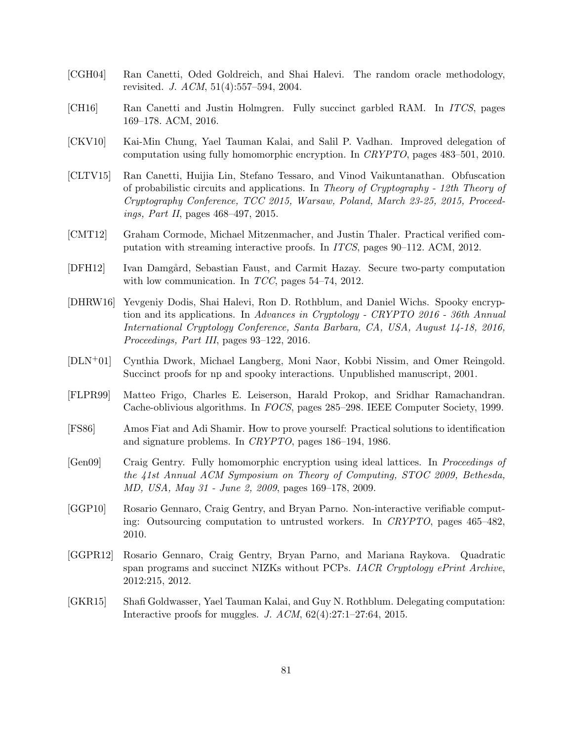- [CGH04] Ran Canetti, Oded Goldreich, and Shai Halevi. The random oracle methodology, revisited. J. ACM, 51(4):557–594, 2004.
- [CH16] Ran Canetti and Justin Holmgren. Fully succinct garbled RAM. In ITCS, pages 169–178. ACM, 2016.
- [CKV10] Kai-Min Chung, Yael Tauman Kalai, and Salil P. Vadhan. Improved delegation of computation using fully homomorphic encryption. In CRYPTO, pages 483–501, 2010.
- [CLTV15] Ran Canetti, Huijia Lin, Stefano Tessaro, and Vinod Vaikuntanathan. Obfuscation of probabilistic circuits and applications. In Theory of Cryptography - 12th Theory of Cryptography Conference, TCC 2015, Warsaw, Poland, March 23-25, 2015, Proceedings, Part II, pages 468–497, 2015.
- [CMT12] Graham Cormode, Michael Mitzenmacher, and Justin Thaler. Practical verified computation with streaming interactive proofs. In ITCS, pages 90–112. ACM, 2012.
- [DFH12] Ivan Damgård, Sebastian Faust, and Carmit Hazay. Secure two-party computation with low communication. In  $TCC$ , pages 54–74, 2012.
- [DHRW16] Yevgeniy Dodis, Shai Halevi, Ron D. Rothblum, and Daniel Wichs. Spooky encryption and its applications. In Advances in Cryptology - CRYPTO 2016 - 36th Annual International Cryptology Conference, Santa Barbara, CA, USA, August 14-18, 2016, Proceedings, Part III, pages 93–122, 2016.
- <span id="page-80-0"></span>[DLN+01] Cynthia Dwork, Michael Langberg, Moni Naor, Kobbi Nissim, and Omer Reingold. Succinct proofs for np and spooky interactions. Unpublished manuscript, 2001.
- [FLPR99] Matteo Frigo, Charles E. Leiserson, Harald Prokop, and Sridhar Ramachandran. Cache-oblivious algorithms. In FOCS, pages 285–298. IEEE Computer Society, 1999.
- [FS86] Amos Fiat and Adi Shamir. How to prove yourself: Practical solutions to identification and signature problems. In CRYPTO, pages 186–194, 1986.
- [Gen09] Craig Gentry. Fully homomorphic encryption using ideal lattices. In Proceedings of the 41st Annual ACM Symposium on Theory of Computing, STOC 2009, Bethesda, MD, USA, May 31 - June 2, 2009, pages 169–178, 2009.
- [GGP10] Rosario Gennaro, Craig Gentry, and Bryan Parno. Non-interactive verifiable computing: Outsourcing computation to untrusted workers. In CRYPTO, pages 465–482, 2010.
- [GGPR12] Rosario Gennaro, Craig Gentry, Bryan Parno, and Mariana Raykova. Quadratic span programs and succinct NIZKs without PCPs. *IACR Cryptology ePrint Archive*, 2012:215, 2012.
- [GKR15] Shafi Goldwasser, Yael Tauman Kalai, and Guy N. Rothblum. Delegating computation: Interactive proofs for muggles. J. ACM, 62(4):27:1–27:64, 2015.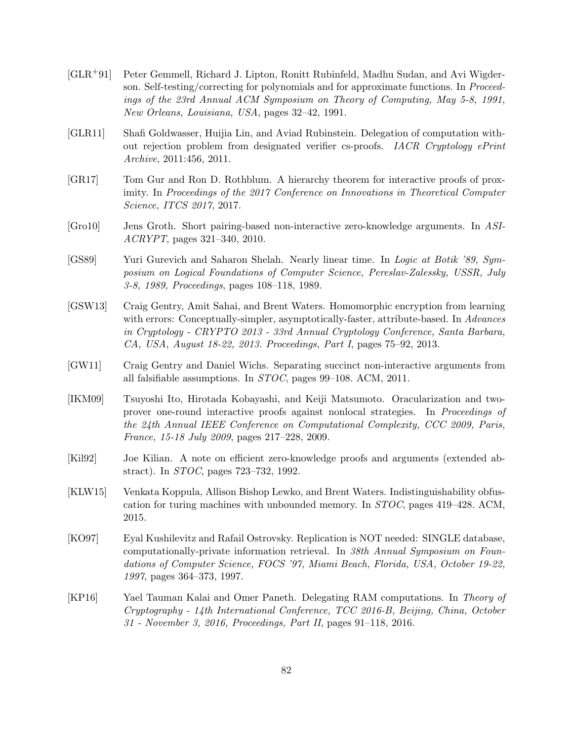- [GLR+91] Peter Gemmell, Richard J. Lipton, Ronitt Rubinfeld, Madhu Sudan, and Avi Wigderson. Self-testing/correcting for polynomials and for approximate functions. In Proceedings of the 23rd Annual ACM Symposium on Theory of Computing, May 5-8, 1991, New Orleans, Louisiana, USA, pages 32–42, 1991.
- [GLR11] Shafi Goldwasser, Huijia Lin, and Aviad Rubinstein. Delegation of computation without rejection problem from designated verifier cs-proofs. IACR Cryptology ePrint Archive, 2011:456, 2011.
- [GR17] Tom Gur and Ron D. Rothblum. A hierarchy theorem for interactive proofs of proximity. In Proceedings of the 2017 Conference on Innovations in Theoretical Computer Science, ITCS 2017, 2017.
- [Gro10] Jens Groth. Short pairing-based non-interactive zero-knowledge arguments. In ASI-ACRYPT, pages 321–340, 2010.
- [GS89] Yuri Gurevich and Saharon Shelah. Nearly linear time. In Logic at Botik '89, Symposium on Logical Foundations of Computer Science, Pereslav-Zalessky, USSR, July 3-8, 1989, Proceedings, pages 108–118, 1989.
- [GSW13] Craig Gentry, Amit Sahai, and Brent Waters. Homomorphic encryption from learning with errors: Conceptually-simpler, asymptotically-faster, attribute-based. In Advances in Cryptology - CRYPTO 2013 - 33rd Annual Cryptology Conference, Santa Barbara, CA, USA, August 18-22, 2013. Proceedings, Part I, pages 75–92, 2013.
- [GW11] Craig Gentry and Daniel Wichs. Separating succinct non-interactive arguments from all falsifiable assumptions. In STOC, pages 99–108. ACM, 2011.
- <span id="page-81-0"></span>[IKM09] Tsuyoshi Ito, Hirotada Kobayashi, and Keiji Matsumoto. Oracularization and twoprover one-round interactive proofs against nonlocal strategies. In Proceedings of the 24th Annual IEEE Conference on Computational Complexity, CCC 2009, Paris, France, 15-18 July 2009, pages 217–228, 2009.
- [Kil92] Joe Kilian. A note on efficient zero-knowledge proofs and arguments (extended abstract). In STOC, pages 723–732, 1992.
- [KLW15] Venkata Koppula, Allison Bishop Lewko, and Brent Waters. Indistinguishability obfuscation for turing machines with unbounded memory. In STOC, pages 419–428. ACM, 2015.
- [KO97] Eyal Kushilevitz and Rafail Ostrovsky. Replication is NOT needed: SINGLE database, computationally-private information retrieval. In 38th Annual Symposium on Foundations of Computer Science, FOCS '97, Miami Beach, Florida, USA, October 19-22, 1997, pages 364–373, 1997.
- [KP16] Yael Tauman Kalai and Omer Paneth. Delegating RAM computations. In Theory of Cryptography - 14th International Conference, TCC 2016-B, Beijing, China, October 31 - November 3, 2016, Proceedings, Part II, pages 91–118, 2016.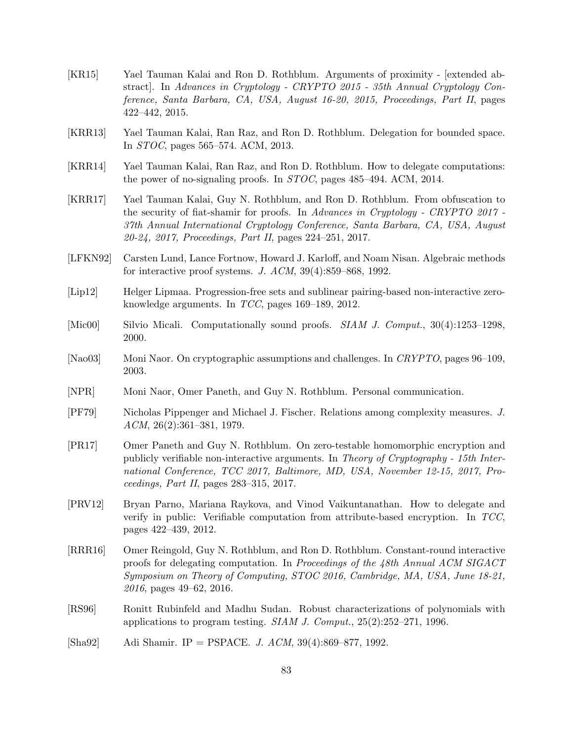- [KR15] Yael Tauman Kalai and Ron D. Rothblum. Arguments of proximity [extended abstract]. In Advances in Cryptology - CRYPTO 2015 - 35th Annual Cryptology Conference, Santa Barbara, CA, USA, August 16-20, 2015, Proceedings, Part II, pages 422–442, 2015.
- <span id="page-82-1"></span>[KRR13] Yael Tauman Kalai, Ran Raz, and Ron D. Rothblum. Delegation for bounded space. In STOC, pages 565–574. ACM, 2013.
- <span id="page-82-0"></span>[KRR14] Yael Tauman Kalai, Ran Raz, and Ron D. Rothblum. How to delegate computations: the power of no-signaling proofs. In STOC, pages 485–494. ACM, 2014.
- [KRR17] Yael Tauman Kalai, Guy N. Rothblum, and Ron D. Rothblum. From obfuscation to the security of fiat-shamir for proofs. In Advances in Cryptology - CRYPTO 2017 -37th Annual International Cryptology Conference, Santa Barbara, CA, USA, August 20-24, 2017, Proceedings, Part II, pages 224–251, 2017.
- [LFKN92] Carsten Lund, Lance Fortnow, Howard J. Karloff, and Noam Nisan. Algebraic methods for interactive proof systems. J. ACM, 39(4):859–868, 1992.
- [Lip12] Helger Lipmaa. Progression-free sets and sublinear pairing-based non-interactive zeroknowledge arguments. In TCC, pages 169–189, 2012.
- [Mic00] Silvio Micali. Computationally sound proofs. SIAM J. Comput., 30(4):1253–1298, 2000.
- [Nao03] Moni Naor. On cryptographic assumptions and challenges. In CRYPTO, pages 96–109, 2003.
- [NPR] Moni Naor, Omer Paneth, and Guy N. Rothblum. Personal communication.
- [PF79] Nicholas Pippenger and Michael J. Fischer. Relations among complexity measures. J. ACM, 26(2):361–381, 1979.
- [PR17] Omer Paneth and Guy N. Rothblum. On zero-testable homomorphic encryption and publicly verifiable non-interactive arguments. In Theory of Cryptography - 15th International Conference, TCC 2017, Baltimore, MD, USA, November 12-15, 2017, Proceedings, Part II, pages 283–315, 2017.
- [PRV12] Bryan Parno, Mariana Raykova, and Vinod Vaikuntanathan. How to delegate and verify in public: Verifiable computation from attribute-based encryption. In TCC, pages 422–439, 2012.
- [RRR16] Omer Reingold, Guy N. Rothblum, and Ron D. Rothblum. Constant-round interactive proofs for delegating computation. In Proceedings of the 48th Annual ACM SIGACT Symposium on Theory of Computing, STOC 2016, Cambridge, MA, USA, June 18-21, 2016, pages 49–62, 2016.
- [RS96] Ronitt Rubinfeld and Madhu Sudan. Robust characterizations of polynomials with applications to program testing. SIAM J. Comput., 25(2):252–271, 1996.
- [Sha92] Adi Shamir. IP = PSPACE. J. ACM, 39(4):869–877, 1992.